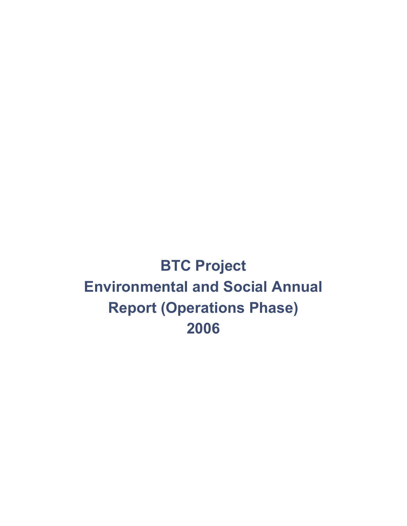**BTC Project Environmental and Social Annual Report (Operations Phase) 2006**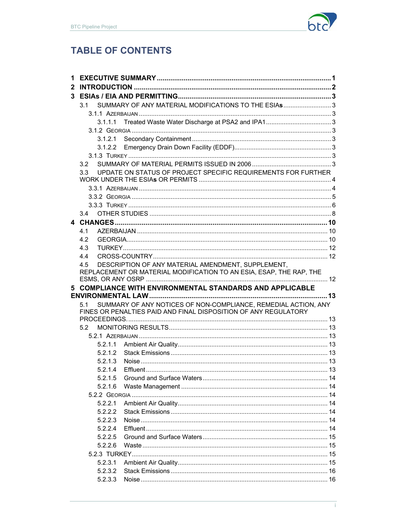

# **TABLE OF CONTENTS**

| 1. |                                                                       |  |  |  |  |
|----|-----------------------------------------------------------------------|--|--|--|--|
| 2  |                                                                       |  |  |  |  |
|    |                                                                       |  |  |  |  |
|    | SUMMARY OF ANY MATERIAL MODIFICATIONS TO THE ESIAS3<br>3.1            |  |  |  |  |
|    |                                                                       |  |  |  |  |
|    | 3.1.1.1                                                               |  |  |  |  |
|    |                                                                       |  |  |  |  |
|    | 3.1.2.1                                                               |  |  |  |  |
|    | 3.1.2.2                                                               |  |  |  |  |
|    |                                                                       |  |  |  |  |
|    | 3.2                                                                   |  |  |  |  |
|    | UPDATE ON STATUS OF PROJECT SPECIFIC REQUIREMENTS FOR FURTHER<br>3.3  |  |  |  |  |
|    |                                                                       |  |  |  |  |
|    |                                                                       |  |  |  |  |
|    |                                                                       |  |  |  |  |
|    | 3.4                                                                   |  |  |  |  |
|    |                                                                       |  |  |  |  |
|    | 4.1                                                                   |  |  |  |  |
|    | 4.2                                                                   |  |  |  |  |
|    | 4.3                                                                   |  |  |  |  |
|    | 4.4                                                                   |  |  |  |  |
|    | DESCRIPTION OF ANY MATERIAL AMENDMENT, SUPPLEMENT,<br>4.5             |  |  |  |  |
|    | REPLACEMENT OR MATERIAL MODIFICATION TO AN ESIA, ESAP, THE RAP, THE   |  |  |  |  |
|    |                                                                       |  |  |  |  |
|    |                                                                       |  |  |  |  |
|    | 5 COMPLIANCE WITH ENVIRONMENTAL STANDARDS AND APPLICABLE              |  |  |  |  |
|    |                                                                       |  |  |  |  |
|    | SUMMARY OF ANY NOTICES OF NON-COMPLIANCE, REMEDIAL ACTION, ANY<br>5.1 |  |  |  |  |
|    | FINES OR PENALTIES PAID AND FINAL DISPOSITION OF ANY REGULATORY       |  |  |  |  |
|    | 5.2                                                                   |  |  |  |  |
|    |                                                                       |  |  |  |  |
|    | 5.2.1.1                                                               |  |  |  |  |
|    | 5.2.1.2                                                               |  |  |  |  |
|    | 5.2.1.3                                                               |  |  |  |  |
|    | 5.2.1.4                                                               |  |  |  |  |
|    | 5.2.1.5                                                               |  |  |  |  |
|    | 5.2.1.6                                                               |  |  |  |  |
|    |                                                                       |  |  |  |  |
|    | 5.2.2.1                                                               |  |  |  |  |
|    | 5.2.2.2                                                               |  |  |  |  |
|    | 5.2.2.3                                                               |  |  |  |  |
|    | 5.2.2.4                                                               |  |  |  |  |
|    | 5.2.2.5                                                               |  |  |  |  |
|    | 5.2.2.6                                                               |  |  |  |  |
|    |                                                                       |  |  |  |  |
|    | 5.2.3.1                                                               |  |  |  |  |
|    | 5.2.3.2<br>5.2.3.3                                                    |  |  |  |  |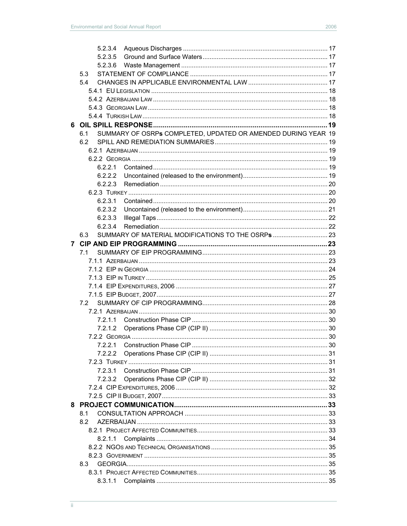|    | 5.2.3.4                                                              |  |  |  |  |  |
|----|----------------------------------------------------------------------|--|--|--|--|--|
|    |                                                                      |  |  |  |  |  |
|    | 5.2.3.5                                                              |  |  |  |  |  |
|    | 5.2.3.6                                                              |  |  |  |  |  |
|    | 5.3                                                                  |  |  |  |  |  |
|    | 5.4                                                                  |  |  |  |  |  |
|    |                                                                      |  |  |  |  |  |
|    |                                                                      |  |  |  |  |  |
|    |                                                                      |  |  |  |  |  |
|    |                                                                      |  |  |  |  |  |
| 6. |                                                                      |  |  |  |  |  |
|    | SUMMARY OF OSRPs COMPLETED, UPDATED OR AMENDED DURING YEAR 19<br>6.1 |  |  |  |  |  |
|    | 6.2                                                                  |  |  |  |  |  |
|    |                                                                      |  |  |  |  |  |
|    |                                                                      |  |  |  |  |  |
|    | 6.2.2.1                                                              |  |  |  |  |  |
|    | 6.2.2.2                                                              |  |  |  |  |  |
|    | 6.2.2.3                                                              |  |  |  |  |  |
|    |                                                                      |  |  |  |  |  |
|    | 6.2.3.1                                                              |  |  |  |  |  |
|    | 6.2.3.2                                                              |  |  |  |  |  |
|    | 6.2.3.3                                                              |  |  |  |  |  |
|    |                                                                      |  |  |  |  |  |
|    | 6.2.3.4<br>SUMMARY OF MATERIAL MODIFICATIONS TO THE OSRPS  23        |  |  |  |  |  |
|    | 6.3                                                                  |  |  |  |  |  |
| 7  |                                                                      |  |  |  |  |  |
|    | 7.1                                                                  |  |  |  |  |  |
|    |                                                                      |  |  |  |  |  |
|    |                                                                      |  |  |  |  |  |
|    |                                                                      |  |  |  |  |  |
|    |                                                                      |  |  |  |  |  |
|    |                                                                      |  |  |  |  |  |
|    | 7.2                                                                  |  |  |  |  |  |
|    |                                                                      |  |  |  |  |  |
|    |                                                                      |  |  |  |  |  |
|    | 7.2.1.2                                                              |  |  |  |  |  |
|    |                                                                      |  |  |  |  |  |
|    | 7.2.2.1                                                              |  |  |  |  |  |
|    | 7.2.2.2                                                              |  |  |  |  |  |
|    |                                                                      |  |  |  |  |  |
|    | 7.2.3.1                                                              |  |  |  |  |  |
|    | 7.2.3.2                                                              |  |  |  |  |  |
|    |                                                                      |  |  |  |  |  |
|    |                                                                      |  |  |  |  |  |
|    |                                                                      |  |  |  |  |  |
|    | 8.1                                                                  |  |  |  |  |  |
|    | 8.2                                                                  |  |  |  |  |  |
|    |                                                                      |  |  |  |  |  |
|    |                                                                      |  |  |  |  |  |
|    | 8.2.1.1                                                              |  |  |  |  |  |
|    |                                                                      |  |  |  |  |  |
|    |                                                                      |  |  |  |  |  |
|    | 8.3                                                                  |  |  |  |  |  |
|    |                                                                      |  |  |  |  |  |
|    | 8.3.1.1                                                              |  |  |  |  |  |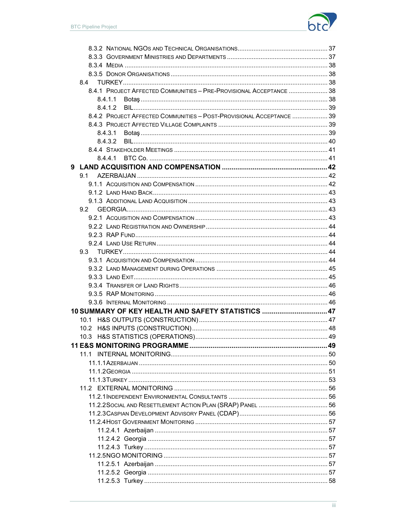

| 8.4.1 PROJECT AFFECTED COMMUNITIES - PRE-PROVISIONAL ACCEPTANCE  38  |  |
|----------------------------------------------------------------------|--|
| 8.4.1.1                                                              |  |
| 8.4.1.2                                                              |  |
| 8.4.2 PROJECT AFFECTED COMMUNITIES - POST-PROVISIONAL ACCEPTANCE  39 |  |
|                                                                      |  |
|                                                                      |  |
| 8.4.3.2                                                              |  |
|                                                                      |  |
| 8.4.4.1                                                              |  |
|                                                                      |  |
|                                                                      |  |
|                                                                      |  |
|                                                                      |  |
|                                                                      |  |
|                                                                      |  |
|                                                                      |  |
|                                                                      |  |
|                                                                      |  |
|                                                                      |  |
|                                                                      |  |
|                                                                      |  |
|                                                                      |  |
|                                                                      |  |
|                                                                      |  |
|                                                                      |  |
|                                                                      |  |
| 10 SUMMARY OF KEY HEALTH AND SAFETY STATISTICS  47                   |  |
|                                                                      |  |
|                                                                      |  |
|                                                                      |  |
|                                                                      |  |
| 11.1                                                                 |  |
|                                                                      |  |
|                                                                      |  |
|                                                                      |  |
|                                                                      |  |
|                                                                      |  |
|                                                                      |  |
|                                                                      |  |
|                                                                      |  |
|                                                                      |  |
|                                                                      |  |
|                                                                      |  |
|                                                                      |  |
|                                                                      |  |
|                                                                      |  |
|                                                                      |  |
|                                                                      |  |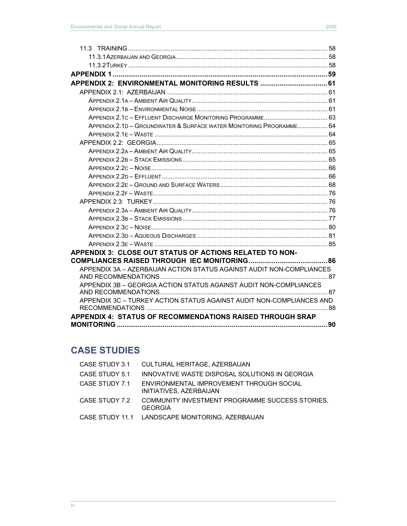| APPENDIX 2: ENVIRONMENTAL MONITORING RESULTS  61                     |  |
|----------------------------------------------------------------------|--|
|                                                                      |  |
|                                                                      |  |
|                                                                      |  |
|                                                                      |  |
| APPENDIX 2.1D - GROUNDWATER & SURFACE WATER MONITORING PROGRAMME 64  |  |
|                                                                      |  |
|                                                                      |  |
|                                                                      |  |
|                                                                      |  |
|                                                                      |  |
|                                                                      |  |
|                                                                      |  |
|                                                                      |  |
|                                                                      |  |
|                                                                      |  |
|                                                                      |  |
|                                                                      |  |
|                                                                      |  |
|                                                                      |  |
| <b>APPENDIX 3: CLOSE OUT STATUS OF ACTIONS RELATED TO NON-</b>       |  |
|                                                                      |  |
| APPENDIX 3A - AZERBAIJAN ACTION STATUS AGAINST AUDIT NON-COMPLIANCES |  |
| APPENDIX 3B - GEORGIA ACTION STATUS AGAINST AUDIT NON-COMPLIANCES    |  |
|                                                                      |  |
| APPENDIX 3C - TURKEY ACTION STATUS AGAINST AUDIT NON-COMPLIANCES AND |  |
|                                                                      |  |
| <b>APPENDIX 4: STATUS OF RECOMMENDATIONS RAISED THROUGH SRAP</b>     |  |
|                                                                      |  |

# **CASE STUDIES**

| CASE STUDY 3.1 | CULTURAL HERITAGE, AZERBAIJAN                                       |
|----------------|---------------------------------------------------------------------|
| CASE STUDY 5.1 | INNOVATIVE WASTE DISPOSAL SOLUTIONS IN GEORGIA                      |
| CASE STUDY 7.1 | ENVIRONMENTAL IMPROVEMENT THROUGH SOCIAL<br>INITIATIVES, AZERBAIJAN |
| CASE STUDY 7.2 | COMMUNITY INVESTMENT PROGRAMME SUCCESS STORIES.<br><b>GEORGIA</b>   |
|                | CASE STUDY 11.1 LANDSCAPE MONITORING, AZERBAIJAN                    |
|                |                                                                     |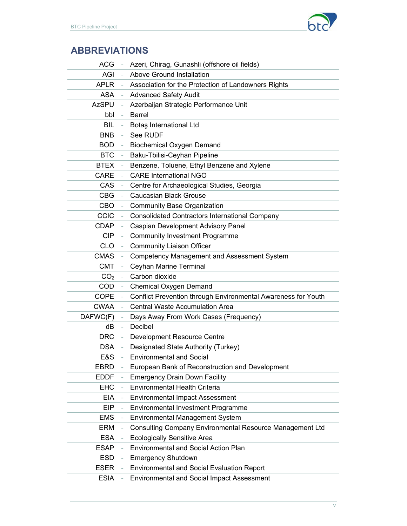

# **ABBREVIATIONS**

| <b>ACG</b>      |    | Azeri, Chirag, Gunashli (offshore oil fields)                 |
|-----------------|----|---------------------------------------------------------------|
| AGI             |    | <b>Above Ground Installation</b>                              |
| APLR            |    | Association for the Protection of Landowners Rights           |
| <b>ASA</b>      |    | <b>Advanced Safety Audit</b>                                  |
| <b>AzSPU</b>    |    | Azerbaijan Strategic Performance Unit                         |
| bbl             |    | <b>Barrel</b>                                                 |
| <b>BIL</b>      |    | Botaş International Ltd                                       |
| <b>BNB</b>      |    | See RUDF                                                      |
| <b>BOD</b>      |    | <b>Biochemical Oxygen Demand</b>                              |
| <b>BTC</b>      |    | Baku-Tbilisi-Ceyhan Pipeline                                  |
| <b>BTEX</b>     |    | Benzene, Toluene, Ethyl Benzene and Xylene                    |
| <b>CARE</b>     |    | <b>CARE International NGO</b>                                 |
| CAS             |    | Centre for Archaeological Studies, Georgia                    |
| <b>CBG</b>      |    | <b>Caucasian Black Grouse</b>                                 |
| <b>CBO</b>      |    | <b>Community Base Organization</b>                            |
| <b>CCIC</b>     |    | <b>Consolidated Contractors International Company</b>         |
| <b>CDAP</b>     |    | Caspian Development Advisory Panel                            |
| <b>CIP</b>      |    | <b>Community Investment Programme</b>                         |
| <b>CLO</b>      |    | <b>Community Liaison Officer</b>                              |
| <b>CMAS</b>     |    | <b>Competency Management and Assessment System</b>            |
| <b>CMT</b>      |    | Ceyhan Marine Terminal                                        |
| CO <sub>2</sub> |    | Carbon dioxide                                                |
| <b>COD</b>      |    | Chemical Oxygen Demand                                        |
| COPE            |    | Conflict Prevention through Environmental Awareness for Youth |
| <b>CWAA</b>     |    | <b>Central Waste Accumulation Area</b>                        |
| DAFWC(F)        |    | Days Away From Work Cases (Frequency)                         |
| dB              | ÷, | Decibel                                                       |
| <b>DRC</b>      |    | Development Resource Centre                                   |
| <b>DSA</b>      |    | Designated State Authority (Turkey)                           |
| E&S             |    | <b>Environmental and Social</b>                               |
| <b>EBRD</b>     |    | European Bank of Reconstruction and Development               |
| <b>EDDF</b>     |    | <b>Emergency Drain Down Facility</b>                          |
| <b>EHC</b>      |    | Environmental Health Criteria                                 |
| <b>EIA</b>      |    | <b>Environmental Impact Assessment</b>                        |
| EIP             |    | Environmental Investment Programme                            |
| <b>EMS</b>      |    | <b>Environmental Management System</b>                        |
| ERM             |    | Consulting Company Environmental Resource Management Ltd      |
| <b>ESA</b>      |    | <b>Ecologically Sensitive Area</b>                            |
| <b>ESAP</b>     |    | <b>Environmental and Social Action Plan</b>                   |
| <b>ESD</b>      |    | <b>Emergency Shutdown</b>                                     |
| <b>ESER</b>     |    | <b>Environmental and Social Evaluation Report</b>             |
| <b>ESIA</b>     |    | <b>Environmental and Social Impact Assessment</b>             |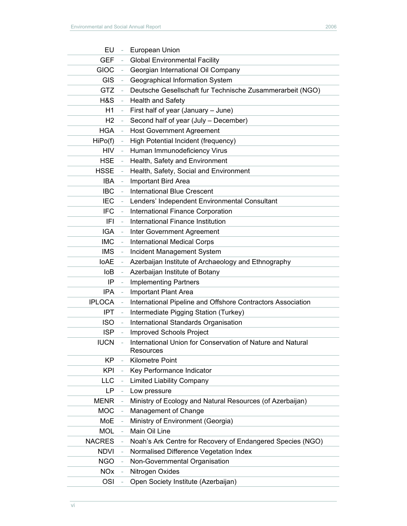| EU<br>$\overline{\phantom{a}}$         | European Union                                                          |
|----------------------------------------|-------------------------------------------------------------------------|
| <b>GEF</b>                             | <b>Global Environmental Facility</b>                                    |
| <b>GIOC</b>                            | Georgian International Oil Company                                      |
| <b>GIS</b>                             | Geographical Information System                                         |
| <b>GTZ</b>                             | Deutsche Gesellschaft fur Technische Zusammerarbeit (NGO)               |
| H&S                                    | <b>Health and Safety</b>                                                |
| H1                                     | First half of year (January - June)                                     |
| H <sub>2</sub>                         | Second half of year (July - December)                                   |
| <b>HGA</b>                             | <b>Host Government Agreement</b>                                        |
| HiPo(f)                                | High Potential Incident (frequency)                                     |
| <b>HIV</b>                             | Human Immunodeficiency Virus                                            |
| <b>HSE</b><br>÷,                       | Health, Safety and Environment                                          |
| <b>HSSE</b>                            | Health, Safety, Social and Environment                                  |
| <b>IBA</b><br>$\overline{\phantom{0}}$ | Important Bird Area                                                     |
| <b>IBC</b>                             | <b>International Blue Crescent</b>                                      |
| <b>IEC</b>                             | Lenders' Independent Environmental Consultant                           |
| <b>IFC</b>                             | International Finance Corporation                                       |
| IFI                                    | International Finance Institution                                       |
| <b>IGA</b>                             | Inter Government Agreement                                              |
| <b>IMC</b>                             | <b>International Medical Corps</b>                                      |
| <b>IMS</b>                             | Incident Management System                                              |
| <b>IoAE</b>                            | Azerbaijan Institute of Archaeology and Ethnography                     |
| loB                                    | Azerbaijan Institute of Botany                                          |
| IP                                     | <b>Implementing Partners</b>                                            |
| <b>IPA</b>                             | Important Plant Area                                                    |
| <b>IPLOCA</b>                          | International Pipeline and Offshore Contractors Association             |
| <b>IPT</b><br>$\overline{\phantom{0}}$ | Intermediate Pigging Station (Turkey)                                   |
| <b>ISO</b>                             | International Standards Organisation                                    |
| <b>ISP</b>                             | <b>Improved Schools Project</b>                                         |
| <b>IUCN</b>                            | International Union for Conservation of Nature and Natural<br>Resources |
| <b>KP</b>                              | Kilometre Point                                                         |
| <b>KPI</b>                             | Key Performance Indicator                                               |
| <b>LLC</b>                             | <b>Limited Liability Company</b>                                        |
| LP                                     | Low pressure                                                            |
| <b>MENR</b>                            | Ministry of Ecology and Natural Resources (of Azerbaijan)               |
| <b>MOC</b>                             | Management of Change                                                    |
| MoE                                    | Ministry of Environment (Georgia)                                       |
| <b>MOL</b>                             | Main Oil Line                                                           |
| <b>NACRES</b>                          | Noah's Ark Centre for Recovery of Endangered Species (NGO)              |
| <b>NDVI</b>                            | Normalised Difference Vegetation Index                                  |
| <b>NGO</b>                             | Non-Governmental Organisation                                           |
| <b>NO<sub>x</sub></b>                  | Nitrogen Oxides                                                         |
| OSI                                    | Open Society Institute (Azerbaijan)                                     |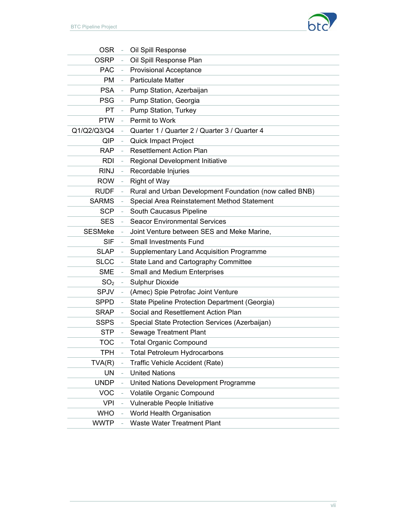

| <b>OSR</b>      | Oil Spill Response                                      |
|-----------------|---------------------------------------------------------|
| <b>OSRP</b>     | Oil Spill Response Plan                                 |
| <b>PAC</b>      | <b>Provisional Acceptance</b>                           |
| <b>PM</b>       | <b>Particulate Matter</b>                               |
| <b>PSA</b>      | Pump Station, Azerbaijan                                |
| <b>PSG</b>      | Pump Station, Georgia                                   |
| PT              | Pump Station, Turkey                                    |
| <b>PTW</b>      | Permit to Work                                          |
| Q1/Q2/Q3/Q4     | Quarter 1 / Quarter 2 / Quarter 3 / Quarter 4           |
| QIP             | Quick Impact Project                                    |
| <b>RAP</b>      | <b>Resettlement Action Plan</b>                         |
| <b>RDI</b>      | Regional Development Initiative                         |
| <b>RINJ</b>     | Recordable Injuries                                     |
| <b>ROW</b>      | <b>Right of Way</b>                                     |
| <b>RUDF</b>     | Rural and Urban Development Foundation (now called BNB) |
| <b>SARMS</b>    | Special Area Reinstatement Method Statement             |
| <b>SCP</b>      | South Caucasus Pipeline                                 |
| <b>SES</b>      | <b>Seacor Environmental Services</b>                    |
| <b>SESMeke</b>  | Joint Venture between SES and Meke Marine,              |
| <b>SIF</b>      | <b>Small Investments Fund</b>                           |
| <b>SLAP</b>     | <b>Supplementary Land Acquisition Programme</b>         |
| <b>SLCC</b>     | State Land and Cartography Committee                    |
| <b>SME</b>      | Small and Medium Enterprises                            |
| SO <sub>2</sub> | <b>Sulphur Dioxide</b>                                  |
| <b>SPJV</b>     | (Amec) Spie Petrofac Joint Venture                      |
| <b>SPPD</b>     | State Pipeline Protection Department (Georgia)          |
| <b>SRAP</b>     | Social and Resettlement Action Plan                     |
| <b>SSPS</b>     | Special State Protection Services (Azerbaijan)          |
| <b>STP</b>      | <b>Sewage Treatment Plant</b>                           |
| TOC             | <b>Total Organic Compound</b>                           |
| TPH             | <b>Total Petroleum Hydrocarbons</b>                     |
| TVA(R)          | Traffic Vehicle Accident (Rate)                         |
| <b>UN</b>       | <b>United Nations</b>                                   |
| <b>UNDP</b>     | United Nations Development Programme                    |
| <b>VOC</b>      | Volatile Organic Compound                               |
| <b>VPI</b>      | Vulnerable People Initiative                            |
| <b>WHO</b>      | World Health Organisation                               |
| <b>WWTP</b>     | <b>Waste Water Treatment Plant</b>                      |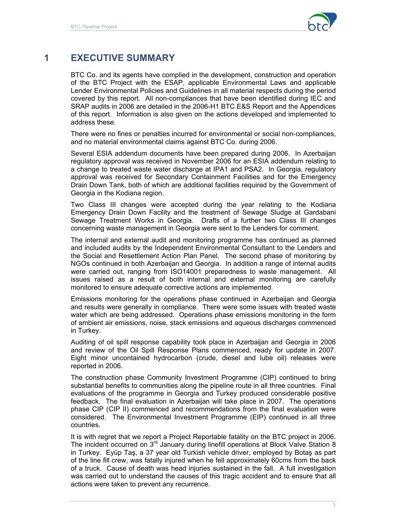

# **1 EXECUTIVE SUMMARY**

BTC Co. and its agents have complied in the development, construction and operation of the BTC Project with the ESAP, applicable Environmental Laws and applicable Lender Environmental Policies and Guidelines in all material respects during the period covered by this report. All non-compliances that have been identified during IEC and SRAP audits in 2006 are detailed in the 2006-H1 BTC E&S Report and the Appendices of this report. Information is also given on the actions developed and implemented to address these.

There were no fines or penalties incurred for environmental or social non-compliances, and no material environmental claims against BTC Co. during 2006.

Several ESIA addendum documents have been prepared during 2006. In Azerbaijan regulatory approval was received in November 2006 for an ESIA addendum relating to a change to treated waste water discharge at IPA1 and PSA2. In Georgia, regulatory approval was received for Secondary Containment Facilities and for the Emergency Drain Down Tank, both of which are additional facilities required by the Government of Georgia in the Kodiana region.

Two Class III changes were accepted during the year relating to the Kodiana Emergency Drain Down Facility and the treatment of Sewage Sludge at Gardabani Sewage Treatment Works in Georgia. Drafts of a further two Class III changes concerning waste management in Georgia were sent to the Lenders for comment.

The internal and external audit and monitoring programme has continued as planned and included audits by the Independent Environmental Consultant to the Lenders and the Social and Resettlement Action Plan Panel. The second phase of monitoring by NGOs continued in both Azerbaijan and Georgia. In addition a range of internal audits were carried out, ranging from ISO14001 preparedness to waste management. All issues raised as a result of both internal and external monitoring are carefully monitored to ensure adequate corrective actions are implemented.

Emissions monitoring for the operations phase continued in Azerbaijan and Georgia and results were generally in compliance. There were some issues with treated waste water which are being addressed. Operations phase emissions monitoring in the form of ambient air emissions, noise, stack emissions and aqueous discharges commenced in Turkey.

Auditing of oil spill response capability took place in Azerbaijan and Georgia in 2006 and review of the Oil Spill Response Plans commenced, ready for update in 2007. Eight minor uncontained hydrocarbon (crude, diesel and lube oil) releases were reported in 2006.

The construction phase Community Investment Programme (CIP) continued to bring substantial benefits to communities along the pipeline route in all three countries. Final evaluations of the programme in Georgia and Turkey produced considerable positive feedback. The final evaluation in Azerbaijan will take place in 2007. The operations phase CIP (CIP II) commenced and recommendations from the final evaluation were considered. The Environmental Investment Programme (EIP) continued in all three countries.

It is with regret that we report a Project Reportable fatality on the BTC project in 2006. The incident occurred on 3<sup>rd</sup> January during linefill operations at Block Valve Station 8 in Turkey. Eyüp Taş, a 37 year old Turkish vehicle driver, employed by Botaş as part of the line fill crew, was fatally injured when he fell approximately 60cms from the back of a truck. Cause of death was head injuries sustained in the fall. A full investigation was carried out to understand the causes of this tragic accident and to ensure that all actions were taken to prevent any recurrence.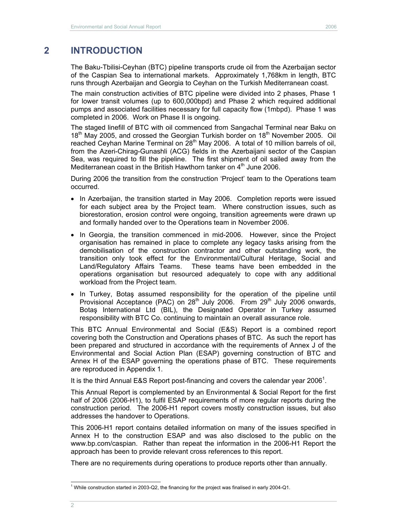# **2 INTRODUCTION**

The Baku-Tbilisi-Ceyhan (BTC) pipeline transports crude oil from the Azerbaijan sector of the Caspian Sea to international markets. Approximately 1,768km in length, BTC runs through Azerbaijan and Georgia to Ceyhan on the Turkish Mediterranean coast.

The main construction activities of BTC pipeline were divided into 2 phases, Phase 1 for lower transit volumes (up to 600,000bpd) and Phase 2 which required additional pumps and associated facilities necessary for full capacity flow (1mbpd). Phase 1 was completed in 2006. Work on Phase II is ongoing.

The staged linefill of BTC with oil commenced from Sangachal Terminal near Baku on 18<sup>th</sup> May 2005, and crossed the Georgian Turkish border on  $18^{th}$  November 2005. Oil reached Ceyhan Marine Terminal on 28<sup>th</sup> May 2006. A total of 10 million barrels of oil, from the Azeri-Chirag-Gunashli (ACG) fields in the Azerbaijani sector of the Caspian Sea, was required to fill the pipeline. The first shipment of oil sailed away from the Mediterranean coast in the British Hawthorn tanker on  $4<sup>th</sup>$  June 2006.

During 2006 the transition from the construction 'Project' team to the Operations team occurred.

- In Azerbaijan, the transition started in May 2006. Completion reports were issued for each subject area by the Project team. Where construction issues, such as biorestoration, erosion control were ongoing, transition agreements were drawn up and formally handed over to the Operations team in November 2006.
- In Georgia, the transition commenced in mid-2006. However, since the Project organisation has remained in place to complete any legacy tasks arising from the demobilisation of the construction contractor and other outstanding work, the transition only took effect for the Environmental/Cultural Heritage, Social and Land/Regulatory Affairs Teams. These teams have been embedded in the operations organisation but resourced adequately to cope with any additional workload from the Project team.
- In Turkey, Botas assumed responsibility for the operation of the pipeline until Provisional Acceptance (PAC) on  $28<sup>th</sup>$  July 2006. From  $29<sup>th</sup>$  July 2006 onwards, Botaş International Ltd (BIL), the Designated Operator in Turkey assumed responsibility with BTC Co. continuing to maintain an overall assurance role.

This BTC Annual Environmental and Social (E&S) Report is a combined report covering both the Construction and Operations phases of BTC. As such the report has been prepared and structured in accordance with the requirements of Annex J of the Environmental and Social Action Plan (ESAP) governing construction of BTC and Annex H of the ESAP governing the operations phase of BTC. These requirements are reproduced in Appendix 1.

It is the third Annual E&S Report post-financing and covers the calendar year 2006<sup>1</sup>.

This Annual Report is complemented by an Environmental & Social Report for the first half of 2006 (2006-H1), to fulfil ESAP requirements of more regular reports during the construction period. The 2006-H1 report covers mostly construction issues, but also addresses the handover to Operations.

This 2006-H1 report contains detailed information on many of the issues specified in Annex H to the construction ESAP and was also disclosed to the public on the www.bp.com/caspian. Rather than repeat the information in the 2006-H1 Report the approach has been to provide relevant cross references to this report.

There are no requirements during operations to produce reports other than annually.

 $\overline{a}$ <sup>1</sup> While construction started in 2003-Q2, the financing for the project was finalised in early 2004-Q1.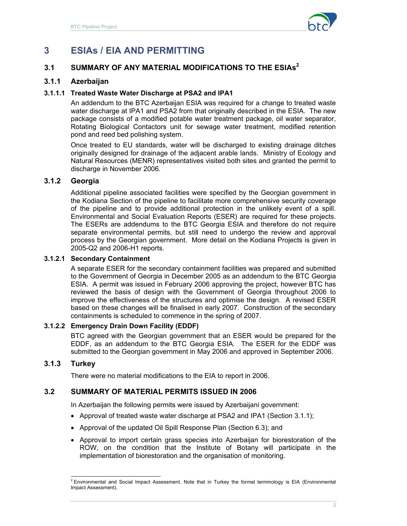

# **3 ESIAs / EIA AND PERMITTING**

# **3.1 SUMMARY OF ANY MATERIAL MODIFICATIONS TO THE ESIAs<sup>2</sup>**

## **3.1.1 Azerbaijan**

#### **3.1.1.1 Treated Waste Water Discharge at PSA2 and IPA1**

An addendum to the BTC Azerbaijan ESIA was required for a change to treated waste water discharge at IPA1 and PSA2 from that originally described in the ESIA. The new package consists of a modified potable water treatment package, oil water separator, Rotating Biological Contactors unit for sewage water treatment, modified retention pond and reed bed polishing system.

Once treated to EU standards, water will be discharged to existing drainage ditches originally designed for drainage of the adjacent arable lands. Ministry of Ecology and Natural Resources (MENR) representatives visited both sites and granted the permit to discharge in November 2006.

#### **3.1.2 Georgia**

Additional pipeline associated facilities were specified by the Georgian government in the Kodiana Section of the pipeline to facilitate more comprehensive security coverage of the pipeline and to provide additional protection in the unlikely event of a spill. Environmental and Social Evaluation Reports (ESER) are required for these projects. The ESERs are addendums to the BTC Georgia ESIA and therefore do not require separate environmental permits, but still need to undergo the review and approval process by the Georgian government. More detail on the Kodiana Projects is given in 2005-Q2 and 2006-H1 reports.

#### **3.1.2.1 Secondary Containment**

A separate ESER for the secondary containment facilities was prepared and submitted to the Government of Georgia in December 2005 as an addendum to the BTC Georgia ESIA. A permit was issued in February 2006 approving the project, however BTC has reviewed the basis of design with the Government of Georgia throughout 2006 to improve the effectiveness of the structures and optimise the design. A revised ESER based on these changes will be finalised in early 2007. Construction of the secondary containments is scheduled to commence in the spring of 2007.

#### **3.1.2.2 Emergency Drain Down Facility (EDDF)**

BTC agreed with the Georgian government that an ESER would be prepared for the EDDF, as an addendum to the BTC Georgia ESIA. The ESER for the EDDF was submitted to the Georgian government in May 2006 and approved in September 2006.

#### **3.1.3 Turkey**

There were no material modifications to the EIA to report in 2006.

#### **3.2 SUMMARY OF MATERIAL PERMITS ISSUED IN 2006**

In Azerbaijan the following permits were issued by Azerbaijani government:

- Approval of treated waste water discharge at PSA2 and IPA1 (Section 3.1.1);
- Approval of the updated Oil Spill Response Plan (Section 6.3); and
- Approval to import certain grass species into Azerbaijan for biorestoration of the ROW, on the condition that the Institute of Botany will participate in the implementation of biorestoration and the organisation of monitoring.

 2 Environmental and Social Impact Assessment. Note that in Turkey the formal terminology is EIA (Environmental Impact Assessment).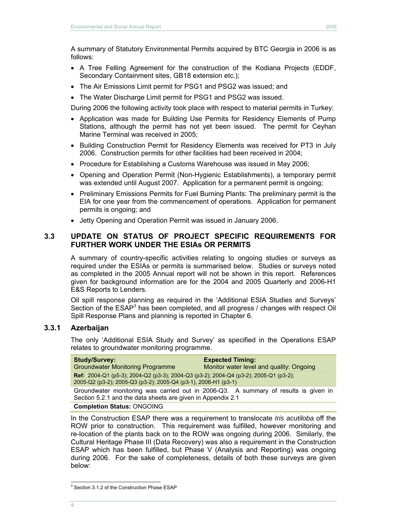A summary of Statutory Environmental Permits acquired by BTC Georgia in 2006 is as follows:

- A Tree Felling Agreement for the construction of the Kodiana Projects (EDDF, Secondary Containment sites, GB18 extension etc.);
- The Air Emissions Limit permit for PSG1 and PSG2 was issued; and
- The Water Discharge Limit permit for PSG1 and PSG2 was issued.
- During 2006 the following activity took place with respect to material permits in Turkey:
- Application was made for Building Use Permits for Residency Elements of Pump Stations, although the permit has not yet been issued. The permit for Ceyhan Marine Terminal was received in 2005;
- Building Construction Permit for Residency Elements was received for PT3 in July 2006. Construction permits for other facilities had been received in 2004;
- Procedure for Establishing a Customs Warehouse was issued in May 2006;
- Opening and Operation Permit (Non-Hygienic Establishments), a temporary permit was extended until August 2007. Application for a permanent permit is ongoing;
- Preliminary Emissions Permits for Fuel Burning Plants: The preliminary permit is the EIA for one year from the commencement of operations. Application for permanent permits is ongoing; and
- Jetty Opening and Operation Permit was issued in January 2006.

### **3.3 UPDATE ON STATUS OF PROJECT SPECIFIC REQUIREMENTS FOR FURTHER WORK UNDER THE ESIAs OR PERMITS**

A summary of country-specific activities relating to ongoing studies or surveys as required under the ESIAs or permits is summarised below. Studies or surveys noted as completed in the 2005 Annual report will not be shown in this report. References given for background information are for the 2004 and 2005 Quarterly and 2006-H1 E&S Reports to Lenders.

Oil spill response planning as required in the 'Additional ESIA Studies and Surveys' Section of the ESAP<sup>3</sup> has been completed, and all progress / changes with respect Oil Spill Response Plans and planning is reported in Chapter 6.

#### **3.3.1 Azerbaijan**

The only 'Additional ESIA Study and Survey' as specified in the Operations ESAP relates to groundwater monitoring programme.

| <b>Study/Survey:</b><br><b>Groundwater Monitoring Programme</b>                                                                                        | <b>Expected Timing:</b><br>Monitor water level and quality: Ongoing                 |
|--------------------------------------------------------------------------------------------------------------------------------------------------------|-------------------------------------------------------------------------------------|
| Ref: 2004-Q1 (p5-3); 2004-Q2 (p3-3); 2004-Q3 (p3-2); 2004-Q4 (p3-2); 2005-Q1 (p3-2);<br>2005-Q2 (p3-2); 2005-Q3 (p3-2); 2005-Q4 (p3-1), 2006-H1 (p3-1) |                                                                                     |
| Section 5.2.1 and the data sheets are given in Appendix 2.1                                                                                            | Groundwater monitoring was carried out in 2006-Q3. A summary of results is given in |

#### **Completion Status:** ONGOING

In the Construction ESAP there was a requirement to translocate *Iris acutiloba* off the ROW prior to construction. This requirement was fulfilled, however monitoring and re-location of the plants back on to the ROW was ongoing during 2006. Similarly, the Cultural Heritage Phase III (Data Recovery) was also a requirement in the Construction ESAP which has been fulfilled, but Phase V (Analysis and Reporting) was ongoing during 2006. For the sake of completeness, details of both these surveys are given below:

 $\overline{a}$ 

<sup>&</sup>lt;sup>3</sup> Section 3.1.2 of the Construction Phase ESAP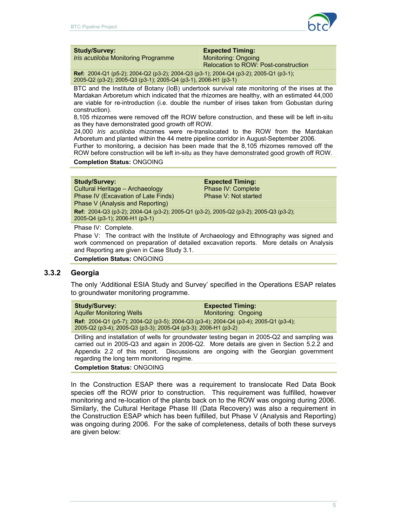

#### **Study/Survey:**

*Iris acutiloba* Monitoring Programme

#### **Expected Timing:** Monitoring: Ongoing

Relocation to ROW: Post-construction

**Ref:** 2004-Q1 (p5-2); 2004-Q2 (p3-2); 2004-Q3 (p3-1); 2004-Q4 (p3-2); 2005-Q1 (p3-1); 2005-Q2 (p3-2); 2005-Q3 (p3-1); 2005-Q4 (p3-1), 2006-H1 (p3-1)

BTC and the Institute of Botany (IoB) undertook survival rate monitoring of the irises at the Mardakan Arboretum which indicated that the rhizomes are healthy, with an estimated 44,000 are viable for re-introduction (i.e. double the number of irises taken from Gobustan during construction).

8,105 rhizomes were removed off the ROW before construction, and these will be left in-situ as they have demonstrated good growth off ROW.

24,000 *Iris acutiloba* rhizomes were re-translocated to the ROW from the Mardakan Arboretum and planted within the 44 metre pipeline corridor in August-September 2006.

Further to monitoring, a decision has been made that the 8,105 rhizomes removed off the ROW before construction will be left in-situ as they have demonstrated good growth off ROW.

#### **Completion Status:** ONGOING

**Study/Survey:** 

Cultural Heritage – Archaeology Phase IV (Excavation of Late Finds) Phase V (Analysis and Reporting)

**Expected Timing:**  Phase IV: Complete Phase V: Not started

**Ref:** 2004-Q3 (p3-2); 2004-Q4 (p3-2); 2005-Q1 (p3-2), 2005-Q2 (p3-2); 2005-Q3 (p3-2); 2005-Q4 (p3-1); 2006-H1 (p3-1)

Phase IV: Complete.

Phase V: The contract with the Institute of Archaeology and Ethnography was signed and work commenced on preparation of detailed excavation reports. More details on Analysis and Reporting are given in Case Study 3.1.

**Completion Status:** ONGOING

#### **3.3.2 Georgia**

The only 'Additional ESIA Study and Survey' specified in the Operations ESAP relates to groundwater monitoring programme.

| <b>Study/Survey:</b>                                                                                                                                          | <b>Expected Timing:</b> |
|---------------------------------------------------------------------------------------------------------------------------------------------------------------|-------------------------|
| <b>Aguifer Monitoring Wells</b>                                                                                                                               | Monitoring: Ongoing     |
| <b>Ref:</b> 2004-Q1 (p5-7); 2004-Q2 (p3-5); 2004-Q3 (p3-4); 2004-Q4 (p3-4); 2005-Q1 (p3-4);<br>2005-Q2 (p3-4), 2005-Q3 (p3-3), 2005-Q4 (p3-3), 2006-H1 (p3-2) |                         |

Drilling and installation of wells for groundwater testing began in 2005-Q2 and sampling was carried out in 2005-Q3 and again in 2006-Q2. More details are given in Section 5.2.2 and Appendix 2.2 of this report. Discussions are ongoing with the Georgian government regarding the long term monitoring regime.

#### **Completion Status:** ONGOING

In the Construction ESAP there was a requirement to translocate Red Data Book species off the ROW prior to construction. This requirement was fulfilled, however monitoring and re-location of the plants back on to the ROW was ongoing during 2006. Similarly, the Cultural Heritage Phase III (Data Recovery) was also a requirement in the Construction ESAP which has been fulfilled, but Phase V (Analysis and Reporting) was ongoing during 2006. For the sake of completeness, details of both these surveys are given below: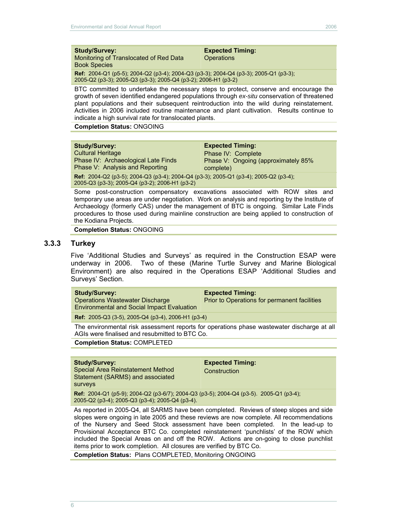#### **Study/Survey:**

Monitoring of Translocated of Red Data Book Species

**Expected Timing: Operations** 

**Ref:** 2004-Q1 (p5-5); 2004-Q2 (p3-4); 2004-Q3 (p3-3); 2004-Q4 (p3-3); 2005-Q1 (p3-3); 2005-Q2 (p3-3); 2005-Q3 (p3-3); 2005-Q4 (p3-2); 2006-H1 (p3-2)

BTC committed to undertake the necessary steps to protect, conserve and encourage the growth of seven identified endangered populations through *ex-situ* conservation of threatened plant populations and their subsequent reintroduction into the wild during reinstatement. Activities in 2006 included routine maintenance and plant cultivation. Results continue to indicate a high survival rate for translocated plants.

**Completion Status:** ONGOING

| <b>Study/Survey:</b>                                                                                                                          | <b>Expected Timing:</b>              |  |
|-----------------------------------------------------------------------------------------------------------------------------------------------|--------------------------------------|--|
| <b>Cultural Heritage</b>                                                                                                                      | Phase IV: Complete                   |  |
| Phase IV: Archaeological Late Finds                                                                                                           | Phase V: Ongoing (approximately 85%) |  |
| Phase V: Analysis and Reporting                                                                                                               | complete)                            |  |
| <b>Ref:</b> 2004-Q2 (p3-5); 2004-Q3 (p3-4); 2004-Q4 (p3-3); 2005-Q1 (p3-4); 2005-Q2 (p3-4);<br>2005-Q3 (p3-3); 2005-Q4 (p3-2); 2006-H1 (p3-2) |                                      |  |

Some post-construction compensatory excavations associated with ROW sites and temporary use areas are under negotiation. Work on analysis and reporting by the Institute of Archaeology (formerly CAS) under the management of BTC is ongoing. Similar Late Finds procedures to those used during mainline construction are being applied to construction of the Kodiana Projects.

**Completion Status:** ONGOING

#### **3.3.3 Turkey**

Five 'Additional Studies and Surveys' as required in the Construction ESAP were underway in 2006. Two of these (Marine Turtle Survey and Marine Biological Environment) are also required in the Operations ESAP 'Additional Studies and Surveys' Section.

| <b>Study/Survey:</b><br><b>Operations Wastewater Discharge</b><br><b>Environmental and Social Impact Evaluation</b> | <b>Expected Timing:</b><br>Prior to Operations for permanent facilities |
|---------------------------------------------------------------------------------------------------------------------|-------------------------------------------------------------------------|
|                                                                                                                     |                                                                         |

**Ref:** 2005-Q3 (3-5), 2005-Q4 (p3-4), 2006-H1 (p3-4)

The environmental risk assessment reports for operations phase wastewater discharge at all AGIs were finalised and resubmitted to BTC Co.

**Completion Status:** COMPLETED

#### **Study/Survey:**

Special Area Reinstatement Method Statement (SARMS) and associated surveys

**Expected Timing: Construction** 

**Ref:** 2004-Q1 (p5-9); 2004-Q2 (p3-6/7); 2004-Q3 (p3-5); 2004-Q4 (p3-5). 2005-Q1 (p3-4); 2005-Q2 (p3-4); 2005-Q3 (p3-4); 2005-Q4 (p3-4).

As reported in 2005-Q4, all SARMS have been completed. Reviews of steep slopes and side slopes were ongoing in late 2005 and these reviews are now complete. All recommendations of the Nursery and Seed Stock assessment have been completed. In the lead-up to Provisional Acceptance BTC Co. completed reinstatement 'punchlists' of the ROW which included the Special Areas on and off the ROW. Actions are on-going to close punchlist items prior to work completion. All closures are verified by BTC Co.

**Completion Status:** Plans COMPLETED, Monitoring ONGOING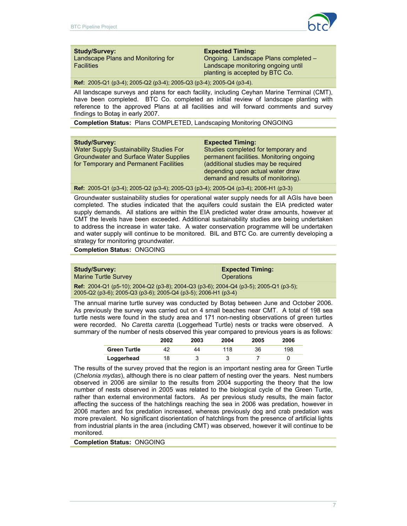

#### **Study/Survey:**

Landscape Plans and Monitoring for **Facilities** 

#### **Expected Timing:**

Ongoing. Landscape Plans completed – Landscape monitoring ongoing until planting is accepted by BTC Co.

**Ref:** 2005-Q1 (p3-4); 2005-Q2 (p3-4); 2005-Q3 (p3-4); 2005-Q4 (p3-4).

All landscape surveys and plans for each facility, including Ceyhan Marine Terminal (CMT), have been completed. BTC Co. completed an initial review of landscape planting with reference to the approved Plans at all facilities and will forward comments and survey findings to Botaş in early 2007.

**Completion Status:** Plans COMPLETED, Landscaping Monitoring ONGOING

#### **Study/Survey:**

Water Supply Sustainability Studies For Groundwater and Surface Water Supplies for Temporary and Permanent Facilities

#### **Expected Timing:**

Studies completed for temporary and permanent facilities. Monitoring ongoing (additional studies may be required depending upon actual water draw demand and results of monitoring).

**Ref:** 2005-Q1 (p3-4); 2005-Q2 (p3-4); 2005-Q3 (p3-4); 2005-Q4 (p3-4); 2006-H1 (p3-3)

Groundwater sustainability studies for operational water supply needs for all AGIs have been completed. The studies indicated that the aquifers could sustain the EIA predicted water supply demands. All stations are within the EIA predicted water draw amounts, however at CMT the levels have been exceeded. Additional sustainability studies are being undertaken to address the increase in water take. A water conservation programme will be undertaken and water supply will continue to be monitored. BIL and BTC Co. are currently developing a strategy for monitoring groundwater.

**Completion Status:** ONGOING

| <b>Study/Survey:</b>                                                                                                                                           | <b>Expected Timing:</b> |
|----------------------------------------------------------------------------------------------------------------------------------------------------------------|-------------------------|
| <b>Marine Turtle Survey</b>                                                                                                                                    | Operations              |
| <b>Ref:</b> 2004-Q1 (p5-10); 2004-Q2 (p3-8); 2004-Q3 (p3-6); 2004-Q4 (p3-5); 2005-Q1 (p3-5);<br>2005-Q2 (p3-6); 2005-Q3 (p3-6); 2005-Q4 (p3-5); 2006-H1 (p3-4) |                         |

The annual marine turtle survey was conducted by Botaş between June and October 2006. As previously the survey was carried out on 4 small beaches near CMT. A total of 198 sea turtle nests were found in the study area and 171 non-nesting observations of green turtles were recorded. No *Caretta caretta* (Loggerhead Turtle) nests or tracks were observed. A summary of the number of nests observed this year compared to previous years is as follows:

|                     | 2002 | 2003 | 2004 | 2005 | 2006 |
|---------------------|------|------|------|------|------|
| <b>Green Turtle</b> |      | 44   | 118  | 36   | 198  |
| Loggerhead          | 18   |      |      |      |      |

The results of the survey proved that the region is an important nesting area for Green Turtle (*Chelonia mydas*), although there is no clear pattern of nesting over the years. Nest numbers observed in 2006 are similar to the results from 2004 supporting the theory that the low number of nests observed in 2005 was related to the biological cycle of the Green Turtle, rather than external environmental factors. As per previous study results, the main factor affecting the success of the hatchlings reaching the sea in 2006 was predation, however in 2006 marten and fox predation increased, whereas previously dog and crab predation was more prevalent. No significant disorientation of hatchlings from the presence of artificial lights from industrial plants in the area (including CMT) was observed, however it will continue to be monitored.

**Completion Status:** ONGOING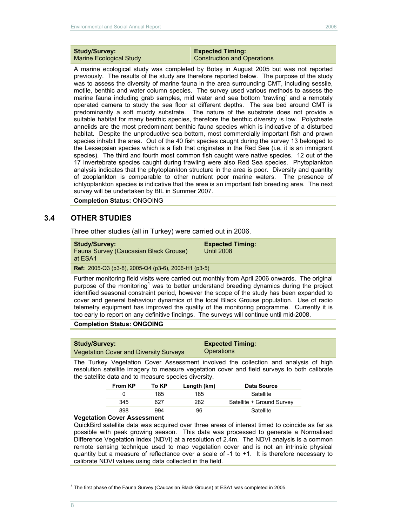#### **Study/Survey:**  Marine Ecological Study

#### **Expected Timing:**  Construction and Operations

A marine ecological study was completed by Botaş in August 2005 but was not reported previously. The results of the study are therefore reported below. The purpose of the study was to assess the diversity of marine fauna in the area surrounding CMT, including sessile, motile, benthic and water column species. The survey used various methods to assess the marine fauna including grab samples, mid water and sea bottom 'trawling' and a remotely operated camera to study the sea floor at different depths. The sea bed around CMT is predominantly a soft muddy substrate. The nature of the substrate does not provide a suitable habitat for many benthic species, therefore the benthic diversity is low. Polycheate annelids are the most predominant benthic fauna species which is indicative of a disturbed habitat. Despite the unproductive sea bottom, most commercially important fish and prawn species inhabit the area. Out of the 40 fish species caught during the survey 13 belonged to the Lessepsian species which is a fish that originates in the Red Sea (i.e. it is an immigrant species). The third and fourth most common fish caught were native species. 12 out of the 17 invertebrate species caught during trawling were also Red Sea species. Phytoplankton analysis indicates that the phytoplankton structure in the area is poor. Diversity and quantity of zooplankton is comparable to other nutrient poor marine waters. The presence of ichtyoplankton species is indicative that the area is an important fish breeding area. The next survey will be undertaken by BIL in Summer 2007.

**Completion Status:** ONGOING

# **3.4 OTHER STUDIES**

Three other studies (all in Turkey) were carried out in 2006.

|  |  | <b>Study/Survey:</b> |  |  |  |
|--|--|----------------------|--|--|--|
|  |  |                      |  |  |  |

Fauna Survey (Caucasian Black Grouse) at ESA1

**Expected Timing:**  Until 2008

**Ref:** 2005-Q3 (p3-8), 2005-Q4 (p3-6), 2006-H1 (p3-5)

Further monitoring field visits were carried out monthly from April 2006 onwards. The original purpose of the monitoring<sup>4</sup> was to better understand breeding dynamics during the project identified seasonal constraint period, however the scope of the study has been expanded to cover and general behaviour dynamics of the local Black Grouse population. Use of radio telemetry equipment has improved the quality of the monitoring programme. Currently it is too early to report on any definitive findings. The surveys will continue until mid-2008.

#### **Completion Status: ONGOING**

| <b>Study/Survey:</b>                          | <b>Expected Timing:</b> |
|-----------------------------------------------|-------------------------|
| <b>Vegetation Cover and Diversity Surveys</b> | <b>Operations</b>       |

The Turkey Vegetation Cover Assessment involved the collection and analysis of high resolution satellite imagery to measure vegetation cover and field surveys to both calibrate the satellite data and to measure species diversity.

| <b>From KP</b> | To KP | Length (km) | <b>Data Source</b>        |
|----------------|-------|-------------|---------------------------|
|                | 185   | 185         | Satellite                 |
| 345            | 627   | 282         | Satellite + Ground Survey |
| 898            | 994   | 96          | Satellite                 |

#### **Vegetation Cover Assessment**

QuickBird satellite data was acquired over three areas of interest timed to coincide as far as possible with peak growing season. This data was processed to generate a Normalised Difference Vegetation Index (NDVI) at a resolution of 2.4m. The NDVI analysis is a common remote sensing technique used to map vegetation cover and is not an intrinsic physical quantity but a measure of reflectance over a scale of  $-1$  to  $+1$ . It is therefore necessary to calibrate NDVI values using data collected in the field.

 $\overline{a}$ 

<sup>4</sup> The first phase of the Fauna Survey (Caucasian Black Grouse) at ESA1 was completed in 2005.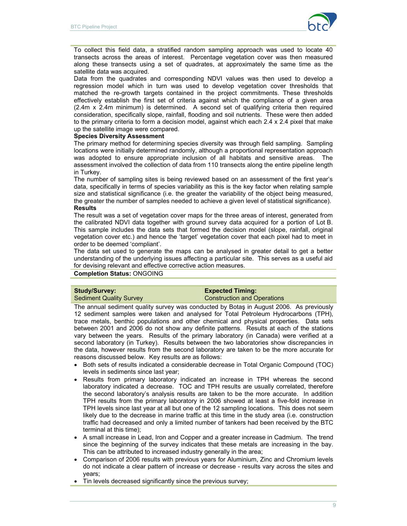

To collect this field data, a stratified random sampling approach was used to locate 40 transects across the areas of interest. Percentage vegetation cover was then measured along these transects using a set of quadrates, at approximately the same time as the satellite data was acquired.

Data from the quadrates and corresponding NDVI values was then used to develop a regression model which in turn was used to develop vegetation cover thresholds that matched the re-growth targets contained in the project commitments. These thresholds effectively establish the first set of criteria against which the compliance of a given area (2.4m x 2.4m minimum) is determined. A second set of qualifying criteria then required consideration, specifically slope, rainfall, flooding and soil nutrients. These were then added to the primary criteria to form a decision model, against which each 2.4 x 2.4 pixel that make up the satellite image were compared.

#### **Species Diversity Assessment**

The primary method for determining species diversity was through field sampling. Sampling locations were initially determined randomly, although a proportional representation approach was adopted to ensure appropriate inclusion of all habitats and sensitive areas. The assessment involved the collection of data from 110 transects along the entire pipeline length in Turkey.

The number of sampling sites is being reviewed based on an assessment of the first year's data, specifically in terms of species variability as this is the key factor when relating sample size and statistical significance (i.e. the greater the variability of the object being measured, the greater the number of samples needed to achieve a given level of statistical significance). **Results** 

The result was a set of vegetation cover maps for the three areas of interest, generated from the calibrated NDVI data together with ground survey data acquired for a portion of Lot B. This sample includes the data sets that formed the decision model (slope, rainfall, original vegetation cover etc.) and hence the 'target' vegetation cover that each pixel had to meet in order to be deemed 'compliant'.

The data set used to generate the maps can be analysed in greater detail to get a better understanding of the underlying issues affecting a particular site. This serves as a useful aid for devising relevant and effective corrective action measures.

#### **Completion Status:** ONGOING

#### **Study/Survey:**  Sediment Quality Survey **Expected Timing:**  Construction and Operations

The annual sediment quality survey was conducted by Botaş in August 2006. As previously 12 sediment samples were taken and analysed for Total Petroleum Hydrocarbons (TPH), trace metals, benthic populations and other chemical and physical properties. Data sets between 2001 and 2006 do not show any definite patterns. Results at each of the stations vary between the years. Results of the primary laboratory (in Canada) were verified at a second laboratory (in Turkey). Results between the two laboratories show discrepancies in the data, however results from the second laboratory are taken to be the more accurate for reasons discussed below. Key results are as follows:

- Both sets of results indicated a considerable decrease in Total Organic Compound (TOC) levels in sediments since last year;
- Results from primary laboratory indicated an increase in TPH whereas the second laboratory indicated a decrease. TOC and TPH results are usually correlated, therefore the second laboratory's analysis results are taken to be the more accurate. In addition TPH results from the primary laboratory in 2006 showed at least a five-fold increase in TPH levels since last year at all but one of the 12 sampling locations. This does not seem likely due to the decrease in marine traffic at this time in the study area (i.e. construction traffic had decreased and only a limited number of tankers had been received by the BTC terminal at this time);
- A small increase in Lead, Iron and Copper and a greater increase in Cadmium. The trend since the beginning of the survey indicates that these metals are increasing in the bay. This can be attributed to increased industry generally in the area;
- Comparison of 2006 results with previous years for Aluminium, Zinc and Chromium levels do not indicate a clear pattern of increase or decrease - results vary across the sites and years;
- Tin levels decreased significantly since the previous survey;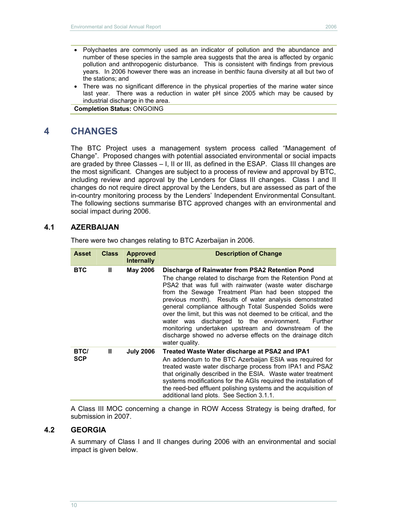- Polychaetes are commonly used as an indicator of pollution and the abundance and number of these species in the sample area suggests that the area is affected by organic pollution and anthropogenic disturbance. This is consistent with findings from previous years. In 2006 however there was an increase in benthic fauna diversity at all but two of the stations; and
- There was no significant difference in the physical properties of the marine water since last year. There was a reduction in water pH since 2005 which may be caused by industrial discharge in the area.

**Completion Status:** ONGOING

# **4 CHANGES**

The BTC Project uses a management system process called "Management of Change". Proposed changes with potential associated environmental or social impacts are graded by three Classes – I, II or III, as defined in the ESAP. Class III changes are the most significant. Changes are subject to a process of review and approval by BTC, including review and approval by the Lenders for Class III changes. Class I and II changes do not require direct approval by the Lenders, but are assessed as part of the in-country monitoring process by the Lenders' Independent Environmental Consultant. The following sections summarise BTC approved changes with an environmental and social impact during 2006.

# **4.1 AZERBAIJAN**

There were two changes relating to BTC Azerbaijan in 2006.

| <b>Asset</b>              | <b>Class</b> | <b>Approved</b><br><b>Internally</b> | <b>Description of Change</b>                                                                                                                                                                                                                                                                                                                                                                                                                                                                                                                                                                                            |
|---------------------------|--------------|--------------------------------------|-------------------------------------------------------------------------------------------------------------------------------------------------------------------------------------------------------------------------------------------------------------------------------------------------------------------------------------------------------------------------------------------------------------------------------------------------------------------------------------------------------------------------------------------------------------------------------------------------------------------------|
| <b>BTC</b>                | Ш            | <b>May 2006</b>                      | Discharge of Rainwater from PSA2 Retention Pond<br>The change related to discharge from the Retention Pond at<br>PSA2 that was full with rainwater (waste water discharge<br>from the Sewage Treatment Plan had been stopped the<br>previous month). Results of water analysis demonstrated<br>general compliance although Total Suspended Solids were<br>over the limit, but this was not deemed to be critical, and the<br>water was discharged to the environment.<br>Further<br>monitoring undertaken upstream and downstream of the<br>discharge showed no adverse effects on the drainage ditch<br>water quality. |
| <b>BTC/</b><br><b>SCP</b> | Ш            | <b>July 2006</b>                     | Treated Waste Water discharge at PSA2 and IPA1<br>An addendum to the BTC Azerbaijan ESIA was required for<br>treated waste water discharge process from IPA1 and PSA2<br>that originally described in the ESIA. Waste water treatment<br>systems modifications for the AGIs required the installation of<br>the reed-bed effluent polishing systems and the acquisition of<br>additional land plots. See Section 3.1.1.                                                                                                                                                                                                 |

A Class III MOC concerning a change in ROW Access Strategy is being drafted, for submission in 2007.

# **4.2 GEORGIA**

A summary of Class I and II changes during 2006 with an environmental and social impact is given below.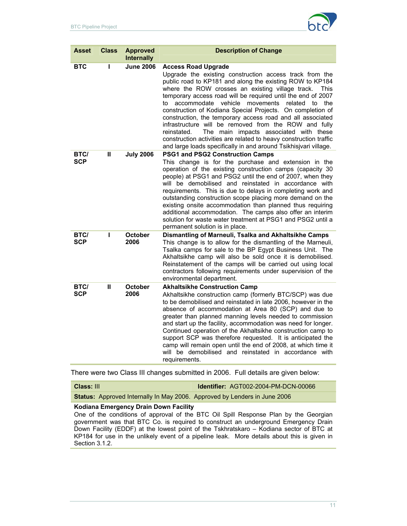

| <b>Asset</b>              | <b>Class</b> | <b>Approved</b><br><b>Internally</b> | <b>Description of Change</b>                                                                                                                                                                                                                                                                                                                                                                                                                                                                                                                                                                                                                                                                                                  |
|---------------------------|--------------|--------------------------------------|-------------------------------------------------------------------------------------------------------------------------------------------------------------------------------------------------------------------------------------------------------------------------------------------------------------------------------------------------------------------------------------------------------------------------------------------------------------------------------------------------------------------------------------------------------------------------------------------------------------------------------------------------------------------------------------------------------------------------------|
| <b>BTC</b>                | ı            | <b>June 2006</b>                     | <b>Access Road Upgrade</b><br>Upgrade the existing construction access track from the<br>public road to KP181 and along the existing ROW to KP184<br>where the ROW crosses an existing village track.<br>This<br>temporary access road will be required until the end of 2007<br>accommodate vehicle movements related<br>to the<br>t٥<br>construction of Kodiana Special Projects. On completion of<br>construction, the temporary access road and all associated<br>infrastructure will be removed from the ROW and fully<br>The main impacts associated with these<br>reinstated.<br>construction activities are related to heavy construction traffic<br>and large loads specifically in and around Tsikhisjvari village. |
| BTC/<br><b>SCP</b>        | Ш            | <b>July 2006</b>                     | PSG1 and PSG2 Construction Camps<br>This change is for the purchase and extension in the<br>operation of the existing construction camps (capacity 30<br>people) at PSG1 and PSG2 until the end of 2007, when they<br>will be demobilised and reinstated in accordance with<br>requirements. This is due to delays in completing work and<br>outstanding construction scope placing more demand on the<br>existing onsite accommodation than planned thus requiring<br>additional accommodation. The camps also offer an interim<br>solution for waste water treatment at PSG1 and PSG2 until a<br>permanent solution is in place.                                                                                            |
| <b>BTC/</b><br><b>SCP</b> | ı            | <b>October</b><br>2006               | Dismantling of Marneuli, Tsalka and Akhaltsikhe Camps<br>This change is to allow for the dismantling of the Marneuli,<br>Tsalka camps for sale to the BP Egypt Business Unit. The<br>Akhaltsikhe camp will also be sold once it is demobilised.<br>Reinstatement of the camps will be carried out using local<br>contractors following requirements under supervision of the<br>environmental department.                                                                                                                                                                                                                                                                                                                     |
| BTC/<br><b>SCP</b>        | Ш            | <b>October</b><br>2006               | <b>Akhaltsikhe Construction Camp</b><br>Akhaltsikhe construction camp (formerly BTC/SCP) was due<br>to be demobilised and reinstated in late 2006, however in the<br>absence of accommodation at Area 80 (SCP) and due to<br>greater than planned manning levels needed to commission<br>and start up the facility, accommodation was need for longer.<br>Continued operation of the Akhaltsikhe construction camp to<br>support SCP was therefore requested. It is anticipated the<br>camp will remain open until the end of 2008, at which time it<br>will be demobilised and reinstated in accordance with<br>requirements.                                                                                                |

There were two Class III changes submitted in 2006. Full details are given below:

**Class:** III **Identifier:** AGT002-2004-PM-DCN-00066

**Status:** Approved Internally In May 2006. Approved by Lenders in June 2006

#### **Kodiana Emergency Drain Down Facility**

One of the conditions of approval of the BTC Oil Spill Response Plan by the Georgian government was that BTC Co. is required to construct an underground Emergency Drain Down Facility (EDDF) at the lowest point of the Tskhratskaro – Kodiana sector of BTC at KP184 for use in the unlikely event of a pipeline leak. More details about this is given in Section 3.1.2.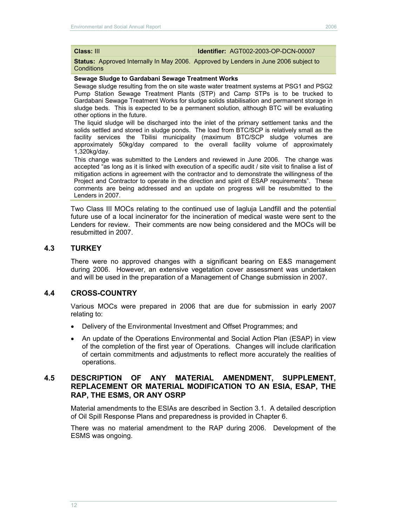**Class:** III **Identifier:** AGT002-2003-OP-DCN-00007

**Status:** Approved Internally In May 2006. Approved by Lenders in June 2006 subject to **Conditions** 

#### **Sewage Sludge to Gardabani Sewage Treatment Works**

Sewage sludge resulting from the on site waste water treatment systems at PSG1 and PSG2 Pump Station Sewage Treatment Plants (STP) and Camp STPs is to be trucked to Gardabani Sewage Treatment Works for sludge solids stabilisation and permanent storage in sludge beds. This is expected to be a permanent solution, although BTC will be evaluating other options in the future.

The liquid sludge will be discharged into the inlet of the primary settlement tanks and the solids settled and stored in sludge ponds. The load from BTC/SCP is relatively small as the facility services the Tbilisi municipality (maximum BTC/SCP sludge volumes are approximately 50kg/day compared to the overall facility volume of approximately 1,320kg/day.

This change was submitted to the Lenders and reviewed in June 2006. The change was accepted "as long as it is linked with execution of a specific audit / site visit to finalise a list of mitigation actions in agreement with the contractor and to demonstrate the willingness of the Project and Contractor to operate in the direction and spirit of ESAP requirements". These comments are being addressed and an update on progress will be resubmitted to the Lenders in 2007.

Two Class III MOCs relating to the continued use of Iagluja Landfill and the potential future use of a local incinerator for the incineration of medical waste were sent to the Lenders for review. Their comments are now being considered and the MOCs will be resubmitted in 2007.

#### **4.3 TURKEY**

There were no approved changes with a significant bearing on E&S management during 2006. However, an extensive vegetation cover assessment was undertaken and will be used in the preparation of a Management of Change submission in 2007.

#### **4.4 CROSS-COUNTRY**

Various MOCs were prepared in 2006 that are due for submission in early 2007 relating to:

- Delivery of the Environmental Investment and Offset Programmes; and
- An update of the Operations Environmental and Social Action Plan (ESAP) in view of the completion of the first year of Operations. Changes will include clarification of certain commitments and adjustments to reflect more accurately the realities of operations.

#### **4.5 DESCRIPTION OF ANY MATERIAL AMENDMENT, SUPPLEMENT, REPLACEMENT OR MATERIAL MODIFICATION TO AN ESIA, ESAP, THE RAP, THE ESMS, OR ANY OSRP**

Material amendments to the ESIAs are described in Section 3.1. A detailed description of Oil Spill Response Plans and preparedness is provided in Chapter 6.

There was no material amendment to the RAP during 2006. Development of the ESMS was ongoing.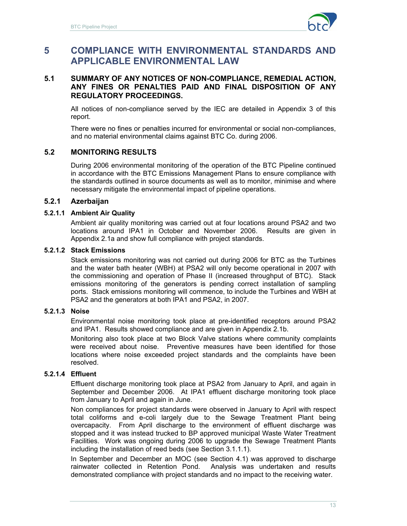

# **5 COMPLIANCE WITH ENVIRONMENTAL STANDARDS AND APPLICABLE ENVIRONMENTAL LAW**

#### **5.1 SUMMARY OF ANY NOTICES OF NON-COMPLIANCE, REMEDIAL ACTION, ANY FINES OR PENALTIES PAID AND FINAL DISPOSITION OF ANY REGULATORY PROCEEDINGS.**

All notices of non-compliance served by the IEC are detailed in Appendix 3 of this report.

There were no fines or penalties incurred for environmental or social non-compliances, and no material environmental claims against BTC Co. during 2006.

### **5.2 MONITORING RESULTS**

During 2006 environmental monitoring of the operation of the BTC Pipeline continued in accordance with the BTC Emissions Management Plans to ensure compliance with the standards outlined in source documents as well as to monitor, minimise and where necessary mitigate the environmental impact of pipeline operations.

## **5.2.1 Azerbaijan**

#### **5.2.1.1 Ambient Air Quality**

Ambient air quality monitoring was carried out at four locations around PSA2 and two locations around IPA1 in October and November 2006. Results are given in Appendix 2.1a and show full compliance with project standards.

# **5.2.1.2 Stack Emissions**

Stack emissions monitoring was not carried out during 2006 for BTC as the Turbines and the water bath heater (WBH) at PSA2 will only become operational in 2007 with the commissioning and operation of Phase II (increased throughput of BTC). Stack emissions monitoring of the generators is pending correct installation of sampling ports. Stack emissions monitoring will commence, to include the Turbines and WBH at PSA2 and the generators at both IPA1 and PSA2, in 2007.

# **5.2.1.3 Noise**

Environmental noise monitoring took place at pre-identified receptors around PSA2 and IPA1. Results showed compliance and are given in Appendix 2.1b.

Monitoring also took place at two Block Valve stations where community complaints were received about noise. Preventive measures have been identified for those locations where noise exceeded project standards and the complaints have been resolved.

#### **5.2.1.4 Effluent**

Effluent discharge monitoring took place at PSA2 from January to April, and again in September and December 2006. At IPA1 effluent discharge monitoring took place from January to April and again in June.

Non compliances for project standards were observed in January to April with respect total coliforms and e-coli largely due to the Sewage Treatment Plant being overcapacity. From April discharge to the environment of effluent discharge was stopped and it was instead trucked to BP approved municipal Waste Water Treatment Facilities. Work was ongoing during 2006 to upgrade the Sewage Treatment Plants including the installation of reed beds (see Section 3.1.1.1).

In September and December an MOC (see Section 4.1) was approved to discharge rainwater collected in Retention Pond. Analysis was undertaken and results demonstrated compliance with project standards and no impact to the receiving water.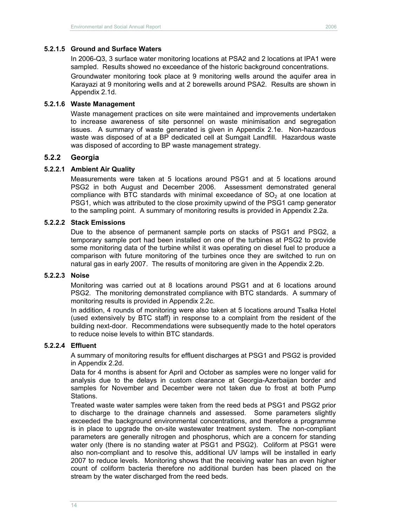In 2006-Q3, 3 surface water monitoring locations at PSA2 and 2 locations at IPA1 were sampled. Results showed no exceedance of the historic background concentrations.

Groundwater monitoring took place at 9 monitoring wells around the aquifer area in Karayazi at 9 monitoring wells and at 2 borewells around PSA2. Results are shown in Appendix 2.1d.

#### **5.2.1.6 Waste Management**

Waste management practices on site were maintained and improvements undertaken to increase awareness of site personnel on waste minimisation and segregation issues. A summary of waste generated is given in Appendix 2.1e. Non-hazardous waste was disposed of at a BP dedicated cell at Sumgait Landfill. Hazardous waste was disposed of according to BP waste management strategy.

## **5.2.2 Georgia**

#### **5.2.2.1 Ambient Air Quality**

Measurements were taken at 5 locations around PSG1 and at 5 locations around PSG2 in both August and December 2006. Assessment demonstrated general compliance with BTC standards with minimal exceedance of  $SO<sub>2</sub>$  at one location at PSG1, which was attributed to the close proximity upwind of the PSG1 camp generator to the sampling point. A summary of monitoring results is provided in Appendix 2.2a.

#### **5.2.2.2 Stack Emissions**

Due to the absence of permanent sample ports on stacks of PSG1 and PSG2, a temporary sample port had been installed on one of the turbines at PSG2 to provide some monitoring data of the turbine whilst it was operating on diesel fuel to produce a comparison with future monitoring of the turbines once they are switched to run on natural gas in early 2007. The results of monitoring are given in the Appendix 2.2b.

#### **5.2.2.3 Noise**

Monitoring was carried out at 8 locations around PSG1 and at 6 locations around PSG2. The monitoring demonstrated compliance with BTC standards. A summary of monitoring results is provided in Appendix 2.2c.

In addition, 4 rounds of monitoring were also taken at 5 locations around Tsalka Hotel (used extensively by BTC staff) in response to a complaint from the resident of the building next-door. Recommendations were subsequently made to the hotel operators to reduce noise levels to within BTC standards.

#### **5.2.2.4 Effluent**

A summary of monitoring results for effluent discharges at PSG1 and PSG2 is provided in Appendix 2.2d.

Data for 4 months is absent for April and October as samples were no longer valid for analysis due to the delays in custom clearance at Georgia-Azerbaijan border and samples for November and December were not taken due to frost at both Pump Stations.

Treated waste water samples were taken from the reed beds at PSG1 and PSG2 prior to discharge to the drainage channels and assessed. Some parameters slightly exceeded the background environmental concentrations, and therefore a programme is in place to upgrade the on-site wastewater treatment system. The non-compliant parameters are generally nitrogen and phosphorus, which are a concern for standing water only (there is no standing water at PSG1 and PSG2). Coliform at PSG1 were also non-compliant and to resolve this, additional UV lamps will be installed in early 2007 to reduce levels. Monitoring shows that the receiving water has an even higher count of coliform bacteria therefore no additional burden has been placed on the stream by the water discharged from the reed beds.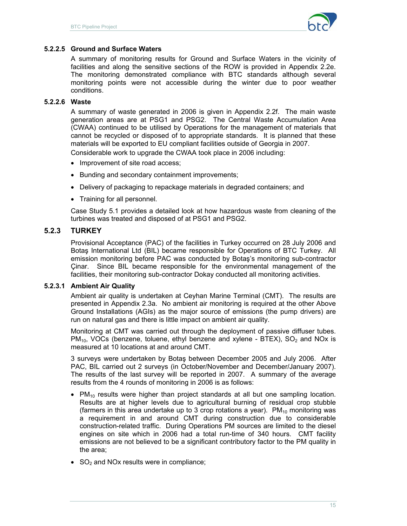

#### **5.2.2.5 Ground and Surface Waters**

A summary of monitoring results for Ground and Surface Waters in the vicinity of facilities and along the sensitive sections of the ROW is provided in Appendix 2.2e. The monitoring demonstrated compliance with BTC standards although several monitoring points were not accessible during the winter due to poor weather conditions.

#### **5.2.2.6 Waste**

A summary of waste generated in 2006 is given in Appendix 2.2f. The main waste generation areas are at PSG1 and PSG2. The Central Waste Accumulation Area (CWAA) continued to be utilised by Operations for the management of materials that cannot be recycled or disposed of to appropriate standards. It is planned that these materials will be exported to EU compliant facilities outside of Georgia in 2007.

Considerable work to upgrade the CWAA took place in 2006 including:

- Improvement of site road access;
- Bunding and secondary containment improvements;
- Delivery of packaging to repackage materials in degraded containers; and
- Training for all personnel.

Case Study 5.1 provides a detailed look at how hazardous waste from cleaning of the turbines was treated and disposed of at PSG1 and PSG2.

## **5.2.3 TURKEY**

Provisional Acceptance (PAC) of the facilities in Turkey occurred on 28 July 2006 and Botaş International Ltd (BIL) became responsible for Operations of BTC Turkey. All emission monitoring before PAC was conducted by Botaş's monitoring sub-contractor Çinar. Since BIL became responsible for the environmental management of the facilities, their monitoring sub-contractor Dokay conducted all monitoring activities.

#### **5.2.3.1 Ambient Air Quality**

Ambient air quality is undertaken at Ceyhan Marine Terminal (CMT). The results are presented in Appendix 2.3a. No ambient air monitoring is required at the other Above Ground Installations (AGIs) as the major source of emissions (the pump drivers) are run on natural gas and there is little impact on ambient air quality.

Monitoring at CMT was carried out through the deployment of passive diffuser tubes.  $PM_{10}$ , VOCs (benzene, toluene, ethyl benzene and xylene - BTEX), SO<sub>2</sub> and NOx is measured at 10 locations at and around CMT.

3 surveys were undertaken by Botaş between December 2005 and July 2006. After PAC, BIL carried out 2 surveys (in October/November and December/January 2007). The results of the last survey will be reported in 2007. A summary of the average results from the 4 rounds of monitoring in 2006 is as follows:

- PM<sub>10</sub> results were higher than project standards at all but one sampling location. Results are at higher levels due to agricultural burning of residual crop stubble (farmers in this area undertake up to 3 crop rotations a year).  $PM_{10}$  monitoring was a requirement in and around CMT during construction due to considerable construction-related traffic. During Operations PM sources are limited to the diesel engines on site which in 2006 had a total run-time of 340 hours. CMT facility emissions are not believed to be a significant contributory factor to the PM quality in the area;
- $\bullet$  SO<sub>2</sub> and NO<sub>x</sub> results were in compliance;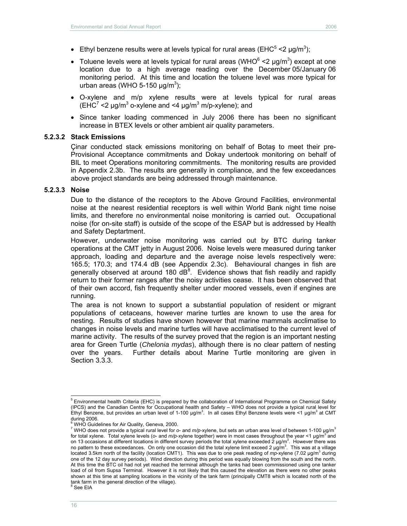- Ethyl benzene results were at levels typical for rural areas (EHC<sup>5</sup> <2  $\mu$ g/m<sup>3</sup>);
- Toluene levels were at levels typical for rural areas (WHO $^6$  <2  $\mu$ g/m<sup>3</sup>) except at one location due to a high average reading over the December 05/January 06 monitoring period. At this time and location the toluene level was more typical for urban areas (WHO 5-150  $\mu$ g/m<sup>3</sup>);
- O-xylene and m/p xylene results were at levels typical for rural areas (EHC<sup>7</sup> <2  $\mu$ g/m<sup>3</sup> o-xylene and <4  $\mu$ g/m<sup>3</sup> m/p-xylene); and
- Since tanker loading commenced in July 2006 there has been no significant increase in BTEX levels or other ambient air quality parameters.

#### **5.2.3.2 Stack Emissions**

Çinar conducted stack emissions monitoring on behalf of Botaş to meet their pre-Provisional Acceptance commitments and Dokay undertook monitoring on behalf of BIL to meet Operations monitoring commitments. The monitoring results are provided in Appendix 2.3b. The results are generally in compliance, and the few exceedances above project standards are being addressed through maintenance.

#### **5.2.3.3 Noise**

Due to the distance of the receptors to the Above Ground Facilities, environmental noise at the nearest residential receptors is well within World Bank night time noise limits, and therefore no environmental noise monitoring is carried out. Occupational noise (for on-site staff) is outside of the scope of the ESAP but is addressed by Health and Safety Deptartment.

However, underwater noise monitoring was carried out by BTC during tanker operations at the CMT jetty in August 2006. Noise levels were measured during tanker approach, loading and departure and the average noise levels respectively were: 165.5; 170.3; and 174.4 dB (see Appendix 2.3c). Behavioural changes in fish are generally observed at around 180  $dB^8$ . Evidence shows that fish readily and rapidly return to their former ranges after the noisy activities cease. It has been observed that of their own accord, fish frequently shelter under moored vessels, even if engines are running.

The area is not known to support a substantial population of resident or migrant populations of cetaceans, however marine turtles are known to use the area for nesting. Results of studies have shown however that marine mammals acclimatise to changes in noise levels and marine turtles will have acclimatised to the current level of marine activity. The results of the survey proved that the region is an important nesting area for Green Turtle (*Chelonia mydas*), although there is no clear pattern of nesting over the years. Further details about Marine Turtle monitoring are given in Section 3.3.3.

 5 Environmental health Criteria (EHC) is prepared by the collaboration of International Programme on Chemical Safety (IPCS) and the Canadian Centre for Occupational health and Safety – WHO does not provide a typical rural level for Ethyl Benzene, but provides an urban level of 1-100  $\mu$ g/m<sup>3</sup>. In all cases Ethyl Benzene levels were <1  $\mu$ g/m<sup>3</sup> at CMT during 2006.

<sup>6</sup> WHO Guidelines for Air Quality, Geneva, 2000.

<sup>7</sup> WHO does not provide a typical rural level for *o*- and *m/p-*xylene, but sets an urban area level of between 1-100 µg/m<sup>3</sup> for total xylene. Total xylene levels (o- and *m/p-*xylene together) were in most cases throughout the year <1 µg/m<sup>3</sup> and on 13 occasions at different locations in different survey periods the total xylene exceeded 2 µg/m<sup>3</sup>. However there was<br>no pattern to these exceedances. On only one occasion did the total xylene limit exceed 2 µg/m<sup>3</sup>. T located 3.5km north of the facility (location CMT1). This was due to one peak reading of *mp-xylene (7.02 µg/m<sup>3</sup>* during one of the 12 day survey periods). Wind direction during this period was equally blowing from the south and the north. At this time the BTC oil had not yet reached the terminal although the tanks had been commissioned using one tanker load of oil from Supsa Terminal. However it is not likely that this caused the elevation as there were no other peaks shown at this time at sampling locations in the vicinity of the tank farm (principally CMT8 which is located north of the tank farm in the general direction of the village).

 $^8$  See EIA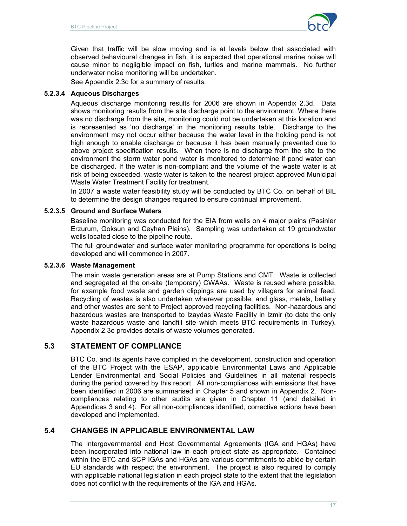

Given that traffic will be slow moving and is at levels below that associated with observed behavioural changes in fish, it is expected that operational marine noise will cause minor to negligible impact on fish, turtles and marine mammals. No further underwater noise monitoring will be undertaken.

See Appendix 2.3c for a summary of results.

### **5.2.3.4 Aqueous Discharges**

Aqueous discharge monitoring results for 2006 are shown in Appendix 2.3d. Data shows monitoring results from the site discharge point to the environment. Where there was no discharge from the site, monitoring could not be undertaken at this location and is represented as 'no discharge' in the monitoring results table. Discharge to the environment may not occur either because the water level in the holding pond is not high enough to enable discharge or because it has been manually prevented due to above project specification results. When there is no discharge from the site to the environment the storm water pond water is monitored to determine if pond water can be discharged. If the water is non-compliant and the volume of the waste water is at risk of being exceeded, waste water is taken to the nearest project approved Municipal Waste Water Treatment Facility for treatment.

In 2007 a waste water feasibility study will be conducted by BTC Co. on behalf of BIL to determine the design changes required to ensure continual improvement.

### **5.2.3.5 Ground and Surface Waters**

Baseline monitoring was conducted for the EIA from wells on 4 major plains (Pasinler Erzurum, Goksun and Ceyhan Plains). Sampling was undertaken at 19 groundwater wells located close to the pipeline route.

The full groundwater and surface water monitoring programme for operations is being developed and will commence in 2007.

#### **5.2.3.6 Waste Management**

The main waste generation areas are at Pump Stations and CMT. Waste is collected and segregated at the on-site (temporary) CWAAs. Waste is reused where possible, for example food waste and garden clippings are used by villagers for animal feed. Recycling of wastes is also undertaken wherever possible, and glass, metals, battery and other wastes are sent to Project approved recycling facilities. Non-hazardous and hazardous wastes are transported to Izaydas Waste Facility in Izmir (to date the only waste hazardous waste and landfill site which meets BTC requirements in Turkey). Appendix 2.3e provides details of waste volumes generated.

# **5.3 STATEMENT OF COMPLIANCE**

BTC Co. and its agents have complied in the development, construction and operation of the BTC Project with the ESAP, applicable Environmental Laws and Applicable Lender Environmental and Social Policies and Guidelines in all material respects during the period covered by this report. All non-compliances with emissions that have been identified in 2006 are summarised in Chapter 5 and shown in Appendix 2. Noncompliances relating to other audits are given in Chapter 11 (and detailed in Appendices 3 and 4). For all non-compliances identified, corrective actions have been developed and implemented.

# **5.4 CHANGES IN APPLICABLE ENVIRONMENTAL LAW**

The Intergovernmental and Host Governmental Agreements (IGA and HGAs) have been incorporated into national law in each project state as appropriate. Contained within the BTC and SCP IGAs and HGAs are various commitments to abide by certain EU standards with respect the environment. The project is also required to comply with applicable national legislation in each project state to the extent that the legislation does not conflict with the requirements of the IGA and HGAs.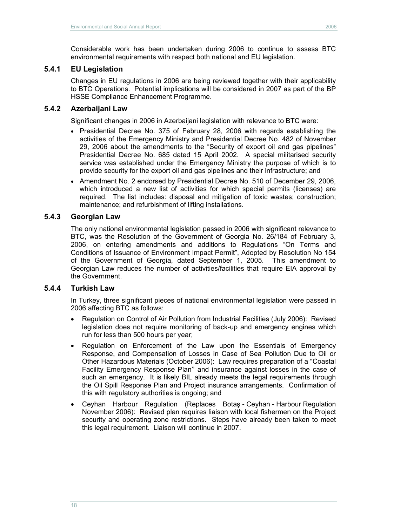Considerable work has been undertaken during 2006 to continue to assess BTC environmental requirements with respect both national and EU legislation.

## **5.4.1 EU Legislation**

Changes in EU regulations in 2006 are being reviewed together with their applicability to BTC Operations. Potential implications will be considered in 2007 as part of the BP HSSE Compliance Enhancement Programme.

### **5.4.2 Azerbaijani Law**

Significant changes in 2006 in Azerbaijani legislation with relevance to BTC were:

- Presidential Decree No. 375 of February 28, 2006 with regards establishing the activities of the Emergency Ministry and Presidential Decree No. 482 of November 29, 2006 about the amendments to the "Security of export oil and gas pipelines" Presidential Decree No. 685 dated 15 April 2002. A special militarised security service was established under the Emergency Ministry the purpose of which is to provide security for the export oil and gas pipelines and their infrastructure; and
- Amendment No. 2 endorsed by Presidential Decree No. 510 of December 29, 2006, which introduced a new list of activities for which special permits (licenses) are required. The list includes: disposal and mitigation of toxic wastes; construction; maintenance; and refurbishment of lifting installations.

### **5.4.3 Georgian Law**

The only national environmental legislation passed in 2006 with significant relevance to BTC, was the Resolution of the Government of Georgia No. 26/184 of February 3, 2006, on entering amendments and additions to Regulations "On Terms and Conditions of Issuance of Environment Impact Permit", Adopted by Resolution No 154 of the Government of Georgia, dated September 1, 2005. This amendment to Georgian Law reduces the number of activities/facilities that require EIA approval by the Government.

#### **5.4.4 Turkish Law**

In Turkey, three significant pieces of national environmental legislation were passed in 2006 affecting BTC as follows:

- Regulation on Control of Air Pollution from Industrial Facilities (July 2006): Revised legislation does not require monitoring of back-up and emergency engines which run for less than 500 hours per year;
- Regulation on Enforcement of the Law upon the Essentials of Emergency Response, and Compensation of Losses in Case of Sea Pollution Due to Oil or Other Hazardous Materials (October 2006): Law requires preparation of a "Coastal Facility Emergency Response Plan'' and insurance against losses in the case of such an emergency. It is likely BIL already meets the legal requirements through the Oil Spill Response Plan and Project insurance arrangements. Confirmation of this with regulatory authorities is ongoing; and
- Ceyhan Harbour Regulation (Replaces Botaş Ceyhan Harbour Regulation November 2006): Revised plan requires liaison with local fishermen on the Project security and operating zone restrictions. Steps have already been taken to meet this legal requirement. Liaison will continue in 2007.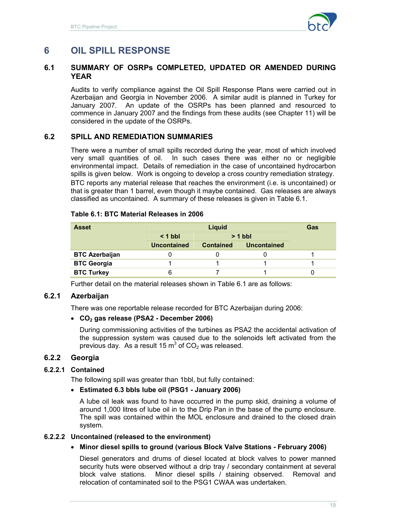

# **6 OIL SPILL RESPONSE**

## **6.1 SUMMARY OF OSRPs COMPLETED, UPDATED OR AMENDED DURING YEAR**

Audits to verify compliance against the Oil Spill Response Plans were carried out in Azerbaijan and Georgia in November 2006. A similar audit is planned in Turkey for January 2007. An update of the OSRPs has been planned and resourced to commence in January 2007 and the findings from these audits (see Chapter 11) will be considered in the update of the OSRPs.

# **6.2 SPILL AND REMEDIATION SUMMARIES**

There were a number of small spills recorded during the year, most of which involved very small quantities of oil. In such cases there was either no or negligible environmental impact. Details of remediation in the case of uncontained hydrocarbon spills is given below. Work is ongoing to develop a cross country remediation strategy. BTC reports any material release that reaches the environment (i.e. is uncontained) or that is greater than 1 barrel, even though it maybe contained. Gas releases are always classified as uncontained. A summary of these releases is given in Table 6.1.

#### **Table 6.1: BTC Material Releases in 2006**

| <b>Asset</b>          |                        | Gas              |                    |  |
|-----------------------|------------------------|------------------|--------------------|--|
|                       | $> 1$ bbl<br>$< 1$ bbl |                  |                    |  |
|                       | <b>Uncontained</b>     | <b>Contained</b> | <b>Uncontained</b> |  |
| <b>BTC Azerbaijan</b> |                        |                  |                    |  |
| <b>BTC Georgia</b>    |                        |                  |                    |  |
| <b>BTC Turkey</b>     | 6                      |                  |                    |  |

Further detail on the material releases shown in Table 6.1 are as follows:

#### **6.2.1 Azerbaijan**

There was one reportable release recorded for BTC Azerbaijan during 2006:

#### **CO2 gas release (PSA2 - December 2006)**

During commissioning activities of the turbines as PSA2 the accidental activation of the suppression system was caused due to the solenoids left activated from the previous day. As a result 15  $m^3$  of CO<sub>2</sub> was released.

#### **6.2.2 Georgia**

#### **6.2.2.1 Contained**

The following spill was greater than 1bbl, but fully contained:

#### **Estimated 6.3 bbls lube oil (PSG1 - January 2006)**

A lube oil leak was found to have occurred in the pump skid, draining a volume of around 1,000 litres of lube oil in to the Drip Pan in the base of the pump enclosure. The spill was contained within the MOL enclosure and drained to the closed drain system.

#### **6.2.2.2 Uncontained (released to the environment)**

#### **Minor diesel spills to ground (various Block Valve Stations - February 2006)**

Diesel generators and drums of diesel located at block valves to power manned security huts were observed without a drip tray / secondary containment at several block valve stations. Minor diesel spills / staining observed. Removal and relocation of contaminated soil to the PSG1 CWAA was undertaken.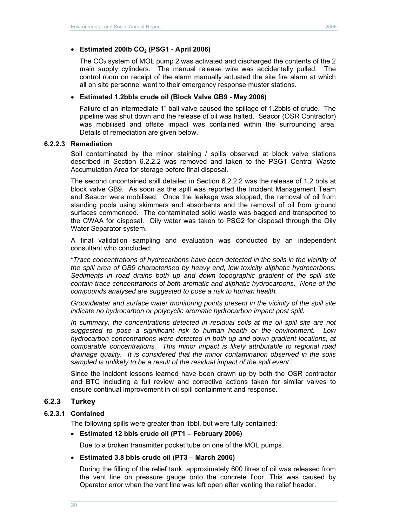The  $CO<sub>2</sub>$  system of MOL pump 2 was activated and discharged the contents of the 2 main supply cylinders. The manual release wire was accidentally pulled. The control room on receipt of the alarm manually actuated the site fire alarm at which all on site personnel went to their emergency response muster stations.

#### **Estimated 1.2bbls crude oil (Block Valve GB9 - May 2006)**

Failure of an intermediate 1" ball valve caused the spillage of 1.2bbls of crude. The pipeline was shut down and the release of oil was halted. Seacor (OSR Contractor) was mobilised and offsite impact was contained within the surrounding area. Details of remediation are given below.

#### **6.2.2.3 Remediation**

Soil contaminated by the minor staining / spills observed at block valve stations described in Section 6.2.2.2 was removed and taken to the PSG1 Central Waste Accumulation Area for storage before final disposal.

The second uncontained spill detailed in Section 6.2.2.2 was the release of 1.2 bbls at block valve GB9. As soon as the spill was reported the Incident Management Team and Seacor were mobilised. Once the leakage was stopped, the removal of oil from standing pools using skimmers and absorbents and the removal of oil from ground surfaces commenced. The contaminated solid waste was bagged and transported to the CWAA for disposal. Oily water was taken to PSG2 for disposal through the Oily Water Separator system.

A final validation sampling and evaluation was conducted by an independent consultant who concluded:

*"Trace concentrations of hydrocarbons have been detected in the soils in the vicinity of the spill area of GB9 characterised by heavy end, low toxicity aliphatic hydrocarbons. Sediments in road drains both up and down topographic gradient of the spill site contain trace concentrations of both aromatic and aliphatic hydrocarbons. None of the compounds analysed are suggested to pose a risk to human health.* 

*Groundwater and surface water monitoring points present in the vicinity of the spill site indicate no hydrocarbon or polycyclic aromatic hydrocarbon impact post spill.* 

*In summary, the concentrations detected in residual soils at the oil spill site are not suggested to pose a significant risk to human health or the environment. Low hydrocarbon concentrations were detected in both up and down gradient locations, at comparable concentrations. This minor impact is likely attributable to regional road drainage quality. It is considered that the minor contamination observed in the soils sampled is unlikely to be a result of the residual impact of the spill event".* 

Since the incident lessons learned have been drawn up by both the OSR contractor and BTC including a full review and corrective actions taken for similar valves to ensure continual improvement in oil spill containment and response.

#### **6.2.3 Turkey**

#### **6.2.3.1 Contained**

The following spills were greater than 1bbl, but were fully contained:

#### **Estimated 12 bbls crude oil (PT1 – February 2006)**

Due to a broken transmitter pocket tube on one of the MOL pumps.

#### **Estimated 3.8 bbls crude oil (PT3 – March 2006)**

During the filling of the relief tank, approximately 600 litres of oil was released from the vent line on pressure gauge onto the concrete floor. This was caused by Operator error when the vent line was left open after venting the relief header.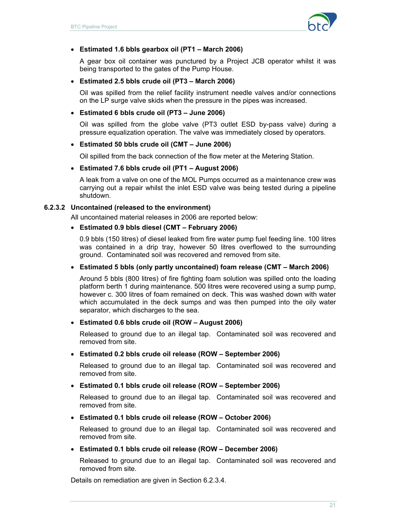

#### **Estimated 1.6 bbls gearbox oil (PT1 – March 2006)**

A gear box oil container was punctured by a Project JCB operator whilst it was being transported to the gates of the Pump House.

#### **Estimated 2.5 bbls crude oil (PT3 – March 2006)**

Oil was spilled from the relief facility instrument needle valves and/or connections on the LP surge valve skids when the pressure in the pipes was increased.

#### **Estimated 6 bbls crude oil (PT3 – June 2006)**

Oil was spilled from the globe valve (PT3 outlet ESD by-pass valve) during a pressure equalization operation. The valve was immediately closed by operators.

#### **Estimated 50 bbls crude oil (CMT – June 2006)**

Oil spilled from the back connection of the flow meter at the Metering Station.

#### **Estimated 7.6 bbls crude oil (PT1 – August 2006)**

A leak from a valve on one of the MOL Pumps occurred as a maintenance crew was carrying out a repair whilst the inlet ESD valve was being tested during a pipeline shutdown.

## **6.2.3.2 Uncontained (released to the environment)**

All uncontained material releases in 2006 are reported below:

#### **Estimated 0.9 bbls diesel (CMT – February 2006)**

0.9 bbls (150 litres) of diesel leaked from fire water pump fuel feeding line. 100 litres was contained in a drip tray, however 50 litres overflowed to the surrounding ground. Contaminated soil was recovered and removed from site.

#### **Estimated 5 bbls (only partly uncontained) foam release (CMT – March 2006)**

Around 5 bbls (800 litres) of fire fighting foam solution was spilled onto the loading platform berth 1 during maintenance. 500 litres were recovered using a sump pump, however c. 300 litres of foam remained on deck. This was washed down with water which accumulated in the deck sumps and was then pumped into the oily water separator, which discharges to the sea.

#### **Estimated 0.6 bbls crude oil (ROW – August 2006)**

Released to ground due to an illegal tap. Contaminated soil was recovered and removed from site.

#### **Estimated 0.2 bbls crude oil release (ROW – September 2006)**

Released to ground due to an illegal tap. Contaminated soil was recovered and removed from site.

#### **Estimated 0.1 bbls crude oil release (ROW – September 2006)**

Released to ground due to an illegal tap. Contaminated soil was recovered and removed from site.

#### **Estimated 0.1 bbls crude oil release (ROW – October 2006)**

Released to ground due to an illegal tap. Contaminated soil was recovered and removed from site.

#### **Estimated 0.1 bbls crude oil release (ROW – December 2006)**

Released to ground due to an illegal tap. Contaminated soil was recovered and removed from site.

Details on remediation are given in Section 6.2.3.4.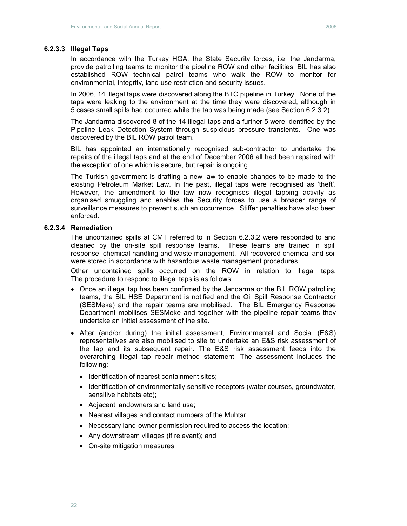#### **6.2.3.3 Illegal Taps**

In accordance with the Turkey HGA, the State Security forces, i.e. the Jandarma, provide patrolling teams to monitor the pipeline ROW and other facilities. BIL has also established ROW technical patrol teams who walk the ROW to monitor for environmental, integrity, land use restriction and security issues.

In 2006, 14 illegal taps were discovered along the BTC pipeline in Turkey. None of the taps were leaking to the environment at the time they were discovered, although in 5 cases small spills had occurred while the tap was being made (see Section 6.2.3.2).

The Jandarma discovered 8 of the 14 illegal taps and a further 5 were identified by the Pipeline Leak Detection System through suspicious pressure transients. One was discovered by the BIL ROW patrol team.

BIL has appointed an internationally recognised sub-contractor to undertake the repairs of the illegal taps and at the end of December 2006 all had been repaired with the exception of one which is secure, but repair is ongoing.

The Turkish government is drafting a new law to enable changes to be made to the existing Petroleum Market Law. In the past, illegal taps were recognised as 'theft'. However, the amendment to the law now recognises illegal tapping activity as organised smuggling and enables the Security forces to use a broader range of surveillance measures to prevent such an occurrence. Stiffer penalties have also been enforced.

#### **6.2.3.4 Remediation**

The uncontained spills at CMT referred to in Section 6.2.3.2 were responded to and cleaned by the on-site spill response teams. These teams are trained in spill response, chemical handling and waste management. All recovered chemical and soil were stored in accordance with hazardous waste management procedures.

Other uncontained spills occurred on the ROW in relation to illegal taps. The procedure to respond to illegal taps is as follows:

- Once an illegal tap has been confirmed by the Jandarma or the BIL ROW patrolling teams, the BIL HSE Department is notified and the Oil Spill Response Contractor (SESMeke) and the repair teams are mobilised. The BIL Emergency Response Department mobilises SESMeke and together with the pipeline repair teams they undertake an initial assessment of the site.
- After (and/or during) the initial assessment, Environmental and Social (E&S) representatives are also mobilised to site to undertake an E&S risk assessment of the tap and its subsequent repair. The E&S risk assessment feeds into the overarching illegal tap repair method statement. The assessment includes the following:
	- Identification of nearest containment sites;
	- Identification of environmentally sensitive receptors (water courses, groundwater, sensitive habitats etc);
	- Adjacent landowners and land use;
	- Nearest villages and contact numbers of the Muhtar;
	- Necessary land-owner permission required to access the location;
	- Any downstream villages (if relevant); and
	- On-site mitigation measures.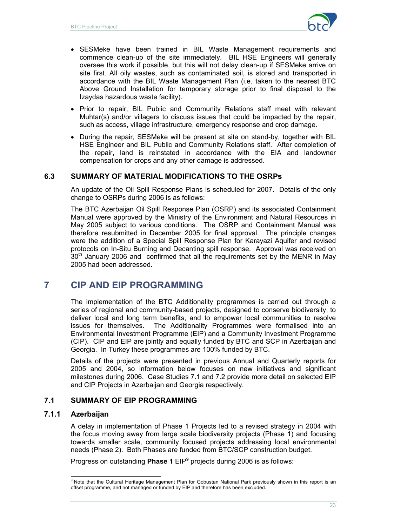

- SESMeke have been trained in BIL Waste Management requirements and commence clean-up of the site immediately. BIL HSE Engineers will generally oversee this work if possible, but this will not delay clean-up if SESMeke arrive on site first. All oily wastes, such as contaminated soil, is stored and transported in accordance with the BIL Waste Management Plan (i.e. taken to the nearest BTC Above Ground Installation for temporary storage prior to final disposal to the Izaydas hazardous waste facility).
- Prior to repair, BIL Public and Community Relations staff meet with relevant Muhtar(s) and/or villagers to discuss issues that could be impacted by the repair, such as access, village infrastructure, emergency response and crop damage.
- During the repair, SESMeke will be present at site on stand-by, together with BIL HSE Engineer and BIL Public and Community Relations staff. After completion of the repair, land is reinstated in accordance with the EIA and landowner compensation for crops and any other damage is addressed.

### **6.3 SUMMARY OF MATERIAL MODIFICATIONS TO THE OSRPs**

An update of the Oil Spill Response Plans is scheduled for 2007. Details of the only change to OSRPs during 2006 is as follows:

The BTC Azerbaijan Oil Spill Response Plan (OSRP) and its associated Containment Manual were approved by the Ministry of the Environment and Natural Resources in May 2005 subject to various conditions. The OSRP and Containment Manual was therefore resubmitted in December 2005 for final approval. The principle changes were the addition of a Special Spill Response Plan for Karayazi Aquifer and revised protocols on In-Situ Burning and Decanting spill response. Approval was received on 30<sup>th</sup> January 2006 and confirmed that all the requirements set by the MENR in May 2005 had been addressed.

# **7 CIP AND EIP PROGRAMMING**

The implementation of the BTC Additionality programmes is carried out through a series of regional and community-based projects, designed to conserve biodiversity, to deliver local and long term benefits, and to empower local communities to resolve issues for themselves. The Additionality Programmes were formalised into an Environmental Investment Programme (EIP) and a Community Investment Programme (CIP). CIP and EIP are jointly and equally funded by BTC and SCP in Azerbaijan and Georgia. In Turkey these programmes are 100% funded by BTC.

Details of the projects were presented in previous Annual and Quarterly reports for 2005 and 2004, so information below focuses on new initiatives and significant milestones during 2006. Case Studies 7.1 and 7.2 provide more detail on selected EIP and CIP Projects in Azerbaijan and Georgia respectively.

# **7.1 SUMMARY OF EIP PROGRAMMING**

# **7.1.1 Azerbaijan**

A delay in implementation of Phase 1 Projects led to a revised strategy in 2004 with the focus moving away from large scale biodiversity projects (Phase 1) and focusing towards smaller scale, community focused projects addressing local environmental needs (Phase 2). Both Phases are funded from BTC/SCP construction budget.

Progress on outstanding **Phase 1** EIP<sup>9</sup> projects during 2006 is as follows:

<sup>9&</sup>lt;br><sup>9</sup> Note that the Cultural Heritage Management Plan for Gobustan National Park previously shown in this report is an offset programme, and not managed or funded by EIP and therefore has been excluded.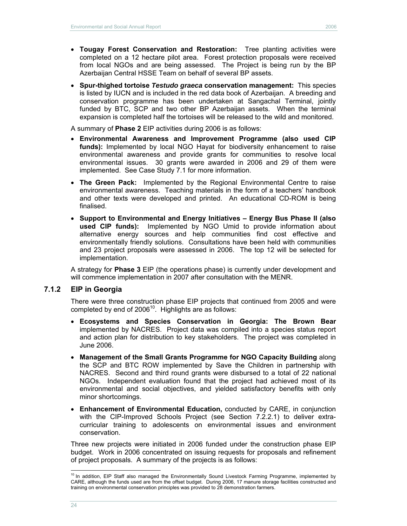- **Tougay Forest Conservation and Restoration:** Tree planting activities were completed on a 12 hectare pilot area. Forest protection proposals were received from local NGOs and are being assessed. The Project is being run by the BP Azerbaijan Central HSSE Team on behalf of several BP assets.
- **Spur-thighed tortoise** *Testudo graeca* **conservation management:** This species is listed by IUCN and is included in the red data book of Azerbaijan. A breeding and conservation programme has been undertaken at Sangachal Terminal, jointly funded by BTC, SCP and two other BP Azerbaijan assets. When the terminal expansion is completed half the tortoises will be released to the wild and monitored.

A summary of **Phase 2** EIP activities during 2006 is as follows:

- **Environmental Awareness and Improvement Programme (also used CIP funds):** Implemented by local NGO Hayat for biodiversity enhancement to raise environmental awareness and provide grants for communities to resolve local environmental issues. 30 grants were awarded in 2006 and 29 of them were implemented. See Case Study 7.1 for more information.
- **The Green Pack:** Implemented by the Regional Environmental Centre to raise environmental awareness. Teaching materials in the form of a teachers' handbook and other texts were developed and printed. An educational CD-ROM is being finalised.
- **Support to Environmental and Energy Initiatives Energy Bus Phase II (also used CIP funds):** Implemented by NGO Umid to provide information about alternative energy sources and help communities find cost effective and environmentally friendly solutions. Consultations have been held with communities and 23 project proposals were assessed in 2006. The top 12 will be selected for implementation.

A strategy for **Phase 3** EIP (the operations phase) is currently under development and will commence implementation in 2007 after consultation with the MENR.

#### **7.1.2 EIP in Georgia**

There were three construction phase EIP projects that continued from 2005 and were completed by end of  $2006^{10}$ . Highlights are as follows:

- **Ecosystems and Species Conservation in Georgia: The Brown Bear** implemented by NACRES. Project data was compiled into a species status report and action plan for distribution to key stakeholders. The project was completed in June 2006.
- **Management of the Small Grants Programme for NGO Capacity Building** along the SCP and BTC ROW implemented by Save the Children in partnership with NACRES. Second and third round grants were disbursed to a total of 22 national NGOs. Independent evaluation found that the project had achieved most of its environmental and social objectives, and yielded satisfactory benefits with only minor shortcomings.
- **Enhancement of Environmental Education,** conducted by CARE, in conjunction with the CIP-Improved Schools Project (see Section 7.2.2.1) to deliver extracurricular training to adolescents on environmental issues and environment conservation.

Three new projects were initiated in 2006 funded under the construction phase EIP budget. Work in 2006 concentrated on issuing requests for proposals and refinement of project proposals. A summary of the projects is as follows:

 $\overline{a}$ 

 $10$  In addition, EIP Staff also managed the Environmentally Sound Livestock Farming Programme, implemented by CARE, although the funds used are from the offset budget. During 2006, 17 manure storage facilities constructed and training on environmental conservation principles was provided to 28 demonstration farmers.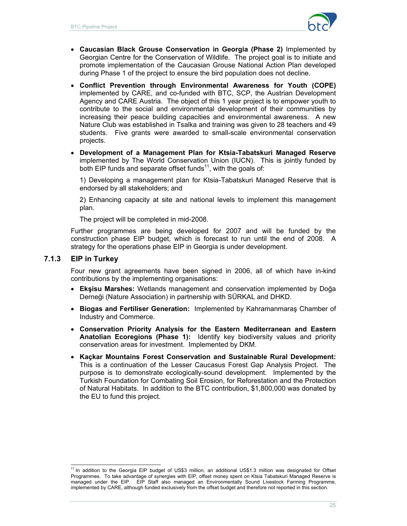

- **Caucasian Black Grouse Conservation in Georgia (Phase 2)** Implemented by Georgian Centre for the Conservation of Wildlife. The project goal is to initiate and promote implementation of the Caucasian Grouse National Action Plan developed during Phase 1 of the project to ensure the bird population does not decline.
- **Conflict Prevention through Environmental Awareness for Youth (COPE)** implemented by CARE, and co-funded with BTC, SCP, the Austrian Development Agency and CARE Austria. The object of this 1 year project is to empower youth to contribute to the social and environmental development of their communities by increasing their peace building capacities and environmental awareness. A new Nature Club was established in Tsalka and training was given to 28 teachers and 49 students. Five grants were awarded to small-scale environmental conservation projects.
- **Development of a Management Plan for Ktsia-Tabatskuri Managed Reserve** implemented by The World Conservation Union (IUCN). This is jointly funded by both EIP funds and separate offset funds<sup>11</sup>, with the goals of:

1) Developing a management plan for Ktsia-Tabatskuri Managed Reserve that is endorsed by all stakeholders; and

2) Enhancing capacity at site and national levels to implement this management plan.

The project will be completed in mid-2008.

Further programmes are being developed for 2007 and will be funded by the construction phase EIP budget, which is forecast to run until the end of 2008. A strategy for the operations phase EIP in Georgia is under development.

### **7.1.3 EIP in Turkey**

Four new grant agreements have been signed in 2006, all of which have in-kind contributions by the implementing organisations:

- **Ekşisu Marshes:** Wetlands management and conservation implemented by Doğa Derneği (Nature Association) in partnership with SÜRKAL and DHKD.
- **Biogas and Fertiliser Generation:** Implemented by Kahramanmaraş Chamber of Industry and Commerce.
- **Conservation Priority Analysis for the Eastern Mediterranean and Eastern Anatolian Ecoregions (Phase 1):** Identify key biodiversity values and priority conservation areas for investment. Implemented by DKM.
- **Kaçkar Mountains Forest Conservation and Sustainable Rural Development:**  This is a continuation of the Lesser Caucasus Forest Gap Analysis Project. The purpose is to demonstrate ecologically-sound development. Implemented by the Turkish Foundation for Combating Soil Erosion, for Reforestation and the Protection of Natural Habitats. In addition to the BTC contribution, \$1,800,000 was donated by the EU to fund this project.

 $\overline{a}$  $11$  In addition to the Georgia EIP budget of US\$3 million, an additional US\$1.3 million was designated for Offset Programmes. To take advantage of synergies with EIP, offset money spent on Ktsia Tabatskuri Managed Reserve is managed under the EIP. EIP Staff also managed an Environmentally Sound Livestock Farming Programme, implemented by CARE, although funded exclusively from the offset budget and therefore not reported in this section.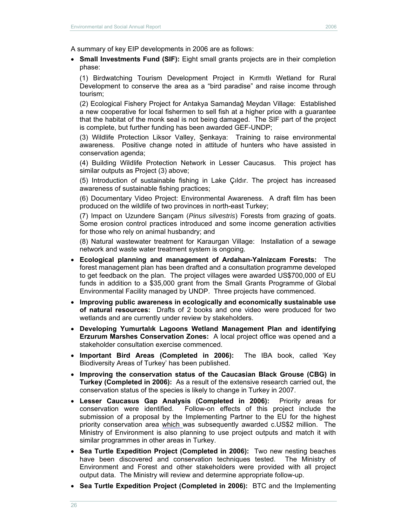A summary of key EIP developments in 2006 are as follows:

 **Small Investments Fund (SIF):** Eight small grants projects are in their completion phase:

(1) Birdwatching Tourism Development Project in Kırmıtlı Wetland for Rural Development to conserve the area as a "bird paradise" and raise income through tourism;

(2) Ecological Fishery Project for Antakya Samandağ Meydan Village: Established a new cooperative for local fishermen to sell fish at a higher price with a guarantee that the habitat of the monk seal is not being damaged. The SIF part of the project is complete, but further funding has been awarded GEF-UNDP;

(3) Wildlife Protection Liksor Valley, Şenkaya: Training to raise environmental awareness. Positive change noted in attitude of hunters who have assisted in conservation agenda;

(4) Building Wildlife Protection Network in Lesser Caucasus. This project has similar outputs as Project (3) above;

(5) Introduction of sustainable fishing in Lake Çıldır. The project has increased awareness of sustainable fishing practices;

(6) Documentary Video Project: Environmental Awareness. A draft film has been produced on the wildlife of two provinces in north-east Turkey;

(7) Impact on Uzundere Sarıçam (*Pinus silvestris*) Forests from grazing of goats. Some erosion control practices introduced and some income generation activities for those who rely on animal husbandry; and

(8) Natural wastewater treatment for Karaurgan Village: Installation of a sewage network and waste water treatment system is ongoing.

- **Ecological planning and management of Ardahan-Yalnizcam Forests:** The forest management plan has been drafted and a consultation programme developed to get feedback on the plan. The project villages were awarded US\$700,000 of EU funds in addition to a \$35,000 grant from the Small Grants Programme of Global Environmental Facility managed by UNDP. Three projects have commenced.
- **Improving public awareness in ecologically and economically sustainable use of natural resources:** Drafts of 2 books and one video were produced for two wetlands and are currently under review by stakeholders.
- **Developing Yumurtalık Lagoons Wetland Management Plan and identifying Erzurum Marshes Conservation Zones:** A local project office was opened and a stakeholder consultation exercise commenced.
- **Important Bird Areas (Completed in 2006):** The IBA book, called 'Key Biodiversity Areas of Turkey' has been published.
- **Improving the conservation status of the Caucasian Black Grouse (CBG) in Turkey (Completed in 2006):** As a result of the extensive research carried out, the conservation status of the species is likely to change in Turkey in 2007.
- **Lesser Caucasus Gap Analysis (Completed in 2006):** Priority areas for conservation were identified. Follow-on effects of this project include the submission of a proposal by the Implementing Partner to the EU for the highest priority conservation area which was subsequently awarded c.US\$2 million. The Ministry of Environment is also planning to use project outputs and match it with similar programmes in other areas in Turkey.
- **Sea Turtle Expedition Project (Completed in 2006):** Two new nesting beaches have been discovered and conservation techniques tested. The Ministry of Environment and Forest and other stakeholders were provided with all project output data. The Ministry will review and determine appropriate follow-up.
- **Sea Turtle Expedition Project (Completed in 2006):** BTC and the Implementing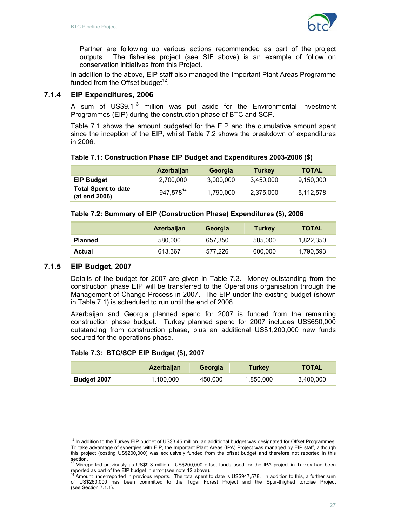

Partner are following up various actions recommended as part of the project outputs. The fisheries project (see SIF above) is an example of follow on conservation initiatives from this Project.

In addition to the above, EIP staff also managed the Important Plant Areas Programme funded from the Offset budget<sup>12</sup>.

## **7.1.4 EIP Expenditures, 2006**

A sum of US\$9.1<sup>13</sup> million was put aside for the Environmental Investment Programmes (EIP) during the construction phase of BTC and SCP.

Table 7.1 shows the amount budgeted for the EIP and the cumulative amount spent since the inception of the EIP, whilst Table 7.2 shows the breakdown of expenditures in 2006.

### **Table 7.1: Construction Phase EIP Budget and Expenditures 2003-2006 (\$)**

|                                             | <b>Azerbaijan</b>     | Georgia   | <b>Turkey</b> | <b>TOTAL</b> |
|---------------------------------------------|-----------------------|-----------|---------------|--------------|
| <b>EIP Budget</b>                           | 2,700,000             | 3.000.000 | 3.450.000     | 9,150,000    |
| <b>Total Spent to date</b><br>(at end 2006) | 947,578 <sup>14</sup> | 1,790,000 | 2,375,000     | 5,112,578    |

#### **Table 7.2: Summary of EIP (Construction Phase) Expenditures (\$), 2006**

|                | <b>Azerbaijan</b> | Georgia | <b>Turkey</b> | <b>TOTAL</b> |
|----------------|-------------------|---------|---------------|--------------|
| <b>Planned</b> | 580,000           | 657.350 | 585.000       | 1,822,350    |
| Actual         | 613.367           | 577.226 | 600.000       | 1,790,593    |

### **7.1.5 EIP Budget, 2007**

Details of the budget for 2007 are given in Table 7.3. Money outstanding from the construction phase EIP will be transferred to the Operations organisation through the Management of Change Process in 2007. The EIP under the existing budget (shown in Table 7.1) is scheduled to run until the end of 2008.

Azerbaijan and Georgia planned spend for 2007 is funded from the remaining construction phase budget. Turkey planned spend for 2007 includes US\$650,000 outstanding from construction phase, plus an additional US\$1,200,000 new funds secured for the operations phase.

#### **Table 7.3: BTC/SCP EIP Budget (\$), 2007**

|             | <b>Azerbaijan</b> | Georgia | <b>Turkey</b> | <b>TOTAL</b> |
|-------------|-------------------|---------|---------------|--------------|
| Budget 2007 | 1,100,000         | 450.000 | 1,850,000     | 3.400.000    |

 $\overline{a}$  $12$  In addition to the Turkey EIP budget of US\$3.45 million, an additional budget was designated for Offset Programmes. To take advantage of synergies with EIP, the Important Plant Areas (IPA) Project was managed by EIP staff, although this project (costing US\$200,000) was exclusively funded from the offset budget and therefore not reported in this section.<br><sup>13</sup> Misreported previously as US\$9.3 million. US\$200,000 offset funds used for the IPA project in Turkey had been

reported as part of the EIP budget in error (see note 12 above).<br><sup>14</sup> Amount underreported in previous reports. The total spent to date is US\$947,578. In addition to this, a further sum

of US\$260,000 has been committed to the Tugai Forest Project and the Spur-thighed tortoise Project (see Section 7.1.1).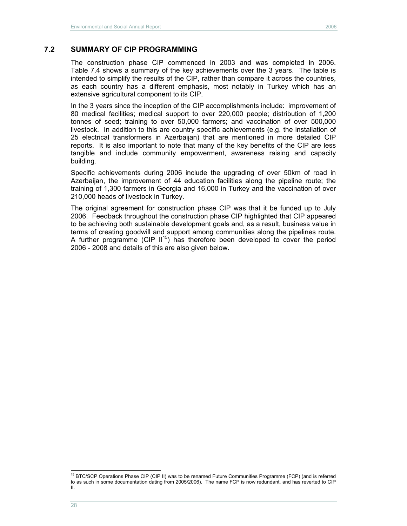## **7.2 SUMMARY OF CIP PROGRAMMING**

The construction phase CIP commenced in 2003 and was completed in 2006. Table 7.4 shows a summary of the key achievements over the 3 years. The table is intended to simplify the results of the CIP, rather than compare it across the countries, as each country has a different emphasis, most notably in Turkey which has an extensive agricultural component to its CIP.

In the 3 years since the inception of the CIP accomplishments include: improvement of 80 medical facilities; medical support to over 220,000 people; distribution of 1,200 tonnes of seed; training to over 50,000 farmers; and vaccination of over 500,000 livestock. In addition to this are country specific achievements (e.g. the installation of 25 electrical transformers in Azerbaijan) that are mentioned in more detailed CIP reports. It is also important to note that many of the key benefits of the CIP are less tangible and include community empowerment, awareness raising and capacity building.

Specific achievements during 2006 include the upgrading of over 50km of road in Azerbaijan, the improvement of 44 education facilities along the pipeline route; the training of 1,300 farmers in Georgia and 16,000 in Turkey and the vaccination of over 210,000 heads of livestock in Turkey.

The original agreement for construction phase CIP was that it be funded up to July 2006. Feedback throughout the construction phase CIP highlighted that CIP appeared to be achieving both sustainable development goals and, as a result, business value in terms of creating goodwill and support among communities along the pipelines route. A further programme (CIP  $II^{15}$ ) has therefore been developed to cover the period 2006 - 2008 and details of this are also given below.

 $\overline{a}$ 

<sup>&</sup>lt;sup>15</sup> BTC/SCP Operations Phase CIP (CIP II) was to be renamed Future Communities Programme (FCP) (and is referred to as such in some documentation dating from 2005/2006). The name FCP is now redundant, and has reverted to CIP II.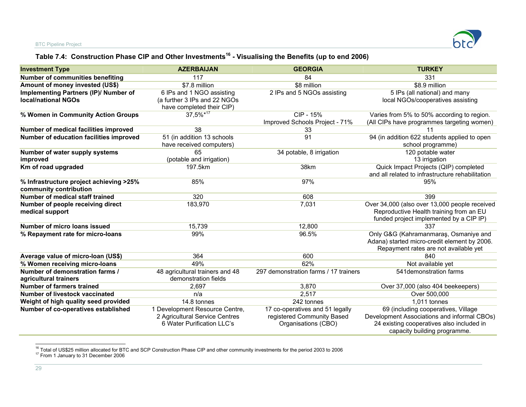# **Table 7.4: Construction Phase CIP and Other Investments16 - Visualising the Benefits (up to end 2006)**

| <b>Investment Type</b>                                              | <b>AZERBAIJAN</b>                                                                              | <b>GEORGIA</b>                                                                       | <b>TURKEY</b>                                                                                                                                                   |
|---------------------------------------------------------------------|------------------------------------------------------------------------------------------------|--------------------------------------------------------------------------------------|-----------------------------------------------------------------------------------------------------------------------------------------------------------------|
| <b>Number of communities benefiting</b>                             | 117                                                                                            | 84                                                                                   | 331                                                                                                                                                             |
| Amount of money invested (US\$)                                     | \$7.8 million                                                                                  | \$8 million                                                                          | \$8.9 million                                                                                                                                                   |
| Implementing Partners (IP)/ Number of<br><b>local/national NGOs</b> | 6 IPs and 1 NGO assisting<br>(a further 3 IPs and 22 NGOs<br>have completed their CIP)         | 2 IPs and 5 NGOs assisting                                                           | 5 IPs (all national) and many<br>local NGOs/cooperatives assisting                                                                                              |
| % Women in Community Action Groups                                  | 37,5%*17                                                                                       | CIP - 15%<br>Improved Schools Project - 71%                                          | Varies from 5% to 50% according to region.<br>(All CIPs have programmes targeting women)                                                                        |
| Number of medical facilities improved                               | 38                                                                                             | 33                                                                                   | 11                                                                                                                                                              |
| Number of education facilities improved                             | 51 (in addition 13 schools<br>have received computers)                                         | 91                                                                                   | 94 (in addition 622 students applied to open<br>school programme)                                                                                               |
| Number of water supply systems<br>improved                          | 65<br>(potable and irrigation)                                                                 | 34 potable, 8 irrigation                                                             | 120 potable water<br>13 irrigation                                                                                                                              |
| Km of road upgraded                                                 | 197.5km                                                                                        | 38km                                                                                 | Quick Impact Projects (QIP) completed<br>and all related to infrastructure rehabilitation                                                                       |
| % Infrastructure project achieving >25%<br>community contribution   | 85%                                                                                            | 97%                                                                                  | 95%                                                                                                                                                             |
| Number of medical staff trained                                     | 320                                                                                            | 608                                                                                  | 399                                                                                                                                                             |
| Number of people receiving direct<br>medical support                | 183,970                                                                                        | 7,031                                                                                | Over 34,000 (also over 13,000 people received<br>Reproductive Health training from an EU<br>funded project implemented by a CIP IP)                             |
| Number of micro loans issued                                        | 15,739                                                                                         | 12,800                                                                               | 337                                                                                                                                                             |
| % Repayment rate for micro-loans                                    | 99%                                                                                            | 96.5%                                                                                | Only G&G (Kahramanmaraş, Osmaniye and<br>Adana) started micro-credit element by 2006.<br>Repayment rates are not available yet                                  |
| Average value of micro-loan (US\$)                                  | 364                                                                                            | 600                                                                                  | 840                                                                                                                                                             |
| % Women receiving micro-loans                                       | 49%                                                                                            | 62%                                                                                  | Not available yet                                                                                                                                               |
| Number of demonstration farms /<br>agricultural trainers            | 48 agricultural trainers and 48<br>demonstration fields                                        | 297 demonstration farms / 17 trainers                                                | 541 demonstration farms                                                                                                                                         |
| Number of farmers trained                                           | 2,697                                                                                          | 3,870                                                                                | Over 37,000 (also 404 beekeepers)                                                                                                                               |
| Number of livestock vaccinated                                      | n/a                                                                                            | 2,517                                                                                | Over 500,000                                                                                                                                                    |
| Weight of high quality seed provided                                | 14.8 tonnes                                                                                    | 242 tonnes                                                                           | 1,011 tonnes                                                                                                                                                    |
| Number of co-operatives established                                 | 1 Development Resource Centre,<br>2 Agricultural Service Centres<br>6 Water Purification LLC's | 17 co-operatives and 51 legally<br>registered Community Based<br>Organisations (CBO) | 69 (including cooperatives, Village<br>Development Associations and informal CBOs)<br>24 existing cooperatives also included in<br>capacity building programme. |

<sup>16</sup> Total of US\$25 million allocated for BTC and SCP Construction Phase CIP and other community investments for the period 2003 to 2006<br><sup>17</sup> From 1 January to 31 December 2006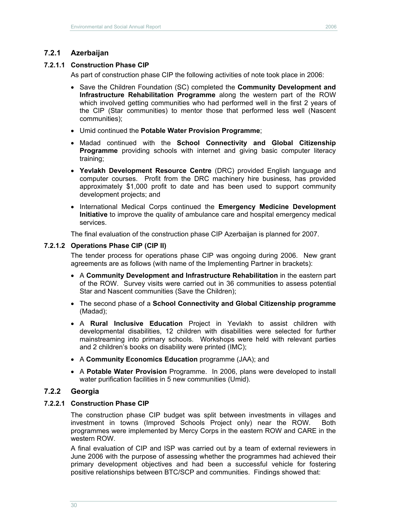## **7.2.1 Azerbaijan**

### **7.2.1.1 Construction Phase CIP**

As part of construction phase CIP the following activities of note took place in 2006:

- Save the Children Foundation (SC) completed the **Community Development and Infrastructure Rehabilitation Programme** along the western part of the ROW which involved getting communities who had performed well in the first 2 years of the CIP (Star communities) to mentor those that performed less well (Nascent communities);
- Umid continued the **Potable Water Provision Programme**;
- Madad continued with the **School Connectivity and Global Citizenship Programme** providing schools with internet and giving basic computer literacy training;
- **Yevlakh Development Resource Centre** (DRC) provided English language and computer courses. Profit from the DRC machinery hire business, has provided approximately \$1,000 profit to date and has been used to support community development projects; and
- International Medical Corps continued the **Emergency Medicine Development Initiative** to improve the quality of ambulance care and hospital emergency medical services.

The final evaluation of the construction phase CIP Azerbaijan is planned for 2007.

### **7.2.1.2 Operations Phase CIP (CIP II)**

The tender process for operations phase CIP was ongoing during 2006. New grant agreements are as follows (with name of the Implementing Partner in brackets):

- A **Community Development and Infrastructure Rehabilitation** in the eastern part of the ROW. Survey visits were carried out in 36 communities to assess potential Star and Nascent communities (Save the Children);
- The second phase of a **School Connectivity and Global Citizenship programme** (Madad);
- A **Rural Inclusive Education** Project in Yevlakh to assist children with developmental disabilities, 12 children with disabilities were selected for further mainstreaming into primary schools. Workshops were held with relevant parties and 2 children's books on disability were printed (IMC);
- A **Community Economics Education** programme (JAA); and
- A **Potable Water Provision** Programme. In 2006, plans were developed to install water purification facilities in 5 new communities (Umid).

## **7.2.2 Georgia**

### **7.2.2.1 Construction Phase CIP**

The construction phase CIP budget was split between investments in villages and investment in towns (Improved Schools Project only) near the ROW. Both programmes were implemented by Mercy Corps in the eastern ROW and CARE in the western ROW.

A final evaluation of CIP and ISP was carried out by a team of external reviewers in June 2006 with the purpose of assessing whether the programmes had achieved their primary development objectives and had been a successful vehicle for fostering positive relationships between BTC/SCP and communities. Findings showed that: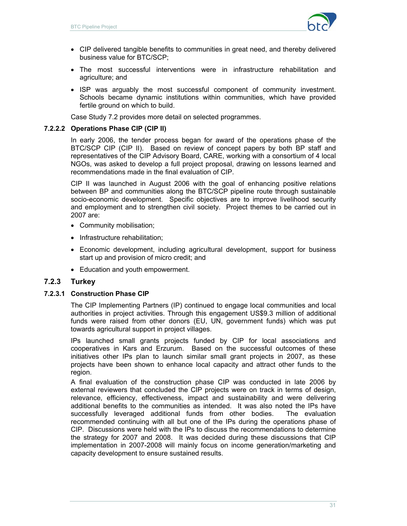

- CIP delivered tangible benefits to communities in great need, and thereby delivered business value for BTC/SCP;
- The most successful interventions were in infrastructure rehabilitation and agriculture; and
- ISP was arguably the most successful component of community investment. Schools became dynamic institutions within communities, which have provided fertile ground on which to build.

Case Study 7.2 provides more detail on selected programmes.

### **7.2.2.2 Operations Phase CIP (CIP II)**

In early 2006, the tender process began for award of the operations phase of the BTC/SCP CIP (CIP II). Based on review of concept papers by both BP staff and representatives of the CIP Advisory Board, CARE, working with a consortium of 4 local NGOs, was asked to develop a full project proposal, drawing on lessons learned and recommendations made in the final evaluation of CIP.

CIP II was launched in August 2006 with the goal of enhancing positive relations between BP and communities along the BTC/SCP pipeline route through sustainable socio-economic development. Specific objectives are to improve livelihood security and employment and to strengthen civil society. Project themes to be carried out in 2007 are:

- Community mobilisation;
- Infrastructure rehabilitation;
- Economic development, including agricultural development, support for business start up and provision of micro credit; and
- Education and youth empowerment.

## **7.2.3 Turkey**

### **7.2.3.1 Construction Phase CIP**

The CIP Implementing Partners (IP) continued to engage local communities and local authorities in project activities. Through this engagement US\$9.3 million of additional funds were raised from other donors (EU, UN, government funds) which was put towards agricultural support in project villages.

IPs launched small grants projects funded by CIP for local associations and cooperatives in Kars and Erzurum. Based on the successful outcomes of these initiatives other IPs plan to launch similar small grant projects in 2007, as these projects have been shown to enhance local capacity and attract other funds to the region.

A final evaluation of the construction phase CIP was conducted in late 2006 by external reviewers that concluded the CIP projects were on track in terms of design, relevance, efficiency, effectiveness, impact and sustainability and were delivering additional benefits to the communities as intended. It was also noted the IPs have successfully leveraged additional funds from other bodies. The evaluation recommended continuing with all but one of the IPs during the operations phase of CIP. Discussions were held with the IPs to discuss the recommendations to determine the strategy for 2007 and 2008. It was decided during these discussions that CIP implementation in 2007-2008 will mainly focus on income generation/marketing and capacity development to ensure sustained results.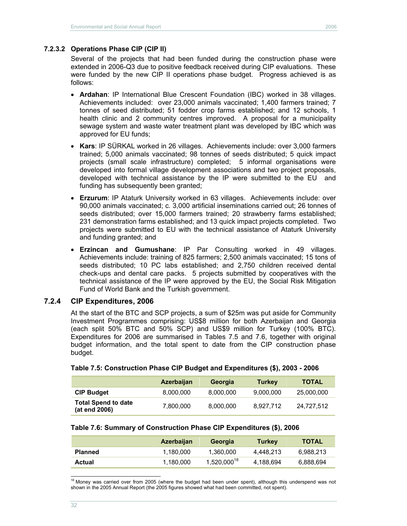Several of the projects that had been funded during the construction phase were extended in 2006-Q3 due to positive feedback received during CIP evaluations. These were funded by the new CIP II operations phase budget. Progress achieved is as follows:

- **Ardahan**: IP International Blue Crescent Foundation (IBC) worked in 38 villages. Achievements included: over 23,000 animals vaccinated; 1,400 farmers trained; 7 tonnes of seed distributed; 51 fodder crop farms established; and 12 schools, 1 health clinic and 2 community centres improved. A proposal for a municipality sewage system and waste water treatment plant was developed by IBC which was approved for EU funds;
- **Kars**: IP SÜRKAL worked in 26 villages. Achievements include: over 3,000 farmers trained; 5,000 animals vaccinated; 98 tonnes of seeds distributed; 5 quick impact projects (small scale infrastructure) completed; 5 informal organisations were developed into formal village development associations and two project proposals, developed with technical assistance by the IP were submitted to the EU and funding has subsequently been granted;
- **Erzurum**: IP Ataturk University worked in 63 villages. Achievements include: over 90,000 animals vaccinated; c. 3,000 artificial inseminations carried out; 26 tonnes of seeds distributed; over 15,000 farmers trained; 20 strawberry farms established; 231 demonstration farms established; and 13 quick impact projects completed. Two projects were submitted to EU with the technical assistance of Ataturk University and funding granted; and
- **Erzincan and Gumushane**: IP Par Consulting worked in 49 villages. Achievements include: training of 825 farmers; 2,500 animals vaccinated; 15 tons of seeds distributed; 10 PC labs established; and 2,750 children received dental check-ups and dental care packs. 5 projects submitted by cooperatives with the technical assistance of the IP were approved by the EU, the Social Risk Mitigation Fund of World Bank and the Turkish government.

### **7.2.4 CIP Expenditures, 2006**

At the start of the BTC and SCP projects, a sum of \$25m was put aside for Community Investment Programmes comprising: US\$8 million for both Azerbaijan and Georgia (each split 50% BTC and 50% SCP) and US\$9 million for Turkey (100% BTC). Expenditures for 2006 are summarised in Tables 7.5 and 7.6, together with original budget information, and the total spent to date from the CIP construction phase budget.

|                                             | <b>Azerbaijan</b> | Georgia   | <b>Turkey</b> | <b>TOTAL</b> |
|---------------------------------------------|-------------------|-----------|---------------|--------------|
| <b>CIP Budget</b>                           | 8,000,000         | 8,000,000 | 9,000,000     | 25,000,000   |
| <b>Total Spend to date</b><br>(at end 2006) | 7,800,000         | 8,000,000 | 8.927.712     | 24,727,512   |

#### **Table 7.5: Construction Phase CIP Budget and Expenditures (\$), 2003 - 2006**

#### **Table 7.6: Summary of Construction Phase CIP Expenditures (\$), 2006**

|                | <b>Azerbaijan</b> | Georgia          | Turkey    | <b>TOTAL</b> |
|----------------|-------------------|------------------|-----------|--------------|
| <b>Planned</b> | 1.180.000         | 1.360.000        | 4.448.213 | 6.988.213    |
| Actual         | 1,180,000         | $1,520,000^{18}$ | 4,188,694 | 6,888,694    |

 $\overline{a}$ <sup>18</sup> Money was carried over from 2005 (where the budget had been under spent), although this underspend was not shown in the 2005 Annual Report (the 2005 figures showed what had been committed, not spent).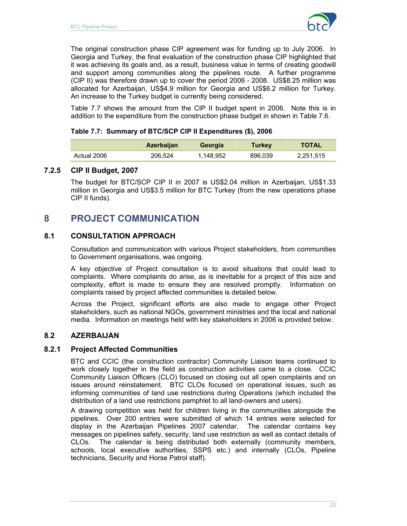

The original construction phase CIP agreement was for funding up to July 2006. In Georgia and Turkey, the final evaluation of the construction phase CIP highlighted that it was achieving its goals and, as a result, business value in terms of creating goodwill and support among communities along the pipelines route. A further programme (CIP II) was therefore drawn up to cover the period 2006 - 2008. US\$8.25 million was allocated for Azerbaijan, US\$4.9 million for Georgia and US\$6.2 million for Turkey. An increase to the Turkey budget is currently being considered.

Table 7.7 shows the amount from the CIP II budget spent in 2006. Note this is in addition to the expenditure from the construction phase budget in shown in Table 7.6.

#### **Table 7.7: Summary of BTC/SCP CIP II Expenditures (\$), 2006**

|             | <b>Azerbaijan</b> | Georgia   | Turkey  | <b>TOTAL</b> |
|-------------|-------------------|-----------|---------|--------------|
| Actual 2006 | 206.524           | 1,148,952 | 896.039 | 2,251,515    |

## **7.2.5 CIP II Budget, 2007**

The budget for BTC/SCP CIP II in 2007 is US\$2.04 million in Azerbaijan, US\$1.33 million in Georgia and US\$3.5 million for BTC Turkey (from the new operations phase CIP II funds).

# **8 PROJECT COMMUNICATION**

# **8.1 CONSULTATION APPROACH**

Consultation and communication with various Project stakeholders, from communities to Government organisations, was ongoing.

A key objective of Project consultation is to avoid situations that could lead to complaints. Where complaints do arise, as is inevitable for a project of this size and complexity, effort is made to ensure they are resolved promptly. Information on complaints raised by project affected communities is detailed below.

Across the Project, significant efforts are also made to engage other Project stakeholders, such as national NGOs, government ministries and the local and national media. Information on meetings held with key stakeholders in 2006 is provided below.

## **8.2 AZERBAIJAN**

## **8.2.1 Project Affected Communities**

BTC and CCIC (the construction contractor) Community Liaison teams continued to work closely together in the field as construction activities came to a close. CCIC Community Liaison Officers (CLO) focused on closing out all open complaints and on issues around reinstatement. BTC CLOs focused on operational issues, such as informing communities of land use restrictions during Operations (which included the distribution of a land use restrictions pamphlet to all land-owners and users).

A drawing competition was held for children living in the communities alongside the pipelines. Over 200 entries were submitted of which 14 entries were selected for display in the Azerbaijan Pipelines 2007 calendar. The calendar contains key messages on pipelines safety, security, land use restriction as well as contact details of CLOs. The calendar is being distributed both externally (community members, schools, local executive authorities, SSPS etc.) and internally (CLOs, Pipeline technicians, Security and Horse Patrol staff).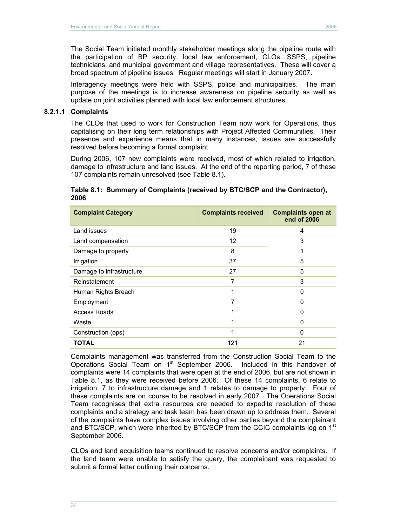The Social Team initiated monthly stakeholder meetings along the pipeline route with the participation of BP security, local law enforcement, CLOs, SSPS, pipeline technicians, and municipal government and village representatives. These will cover a broad spectrum of pipeline issues. Regular meetings will start in January 2007.

Interagency meetings were held with SSPS, police and municipalities. The main purpose of the meetings is to increase awareness on pipeline security as well as update on joint activities planned with local law enforcement structures.

#### **8.2.1.1 Complaints**

The CLOs that used to work for Construction Team now work for Operations, thus capitalising on their long term relationships with Project Affected Communities. Their presence and experience means that in many instances, issues are successfully resolved before becoming a formal complaint.

During 2006, 107 new complaints were received, most of which related to irrigation, damage to infrastructure and land issues. At the end of the reporting period, 7 of these 107 complaints remain unresolved (see Table 8.1).

#### **Table 8.1: Summary of Complaints (received by BTC/SCP and the Contractor), 2006**

| <b>Complaint Category</b> | <b>Complaints received</b> | <b>Complaints open at</b><br>end of 2006 |
|---------------------------|----------------------------|------------------------------------------|
| Land issues               | 19                         | 4                                        |
| Land compensation         | 12                         | 3                                        |
| Damage to property        | 8                          | 1                                        |
| Irrigation                | 37                         | 5                                        |
| Damage to infrastructure  | 27                         | 5                                        |
| Reinstatement             |                            | 3                                        |
| Human Rights Breach       | 1                          | 0                                        |
| Employment                | 7                          | 0                                        |
| Access Roads              |                            | 0                                        |
| Waste                     | 1                          | 0                                        |
| Construction (ops)        | 1                          | 0                                        |
| <b>TOTAL</b>              | 121                        | 21                                       |

Complaints management was transferred from the Construction Social Team to the Operations Social Team on 1<sup>st</sup> September 2006. Included in this handover of complaints were 14 complaints that were open at the end of 2006, but are not shown in Table 8.1, as they were received before 2006. Of these 14 complaints, 6 relate to irrigation, 7 to infrastructure damage and 1 relates to damage to property. Four of these complaints are on course to be resolved in early 2007. The Operations Social Team recognises that extra resources are needed to expedite resolution of these complaints and a strategy and task team has been drawn up to address them. Several of the complaints have complex issues involving other parties beyond the complainant and BTC/SCP, which were inherited by BTC/SCP from the CCIC complaints log on 1<sup>st</sup> September 2006.

CLOs and land acquisition teams continued to resolve concerns and/or complaints. If the land team were unable to satisfy the query, the complainant was requested to submit a formal letter outlining their concerns.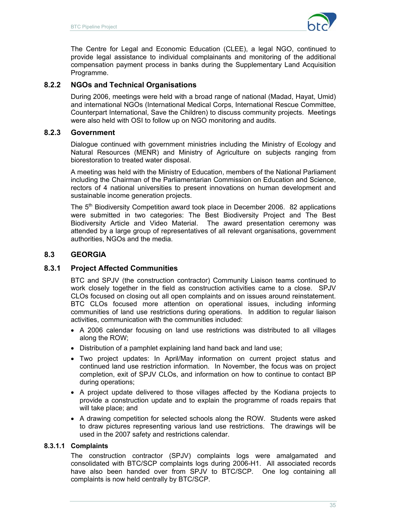

The Centre for Legal and Economic Education (CLEE), a legal NGO, continued to provide legal assistance to individual complainants and monitoring of the additional compensation payment process in banks during the Supplementary Land Acquisition Programme.

## **8.2.2 NGOs and Technical Organisations**

During 2006, meetings were held with a broad range of national (Madad, Hayat, Umid) and international NGOs (International Medical Corps, International Rescue Committee, Counterpart International, Save the Children) to discuss community projects. Meetings were also held with OSI to follow up on NGO monitoring and audits.

## **8.2.3 Government**

Dialogue continued with government ministries including the Ministry of Ecology and Natural Resources (MENR) and Ministry of Agriculture on subjects ranging from biorestoration to treated water disposal.

A meeting was held with the Ministry of Education, members of the National Parliament including the Chairman of the Parliamentarian Commission on Education and Science, rectors of 4 national universities to present innovations on human development and sustainable income generation projects.

The  $5<sup>th</sup>$  Biodiversity Competition award took place in December 2006. 82 applications were submitted in two categories: The Best Biodiversity Project and The Best Biodiversity Article and Video Material. The award presentation ceremony was attended by a large group of representatives of all relevant organisations, government authorities, NGOs and the media.

# **8.3 GEORGIA**

## **8.3.1 Project Affected Communities**

BTC and SPJV (the construction contractor) Community Liaison teams continued to work closely together in the field as construction activities came to a close. SPJV CLOs focused on closing out all open complaints and on issues around reinstatement. BTC CLOs focused more attention on operational issues, including informing communities of land use restrictions during operations. In addition to regular liaison activities, communication with the communities included:

- A 2006 calendar focusing on land use restrictions was distributed to all villages along the ROW;
- Distribution of a pamphlet explaining land hand back and land use;
- Two project updates: In April/May information on current project status and continued land use restriction information. In November, the focus was on project completion, exit of SPJV CLOs, and information on how to continue to contact BP during operations;
- A project update delivered to those villages affected by the Kodiana projects to provide a construction update and to explain the programme of roads repairs that will take place; and
- A drawing competition for selected schools along the ROW. Students were asked to draw pictures representing various land use restrictions. The drawings will be used in the 2007 safety and restrictions calendar.

### **8.3.1.1 Complaints**

The construction contractor (SPJV) complaints logs were amalgamated and consolidated with BTC/SCP complaints logs during 2006-H1. All associated records have also been handed over from SPJV to BTC/SCP. One log containing all complaints is now held centrally by BTC/SCP.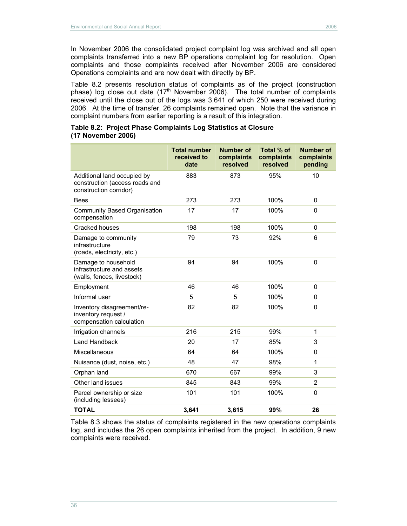In November 2006 the consolidated project complaint log was archived and all open complaints transferred into a new BP operations complaint log for resolution. Open complaints and those complaints received after November 2006 are considered Operations complaints and are now dealt with directly by BP.

Table 8.2 presents resolution status of complaints as of the project (construction phase) log close out date  $(17<sup>th</sup>$  November 2006). The total number of complaints received until the close out of the logs was 3,641 of which 250 were received during 2006. At the time of transfer, 26 complaints remained open. Note that the variance in complaint numbers from earlier reporting is a result of this integration.

#### **Table 8.2: Project Phase Complaints Log Statistics at Closure (17 November 2006)**

|                                                                                         | <b>Total number</b><br>received to<br>date | <b>Number of</b><br>complaints<br>resolved | Total % of<br>complaints<br>resolved | <b>Number of</b><br>complaints<br>pending |
|-----------------------------------------------------------------------------------------|--------------------------------------------|--------------------------------------------|--------------------------------------|-------------------------------------------|
| Additional land occupied by<br>construction (access roads and<br>construction corridor) | 883                                        | 873                                        | 95%                                  | 10                                        |
| <b>Bees</b>                                                                             | 273                                        | 273                                        | 100%                                 | 0                                         |
| Community Based Organisation<br>compensation                                            | 17                                         | 17                                         | 100%                                 | $\Omega$                                  |
| Cracked houses                                                                          | 198                                        | 198                                        | 100%                                 | 0                                         |
| Damage to community<br>infrastructure<br>(roads, electricity, etc.)                     | 79                                         | 73                                         | 92%                                  | 6                                         |
| Damage to household<br>infrastructure and assets<br>(walls, fences, livestock)          | 94                                         | 94                                         | 100%                                 | $\mathbf 0$                               |
| Employment                                                                              | 46                                         | 46                                         | 100%                                 | 0                                         |
| Informal user                                                                           | 5                                          | 5                                          | 100%                                 | $\Omega$                                  |
| Inventory disagreement/re-<br>inventory request /<br>compensation calculation           | 82                                         | 82                                         | 100%                                 | 0                                         |
| Irrigation channels                                                                     | 216                                        | 215                                        | 99%                                  | $\mathbf{1}$                              |
| <b>Land Handback</b>                                                                    | 20                                         | 17                                         | 85%                                  | 3                                         |
| Miscellaneous                                                                           | 64                                         | 64                                         | 100%                                 | $\Omega$                                  |
| Nuisance (dust, noise, etc.)                                                            | 48                                         | 47                                         | 98%                                  | $\mathbf{1}$                              |
| Orphan land                                                                             | 670                                        | 667                                        | 99%                                  | 3                                         |
| Other land issues                                                                       | 845                                        | 843                                        | 99%                                  | 2                                         |
| Parcel ownership or size<br>(including lessees)                                         | 101                                        | 101                                        | 100%                                 | $\Omega$                                  |
| <b>TOTAL</b>                                                                            | 3,641                                      | 3,615                                      | 99%                                  | 26                                        |

Table 8.3 shows the status of complaints registered in the new operations complaints log, and includes the 26 open complaints inherited from the project. In addition, 9 new complaints were received.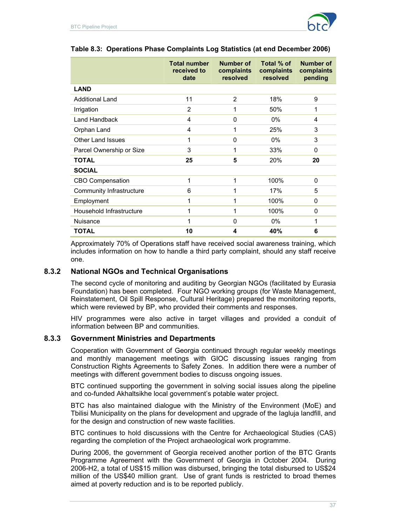

|                          | <b>Total number</b><br>received to<br>date | Number of<br>complaints<br>resolved | Total % of<br>complaints<br>resolved | <b>Number of</b><br>complaints<br>pending |
|--------------------------|--------------------------------------------|-------------------------------------|--------------------------------------|-------------------------------------------|
| <b>LAND</b>              |                                            |                                     |                                      |                                           |
| <b>Additional Land</b>   | 11                                         | $\overline{2}$                      | 18%                                  | 9                                         |
| Irrigation               | $\overline{2}$                             | 1                                   | 50%                                  | 1                                         |
| Land Handback            | 4                                          | 0                                   | 0%                                   | 4                                         |
| Orphan Land              | 4                                          | 1                                   | 25%                                  | 3                                         |
| <b>Other Land Issues</b> | 1                                          | 0                                   | $0\%$                                | 3                                         |
| Parcel Ownership or Size | 3                                          | 1                                   | 33%                                  | 0                                         |
| <b>TOTAL</b>             | 25                                         | 5                                   | 20%                                  | 20                                        |
| <b>SOCIAL</b>            |                                            |                                     |                                      |                                           |
| <b>CBO Compensation</b>  | 1                                          | 1                                   | 100%                                 | 0                                         |
| Community Infrastructure | 6                                          | 1                                   | 17%                                  | 5                                         |
| Employment               | 1                                          | 1                                   | 100%                                 | 0                                         |
| Household Infrastructure | 1                                          | 1                                   | 100%                                 | 0                                         |
| Nuisance                 | 1                                          | 0                                   | $0\%$                                | 1                                         |
| <b>TOTAL</b>             | 10                                         | 4                                   | 40%                                  | 6                                         |

### **Table 8.3: Operations Phase Complaints Log Statistics (at end December 2006)**

Approximately 70% of Operations staff have received social awareness training, which includes information on how to handle a third party complaint, should any staff receive one.

### **8.3.2 National NGOs and Technical Organisations**

The second cycle of monitoring and auditing by Georgian NGOs (facilitated by Eurasia Foundation) has been completed. Four NGO working groups (for Waste Management, Reinstatement, Oil Spill Response, Cultural Heritage) prepared the monitoring reports, which were reviewed by BP, who provided their comments and responses.

HIV programmes were also active in target villages and provided a conduit of information between BP and communities.

#### **8.3.3 Government Ministries and Departments**

Cooperation with Government of Georgia continued through regular weekly meetings and monthly management meetings with GIOC discussing issues ranging from Construction Rights Agreements to Safety Zones. In addition there were a number of meetings with different government bodies to discuss ongoing issues.

BTC continued supporting the government in solving social issues along the pipeline and co-funded Akhaltsikhe local government's potable water project.

BTC has also maintained dialogue with the Ministry of the Environment (MoE) and Tbilisi Municipality on the plans for development and upgrade of the Iagluja landfill, and for the design and construction of new waste facilities.

BTC continues to hold discussions with the Centre for Archaeological Studies (CAS) regarding the completion of the Project archaeological work programme.

During 2006, the government of Georgia received another portion of the BTC Grants Programme Agreement with the Government of Georgia in October 2004. During 2006-H2, a total of US\$15 million was disbursed, bringing the total disbursed to US\$24 million of the US\$40 million grant. Use of grant funds is restricted to broad themes aimed at poverty reduction and is to be reported publicly.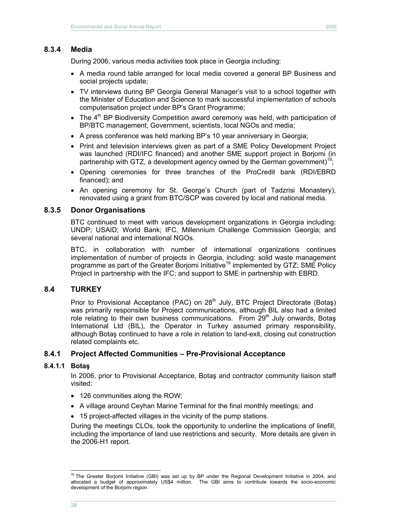## **8.3.4 Media**

During 2006, various media activities took place in Georgia including:

- A media round table arranged for local media covered a general BP Business and social projects update;
- TV interviews during BP Georgia General Manager's visit to a school together with the Minister of Education and Science to mark successful implementation of schools computerisation project under BP's Grant Programme;
- $\bullet$  The 4<sup>th</sup> BP Biodiversity Competition award ceremony was held, with participation of BP/BTC management, Government, scientists, local NGOs and media;
- A press conference was held marking BP's 10 year anniversary in Georgia;
- Print and television interviews given as part of a SME Policy Development Project was launched (RDI/IFC financed) and another SME support project in Borjomi (in partnership with GTZ, a development agency owned by the German government)<sup>19</sup>;
- Opening ceremonies for three branches of the ProCredit bank (RDI/EBRD financed); and
- An opening ceremony for St. George's Church (part of Tadzrisi Monastery), renovated using a grant from BTC/SCP was covered by local and national media.

#### **8.3.5 Donor Organisations**

BTC continued to meet with various development organizations in Georgia including: UNDP; USAID; World Bank; IFC, Millennium Challenge Commission Georgia; and several national and international NGOs.

BTC, in collaboration with number of international organizations continues implementation of number of projects in Georgia, including: solid waste management programme as part of the Greater Borjomi Initiative<sup>19</sup> implemented by GTZ; SME Policy Project in partnership with the IFC; and support to SME in partnership with EBRD.

### **8.4 TURKEY**

Prior to Provisional Acceptance (PAC) on 28<sup>th</sup> July, BTC Project Directorate (Botaş) was primarily responsible for Project communications, although BIL also had a limited role relating to their own business communications. From  $29<sup>th</sup>$  July onwards, Botas International Ltd (BIL), the Operator in Turkey assumed primary responsibility, although Botaş continued to have a role in relation to land-exit, closing out construction related complaints etc.

### **8.4.1 Project Affected Communities – Pre-Provisional Acceptance**

#### **8.4.1.1 Botaş**

In 2006, prior to Provisional Acceptance, Botaş and contractor community liaison staff visited:

- 126 communities along the ROW;
- A village around Ceyhan Marine Terminal for the final monthly meetings; and
- 15 project-affected villages in the vicinity of the pump stations.

During the meetings CLOs, took the opportunity to underline the implications of linefill, including the importance of land use restrictions and security. More details are given in the 2006-H1 report.

 $\overline{a}$ <sup>19</sup> The Greater Borjomi Initiative (GBI) was set up by BP under the Regional Development Initiative in 2004, and allocated a budget of approximately US\$4 million. The GBI aims to contribute towards the socio-economic development of the Borjomi region.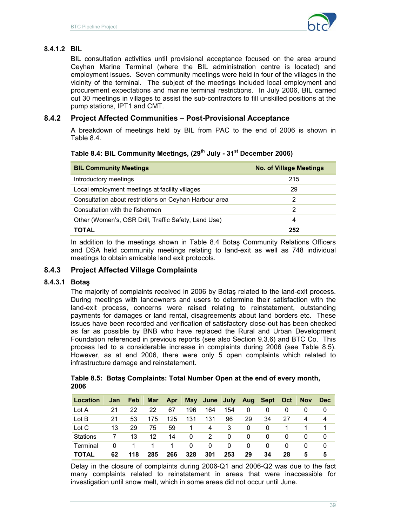

## **8.4.1.2 BIL**

BIL consultation activities until provisional acceptance focused on the area around Ceyhan Marine Terminal (where the BIL administration centre is located) and employment issues. Seven community meetings were held in four of the villages in the vicinity of the terminal. The subject of the meetings included local employment and procurement expectations and marine terminal restrictions. In July 2006, BIL carried out 30 meetings in villages to assist the sub-contractors to fill unskilled positions at the pump stations, IPT1 and CMT.

## **8.4.2 Project Affected Communities – Post-Provisional Acceptance**

A breakdown of meetings held by BIL from PAC to the end of 2006 is shown in Table 8.4.

## **Table 8.4: BIL Community Meetings, (29th July - 31st December 2006)**

| <b>BIL Community Meetings</b>                          | <b>No. of Village Meetings</b> |
|--------------------------------------------------------|--------------------------------|
| Introductory meetings                                  | 215                            |
| Local employment meetings at facility villages         | 29                             |
| Consultation about restrictions on Ceyhan Harbour area | 2                              |
| Consultation with the fishermen                        | 2                              |
| Other (Women's, OSR Drill, Traffic Safety, Land Use)   | 4                              |
| <b>TOTAL</b>                                           | 252                            |

In addition to the meetings shown in Table 8.4 Botaş Community Relations Officers and DSA held community meetings relating to land-exit as well as 748 individual meetings to obtain amicable land exit protocols.

## **8.4.3 Project Affected Village Complaints**

### **8.4.3.1 Botaş**

The majority of complaints received in 2006 by Botaş related to the land-exit process. During meetings with landowners and users to determine their satisfaction with the land-exit process, concerns were raised relating to reinstatement, outstanding payments for damages or land rental, disagreements about land borders etc. These issues have been recorded and verification of satisfactory close-out has been checked as far as possible by BNB who have replaced the Rural and Urban Development Foundation referenced in previous reports (see also Section 9.3.6) and BTC Co. This process led to a considerable increase in complaints during 2006 (see Table 8.5). However, as at end 2006, there were only 5 open complaints which related to infrastructure damage and reinstatement.

|      |  |  | Table 8.5: Botas Complaints: Total Number Open at the end of every month, |
|------|--|--|---------------------------------------------------------------------------|
| 2006 |  |  |                                                                           |

| Location     | Jan | <b>Feb</b> | <b>Mar</b> | Apr |     | May June July |     |    | Aug Sept Oct |          | <b>Nov</b> | <b>Dec</b> |
|--------------|-----|------------|------------|-----|-----|---------------|-----|----|--------------|----------|------------|------------|
| Lot A        | 21  | 22         | 22         | 67  | 196 | 164           | 154 | 0  | $\Omega$     | $\Omega$ |            | $\Omega$   |
| Lot B        | 21  | 53         | 175        | 125 | 131 | 131           | 96  | 29 | 34           | 27       | 4          | 4          |
| Lot C        | 13  | 29         | 75         | 59  |     | 4             | 3   | 0  | $\Omega$     |          |            |            |
| Stations     |     | 13         | 12         | 14  | 0   | 2             | 0   | 0  | 0            | 0        |            | $\Omega$   |
| Terminal     | 0   |            |            |     | 0   | $\Omega$      | 0   | 0  | 0            | 0        | 0          | $\Omega$   |
| <b>TOTAL</b> | 62  | 118        | 285        | 266 | 328 | 301           | 253 | 29 | 34           | 28       | 5          | 5          |

Delay in the closure of complaints during 2006-Q1 and 2006-Q2 was due to the fact many complaints related to reinstatement in areas that were inaccessible for investigation until snow melt, which in some areas did not occur until June.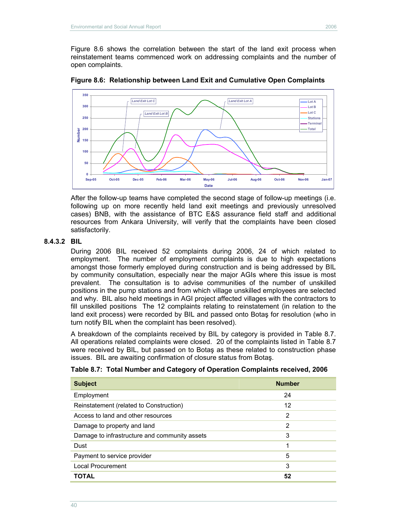Figure 8.6 shows the correlation between the start of the land exit process when reinstatement teams commenced work on addressing complaints and the number of open complaints.



**Figure 8.6: Relationship between Land Exit and Cumulative Open Complaints** 

After the follow-up teams have completed the second stage of follow-up meetings (i.e. following up on more recently held land exit meetings and previously unresolved cases) BNB, with the assistance of BTC E&S assurance field staff and additional resources from Ankara University, will verify that the complaints have been closed satisfactorily.

#### **8.4.3.2 BIL**

During 2006 BIL received 52 complaints during 2006, 24 of which related to employment. The number of employment complaints is due to high expectations amongst those formerly employed during construction and is being addressed by BIL by community consultation, especially near the major AGIs where this issue is most prevalent. The consultation is to advise communities of the number of unskilled positions in the pump stations and from which village unskilled employees are selected and why. BIL also held meetings in AGI project affected villages with the contractors to fill unskilled positions The 12 complaints relating to reinstatement (in relation to the land exit process) were recorded by BIL and passed onto Botaş for resolution (who in turn notify BIL when the complaint has been resolved).

A breakdown of the complaints received by BIL by category is provided in Table 8.7. All operations related complaints were closed. 20 of the complaints listed in Table 8.7 were received by BIL, but passed on to Botaş as these related to construction phase issues. BIL are awaiting confirmation of closure status from Botaş.

| <b>Subject</b>                                | <b>Number</b>  |
|-----------------------------------------------|----------------|
| Employment                                    | 24             |
| Reinstatement (related to Construction)       | 12             |
| Access to land and other resources            | $\overline{2}$ |
| Damage to property and land                   | 2              |
| Damage to infrastructure and community assets | 3              |
| Dust                                          | 1              |
| Payment to service provider                   | 5              |
| Local Procurement                             | 3              |
| <b>TOTAL</b>                                  | 52             |

**Table 8.7: Total Number and Category of Operation Complaints received, 2006**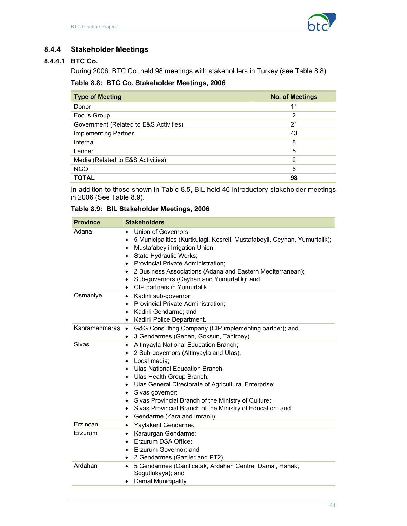

# **8.4.4 Stakeholder Meetings**

# **8.4.4.1 BTC Co.**

During 2006, BTC Co. held 98 meetings with stakeholders in Turkey (see Table 8.8).

### **Table 8.8: BTC Co. Stakeholder Meetings, 2006**

| <b>Type of Meeting</b>                 | <b>No. of Meetings</b> |
|----------------------------------------|------------------------|
| Donor                                  | 11                     |
| Focus Group                            | 2                      |
| Government (Related to E&S Activities) | 21                     |
| Implementing Partner                   | 43                     |
| Internal                               | 8                      |
| Lender                                 | 5                      |
| Media (Related to E&S Activities)      | $\overline{2}$         |
| <b>NGO</b>                             | 6                      |
| <b>TOTAL</b>                           | 98                     |

In addition to those shown in Table 8.5, BIL held 46 introductory stakeholder meetings in 2006 (See Table 8.9).

# **Table 8.9: BIL Stakeholder Meetings, 2006**

| <b>Province</b> | <b>Stakeholders</b>                                                                                                                                                                                                                                                                                                                                                                                                                                                                   |
|-----------------|---------------------------------------------------------------------------------------------------------------------------------------------------------------------------------------------------------------------------------------------------------------------------------------------------------------------------------------------------------------------------------------------------------------------------------------------------------------------------------------|
| Adana           | Union of Governors;<br>$\bullet$<br>5 Municipalities (Kurtkulagi, Kosreli, Mustafabeyli, Ceyhan, Yumurtalik);<br>$\bullet$<br>Mustafabeyli Irrigation Union;<br>$\bullet$<br>State Hydraulic Works;<br>$\bullet$<br>Provincial Private Administration;<br>$\bullet$<br>2 Business Associations (Adana and Eastern Mediterranean);<br>٠<br>Sub-governors (Ceyhan and Yumurtalik); and<br>$\bullet$<br>CIP partners in Yumurtalik.<br>$\bullet$                                         |
| Osmaniye        | Kadirli sub-governor;<br>$\bullet$<br>Provincial Private Administration;<br>٠<br>Kadirli Gendarme; and<br>$\bullet$<br>Kadirli Police Department.<br>$\bullet$                                                                                                                                                                                                                                                                                                                        |
| Kahramanmaraş   | G&G Consulting Company (CIP implementing partner); and<br>$\bullet$<br>3 Gendarmes (Geben, Goksun, Tahirbey).<br>$\bullet$                                                                                                                                                                                                                                                                                                                                                            |
| Sivas           | Altinyayla National Education Branch;<br>$\bullet$<br>2 Sub-governors (Altinyayla and Ulas);<br>٠<br>Local media;<br>٠<br>Ulas National Education Branch;<br>$\bullet$<br>Ulas Health Group Branch;<br>$\bullet$<br>• Ulas General Directorate of Agricultural Enterprise;<br>Sivas governor;<br>$\bullet$<br>Sivas Provincial Branch of the Ministry of Culture;<br>٠<br>Sivas Provincial Branch of the Ministry of Education; and<br>٠<br>Gendarme (Zara and Imranli).<br>$\bullet$ |
| Erzincan        | Yaylakent Gendarme.<br>$\bullet$                                                                                                                                                                                                                                                                                                                                                                                                                                                      |
| Erzurum         | Karaurgan Gendarme;<br>$\bullet$<br>Erzurum DSA Office;<br>$\bullet$<br>Erzurum Governor; and<br>$\bullet$<br>2 Gendarmes (Gaziler and PT2).<br>$\bullet$                                                                                                                                                                                                                                                                                                                             |
| Ardahan         | 5 Gendarmes (Camlicatak, Ardahan Centre, Damal, Hanak,<br>$\bullet$<br>Sogutlukaya); and<br>Damal Municipality.<br>$\bullet$                                                                                                                                                                                                                                                                                                                                                          |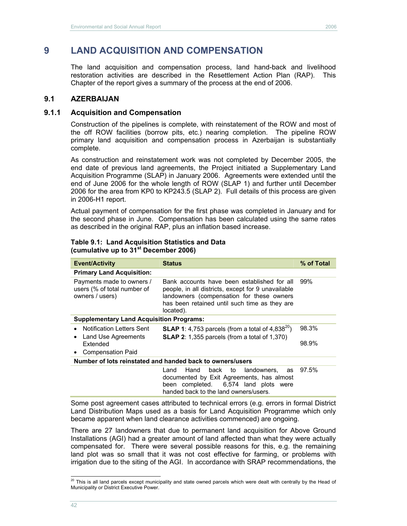# **9 LAND ACQUISITION AND COMPENSATION**

The land acquisition and compensation process, land hand-back and livelihood restoration activities are described in the Resettlement Action Plan (RAP). This Chapter of the report gives a summary of the process at the end of 2006.

## **9.1 AZERBAIJAN**

### **9.1.1 Acquisition and Compensation**

Construction of the pipelines is complete, with reinstatement of the ROW and most of the off ROW facilities (borrow pits, etc.) nearing completion. The pipeline ROW primary land acquisition and compensation process in Azerbaijan is substantially complete.

As construction and reinstatement work was not completed by December 2005, the end date of previous land agreements, the Project initiated a Supplementary Land Acquisition Programme (SLAP) in January 2006. Agreements were extended until the end of June 2006 for the whole length of ROW (SLAP 1) and further until December 2006 for the area from KP0 to KP243.5 (SLAP 2). Full details of this process are given in 2006-H1 report.

Actual payment of compensation for the first phase was completed in January and for the second phase in June. Compensation has been calculated using the same rates as described in the original RAP, plus an inflation based increase.

| <b>Table 9.1: Land Acquisition Statistics and Data</b> |
|--------------------------------------------------------|
| (cumulative up to 31 <sup>st</sup> December 2006)      |

| <b>Event/Activity</b>                                                       | <b>Status</b>                                                                                                                                                                                                | % of Total |
|-----------------------------------------------------------------------------|--------------------------------------------------------------------------------------------------------------------------------------------------------------------------------------------------------------|------------|
| <b>Primary Land Acquisition:</b>                                            |                                                                                                                                                                                                              |            |
| Payments made to owners /<br>users (% of total number of<br>owners / users) | Bank accounts have been established for all<br>people, in all districts, except for 9 unavailable<br>landowners (compensation for these owners<br>has been retained until such time as they are<br>located). | 99%        |
| <b>Supplementary Land Acquisition Programs:</b>                             |                                                                                                                                                                                                              |            |
| <b>Notification Letters Sent</b><br>$\bullet$                               | <b>SLAP 1:</b> 4,753 parcels (from a total of 4,838 <sup>20</sup> )                                                                                                                                          | 98.3%      |
| Land Use Agreements<br>٠                                                    | <b>SLAP 2:</b> 1,355 parcels (from a total of 1,370)                                                                                                                                                         |            |
| Extended                                                                    |                                                                                                                                                                                                              | 98.9%      |
| <b>Compensation Paid</b><br>$\bullet$                                       |                                                                                                                                                                                                              |            |
|                                                                             | Number of lots reinstated and handed back to owners/users                                                                                                                                                    |            |
|                                                                             | landowners.<br>Hand<br>back<br>to<br>Land<br>as<br>documented by Exit Agreements, has almost                                                                                                                 | 97.5%      |

been completed. 6,574 land plots were handed back to the land owners/users. Some post agreement cases attributed to technical errors (e.g. errors in formal District

Land Distribution Maps used as a basis for Land Acquisition Programme which only became apparent when land clearance activities commenced) are ongoing.

There are 27 landowners that due to permanent land acquisition for Above Ground Installations (AGI) had a greater amount of land affected than what they were actually compensated for. There were several possible reasons for this, e.g. the remaining land plot was so small that it was not cost effective for farming, or problems with irrigation due to the siting of the AGI. In accordance with SRAP recommendations, the

 $\overline{a}$ 

 $^{20}$  This is all land parcels except municipality and state owned parcels which were dealt with centrally by the Head of Municipality or District Executive Power.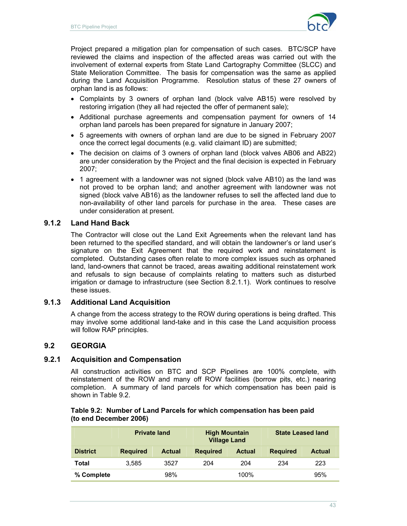

Project prepared a mitigation plan for compensation of such cases. BTC/SCP have reviewed the claims and inspection of the affected areas was carried out with the involvement of external experts from State Land Cartography Committee (SLCC) and State Melioration Committee. The basis for compensation was the same as applied during the Land Acquisition Programme. Resolution status of these 27 owners of orphan land is as follows:

- Complaints by 3 owners of orphan land (block valve AB15) were resolved by restoring irrigation (they all had rejected the offer of permanent sale);
- Additional purchase agreements and compensation payment for owners of 14 orphan land parcels has been prepared for signature in January 2007;
- 5 agreements with owners of orphan land are due to be signed in February 2007 once the correct legal documents (e.g. valid claimant ID) are submitted;
- The decision on claims of 3 owners of orphan land (block valves AB06 and AB22) are under consideration by the Project and the final decision is expected in February 2007;
- 1 agreement with a landowner was not signed (block valve AB10) as the land was not proved to be orphan land; and another agreement with landowner was not signed (block valve AB16) as the landowner refuses to sell the affected land due to non-availability of other land parcels for purchase in the area. These cases are under consideration at present.

## **9.1.2 Land Hand Back**

The Contractor will close out the Land Exit Agreements when the relevant land has been returned to the specified standard, and will obtain the landowner's or land user's signature on the Exit Agreement that the required work and reinstatement is completed. Outstanding cases often relate to more complex issues such as orphaned land, land-owners that cannot be traced, areas awaiting additional reinstatement work and refusals to sign because of complaints relating to matters such as disturbed irrigation or damage to infrastructure (see Section 8.2.1.1). Work continues to resolve these issues.

## **9.1.3 Additional Land Acquisition**

A change from the access strategy to the ROW during operations is being drafted. This may involve some additional land-take and in this case the Land acquisition process will follow RAP principles.

# **9.2 GEORGIA**

## **9.2.1 Acquisition and Compensation**

All construction activities on BTC and SCP Pipelines are 100% complete, with reinstatement of the ROW and many off ROW facilities (borrow pits, etc.) nearing completion. A summary of land parcels for which compensation has been paid is shown in Table 9.2.

#### **Table 9.2: Number of Land Parcels for which compensation has been paid (to end December 2006)**

|                 | <b>Private land</b> |               | <b>High Mountain</b><br><b>Village Land</b> |               | <b>State Leased land</b> |               |  |
|-----------------|---------------------|---------------|---------------------------------------------|---------------|--------------------------|---------------|--|
| <b>District</b> | <b>Required</b>     | <b>Actual</b> | <b>Required</b>                             | <b>Actual</b> | <b>Required</b>          | <b>Actual</b> |  |
| Total           | 3.585               | 3527          | 204                                         | 204           | 234                      | 223           |  |
| % Complete      |                     | 98%           |                                             | 100%          |                          | 95%           |  |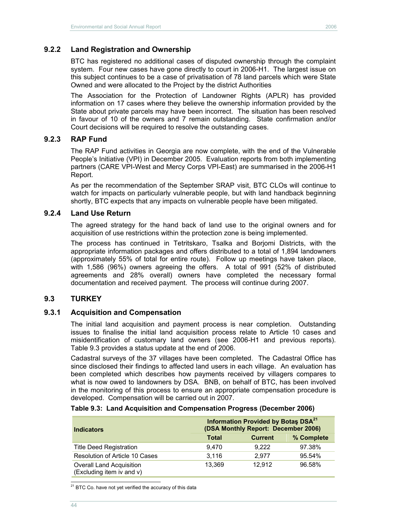## **9.2.2 Land Registration and Ownership**

BTC has registered no additional cases of disputed ownership through the complaint system. Four new cases have gone directly to court in 2006-H1. The largest issue on this subject continues to be a case of privatisation of 78 land parcels which were State Owned and were allocated to the Project by the district Authorities

The Association for the Protection of Landowner Rights (APLR) has provided information on 17 cases where they believe the ownership information provided by the State about private parcels may have been incorrect. The situation has been resolved in favour of 10 of the owners and 7 remain outstanding. State confirmation and/or Court decisions will be required to resolve the outstanding cases.

### **9.2.3 RAP Fund**

The RAP Fund activities in Georgia are now complete, with the end of the Vulnerable People's Initiative (VPI) in December 2005. Evaluation reports from both implementing partners (CARE VPI-West and Mercy Corps VPI-East) are summarised in the 2006-H1 Report.

As per the recommendation of the September SRAP visit, BTC CLOs will continue to watch for impacts on particularly vulnerable people, but with land handback beginning shortly, BTC expects that any impacts on vulnerable people have been mitigated.

#### **9.2.4 Land Use Return**

The agreed strategy for the hand back of land use to the original owners and for acquisition of use restrictions within the protection zone is being implemented.

The process has continued in Tetritskaro, Tsalka and Borjomi Districts, with the appropriate information packages and offers distributed to a total of 1,894 landowners (approximately 55% of total for entire route). Follow up meetings have taken place, with 1,586 (96%) owners agreeing the offers. A total of 991 (52% of distributed agreements and 28% overall) owners have completed the necessary formal documentation and received payment. The process will continue during 2007.

#### **9.3 TURKEY**

#### **9.3.1 Acquisition and Compensation**

The initial land acquisition and payment process is near completion. Outstanding issues to finalise the initial land acquisition process relate to Article 10 cases and misidentification of customary land owners (see 2006-H1 and previous reports). Table 9.3 provides a status update at the end of 2006.

Cadastral surveys of the 37 villages have been completed. The Cadastral Office has since disclosed their findings to affected land users in each village. An evaluation has been completed which describes how payments received by villagers compares to what is now owed to landowners by DSA. BNB, on behalf of BTC, has been involved in the monitoring of this process to ensure an appropriate compensation procedure is developed. Compensation will be carried out in 2007.

| Table 9.3: Land Acquisition and Compensation Progress (December 2006) |  |  |
|-----------------------------------------------------------------------|--|--|
|                                                                       |  |  |

| <b>Indicators</b>                                            | Information Provided by Botas DSA <sup>21</sup><br>(DSA Monthly Report: December 2006) |                |            |  |  |  |
|--------------------------------------------------------------|----------------------------------------------------------------------------------------|----------------|------------|--|--|--|
|                                                              | <b>Total</b>                                                                           | <b>Current</b> | % Complete |  |  |  |
| <b>Title Deed Registration</b>                               | 9.470                                                                                  | 9.222          | 97.38%     |  |  |  |
| Resolution of Article 10 Cases                               | 3,116                                                                                  | 2.977          | 95.54%     |  |  |  |
| <b>Overall Land Acquisition</b><br>(Excluding item iv and v) | 13.369                                                                                 | 12.912         | 96.58%     |  |  |  |

 $\overline{a}$ <sup>21</sup> BTC Co. have not yet verified the accuracy of this data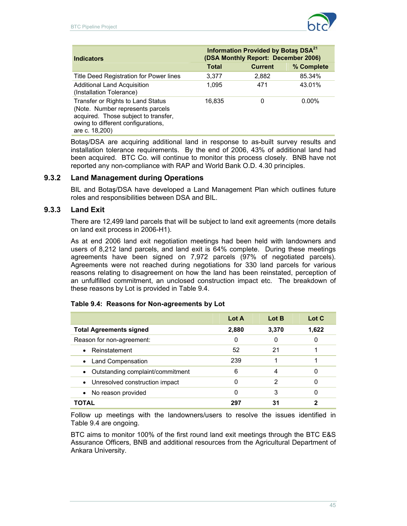

| <b>Indicators</b>                                                                                                                                                     | Information Provided by Botas DSA <sup>21</sup><br>(DSA Monthly Report: December 2006) |                |            |  |  |
|-----------------------------------------------------------------------------------------------------------------------------------------------------------------------|----------------------------------------------------------------------------------------|----------------|------------|--|--|
|                                                                                                                                                                       | <b>Total</b>                                                                           | <b>Current</b> | % Complete |  |  |
| Title Deed Registration for Power lines                                                                                                                               | 3,377                                                                                  | 2,882          | 85.34%     |  |  |
| <b>Additional Land Acquisition</b><br>(Installation Tolerance)                                                                                                        | 1.095                                                                                  | 471            | 43.01%     |  |  |
| Transfer or Rights to Land Status<br>(Note. Number represents parcels<br>acquired. Those subject to transfer,<br>owing to different configurations,<br>are c. 18,200) | 16.835                                                                                 | 0              | $0.00\%$   |  |  |

Botaş/DSA are acquiring additional land in response to as-built survey results and installation tolerance requirements. By the end of 2006, 43% of additional land had been acquired. BTC Co. will continue to monitor this process closely. BNB have not reported any non-compliance with RAP and World Bank O.D. 4.30 principles.

## **9.3.2 Land Management during Operations**

BIL and Botaş/DSA have developed a Land Management Plan which outlines future roles and responsibilities between DSA and BIL.

## **9.3.3 Land Exit**

There are 12,499 land parcels that will be subject to land exit agreements (more details on land exit process in 2006-H1).

As at end 2006 land exit negotiation meetings had been held with landowners and users of 8,212 land parcels, and land exit is 64% complete. During these meetings agreements have been signed on 7,972 parcels (97% of negotiated parcels). Agreements were not reached during negotiations for 330 land parcels for various reasons relating to disagreement on how the land has been reinstated, perception of an unfulfilled commitment, an unclosed construction impact etc. The breakdown of these reasons by Lot is provided in Table 9.4.

|  |  |  | Table 9.4: Reasons for Non-agreements by Lot |  |  |
|--|--|--|----------------------------------------------|--|--|
|--|--|--|----------------------------------------------|--|--|

|                                               | Lot A | Lot B | Lot C |
|-----------------------------------------------|-------|-------|-------|
| <b>Total Agreements signed</b>                | 2,880 | 3,370 | 1,622 |
| Reason for non-agreement:                     | 0     | 0     | 0     |
| • Reinstatement                               | 52    | 21    |       |
| <b>Land Compensation</b><br>$\bullet$         | 239   |       |       |
| Outstanding complaint/commitment<br>$\bullet$ | 6     |       | 0     |
| Unresolved construction impact<br>$\bullet$   | 0     | 2     | 0     |
| No reason provided                            | 0     | 3     | 0     |
| TAL                                           | 297   | 31    |       |

Follow up meetings with the landowners/users to resolve the issues identified in Table 9.4 are ongoing.

BTC aims to monitor 100% of the first round land exit meetings through the BTC E&S Assurance Officers, BNB and additional resources from the Agricultural Department of Ankara University.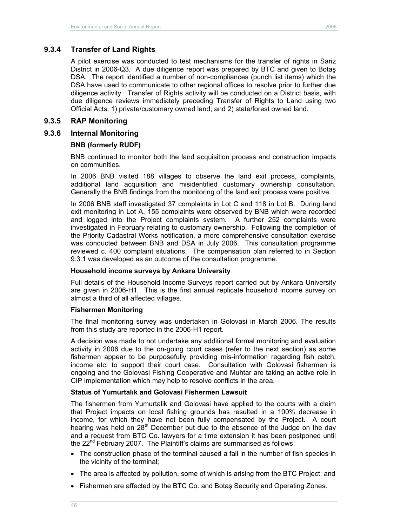### **9.3.4 Transfer of Land Rights**

A pilot exercise was conducted to test mechanisms for the transfer of rights in Sariz District in 2006-Q3. A due diligence report was prepared by BTC and given to Botaş DSA. The report identified a number of non-compliances (punch list items) which the DSA have used to communicate to other regional offices to resolve prior to further due diligence activity. Transfer of Rights activity will be conducted on a District basis, with due diligence reviews immediately preceding Transfer of Rights to Land using two Official Acts: 1) private/customary owned land; and 2) state/forest owned land.

### **9.3.5 RAP Monitoring**

### **9.3.6 Internal Monitoring**

### **BNB (formerly RUDF)**

BNB continued to monitor both the land acquisition process and construction impacts on communities.

In 2006 BNB visited 188 villages to observe the land exit process, complaints, additional land acquisition and misidentified customary ownership consultation. Generally the BNB findings from the monitoring of the land exit process were positive.

In 2006 BNB staff investigated 37 complaints in Lot C and 118 in Lot B. During land exit monitoring in Lot A, 155 complaints were observed by BNB which were recorded and logged into the Project complaints system. A further 252 complaints were investigated in February relating to customary ownership. Following the completion of the Priority Cadastral Works notification, a more comprehensive consultation exercise was conducted between BNB and DSA in July 2006. This consultation programme reviewed c. 400 complaint situations. The compensation plan referred to in Section 9.3.1 was developed as an outcome of the consultation programme.

### **Household income surveys by Ankara University**

Full details of the Household Income Surveys report carried out by Ankara University are given in 2006-H1. This is the first annual replicate household income survey on almost a third of all affected villages.

### **Fishermen Monitoring**

The final monitoring survey was undertaken in Golovasi in March 2006. The results from this study are reported in the 2006-H1 report.

A decision was made to not undertake any additional formal monitoring and evaluation activity in 2006 due to the on-going court cases (refer to the next section) as some fishermen appear to be purposefully providing mis-information regarding fish catch, income etc. to support their court case. Consultation with Golovasi fishermen is ongoing and the Golovasi Fishing Cooperative and Muhtar are taking an active role in CIP implementation which may help to resolve conflicts in the area.

### **Status of Yumurtalık and Golovasi Fishermen Lawsuit**

The fishermen from Yumurtalik and Golovasi have applied to the courts with a claim that Project impacts on local fishing grounds has resulted in a 100% decrease in income, for which they have not been fully compensated by the Project. A court hearing was held on  $28<sup>th</sup>$  December but due to the absence of the Judge on the day and a request from BTC Co. lawyers for a time extension it has been postponed until the  $22<sup>nd</sup>$  February 2007. The Plaintiff's claims are summarised as follows:

- The construction phase of the terminal caused a fall in the number of fish species in the vicinity of the terminal;
- The area is affected by pollution, some of which is arising from the BTC Project; and
- Fishermen are affected by the BTC Co. and Botaş Security and Operating Zones.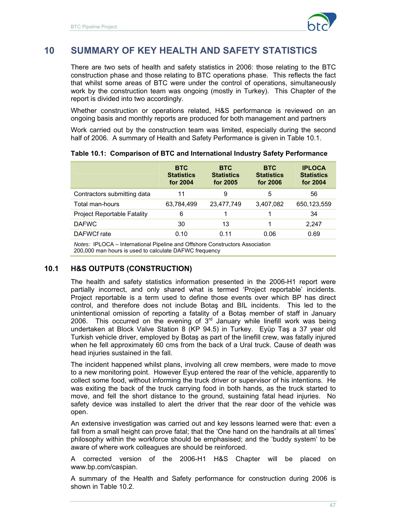

# **10 SUMMARY OF KEY HEALTH AND SAFETY STATISTICS**

There are two sets of health and safety statistics in 2006: those relating to the BTC construction phase and those relating to BTC operations phase. This reflects the fact that whilst some areas of BTC were under the control of operations, simultaneously work by the construction team was ongoing (mostly in Turkey). This Chapter of the report is divided into two accordingly.

Whether construction or operations related, H&S performance is reviewed on an ongoing basis and monthly reports are produced for both management and partners

Work carried out by the construction team was limited, especially during the second half of 2006. A summary of Health and Safety Performance is given in Table 10.1.

|                             | <b>BTC</b><br><b>Statistics</b><br>for 2004 | <b>BTC</b><br><b>Statistics</b><br>for 2005 | <b>BTC</b><br><b>Statistics</b><br>for 2006 | <b>IPLOCA</b><br><b>Statistics</b><br>for 2004 |
|-----------------------------|---------------------------------------------|---------------------------------------------|---------------------------------------------|------------------------------------------------|
| Contractors submitting data | 11                                          | 9                                           | 5                                           | 56                                             |
| Total man-hours             | 63,784,499                                  | 23,477,749                                  | 3,407,082                                   | 650,123,559                                    |
| Project Reportable Fatality | 6                                           |                                             |                                             | 34                                             |
| <b>DAFWC</b>                | 30                                          | 13                                          |                                             | 2.247                                          |
| DAFWCf rate                 | 0.10                                        | 0.11                                        | 0.06                                        | 0.69                                           |

#### **Table 10.1: Comparison of BTC and International Industry Safety Performance**

*Notes:* IPLOCA – International Pipeline and Offshore Constructors Association 200,000 man hours is used to calculate DAFWC frequency

## **10.1 H&S OUTPUTS (CONSTRUCTION)**

The health and safety statistics information presented in the 2006-H1 report were partially incorrect, and only shared what is termed 'Project reportable' incidents. Project reportable is a term used to define those events over which BP has direct control, and therefore does not include Botaş and BIL incidents. This led to the unintentional omission of reporting a fatality of a Botaş member of staff in January 2006. This occurred on the evening of  $3<sup>rd</sup>$  January while linefill work was being undertaken at Block Valve Station 8 (KP 94.5) in Turkey. Eyüp Taş a 37 year old Turkish vehicle driver, employed by Botaş as part of the linefill crew, was fatally injured when he fell approximately 60 cms from the back of a Ural truck. Cause of death was head injuries sustained in the fall.

The incident happened whilst plans, involving all crew members, were made to move to a new monitoring point. However Eyup entered the rear of the vehicle, apparently to collect some food, without informing the truck driver or supervisor of his intentions. He was exiting the back of the truck carrying food in both hands, as the truck started to move, and fell the short distance to the ground, sustaining fatal head injuries. No safety device was installed to alert the driver that the rear door of the vehicle was open.

An extensive investigation was carried out and key lessons learned were that: even a fall from a small height can prove fatal; that the 'One hand on the handrails at all times' philosophy within the workforce should be emphasised; and the 'buddy system' to be aware of where work colleagues are should be reinforced.

A corrected version of the 2006-H1 H&S Chapter will be placed on www.bp.com/caspian.

A summary of the Health and Safety performance for construction during 2006 is shown in Table 10.2.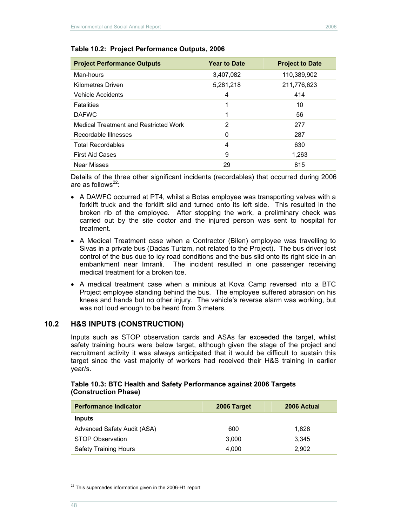| <b>Project Performance Outputs</b>    | <b>Year to Date</b> | <b>Project to Date</b> |
|---------------------------------------|---------------------|------------------------|
| Man-hours                             | 3,407,082           | 110,389,902            |
| <b>Kilometres Driven</b>              | 5,281,218           | 211,776,623            |
| Vehicle Accidents                     | 4                   | 414                    |
| <b>Fatalities</b>                     | 1                   | 10                     |
| <b>DAFWC</b>                          | 1                   | 56                     |
| Medical Treatment and Restricted Work | 2                   | 277                    |
| Recordable Illnesses                  | 0                   | 287                    |
| <b>Total Recordables</b>              | $\overline{4}$      | 630                    |
| <b>First Aid Cases</b>                | 9                   | 1,263                  |
| Near Misses                           | 29                  | 815                    |

#### **Table 10.2: Project Performance Outputs, 2006**

Details of the three other significant incidents (recordables) that occurred during 2006 are as follows $^{22}$ :

- A DAWFC occurred at PT4, whilst a Botas employee was transporting valves with a forklift truck and the forklift slid and turned onto its left side. This resulted in the broken rib of the employee. After stopping the work, a preliminary check was carried out by the site doctor and the injured person was sent to hospital for treatment.
- A Medical Treatment case when a Contractor (Bilen) employee was travelling to Sivas in a private bus (Dadas Turizm, not related to the Project). The bus driver lost control of the bus due to icy road conditions and the bus slid onto its right side in an embankment near Imranli. The incident resulted in one passenger receiving medical treatment for a broken toe.
- A medical treatment case when a minibus at Kova Camp reversed into a BTC Project employee standing behind the bus. The employee suffered abrasion on his knees and hands but no other injury. The vehicle's reverse alarm was working, but was not loud enough to be heard from 3 meters.

### **10.2 H&S INPUTS (CONSTRUCTION)**

Inputs such as STOP observation cards and ASAs far exceeded the target, whilst safety training hours were below target, although given the stage of the project and recruitment activity it was always anticipated that it would be difficult to sustain this target since the vast majority of workers had received their H&S training in earlier year/s.

#### **Table 10.3: BTC Health and Safety Performance against 2006 Targets (Construction Phase)**

| <b>Performance Indicator</b> | 2006 Target | 2006 Actual |
|------------------------------|-------------|-------------|
| <b>Inputs</b>                |             |             |
| Advanced Safety Audit (ASA)  | 600         | 1.828       |
| <b>STOP Observation</b>      | 3.000       | 3.345       |
| <b>Safety Training Hours</b> | 4.000       | 2.902       |

 $\overline{a}$  $22$  This supercedes information given in the 2006-H1 report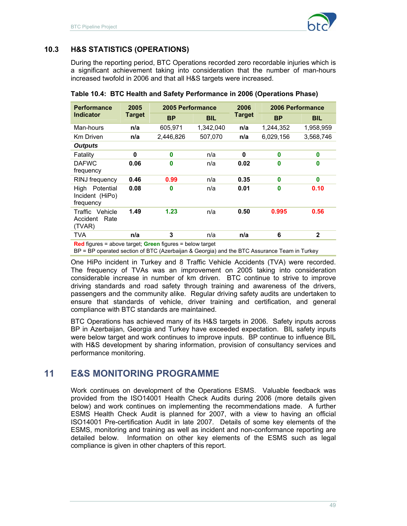

# **10.3 H&S STATISTICS (OPERATIONS)**

During the reporting period, BTC Operations recorded zero recordable injuries which is a significant achievement taking into consideration that the number of man-hours increased twofold in 2006 and that all H&S targets were increased.

| <b>Performance</b>                                | 2005          |           | 2005 Performance |               | 2006 Performance |              |
|---------------------------------------------------|---------------|-----------|------------------|---------------|------------------|--------------|
| <b>Indicator</b>                                  | <b>Target</b> | <b>BP</b> | <b>BIL</b>       | <b>Target</b> | <b>BP</b>        | <b>BIL</b>   |
| Man-hours                                         | n/a           | 605,971   | 1,342,040        | n/a           | 1,244,352        | 1,958,959    |
| <b>Km Driven</b>                                  | n/a           | 2,446,826 | 507.070          | n/a           | 6,029,156        | 3,568,746    |
| <b>Outputs</b>                                    |               |           |                  |               |                  |              |
| Fatality                                          | 0             | 0         | n/a              | 0             | 0                | 0            |
| <b>DAFWC</b><br>frequency                         | 0.06          | 0         | n/a              | 0.02          | 0                | 0            |
| RINJ frequency                                    | 0.46          | 0.99      | n/a              | 0.35          | 0                | $\bf{0}$     |
| Potential<br>High<br>Incident (HiPo)<br>frequency | 0.08          | 0         | n/a              | 0.01          | 0                | 0.10         |
| Traffic Vehicle<br>Rate<br>Accident<br>(TVAR)     | 1.49          | 1.23      | n/a              | 0.50          | 0.995            | 0.56         |
| TVA                                               | n/a           | 3         | n/a              | n/a           | 6                | $\mathbf{2}$ |

**Table 10.4: BTC Health and Safety Performance in 2006 (Operations Phase)** 

**Red** figures = above target; **Green** figures = below target

BP = BP operated section of BTC (Azerbaijan & Georgia) and the BTC Assurance Team in Turkey

One HiPo incident in Turkey and 8 Traffic Vehicle Accidents (TVA) were recorded. The frequency of TVAs was an improvement on 2005 taking into consideration considerable increase in number of km driven. BTC continue to strive to improve driving standards and road safety through training and awareness of the drivers, passengers and the community alike. Regular driving safety audits are undertaken to ensure that standards of vehicle, driver training and certification, and general compliance with BTC standards are maintained.

BTC Operations has achieved many of its H&S targets in 2006. Safety inputs across BP in Azerbaijan, Georgia and Turkey have exceeded expectation. BIL safety inputs were below target and work continues to improve inputs. BP continue to influence BIL with H&S development by sharing information, provision of consultancy services and performance monitoring.

# **11 E&S MONITORING PROGRAMME**

Work continues on development of the Operations ESMS. Valuable feedback was provided from the ISO14001 Health Check Audits during 2006 (more details given below) and work continues on implementing the recommendations made. A further ESMS Health Check Audit is planned for 2007, with a view to having an official ISO14001 Pre-certification Audit in late 2007. Details of some key elements of the ESMS, monitoring and training as well as incident and non-conformance reporting are detailed below. Information on other key elements of the ESMS such as legal compliance is given in other chapters of this report.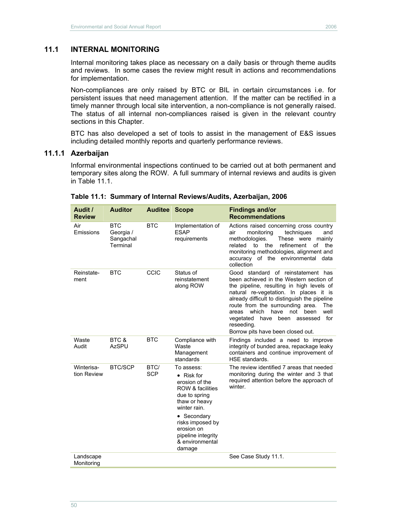## **11.1 INTERNAL MONITORING**

Internal monitoring takes place as necessary on a daily basis or through theme audits and reviews. In some cases the review might result in actions and recommendations for implementation.

Non-compliances are only raised by BTC or BIL in certain circumstances i.e. for persistent issues that need management attention. If the matter can be rectified in a timely manner through local site intervention, a non-compliance is not generally raised. The status of all internal non-compliances raised is given in the relevant country sections in this Chapter.

BTC has also developed a set of tools to assist in the management of E&S issues including detailed monthly reports and quarterly performance reviews.

#### **11.1.1 Azerbaijan**

Informal environmental inspections continued to be carried out at both permanent and temporary sites along the ROW. A full summary of internal reviews and audits is given in Table 11.1

| Audit /<br><b>Review</b>  | <b>Auditor</b>                                   | <b>Auditee Scope</b> |                                                                                                                                                                                                                                         | <b>Findings and/or</b><br><b>Recommendations</b>                                                                                                                                                                                                                                                                                                                                                            |
|---------------------------|--------------------------------------------------|----------------------|-----------------------------------------------------------------------------------------------------------------------------------------------------------------------------------------------------------------------------------------|-------------------------------------------------------------------------------------------------------------------------------------------------------------------------------------------------------------------------------------------------------------------------------------------------------------------------------------------------------------------------------------------------------------|
| Air<br>Emissions          | <b>BTC</b><br>Georgia /<br>Sangachal<br>Terminal | <b>BTC</b>           | Implementation of<br><b>ESAP</b><br>requirements                                                                                                                                                                                        | Actions raised concerning cross country<br>monitoring<br>techniques<br>air<br>and<br>methodologies.<br>These were<br>mainly<br>refinement<br>related<br>to<br>the<br>of<br>the<br>monitoring methodologies, alignment and<br>accuracy of the environmental data<br>collection                                                                                                                               |
| Reinstate-<br>ment        | <b>BTC</b>                                       | CCIC                 | Status of<br>reinstatement<br>along ROW                                                                                                                                                                                                 | Good standard of reinstatement has<br>been achieved in the Western section of<br>the pipeline, resulting in high levels of<br>natural re-vegetation. In places it is<br>already difficult to distinguish the pipeline<br>route from the surrounding area.<br>The<br>areas which<br>have<br>not<br>been<br>well<br>for<br>have been assessed<br>vegetated<br>reseeding.<br>Borrow pits have been closed out. |
| Waste<br>Audit            | BTC &<br><b>AzSPU</b>                            | <b>BTC</b>           | Compliance with<br>Waste<br>Management<br>standards                                                                                                                                                                                     | Findings included a need to improve<br>integrity of bunded area, repackage leaky<br>containers and continue improvement of<br>HSE standards.                                                                                                                                                                                                                                                                |
| Winterisa-<br>tion Review | <b>BTC/SCP</b>                                   | BTC/<br><b>SCP</b>   | To assess:<br>$\bullet$ Risk for<br>erosion of the<br><b>ROW &amp; facilities</b><br>due to spring<br>thaw or heavy<br>winter rain.<br>• Secondary<br>risks imposed by<br>erosion on<br>pipeline integrity<br>& environmental<br>damage | The review identified 7 areas that needed<br>monitoring during the winter and 3 that<br>required attention before the approach of<br>winter.                                                                                                                                                                                                                                                                |
| Landscape<br>Monitoring   |                                                  |                      |                                                                                                                                                                                                                                         | See Case Study 11.1.                                                                                                                                                                                                                                                                                                                                                                                        |

#### **Table 11.1: Summary of Internal Reviews/Audits, Azerbaijan, 2006**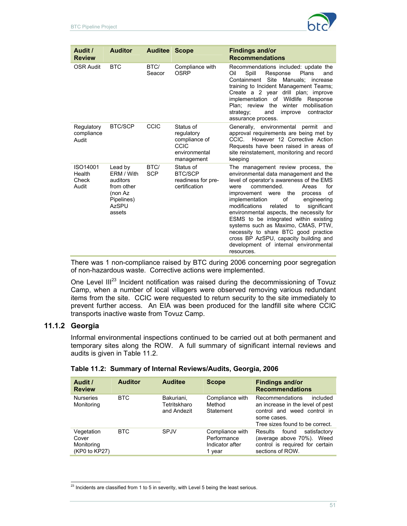

| Audit /<br><b>Review</b>             | <b>Auditor</b>                                                                                     | <b>Auditee Scope</b> |                                                                                        | <b>Findings and/or</b><br><b>Recommendations</b>                                                                                                                                                                                                                                                                                                                                                                                                                                                                                                                     |
|--------------------------------------|----------------------------------------------------------------------------------------------------|----------------------|----------------------------------------------------------------------------------------|----------------------------------------------------------------------------------------------------------------------------------------------------------------------------------------------------------------------------------------------------------------------------------------------------------------------------------------------------------------------------------------------------------------------------------------------------------------------------------------------------------------------------------------------------------------------|
| <b>OSR Audit</b>                     | <b>BTC</b>                                                                                         | BTC/<br>Seacor       | Compliance with<br>OSRP                                                                | Recommendations included: update the<br>Oil<br>Spill<br>Plans<br>Response<br>and<br>Site<br>Manuals: increase<br>Containment<br>training to Incident Management Teams;<br>Create a 2 year drill plan; improve<br>implementation of Wildlife<br>Response<br>Plan: review the winter<br>mobilisation<br>and<br>contractor<br>strategy;<br>improve<br>assurance process.                                                                                                                                                                                                |
| Regulatory<br>compliance<br>Audit    | <b>BTC/SCP</b>                                                                                     | <b>CCIC</b>          | Status of<br>regulatory<br>compliance of<br><b>CCIC</b><br>environmental<br>management | Generally, environmental permit and<br>approval requirements are being met by<br>However 12 Corrective Action<br>CCIC.<br>Requests have been raised in areas of<br>site reinstatement, monitoring and record<br>keeping                                                                                                                                                                                                                                                                                                                                              |
| ISO14001<br>Health<br>Check<br>Audit | Lead by<br>ERM / With<br>auditors<br>from other<br>(non Az<br>Pipelines)<br><b>AzSPU</b><br>assets | BTC/<br><b>SCP</b>   | Status of<br><b>BTC/SCP</b><br>readiness for pre-<br>certification                     | The management review process, the<br>environmental data management and the<br>level of operator's awareness of the EMS<br>for<br>commended.<br>Areas<br>were<br>the<br>0f<br>improvement were<br>process<br>implementation<br>οf<br>engineering<br>modifications<br>related<br>significant<br>to<br>environmental aspects, the necessity for<br>ESMS to be integrated within existing<br>systems such as Maximo, CMAS, PTW,<br>necessity to share BTC good practice<br>cross BP AzSPU, capacity building and<br>development of internal environmental<br>resources. |

There was 1 non-compliance raised by BTC during 2006 concerning poor segregation of non-hazardous waste. Corrective actions were implemented.

One Level III<sup>23</sup> Incident notification was raised during the decommissioning of Tovuz Camp, when a number of local villagers were observed removing various redundant items from the site. CCIC were requested to return security to the site immediately to prevent further access. An EIA was been produced for the landfill site where CCIC transports inactive waste from Tovuz Camp.

## **11.1.2 Georgia**

 $\overline{a}$ 

Informal environmental inspections continued to be carried out at both permanent and temporary sites along the ROW. A full summary of significant internal reviews and audits is given in Table 11.2.

| Audit /<br><b>Review</b>                           | <b>Auditor</b> | <b>Auditee</b>                            | <b>Scope</b>                                                | <b>Findings and/or</b><br><b>Recommendations</b>                                                                                                 |
|----------------------------------------------------|----------------|-------------------------------------------|-------------------------------------------------------------|--------------------------------------------------------------------------------------------------------------------------------------------------|
| <b>Nurseries</b><br>Monitoring                     | <b>BTC</b>     | Bakuriani,<br>Tetritskharo<br>and Andezit | Compliance with<br>Method<br>Statement                      | Recommendations<br>included<br>an increase in the level of pest<br>control and weed control in<br>some cases.<br>Tree sizes found to be correct. |
| Vegetation<br>Cover<br>Monitoring<br>(KP0 to KP27) | <b>BTC</b>     | <b>SPJV</b>                               | Compliance with<br>Performance<br>Indicator after<br>1 year | satisfactory<br><b>Results</b><br>found<br>(average above 70%). Weed<br>control is required for certain<br>sections of ROW.                      |

| Table 11.2: Summary of Internal Reviews/Audits, Georgia, 2006 |  |  |  |
|---------------------------------------------------------------|--|--|--|
|                                                               |  |  |  |

 $^{23}$  Incidents are classified from 1 to 5 in severity, with Level 5 being the least serious.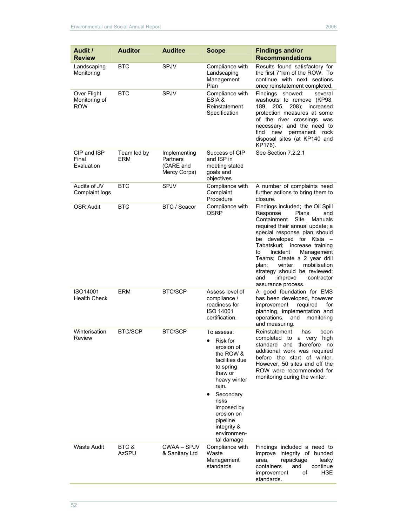| Audit /<br><b>Review</b>                   | <b>Auditor</b>            | <b>Auditee</b>                                        | Scope                                                                                                                                                                                                                                       | <b>Findings and/or</b><br><b>Recommendations</b>                                                                                                                                                                                                                                                                                                                                                                        |
|--------------------------------------------|---------------------------|-------------------------------------------------------|---------------------------------------------------------------------------------------------------------------------------------------------------------------------------------------------------------------------------------------------|-------------------------------------------------------------------------------------------------------------------------------------------------------------------------------------------------------------------------------------------------------------------------------------------------------------------------------------------------------------------------------------------------------------------------|
| Landscaping<br>Monitoring                  | <b>BTC</b>                | <b>SPJV</b>                                           | Compliance with<br>Landscaping<br>Management<br>Plan                                                                                                                                                                                        | Results found satisfactory for<br>the first 71km of the ROW. To<br>continue with next sections<br>once reinstatement completed.                                                                                                                                                                                                                                                                                         |
| Over Flight<br>Monitoring of<br><b>ROW</b> | <b>BTC</b>                | <b>SPJV</b>                                           | Compliance with<br>ESIA &<br>Reinstatement<br>Specification                                                                                                                                                                                 | Findings showed:<br>several<br>washouts to remove (KP98,<br>189, 205, 208); increased<br>protection measures at some<br>of the river crossings was<br>necessary; and the need to<br>find new<br>permanent rock<br>disposal sites (at KP140 and<br>KP176).                                                                                                                                                               |
| CIP and ISP<br>Final<br>Evaluation         | Team led by<br><b>ERM</b> | Implementing<br>Partners<br>(CARE and<br>Mercy Corps) | Success of CIP<br>and ISP in<br>meeting stated<br>goals and<br>objectives                                                                                                                                                                   | See Section 7.2.2.1                                                                                                                                                                                                                                                                                                                                                                                                     |
| Audits of JV<br>Complaint logs             | <b>BTC</b>                | <b>SPJV</b>                                           | Compliance with<br>Complaint<br>Procedure                                                                                                                                                                                                   | A number of complaints need<br>further actions to bring them to<br>closure.                                                                                                                                                                                                                                                                                                                                             |
| <b>OSR Audit</b>                           | <b>BTC</b>                | BTC / Seacor                                          | Compliance with<br><b>OSRP</b>                                                                                                                                                                                                              | Findings included; the Oil Spill<br>Response<br>Plans<br>and<br>Containment<br>Site<br>Manuals<br>required their annual update; a<br>special response plan should<br>be developed for Ktsia -<br>Tabatskuri; increase training<br>Incident<br>Management<br>to<br>Teams; Create a 2 year drill<br>mobilisation<br>plan;<br>winter<br>strategy should be reviewed;<br>improve<br>contractor<br>and<br>assurance process. |
| ISO14001<br><b>Health Check</b>            | <b>ERM</b>                | <b>BTC/SCP</b>                                        | Assess level of<br>compliance /<br>readiness for<br><b>ISO 14001</b><br>certification.                                                                                                                                                      | A good foundation for EMS<br>has been developed, however<br>improvement<br>required<br>for<br>planning, implementation and<br>operations,<br>monitoring<br>and<br>and measuring.                                                                                                                                                                                                                                        |
| Winterisation<br><b>Review</b>             | <b>BTC/SCP</b>            | <b>BTC/SCP</b>                                        | To assess:<br>Risk for<br>$\bullet$<br>erosion of<br>the ROW &<br>facilities due<br>to spring<br>thaw or<br>heavy winter<br>rain.<br>Secondary<br>risks<br>imposed by<br>erosion on<br>pipeline<br>integrity &<br>environmen-<br>tal damage | Reinstatement<br>has<br>been<br>completed to a very high<br>standard and therefore<br>no<br>additional work was required<br>before the start of winter.<br>However, 50 sites and off the<br>ROW were recommended for<br>monitoring during the winter.                                                                                                                                                                   |
| <b>Waste Audit</b>                         | BTC &<br><b>AzSPU</b>     | CWAA – SPJV<br>& Sanitary Ltd                         | Compliance with<br>Waste<br>Management<br>standards                                                                                                                                                                                         | Findings included a need to<br>improve integrity of bunded<br>repackage<br>area,<br>leaky<br>containers<br>and<br>continue<br><b>HSE</b><br>improvement<br>οf<br>standards.                                                                                                                                                                                                                                             |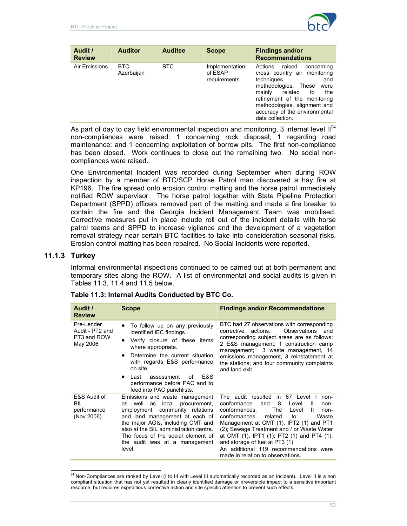

| Audit /<br><b>Review</b> | <b>Auditor</b>           | <b>Auditee</b> | <b>Scope</b>                              | <b>Findings and/or</b><br><b>Recommendations</b>                                                                                                                                                                                                                               |
|--------------------------|--------------------------|----------------|-------------------------------------------|--------------------------------------------------------------------------------------------------------------------------------------------------------------------------------------------------------------------------------------------------------------------------------|
| Air Emissions            | <b>BTC</b><br>Azerbaijan | BTC            | Implementation<br>of ESAP<br>requirements | raised<br>Actions<br>concerning<br>cross country air monitoring<br>techniques<br>and<br>methodologies.<br>These<br>were<br>mainly<br>related<br>to<br>the<br>refinement of the monitoring<br>methodologies, alignment and<br>accuracy of the environmental<br>data collection. |

As part of day to day field environmental inspection and monitoring, 3 internal level  $II^{24}$ non-compliances were raised: 1 concerning rock disposal; 1 regarding road maintenance; and 1 concerning exploitation of borrow pits. The first non-compliance has been closed. Work continues to close out the remaining two. No social noncompliances were raised.

One Environmental Incident was recorded during September when during ROW inspection by a member of BTC/SCP Horse Patrol man discovered a hay fire at KP196. The fire spread onto erosion control matting and the horse patrol immediately notified ROW supervisor. The horse patrol together with State Pipeline Protection Department (SPPD) officers removed part of the matting and made a fire breaker to contain the fire and the Georgia Incident Management Team was mobilised. Corrective measures put in place include roll out of the incident details with horse patrol teams and SPPD to increase vigilance and the development of a vegetation removal strategy near certain BTC facilities to take into consideration seasonal risks. Erosion control matting has been repaired. No Social Incidents were reported.

## **11.1.3 Turkey**

 $\overline{a}$ 

Informal environmental inspections continued to be carried out at both permanent and temporary sites along the ROW. A list of environmental and social audits is given in Tables 11.3, 11.4 and 11.5 below.

| Audit /<br><b>Review</b>                                 | <b>Scope</b>                                                                                                                                                                                                                                                                                                                               | <b>Findings and/or Recommendations</b>                                                                                                                                                                                                                                                                                                                                                                                                                 |
|----------------------------------------------------------|--------------------------------------------------------------------------------------------------------------------------------------------------------------------------------------------------------------------------------------------------------------------------------------------------------------------------------------------|--------------------------------------------------------------------------------------------------------------------------------------------------------------------------------------------------------------------------------------------------------------------------------------------------------------------------------------------------------------------------------------------------------------------------------------------------------|
| Pre-Lender<br>Audit - PT2 and<br>PT3 and ROW<br>May 2006 | To follow up on any previously<br>$\bullet$<br>identified IEC findings.<br>Verify closure of these items<br>$\bullet$<br>where appropriate.<br>Determine the current situation<br>$\bullet$<br>with regards E&S performance<br>on site.<br>E&S<br>Last<br>assessment<br>of<br>$\bullet$<br>performance before PAC and to                   | BTC had 27 observations with corresponding<br>Observations and<br>actions.<br>corrective<br>corresponding subject areas are as follows:<br>2 E&S management; 1 construction camp<br>management; 3 waste management, 14<br>emissions management, 3 reinstatement at<br>the stations; and four community complaints<br>and land exit                                                                                                                     |
| E&S Audit of<br><b>BIL</b><br>performance<br>(Nov 2006)  | feed into PAC punchlists.<br>Emissions and waste management<br>procurement.<br>well as<br>local<br>as<br>employment, community relations<br>and land management at each of<br>the major AGIs, including CMT and<br>also at the BIL administration centre.<br>The focus of the social element of<br>the audit was at a management<br>level. | The audit resulted in 67 Level I<br>non-<br>8<br>conformance<br>Level<br>and<br>$\mathbf{I}$<br>non-<br>The<br>conformances.<br>Level<br>H.<br>non-<br>conformances<br>related<br>Waste<br>to:<br>Management at CMT (1), IPT2 (1) and PT1<br>(2); Sewage Treatment and / or Waste Water<br>at CMT (1), IPT1 (1), PT2 (1) and PT4 (1),<br>and storage of fuel at PT3 (1)<br>An additional 119 recommendations were<br>made in relation to observations. |

## **Table 11.3: Internal Audits Conducted by BTC Co.**

 $^{24}$  Non-Compliances are ranked by Level (I to III with Level III automatically recorded as an incident). Level II is a non compliant situation that has not yet resulted in clearly identified damage or irreversible impact to a sensitive important resource, but requires expeditious corrective action and site specific attention to prevent such effects.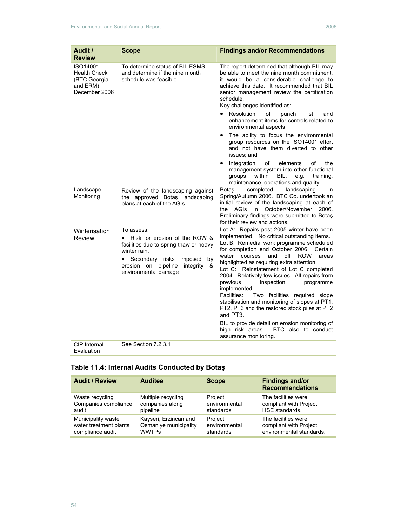| Audit /<br><b>Review</b>                                                     | <b>Scope</b>                                                                                                                                                                                                            | <b>Findings and/or Recommendations</b>                                                                                                                                                                                                                                                                                                                                                                                                                                                                                                                                                                  |
|------------------------------------------------------------------------------|-------------------------------------------------------------------------------------------------------------------------------------------------------------------------------------------------------------------------|---------------------------------------------------------------------------------------------------------------------------------------------------------------------------------------------------------------------------------------------------------------------------------------------------------------------------------------------------------------------------------------------------------------------------------------------------------------------------------------------------------------------------------------------------------------------------------------------------------|
| ISO14001<br><b>Health Check</b><br>(BTC Georgia<br>and ERM)<br>December 2006 | To determine status of BIL ESMS<br>and determine if the nine month<br>schedule was feasible                                                                                                                             | The report determined that although BIL may<br>be able to meet the nine month commitment,<br>it would be a considerable challenge to<br>achieve this date. It recommended that BIL<br>senior management review the certification<br>schedule.<br>Key challenges identified as:<br>Resolution<br>of<br>punch<br>list<br>and<br>$\bullet$<br>enhancement items for controls related to                                                                                                                                                                                                                    |
|                                                                              |                                                                                                                                                                                                                         | environmental aspects;<br>The ability to focus the environmental<br>٠<br>group resources on the ISO14001 effort<br>and not have them diverted to other<br>issues; and                                                                                                                                                                                                                                                                                                                                                                                                                                   |
|                                                                              |                                                                                                                                                                                                                         | of<br>Integration<br>elements<br>of<br>the<br>٠<br>management system into other functional<br>BIL.<br>groups<br>within<br>e.g.<br>training,<br>maintenance, operations and quality.                                                                                                                                                                                                                                                                                                                                                                                                                     |
| Landscape<br>Monitoring                                                      | Review of the landscaping against<br>the approved Botas landscaping<br>plans at each of the AGIs                                                                                                                        | completed<br>landscaping<br>Botas<br>in<br>Spring/Autumn 2006. BTC Co. undertook an<br>initial review of the landscaping at each of<br>AGIs<br>in<br>October/November<br>2006.<br>the<br>Preliminary findings were submitted to Botaş<br>for their review and actions.                                                                                                                                                                                                                                                                                                                                  |
| Winterisation<br>Review                                                      | To assess:<br>Risk for erosion of the ROW &<br>$\bullet$<br>facilities due to spring thaw or heavy<br>winter rain.<br>Secondary risks<br>imposed<br>by<br>erosion on pipeline<br>integrity<br>&<br>environmental damage | Lot A: Repairs post 2005 winter have been<br>implemented. No critical outstanding items.<br>Lot B: Remedial work programme scheduled<br>for completion end October 2006. Certain<br>and<br>off<br><b>ROW</b><br>water<br>courses<br>areas<br>highlighted as requiring extra attention.<br>Lot C: Reinstatement of Lot C completed<br>2004. Relatively few issues. All repairs from<br>previous<br>inspection<br>programme<br>implemented.<br>Two facilities required slope<br>Facilities:<br>stabilisation and monitoring of slopes at PT1,<br>PT2, PT3 and the restored stock piles at PT2<br>and PT3. |
|                                                                              |                                                                                                                                                                                                                         | BIL to provide detail on erosion monitoring of<br>high risk areas.<br>BTC also to conduct<br>assurance monitoring.                                                                                                                                                                                                                                                                                                                                                                                                                                                                                      |
| CIP Internal                                                                 | See Section 7.2.3.1                                                                                                                                                                                                     |                                                                                                                                                                                                                                                                                                                                                                                                                                                                                                                                                                                                         |

Evaluation

# **Table 11.4: Internal Audits Conducted by Botaş**

| <b>Audit / Review</b>  | <b>Auditee</b>        | <b>Scope</b>  | <b>Findings and/or</b><br><b>Recommendations</b> |
|------------------------|-----------------------|---------------|--------------------------------------------------|
| Waste recycling        | Multiple recycling    | Project       | The facilities were                              |
| Companies compliance   | companies along       | environmental | compliant with Project                           |
| audit                  | pipeline              | standards     | HSE standards.                                   |
| Municipality waste     | Kayseri, Erzincan and | Project       | The facilities were                              |
| water treatment plants | Osmaniye municipality | environmental | compliant with Project                           |
| compliance audit       | <b>WWTPs</b>          | standards     | environmental standards.                         |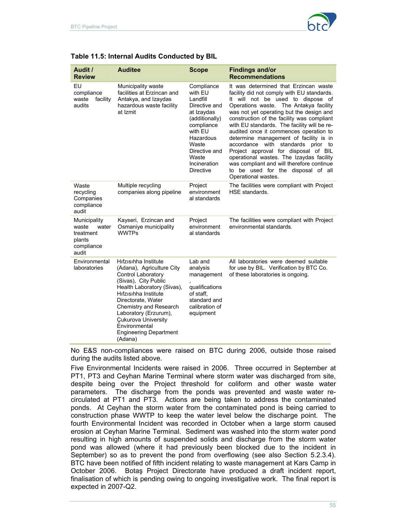

| Audit /<br><b>Review</b>                                                     | <b>Auditee</b>                                                                                                                                                                                                                                                                                                     | <b>Scope</b>                                                                                                                                                                                    | <b>Findings and/or</b><br><b>Recommendations</b>                                                                                                                                                                                                                                                                                                                                                                                                                                                                                                                                                                                    |
|------------------------------------------------------------------------------|--------------------------------------------------------------------------------------------------------------------------------------------------------------------------------------------------------------------------------------------------------------------------------------------------------------------|-------------------------------------------------------------------------------------------------------------------------------------------------------------------------------------------------|-------------------------------------------------------------------------------------------------------------------------------------------------------------------------------------------------------------------------------------------------------------------------------------------------------------------------------------------------------------------------------------------------------------------------------------------------------------------------------------------------------------------------------------------------------------------------------------------------------------------------------------|
| EU<br>compliance<br>facility<br>waste<br>audits                              | Municipality waste<br>facilities at Erzincan and<br>Antakya, and Izaydas<br>hazardous waste facility<br>at Izmit                                                                                                                                                                                                   | Compliance<br>with EU<br>Landfill<br>Directive and<br>at Izaydas<br>(additionally)<br>compliance<br>with EU<br>Hazardous<br>Waste<br>Directive and<br>Waste<br>Incineration<br><b>Directive</b> | It was determined that Erzincan waste<br>facility did not comply with EU standards.<br>It will not be used to dispose of<br>Operations waste. The Antakya facility<br>was not yet operating but the design and<br>construction of the facility was compliant<br>with EU standards. The facility will be re-<br>audited once it commences operation to<br>determine management of facility is in<br>accordance with standards prior to<br>Project approval for disposal of BIL<br>operational wastes. The Izaydas facility<br>was compliant and will therefore continue<br>to be used for the disposal of all<br>Operational wastes. |
| Waste<br>recycling<br>Companies<br>compliance<br>audit                       | Multiple recycling<br>companies along pipeline                                                                                                                                                                                                                                                                     | Project<br>environment<br>al standards                                                                                                                                                          | The facilities were compliant with Project<br>HSE standards.                                                                                                                                                                                                                                                                                                                                                                                                                                                                                                                                                                        |
| Municipality<br>waste<br>water<br>treatment<br>plants<br>compliance<br>audit | Kayseri, Erzincan and<br>Osmaniye municipality<br><b>WWTPs</b>                                                                                                                                                                                                                                                     | Project<br>environment<br>al standards                                                                                                                                                          | The facilities were compliant with Project<br>environmental standards.                                                                                                                                                                                                                                                                                                                                                                                                                                                                                                                                                              |
| Environmental<br>laboratories                                                | Hifzisihha Institute<br>(Adana), Agriculture City<br>Control Laboratory<br>(Sivas), City Public<br>Health Laboratory (Sivas),<br>Hifzisihha Institute<br>Directorate, Water<br>Chemistry and Research<br>Laboratory (Erzurum),<br>Cukurova University<br>Environmental<br><b>Engineering Department</b><br>(Adana) | Lab and<br>analysis<br>management<br>qualifications<br>of staff.<br>standard and<br>calibration of<br>equipment                                                                                 | All laboratories were deemed suitable<br>for use by BIL. Verification by BTC Co.<br>of these laboratories is ongoing.                                                                                                                                                                                                                                                                                                                                                                                                                                                                                                               |

| Table 11.5: Internal Audits Conducted by BIL |  |
|----------------------------------------------|--|
|----------------------------------------------|--|

No E&S non-compliances were raised on BTC during 2006, outside those raised during the audits listed above.

Five Environmental Incidents were raised in 2006. Three occurred in September at PT1, PT3 and Ceyhan Marine Terminal where storm water was discharged from site, despite being over the Project threshold for coliform and other waste water parameters. The discharge from the ponds was prevented and waste water recirculated at PT1 and PT3. Actions are being taken to address the contaminated ponds. At Ceyhan the storm water from the contaminated pond is being carried to construction phase WWTP to keep the water level below the discharge point. The fourth Environmental Incident was recorded in October when a large storm caused erosion at Ceyhan Marine Terminal. Sediment was washed into the storm water pond resulting in high amounts of suspended solids and discharge from the storm water pond was allowed (where it had previously been blocked due to the incident in September) so as to prevent the pond from overflowing (see also Section 5.2.3.4). BTC have been notified of fifth incident relating to waste management at Kars Camp in October 2006. Botaş Project Directorate have produced a draft incident report, finalisation of which is pending owing to ongoing investigative work. The final report is expected in 2007-Q2.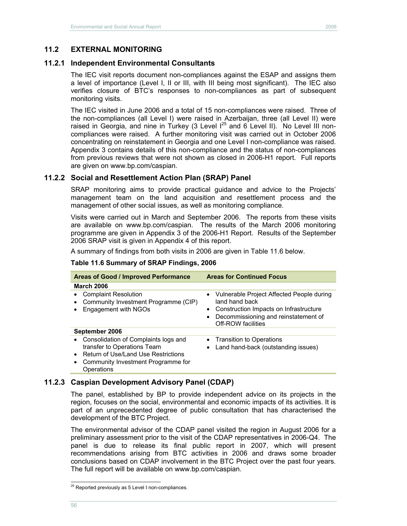### **11.2 EXTERNAL MONITORING**

#### **11.2.1 Independent Environmental Consultants**

The IEC visit reports document non-compliances against the ESAP and assigns them a level of importance (Level I, II or III, with III being most significant). The IEC also verifies closure of BTC's responses to non-compliances as part of subsequent monitoring visits.

The IEC visited in June 2006 and a total of 15 non-compliances were raised. Three of the non-compliances (all Level I) were raised in Azerbaijan, three (all Level II) were raised in Georgia, and nine in Turkey (3 Level  $1^{25}$  and 6 Level II). No Level III noncompliances were raised. A further monitoring visit was carried out in October 2006 concentrating on reinstatement in Georgia and one Level I non-compliance was raised. Appendix 3 contains details of this non-compliance and the status of non-compliances from previous reviews that were not shown as closed in 2006-H1 report. Full reports are given on www.bp.com/caspian.

### **11.2.2 Social and Resettlement Action Plan (SRAP) Panel**

SRAP monitoring aims to provide practical guidance and advice to the Projects' management team on the land acquisition and resettlement process and the management of other social issues, as well as monitoring compliance.

Visits were carried out in March and September 2006. The reports from these visits are available on www.bp.com/caspian. The results of the March 2006 monitoring programme are given in Appendix 3 of the 2006-H1 Report. Results of the September 2006 SRAP visit is given in Appendix 4 of this report.

A summary of findings from both visits in 2006 are given in Table 11.6 below.

| <b>Areas of Good / Improved Performance</b>                                                                                                                    | <b>Areas for Continued Focus</b>                                                                                                                                                                   |  |  |
|----------------------------------------------------------------------------------------------------------------------------------------------------------------|----------------------------------------------------------------------------------------------------------------------------------------------------------------------------------------------------|--|--|
| <b>March 2006</b>                                                                                                                                              |                                                                                                                                                                                                    |  |  |
| <b>Complaint Resolution</b><br>Community Investment Programme (CIP)<br>Engagement with NGOs                                                                    | Vulnerable Project Affected People during<br>$\bullet$<br>land hand back<br>Construction Impacts on Infrastructure<br>٠<br>Decommissioning and reinstatement of<br>$\bullet$<br>Off-ROW facilities |  |  |
| September 2006                                                                                                                                                 |                                                                                                                                                                                                    |  |  |
| Consolidation of Complaints logs and<br>transfer to Operations Team<br>Return of Use/Land Use Restrictions<br>Community Investment Programme for<br>Operations | • Transition to Operations<br>Land hand-back (outstanding issues)<br>$\bullet$                                                                                                                     |  |  |

#### **Table 11.6 Summary of SRAP Findings, 2006**

### **11.2.3 Caspian Development Advisory Panel (CDAP)**

The panel, established by BP to provide independent advice on its projects in the region, focuses on the social, environmental and economic impacts of its activities. It is part of an unprecedented degree of public consultation that has characterised the development of the BTC Project.

The environmental advisor of the CDAP panel visited the region in August 2006 for a preliminary assessment prior to the visit of the CDAP representatives in 2006-Q4. The panel is due to release its final public report in 2007, which will present recommendations arising from BTC activities in 2006 and draws some broader conclusions based on CDAP involvement in the BTC Project over the past four years. The full report will be available on www.bp.com/caspian.

 $\overline{a}$ 

 $^{25}$  Reported previously as 5 Level I non-compliances.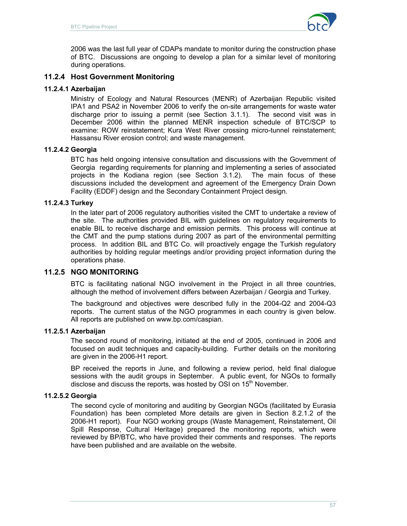

2006 was the last full year of CDAPs mandate to monitor during the construction phase of BTC. Discussions are ongoing to develop a plan for a similar level of monitoring during operations.

## **11.2.4 Host Government Monitoring**

### **11.2.4.1 Azerbaijan**

Ministry of Ecology and Natural Resources (MENR) of Azerbaijan Republic visited IPA1 and PSA2 in November 2006 to verify the on-site arrangements for waste water discharge prior to issuing a permit (see Section 3.1.1). The second visit was in December 2006 within the planned MENR inspection schedule of BTC/SCP to examine: ROW reinstatement; Kura West River crossing micro-tunnel reinstatement; Hassansu River erosion control; and waste management.

### **11.2.4.2 Georgia**

BTC has held ongoing intensive consultation and discussions with the Government of Georgia regarding requirements for planning and implementing a series of associated projects in the Kodiana region (see Section 3.1.2). The main focus of these discussions included the development and agreement of the Emergency Drain Down Facility (EDDF) design and the Secondary Containment Project design.

### **11.2.4.3 Turkey**

In the later part of 2006 regulatory authorities visited the CMT to undertake a review of the site. The authorities provided BIL with guidelines on regulatory requirements to enable BIL to receive discharge and emission permits. This process will continue at the CMT and the pump stations during 2007 as part of the environmental permitting process. In addition BIL and BTC Co. will proactively engage the Turkish regulatory authorities by holding regular meetings and/or providing project information during the operations phase.

## **11.2.5 NGO MONITORING**

BTC is facilitating national NGO involvement in the Project in all three countries, although the method of involvement differs between Azerbaijan / Georgia and Turkey.

The background and objectives were described fully in the 2004-Q2 and 2004-Q3 reports. The current status of the NGO programmes in each country is given below. All reports are published on www.bp.com/caspian.

### **11.2.5.1 Azerbaijan**

The second round of monitoring, initiated at the end of 2005, continued in 2006 and focused on audit techniques and capacity-building. Further details on the monitoring are given in the 2006-H1 report.

BP received the reports in June, and following a review period, held final dialogue sessions with the audit groups in September. A public event, for NGOs to formally disclose and discuss the reports, was hosted by OSI on  $15<sup>th</sup>$  November.

## **11.2.5.2 Georgia**

The second cycle of monitoring and auditing by Georgian NGOs (facilitated by Eurasia Foundation) has been completed More details are given in Section 8.2.1.2 of the 2006-H1 report). Four NGO working groups (Waste Management, Reinstatement, Oil Spill Response, Cultural Heritage) prepared the monitoring reports, which were reviewed by BP/BTC, who have provided their comments and responses. The reports have been published and are available on the website.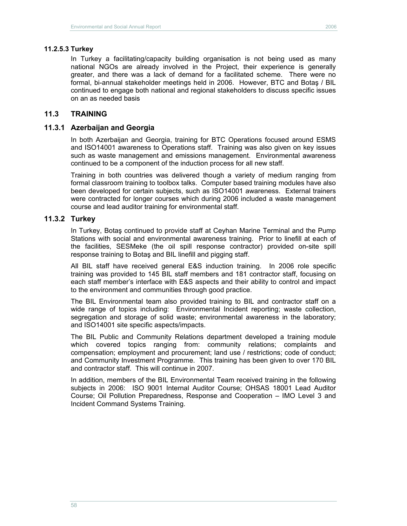#### **11.2.5.3 Turkey**

In Turkey a facilitating/capacity building organisation is not being used as many national NGOs are already involved in the Project, their experience is generally greater, and there was a lack of demand for a facilitated scheme. There were no formal, bi-annual stakeholder meetings held in 2006. However, BTC and Botaş / BIL continued to engage both national and regional stakeholders to discuss specific issues on an as needed basis

#### **11.3 TRAINING**

#### **11.3.1 Azerbaijan and Georgia**

In both Azerbaijan and Georgia, training for BTC Operations focused around ESMS and ISO14001 awareness to Operations staff. Training was also given on key issues such as waste management and emissions management. Environmental awareness continued to be a component of the induction process for all new staff.

Training in both countries was delivered though a variety of medium ranging from formal classroom training to toolbox talks. Computer based training modules have also been developed for certain subjects, such as ISO14001 awareness. External trainers were contracted for longer courses which during 2006 included a waste management course and lead auditor training for environmental staff.

#### **11.3.2 Turkey**

In Turkey, Botaş continued to provide staff at Ceyhan Marine Terminal and the Pump Stations with social and environmental awareness training. Prior to linefill at each of the facilities, SESMeke (the oil spill response contractor) provided on-site spill response training to Botaş and BIL linefill and pigging staff.

All BIL staff have received general E&S induction training. In 2006 role specific training was provided to 145 BIL staff members and 181 contractor staff, focusing on each staff member's interface with E&S aspects and their ability to control and impact to the environment and communities through good practice.

The BIL Environmental team also provided training to BIL and contractor staff on a wide range of topics including: Environmental Incident reporting; waste collection, segregation and storage of solid waste; environmental awareness in the laboratory; and ISO14001 site specific aspects/impacts.

The BIL Public and Community Relations department developed a training module which covered topics ranging from: community relations; complaints and compensation; employment and procurement; land use / restrictions; code of conduct; and Community Investment Programme. This training has been given to over 170 BIL and contractor staff. This will continue in 2007.

In addition, members of the BIL Environmental Team received training in the following subjects in 2006: ISO 9001 Internal Auditor Course; OHSAS 18001 Lead Auditor Course; Oil Pollution Preparedness, Response and Cooperation – IMO Level 3 and Incident Command Systems Training.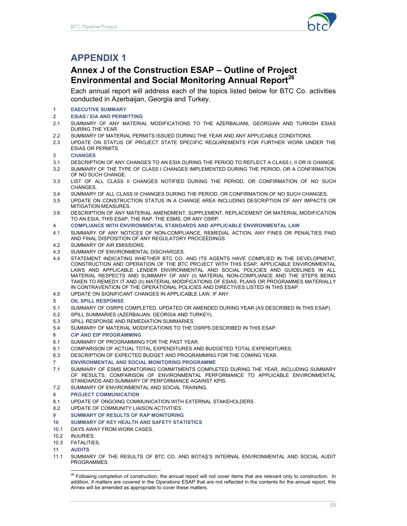

# **APPENDIX 1**

# **Annex J of the Construction ESAP – Outline of Project Environmental and Social Monitoring Annual Report<sup>26</sup>**

Each annual report will address each of the topics listed below for BTC Co. activities conducted in Azerbaijan, Georgia and Turkey.

- **1 EXECUTIVE SUMMARY**
- **2 ESIAS / EIA AND PERMITTING**
- 2.1 SUMMARY OF ANY MATERIAL MODIFICATIONS TO THE AZERBAIJANI, GEORGIAN AND TURKISH ESIAS DURING THE YEAR.
- 2.2 SUMMARY OF MATERIAL PERMITS ISSUED DURING THE YEAR AND ANY APPLICABLE CONDITIONS.
- 2.3 UPDATE ON STATUS OF PROJECT STATE SPECIFIC REQUIREMENTS FOR FURTHER WORK UNDER THE ESIAS OR PERMITS.

#### **3 CHANGES**

- 3.1 DESCRIPTION OF ANY CHANGES TO AN ESIA DURING THE PERIOD TO REFLECT A CLASS I, II OR III CHANGE.
- 3.2 SUMMARY OF THE TYPE OF CLASS I CHANGES IMPLEMENTED DURING THE PERIOD, OR A CONFIRMATION OF NO SUCH CHANGE.
- 3.3 LIST OF ALL CLASS II CHANGES NOTIFIED DURING THE PERIOD, OR CONFIRMATION OF NO SUCH CHANGES.
- 3.4 SUMMARY OF ALL CLASS III CHANGES DURING THE PERIOD, OR CONFIRMATION OF NO SUCH CHANGES.
- 3.5 UPDATE ON CONSTRUCTION STATUS IN A CHANGE AREA INCLUDING DESCRIPTION OF ANY IMPACTS OR MITIGATION MEASURES.
- 3.6 DESCRIPTION OF ANY MATERIAL AMENDMENT, SUPPLEMENT, REPLACEMENT OR MATERIAL MODIFICATION TO AN ESIA, THIS ESAP, THE RAP, THE ESMS, OR ANY OSRP.
- **4 COMPLIANCE WITH ENVIRONMENTAL STANDARDS AND APPLICABLE ENVIRONMENTAL LAW**
- 4.1 SUMMARY OF ANY NOTICES OF NON-COMPLIANCE, REMEDIAL ACTION, ANY FINES OR PENALTIES PAID AND FINAL DISPOSITION OF ANY REGULATORY PROCEEDINGS.
- 4.2 SUMMARY OF AIR EMISSIONS.
- 4.3 SUMMARY OF ENVIRONMENTAL DISCHARGES.
- 4.4 STATEMENT INDICATING WHETHER BTC CO. AND ITS AGENTS HAVE COMPLIED IN THE DEVELOPMENT, CONSTRUCTION AND OPERATION OF THE BTC PROJECT WITH THIS ESAP, APPLICABLE ENVIRONMENTAL LAWS AND APPLICABLE LENDER ENVIRONMENTAL AND SOCIAL POLICIES AND GUIDELINES IN ALL MATERIAL RESPECTS AND SUMMARY OF ANY (I) MATERIAL NON-COMPLIANCE AND THE STEPS BEING TAKEN TO REMEDY IT AND (II) MATERIAL MODIFICATIONS OF ESIAS, PLANS OR PROGRAMMES MATERIALLY IN CONTRAVENTION OF THE OPERATIONAL POLICIES AND DIRECTIVES LISTED IN THIS ESAP.
- 4.5 UPDATE ON SIGNIFICANT CHANGES IN APPLICABLE LAW, IF ANY.
- **5 OIL SPILL RESPONSE**
- 5.1 SUMMARY OF OSRPS COMPLETED, UPDATED OR AMENDED DURING YEAR (AS DESCRIBED IN THIS ESAP).
- 5.2 SPILL SUMMARIES (AZERBAIJAN, GEORGIA AND TURKEY).
- 5.3 SPILL RESPONSE AND REMEDIATION SUMMARIES.
- 5.4 SUMMARY OF MATERIAL MODIFICATIONS TO THE OSRPS DESCRIBED IN THIS ESAP.
- **6 CIP AND EIP PROGRAMMING**
- 6.1 SUMMARY OF PROGRAMMING FOR THE PAST YEAR.
- 6.1 COMPARISON OF ACTUAL TOTAL EXPENDITURES AND BUDGETED TOTAL EXPENDITURES.
- 6.3 DESCRIPTION OF EXPECTED BUDGET AND PROGRAMMING FOR THE COMING YEAR.
- **7 ENVIRONMENTAL AND SOCIAL MONITORING PROGRAMME**
- 7.1 SUMMARY OF ESMS MONITORING COMMITMENTS COMPLETED DURING THE YEAR, INCLUDING SUMMARY OF RESULTS, COMPARISON OF ENVIRONMENTAL PERFORMANCE TO APPLICABLE ENVIRONMENTAL STANDARDS AND SUMMARY OF PERFORMANCE AGAINST KPIS.
- 7.2 SUMMARY OF ENVIRONMENTAL AND SOCIAL TRAINING.
- **8 PROJECT COMMUNICATION**
- 8.1 UPDATE OF ONGOING COMMUNICATION WITH EXTERNAL STAKEHOLDERS.
- 8.2 UPDATE OF COMMUNITY LIAISON ACTIVITIES.
- **9 SUMMARY OF RESULTS OF RAP MONITORING**
- **10 SUMMARY OF KEY HEALTH AND SAFETY STATISTICS**
- 10.1 DAYS AWAY FROM WORK CASES.
- 10.2 INJURIES.
- 10.3 FATALITIES.
- **11 AUDITS**

 $\overline{a}$ 

11.1 SUMMARY OF THE RESULTS OF BTC CO. AND BOTAŞ'S INTERNAL ENVIRONMENTAL AND SOCIAL AUDIT PROGRAMMES.

<sup>&</sup>lt;sup>26</sup> Following completion of construction, the annual report will not cover items that are relevant only to construction. In addition, if matters are covered in the Operations ESAP that are not reflected in the contents for the annual report, this Annex will be amended as appropriate to cover these matters.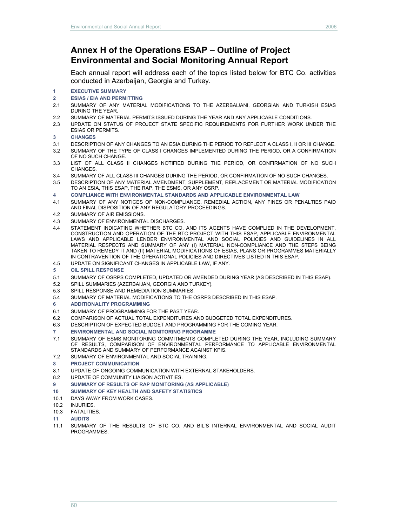# **Annex H of the Operations ESAP – Outline of Project Environmental and Social Monitoring Annual Report**

Each annual report will address each of the topics listed below for BTC Co. activities conducted in Azerbaijan, Georgia and Turkey.

#### **1 EXECUTIVE SUMMARY**

- **2 ESIAS / EIA AND PERMITTING**
- 2.1 SUMMARY OF ANY MATERIAL MODIFICATIONS TO THE AZERBAIJANI, GEORGIAN AND TURKISH ESIAS DURING THE YEAR.
- 2.2 SUMMARY OF MATERIAL PERMITS ISSUED DURING THE YEAR AND ANY APPLICABLE CONDITIONS.
- 2.3 UPDATE ON STATUS OF PROJECT STATE SPECIFIC REQUIREMENTS FOR FURTHER WORK UNDER THE ESIAS OR PERMITS.
- **3 CHANGES**
- 3.1 DESCRIPTION OF ANY CHANGES TO AN ESIA DURING THE PERIOD TO REFLECT A CLASS I, II OR III CHANGE.
- 3.2 SUMMARY OF THE TYPE OF CLASS I CHANGES IMPLEMENTED DURING THE PERIOD, OR A CONFIRMATION OF NO SUCH CHANGE.
- 3.3 LIST OF ALL CLASS II CHANGES NOTIFIED DURING THE PERIOD, OR CONFIRMATION OF NO SUCH CHANGES.
- 3.4 SUMMARY OF ALL CLASS III CHANGES DURING THE PERIOD, OR CONFIRMATION OF NO SUCH CHANGES.
- 3.5 DESCRIPTION OF ANY MATERIAL AMENDMENT, SUPPLEMENT, REPLACEMENT OR MATERIAL MODIFICATION TO AN ESIA, THIS ESAP, THE RAP, THE ESMS, OR ANY OSRP.
- **4 COMPLIANCE WITH ENVIRONMENTAL STANDARDS AND APPLICABLE ENVIRONMENTAL LAW**
- 4.1 SUMMARY OF ANY NOTICES OF NON-COMPLIANCE, REMEDIAL ACTION, ANY FINES OR PENALTIES PAID AND FINAL DISPOSITION OF ANY REGULATORY PROCEEDINGS.
- 4.2 SUMMARY OF AIR EMISSIONS.
- 4.3 SUMMARY OF ENVIRONMENTAL DISCHARGES.
- 4.4 STATEMENT INDICATING WHETHER BTC CO. AND ITS AGENTS HAVE COMPLIED IN THE DEVELOPMENT, CONSTRUCTION AND OPERATION OF THE BTC PROJECT WITH THIS ESAP, APPLICABLE ENVIRONMENTAL LAWS AND APPLICABLE LENDER ENVIRONMENTAL AND SOCIAL POLICIES AND GUIDELINES IN ALL MATERIAL RESPECTS AND SUMMARY OF ANY (I) MATERIAL NON-COMPLIANCE AND THE STEPS BEING TAKEN TO REMEDY IT AND (II) MATERIAL MODIFICATIONS OF ESIAS, PLANS OR PROGRAMMES MATERIALLY IN CONTRAVENTION OF THE OPERATIONAL POLICIES AND DIRECTIVES LISTED IN THIS ESAP.
- 4.5 UPDATE ON SIGNIFICANT CHANGES IN APPLICABLE LAW, IF ANY.
- **5 OIL SPILL RESPONSE**
- 5.1 SUMMARY OF OSRPS COMPLETED, UPDATED OR AMENDED DURING YEAR (AS DESCRIBED IN THIS ESAP).
- 5.2 SPILL SUMMARIES (AZERBAIJAN, GEORGIA AND TURKEY).
- 5.3 SPILL RESPONSE AND REMEDIATION SUMMARIES.
- 5.4 SUMMARY OF MATERIAL MODIFICATIONS TO THE OSRPS DESCRIBED IN THIS ESAP.
- **6 ADDITIONALITY PROGRAMMING**
- 6.1 SUMMARY OF PROGRAMMING FOR THE PAST YEAR.
- 6.2 COMPARISON OF ACTUAL TOTAL EXPENDITURES AND BUDGETED TOTAL EXPENDITURES.
- 6.3 DESCRIPTION OF EXPECTED BUDGET AND PROGRAMMING FOR THE COMING YEAR.
- **7 ENVIRONMENTAL AND SOCIAL MONITORING PROGRAMME**
- 7.1 SUMMARY OF ESMS MONITORING COMMITMENTS COMPLETED DURING THE YEAR, INCLUDING SUMMARY OF RESULTS, COMPARISON OF ENVIRONMENTAL PERFORMANCE TO APPLICABLE ENVIRONMENTAL STANDARDS AND SUMMARY OF PERFORMANCE AGAINST KPIS.
- 7.2 SUMMARY OF ENVIRONMENTAL AND SOCIAL TRAINING.
- **8 PROJECT COMMUNICATION**
- 8.1 UPDATE OF ONGOING COMMUNICATION WITH EXTERNAL STAKEHOLDERS.
- 8.2 UPDATE OF COMMUNITY LIAISON ACTIVITIES.
- **9 SUMMARY OF RESULTS OF RAP MONITORING (AS APPLICABLE)**
- **10 SUMMARY OF KEY HEALTH AND SAFETY STATISTICS**
- 10.1 DAYS AWAY FROM WORK CASES.
- 10.2 INJURIES.
- 10.3 FATALITIES.
- **11 AUDITS**
- 11.1 SUMMARY OF THE RESULTS OF BTC CO. AND BIL'S INTERNAL ENVIRONMENTAL AND SOCIAL AUDIT PROGRAMMES.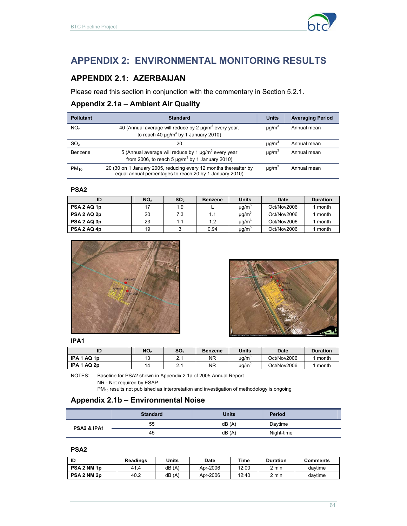

# **APPENDIX 2: ENVIRONMENTAL MONITORING RESULTS**

# **APPENDIX 2.1: AZERBAIJAN**

Please read this section in conjunction with the commentary in Section 5.2.1.

# **Appendix 2.1a – Ambient Air Quality**

| <b>Pollutant</b> | <b>Standard</b>                                                                                                                 | <b>Units</b>           | <b>Averaging Period</b> |
|------------------|---------------------------------------------------------------------------------------------------------------------------------|------------------------|-------------------------|
| NO <sub>2</sub>  | 40 (Annual average will reduce by 2 $\mu$ g/m <sup>3</sup> every year,<br>to reach 40 $\mu$ q/m <sup>3</sup> by 1 January 2010) | $\mu$ q/m <sup>3</sup> | Annual mean             |
| SO <sub>2</sub>  | 20                                                                                                                              | $\mu q/m^3$            | Annual mean             |
| Benzene          | 5 (Annual average will reduce by 1 $\mu q/m^3$ every year<br>from 2006, to reach 5 $\mu$ g/m <sup>3</sup> by 1 January 2010)    | $\mu q/m^3$            | Annual mean             |
| $PM_{10}$        | 20 (30 on 1 January 2005, reducing every 12 months thereafter by<br>equal annual percentages to reach 20 by 1 January 2010)     | $\mu$ q/m <sup>3</sup> | Annual mean             |

#### **PSA2**

| ID          | NO <sub>2</sub> | SO <sub>2</sub> | <b>Benzene</b> | <b>Units</b>           | Date        | <b>Duration</b> |
|-------------|-----------------|-----------------|----------------|------------------------|-------------|-----------------|
| PSA 2 AQ 1p |                 | 1.9             |                | $\mu$ g/m              | Oct/Nov2006 | month           |
| PSA 2 AQ 2p | 20              | 7.3             |                | $\mu q/m^3$            | Oct/Nov2006 | month           |
| PSA 2 AQ 3p | 23              |                 | 1.2            | $\mu$ g/m <sup>3</sup> | Oct/Nov2006 | month           |
| PSA 2 AQ 4p | 19              |                 | 0.94           | $\mu$ g/m <sup>3</sup> | Oct/Nov2006 | month           |





#### **IPA1**

| ID                        | NO,                 | SO <sub>2</sub> | <b>Benzene</b> | Units     | <b>Date</b> | <b>Duration</b> |
|---------------------------|---------------------|-----------------|----------------|-----------|-------------|-----------------|
| AQ 1p<br>IPA <sub>1</sub> | $\overline{A}$<br>J |                 | NR             | $\mu$ g/m | Oct/Nov2006 | month           |
| AQ 2p<br>IPA <sub>1</sub> | ۰4                  | ົ               | NR             | $\mu$ g/m | Oct/Nov2006 | month           |

NOTES: Baseline for PSA2 shown in Appendix 2.1a of 2005 Annual Report

NR - Not required by ESAP

PM<sub>10</sub> results not published as interpretation and investigation of methodology is ongoing

### **Appendix 2.1b – Environmental Noise**

|                        | <b>Standard</b> | <b>Units</b> | Period     |
|------------------------|-----------------|--------------|------------|
| <b>PSA2 &amp; IPA1</b> | 55              | dB(A)        | Daytime    |
|                        | 45              | dB(A)        | Night-time |

#### **PSA2**

| ID          | <b>Readings</b> | Units | Date     | Time  | Duration | Comments |
|-------------|-----------------|-------|----------|-------|----------|----------|
| PSA 2 NM 1p | 41.4            | dB(A) | Apr-2006 | 12:00 | 2 min    | davtime  |
| PSA 2 NM 2p | 40.2            | dB(A) | Apr-2006 | 12:40 | 2 min    | davtime  |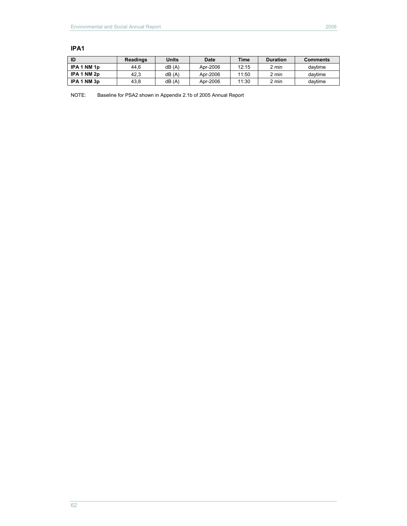| ID          | <b>Readings</b> | Units | <b>Date</b> | <b>Time</b> | <b>Duration</b> | <b>Comments</b> |
|-------------|-----------------|-------|-------------|-------------|-----------------|-----------------|
| IPA 1 NM 1p | 44.6            | dB(A) | Apr-2006    | 12:15       | 2 min           | davtime         |
| IPA 1 NM 2p | 42.3            | dB(A) | Apr-2006    | 11:50       | 2 min           | davtime         |
| IPA 1 NM 3p | 43.8            | dB(A) | Apr-2006    | 11:30       | 2 min           | davtime         |

#### **IPA1**

NOTE: Baseline for PSA2 shown in Appendix 2.1b of 2005 Annual Report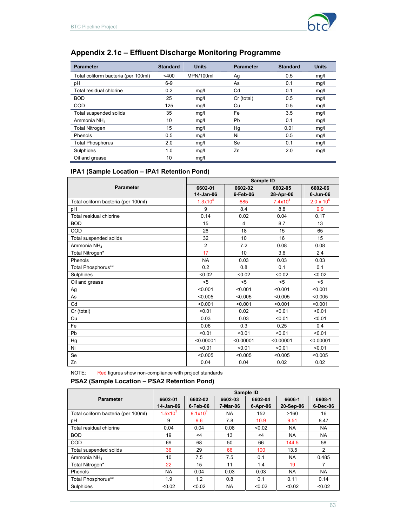

# **Appendix 2.1c – Effluent Discharge Monitoring Programme**

| <b>Parameter</b>                    | <b>Standard</b> | <b>Units</b> | <b>Parameter</b> | <b>Standard</b> | <b>Units</b> |
|-------------------------------------|-----------------|--------------|------------------|-----------------|--------------|
| Total coliform bacteria (per 100ml) | $<$ 400         | MPN/100ml    | Ag               | 0.5             | mg/l         |
| pH                                  | $6-9$           |              | As               | 0.1             | mg/l         |
| Total residual chlorine             | 0.2             | mg/l         | Cd               | 0.1             | mg/l         |
| <b>BOD</b>                          | 25              | mq/l         | Cr (total)       | 0.5             | mg/l         |
| <b>COD</b>                          | 125             | mg/l         | Cu               | 0.5             | mg/l         |
| Total suspended solids              | 35              | mq/l         | Fe               | 3.5             | mg/l         |
| Ammonia NH <sub>4</sub>             | 10              | mq/l         | Pb               | 0.1             | mg/l         |
| <b>Total Nitrogen</b>               | 15              | mq/          | Hg               | 0.01            | mg/l         |
| Phenols                             | 0.5             | mg/l         | Ni               | 0.5             | mg/l         |
| <b>Total Phosphorus</b>             | 2.0             | mg/l         | Se               | 0.1             | mg/l         |
| Sulphides                           | 1.0             | mq/          | Zn               | 2.0             | mg/l         |
| Oil and grease                      | 10              | mq/l         |                  |                 |              |

## **IPA1 (Sample Location – IPA1 Retention Pond)**

|                                     | Sample ID      |           |            |                     |  |  |  |
|-------------------------------------|----------------|-----------|------------|---------------------|--|--|--|
| <b>Parameter</b>                    | 6602-01        | 6602-02   | 6602-05    | 6602-06             |  |  |  |
|                                     | 14-Jan-06      | 6-Feb-06  | 28-Apr-06  | 6-Jun-06            |  |  |  |
| Total coliform bacteria (per 100ml) | $1.3x10^{5}$   | 685       | $7.4x10^4$ | $2.0 \times 10^{5}$ |  |  |  |
| pH                                  | 9              | 8.4       | 8.8        | 9.9                 |  |  |  |
| Total residual chlorine             | 0.14           | 0.02      | 0.04       | 0.17                |  |  |  |
| <b>BOD</b>                          | 15             | 4         | 8.7        | 13                  |  |  |  |
| COD                                 | 26             | 18        | 15         | 65                  |  |  |  |
| Total suspended solids              | 32             | 10        | 16         | 15                  |  |  |  |
| Ammonia NH <sub>4</sub>             | $\overline{2}$ | 7.2       | 0.08       | 0.08                |  |  |  |
| Total Nitrogen*                     | 17             | 10        | 3.6        | 2.4                 |  |  |  |
| Phenols                             | <b>NA</b>      | 0.03      | 0.03       | 0.03                |  |  |  |
| Total Phosphorus**                  | 0.2            | 0.8       | 0.1        | 0.1                 |  |  |  |
| Sulphides                           | < 0.02         | < 0.02    | < 0.02     | < 0.02              |  |  |  |
| Oil and grease                      | $5$            | $5$       | $5$        | $5$                 |  |  |  |
| Ag                                  | < 0.001        | < 0.001   | < 0.001    | < 0.001             |  |  |  |
| As                                  | < 0.005        | < 0.005   | < 0.005    | < 0.005             |  |  |  |
| Cd                                  | < 0.001        | < 0.001   | < 0.001    | < 0.001             |  |  |  |
| Cr (total)                          | < 0.01         | 0.02      | < 0.01     | < 0.01              |  |  |  |
| Cu                                  | 0.03           | 0.03      | < 0.01     | < 0.01              |  |  |  |
| Fe                                  | 0.06           | 0.3       | 0.25       | 0.4                 |  |  |  |
| Pb                                  | < 0.01         | < 0.01    | < 0.01     | < 0.01              |  |  |  |
| Hg                                  | < 0.00001      | < 0.00001 | < 0.00001  | < 0.00001           |  |  |  |
| Ni                                  | < 0.01         | < 0.01    | < 0.01     | < 0.01              |  |  |  |
| Se                                  | < 0.005        | < 0.005   | < 0.005    | < 0.005             |  |  |  |
| Zn                                  | 0.04           | 0.04      | 0.02       | 0.02                |  |  |  |

NOTE: Red figures show non-compliance with project standards

#### **PSA2 (Sample Location – PSA2 Retention Pond)**

|                                     | Sample ID    |                     |           |          |           |           |  |  |  |
|-------------------------------------|--------------|---------------------|-----------|----------|-----------|-----------|--|--|--|
| <b>Parameter</b>                    | 6602-01      | 6602-02             | 6602-03   | 6602-04  | 6606-1    | 6608-1    |  |  |  |
|                                     | 14-Jan-06    | $6$ -Feb-06         | 7-Mar-06  | 6-Apr-06 | 20-Sep-06 | 6-Dec-06  |  |  |  |
| Total coliform bacteria (per 100ml) | $1.5x10^{5}$ | 9.1x10 <sup>4</sup> | NA.       | 152      | >160      | 16        |  |  |  |
| pH                                  | 9            | 9.6                 | 7.8       | 10.9     | 9.51      | 8.47      |  |  |  |
| Total residual chlorine             | 0.04         | 0.04                | 0.08      | < 0.02   | <b>NA</b> | <b>NA</b> |  |  |  |
| <b>BOD</b>                          | 19           | $\leq 4$            | 13        | $<$ 4    | <b>NA</b> | <b>NA</b> |  |  |  |
| <b>COD</b>                          | 69           | 68                  | 50        | 66       | 144.5     | 58        |  |  |  |
| Total suspended solids              | 36           | 29                  | 66        | 100      | 13.5      | 2         |  |  |  |
| Ammonia NH <sub>4</sub>             | 10           | 7.5                 | 7.5       | 0.1      | <b>NA</b> | 0.485     |  |  |  |
| Total Nitrogen*                     | 22           | 15                  | 11        | 1.4      | 19        | 7         |  |  |  |
| Phenols                             | <b>NA</b>    | 0.04                | 0.03      | 0.03     | <b>NA</b> | <b>NA</b> |  |  |  |
| Total Phosphorus**                  | 1.9          | 1.2                 | 0.8       | 0.1      | 0.11      | 0.14      |  |  |  |
| Sulphides                           | < 0.02       | < 0.02              | <b>NA</b> | < 0.02   | < 0.02    | < 0.02    |  |  |  |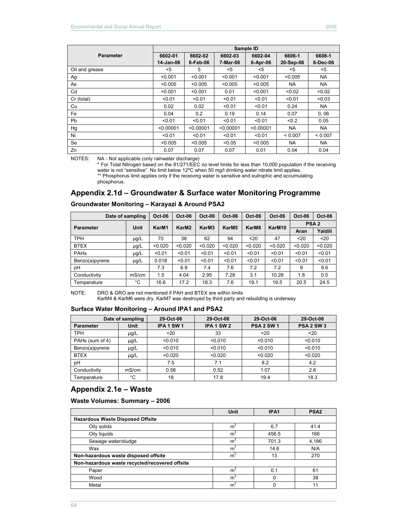|                  |           |           |           | Sample ID |           |          |
|------------------|-----------|-----------|-----------|-----------|-----------|----------|
| <b>Parameter</b> | 6602-01   | 6602-02   | 6602-03   | 6602-04   | 6606-1    | 6608-1   |
|                  | 14-Jan-06 | 6-Feb-06  | 7-Mar-06  | 6-Apr-06  | 20-Sep-06 | 6-Dec-06 |
| Oil and grease   | <5        | 5         | $<$ 5     | <5        | $<$ 5     | $5$      |
| Ag               | < 0.001   | < 0.001   | < 0.001   | < 0.001   | < 0.005   | NA.      |
| As               | < 0.005   | < 0.005   | < 0.005   | < 0.005   | NA.       | NA.      |
| Cd               | < 0.001   | < 0.001   | 0.01      | < 0.001   | < 0.02    | < 0.02   |
| Cr (total)       | < 0.01    | < 0.01    | < 0.01    | < 0.01    | < 0.01    | < 0.03   |
| Cu               | 0.02      | 0.02      | < 0.01    | < 0.01    | 0.24      | NA.      |
| Fe               | 0.04      | 0.2       | 0.19      | 0.14      | 0.07      | 0.06     |
| <b>Pb</b>        | < 0.01    | < 0.01    | < 0.01    | < 0.01    | < 0.2     | 0.05     |
| Hg               | < 0.00001 | < 0.00001 | < 0.00001 | < 0.00001 | <b>NA</b> | NA.      |
| Ni               | < 0.01    | < 0.01    | < 0.01    | < 0.01    | < 0.007   | < 0.007  |
| Se               | < 0.005   | < 0.005   | < 0.05    | < 0.005   | <b>NA</b> | NA.      |
| Zn               | 0.07      | 0.07      | 0.07      | 0.01      | 0.04      | 0.04     |

NOTES: NA - Not applicable (only rainwater discharge)

\* For Total Nitrogen based on the 91/271/EEC no level limits for less than 10,000 population if the receiving water is not "sensitive". No limit below 12°C when 50 mg/l drinking water nitrate limit applies.

\*\* Phosphorus limit applies only if the receiving water is sensitive and eutrophic and accumulating phosphorus.

### **Appendix 2.1d – Groundwater & Surface water Monitoring Programme**

| Date of sampling |           | <b>Oct-06</b> | <b>Oct-06</b>     | $Oct-06$ | <b>Oct-06</b>     | <b>Oct-06</b> | $Oct-06$           | <b>Oct-06</b>    | <b>Oct-06</b> |
|------------------|-----------|---------------|-------------------|----------|-------------------|---------------|--------------------|------------------|---------------|
| <b>Parameter</b> | Unit      | KarM1         | KarM <sub>2</sub> | KarM3    | KarM <sub>5</sub> | KarM8         | KarM <sub>10</sub> | PSA <sub>2</sub> |               |
|                  |           |               |                   |          |                   |               |                    | Aran             | Yaldili       |
| <b>TPH</b>       | $\mu$ g/L | 70            | 38                | 62       | 94                | $20$          | 47                 | $20$             | $20$          |
| <b>BTEX</b>      | $\mu$ g/L | < 0.020       | < 0.020           | < 0.020  | < 0.020           | < 0.020       | < 0.020            | < 0.020          | < 0.020       |
| PAHs             | $\mu$ g/L | < 0.01        | < 0.01            | < 0.01   | < 0.01            | < 0.01        | < 0.01             | < 0.01           | < 0.01        |
| Benzo(a)pyrene   | $\mu$ g/L | 0.018         | < 0.01            | < 0.01   | < 0.01            | < 0.01        | < 0.01             | < 0.01           | < 0.01        |
| pH               |           | 7.3           | 6.9               | 7.4      | 7.6               | 7.2           | 7.2                | 9                | 9.6           |
| Conductivity     | mS/cm     | 1.5           | 4.04              | 2.95     | 7.28              | 3.1           | 10.28              | 1.8              | 0.5           |
| Temperature      | °C        | 16.6          | 17.2              | 18.3     | 7.6               | 19.1          | 19.5               | 20.5             | 24.5          |

#### **Groundwater Monitoring – Karayazi & Around PSA2**

NOTE: DRO & GRO are not mentioned if PAH and BTEX are within limits KarM4 & KarM6 were dry. KarM7 was destroyed by third party and rebuilding is underway

#### **Surface Water Monitoring – Around IPA1 and PSA2**

| Date of sampling |           | 29-Oct-06  | 29-Oct-06  | 29-Oct-06         | 29-Oct-06         |  |
|------------------|-----------|------------|------------|-------------------|-------------------|--|
| <b>Parameter</b> | Unit      | IPA 1 SW 1 | IPA 1 SW 2 | <b>PSA 2 SW 1</b> | <b>PSA 2 SW 3</b> |  |
| <b>TPH</b>       | $\mu$ g/L | $20$       | 33         | $20$              | $20$              |  |
| PAHs (sum of 4)  | $\mu$ g/L | < 0.010    | < 0.010    | < 0.010           | < 0.010           |  |
| Benzo(a)pyrene   | $\mu$ g/L | < 0.010    | < 0.010    | < 0.010           | < 0.010           |  |
| <b>BTEX</b>      | $\mu$ g/L | < 0.020    | < 0.020    | < 0.020           | < 0.020           |  |
| рH               |           | 7.5        | 7.1        | 8.2               | 4.2               |  |
| Conductivity     | mS/cm     | 0.58       | 0.52       | 1.07              | 2.6               |  |
| Femperature      | °C        | 18         | 17.8       | 19.4              | 18.3              |  |

## **Appendix 2.1e – Waste**

**Waste Volumes: Summary – 2006** 

|                                                | Unit             | IPA1  | PSA <sub>2</sub> |  |  |  |  |  |
|------------------------------------------------|------------------|-------|------------------|--|--|--|--|--|
| <b>Hazardous Waste Disposed Offsite</b>        |                  |       |                  |  |  |  |  |  |
| Oily solids                                    | m <sup>3</sup>   | 6.7   | 41.4             |  |  |  |  |  |
| Oily liquids                                   | m <sup>3</sup>   | 456.5 | 166              |  |  |  |  |  |
| Sewage water/sludge                            | m <sup>3</sup>   | 701.3 | 4,186            |  |  |  |  |  |
| Wax                                            | m <sup>3</sup>   | 14.6  | N/A              |  |  |  |  |  |
| Non-hazardous waste disposed offsite           | m <sup>3</sup>   | 13    | 270              |  |  |  |  |  |
| Non-hazardous waste recycled/recovered offsite |                  |       |                  |  |  |  |  |  |
| Paper                                          | m <sup>3</sup>   | 0.1   | 61               |  |  |  |  |  |
| Wood                                           | $\overline{m}^3$ |       | 38               |  |  |  |  |  |
| Metal                                          | $\overline{m}^3$ |       |                  |  |  |  |  |  |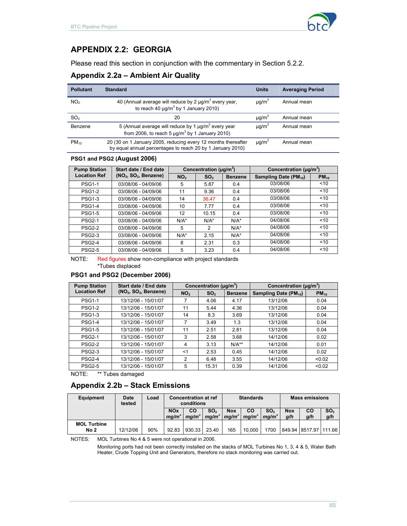

# **APPENDIX 2.2: GEORGIA**

Please read this section in conjunction with the commentary in Section 5.2.2.

### **Appendix 2.2a – Ambient Air Quality**

| <b>Pollutant</b> | <b>Standard</b>                                                                                                                 | <b>Units</b> | <b>Averaging Period</b> |
|------------------|---------------------------------------------------------------------------------------------------------------------------------|--------------|-------------------------|
| NO <sub>2</sub>  | 40 (Annual average will reduce by 2 $\mu$ g/m <sup>3</sup> every year,<br>to reach 40 $\mu$ g/m <sup>3</sup> by 1 January 2010) | $\mu q/m^3$  | Annual mean             |
| SO <sub>2</sub>  | 20                                                                                                                              | $\mu q/m^3$  | Annual mean             |
| Benzene          | 5 (Annual average will reduce by 1 $\mu q/m^3$ every year<br>from 2006, to reach 5 $\mu q/m^3$ by 1 January 2010)               | $\mu q/m^3$  | Annual mean             |
| $PM_{10}$        | 20 (30 on 1 January 2005, reducing every 12 months thereafter<br>by equal annual percentages to reach 20 by 1 January 2010)     | $\mu q/m^3$  | Annual mean             |

#### **PSG1 and PSG2 (August 2006)**

| <b>Pump Station</b> | Start date / End date |                 | Concentration ( $\mu$ g/m <sup>3</sup> ) |                | Concentration ( $\mu$ g/m <sup>3</sup> ) |           |  |
|---------------------|-----------------------|-----------------|------------------------------------------|----------------|------------------------------------------|-----------|--|
| <b>Location Ref</b> | $(NO2, SO2, Benzene)$ | NO <sub>2</sub> | SO <sub>2</sub>                          | <b>Benzene</b> | Sampling Date (PM <sub>10</sub> )        | $PM_{10}$ |  |
| <b>PSG1-1</b>       | 03/08/06 - 04/09/06   | 5               | 5.87                                     | 0.4            | 03/08/06                                 | ~10       |  |
| <b>PSG1-2</b>       | 03/08/06 - 04/09/06   | 11              | 9.36                                     | 0.4            | 03/08/06                                 | < 10      |  |
| <b>PSG1-3</b>       | 03/08/06 - 04/09/06   | 14              | 36.47                                    | 0.4            | 03/08/06                                 | < 10      |  |
| <b>PSG1-4</b>       | 03/08/06 - 04/09/06   | 10              | 7.77                                     | 0.4            | 03/08/06                                 | < 10      |  |
| <b>PSG1-5</b>       | 03/08/06 - 04/09/06   | 12              | 10.15                                    | 0.4            | 03/08/06                                 | < 10      |  |
| <b>PSG2-1</b>       | 03/08/06 - 04/09/06   | $N/A^*$         | $N/A^*$                                  | $N/A^*$        | 04/08/06                                 | < 10      |  |
| <b>PSG2-2</b>       | 03/08/06 - 04/09/06   | 5               | 2                                        | $N/A^*$        | 04/08/06                                 | < 10      |  |
| <b>PSG2-3</b>       | 03/08/06 - 04/09/06   | $N/A^*$         | 2.15                                     | $N/A^*$        | 04/08/06                                 | < 10      |  |
| <b>PSG2-4</b>       | 03/08/06 - 04/09/06   | 8               | 2.31                                     | 0.3            | 04/08/06                                 | < 10      |  |
| <b>PSG2-5</b>       | 03/08/06 - 04/09/06   | 5               | 3.23                                     | 0.4            | 04/08/06                                 | < 10      |  |

NOTE: Red figures show non-compliance with project standards

\*Tubes displaced

#### **PSG1 and PSG2 (December 2006)**

| <b>Pump Station</b> | Start date / End date |                 | Concentration ( $\mu$ g/m <sup>3</sup> ) |                | Concentration ( $\mu$ g/m <sup>3</sup> ) |           |  |
|---------------------|-----------------------|-----------------|------------------------------------------|----------------|------------------------------------------|-----------|--|
| <b>Location Ref</b> | $(NO2, SO2, Benzene)$ | NO <sub>2</sub> | SO <sub>2</sub>                          | <b>Benzene</b> | Sampling Date (PM <sub>10</sub> )        | $PM_{10}$ |  |
| <b>PSG1-1</b>       | 13/12/06 - 15/01/07   |                 | 4.06                                     | 4.17           | 13/12/06                                 | 0.04      |  |
| <b>PSG1-2</b>       | 13/12/06 - 15/01/07   | 11              | 5.44                                     | 4.36           | 13/12/06                                 | 0.04      |  |
| <b>PSG1-3</b>       | 13/12/06 - 15/01/07   | 14              | 8.3                                      | 3.69           | 13/12/06                                 | 0.04      |  |
| <b>PSG1-4</b>       | 13/12/06 - 15/01/07   | 7               | 3.49                                     | 1.3            | 13/12/06                                 | 0.04      |  |
| <b>PSG1-5</b>       | 13/12/06 - 15/01/07   | 11              | 2.51                                     | 2.81           | 13/12/06                                 | 0.04      |  |
| <b>PSG2-1</b>       | 13/12/06 - 15/01/07   | 3               | 2.58                                     | 3.68           | 14/12/06                                 | 0.02      |  |
| <b>PSG2-2</b>       | 13/12/06 - 15/01/07   | 4               | 3.13                                     | $N/A**$        | 14/12/06                                 | 0.01      |  |
| <b>PSG2-3</b>       | 13/12/06 - 15/01/07   | $<$ 1           | 2.53                                     | 0.45           | 14/12/06                                 | 0.02      |  |
| <b>PSG2-4</b>       | 13/12/06 - 15/01/07   | 2               | 6.48                                     | 3.55           | 14/12/06                                 | < 0.02    |  |
| <b>PSG2-5</b>       | 13/12/06 - 15/01/07   | 5               | 15.31                                    | 0.39           | 14/12/06                                 | < 0.02    |  |

NOTE: \*\* Tubes damaged

#### **Appendix 2.2b – Stack Emissions**

| Equipment                  | <b>Date</b><br>tested | Load | <b>Concentration at ref</b><br>conditions |                         | <b>Standards</b>                     |                                 |                         | <b>Mass emissions</b>                |                   |                       |                        |
|----------------------------|-----------------------|------|-------------------------------------------|-------------------------|--------------------------------------|---------------------------------|-------------------------|--------------------------------------|-------------------|-----------------------|------------------------|
|                            |                       |      | <b>NOx</b><br>ma/m <sup>3</sup>           | CO<br>ma/m <sup>3</sup> | SO <sub>2</sub><br>ma/m <sup>3</sup> | <b>Nox</b><br>ma/m <sup>3</sup> | CO<br>ma/m <sup>3</sup> | SO <sub>2</sub><br>ma/m <sup>3</sup> | <b>Nox</b><br>a/h | co<br>q/h             | SO <sub>2</sub><br>q/h |
| <b>MOL Turbine</b><br>No 2 | 12/12/06              | 90%  | 92.83                                     | 930.33                  | 23.40                                | 165                             | 10.000                  | 1700                                 |                   | 849.94 8517.97 111.66 |                        |

NOTES*:* MOL Turbines No 4 & 5 were not operational in 2006.

Monitoring ports had not been correctly installed on the stacks of MOL Turbines No 1, 3, 4 & 5, Water Bath Heater, Crude Topping Unit and Generators, therefore no stack monitoring was carried out.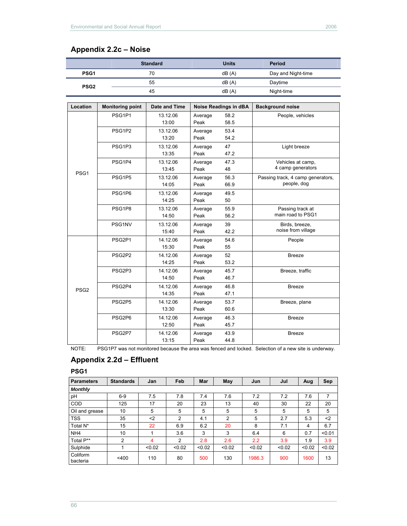# **Appendix 2.2c – Noise**

|                  |                         | <b>Standard</b> |         | <b>Units</b>                 | Period                            |
|------------------|-------------------------|-----------------|---------|------------------------------|-----------------------------------|
| PSG <sub>1</sub> |                         | 70              |         | dB(A)                        | Day and Night-time                |
|                  |                         | 55              |         | dB(A)                        | Daytime                           |
| PSG <sub>2</sub> |                         | 45              |         | dB(A)                        | Night-time                        |
|                  |                         |                 |         |                              |                                   |
| Location         | <b>Monitoring point</b> | Date and Time   |         | <b>Noise Readings in dBA</b> | <b>Background noise</b>           |
|                  | PSG1P1                  | 13.12.06        | Average | 58.2                         | People, vehicles                  |
|                  |                         | 13:00           | Peak    | 58.5                         |                                   |
|                  | PSG1P2                  | 13.12.06        | Average | 53.4                         |                                   |
|                  |                         | 13:20           | Peak    | 54.2                         |                                   |
|                  | PSG1P3                  | 13.12.06        | Average | 47                           | Light breeze                      |
|                  |                         | 13:35           | Peak    | 47.2                         |                                   |
|                  | PSG1P4                  | 13.12.06        | Average | 47.3                         | Vehicles at camp,                 |
| PSG <sub>1</sub> |                         | 13:45           | Peak    | 48                           | 4 camp generators                 |
|                  | PSG1P5                  | 13.12.06        | Average | 56.3                         | Passing track, 4 camp generators, |
|                  |                         | 14:05           | Peak    | 66.9                         | people, dog                       |
|                  | PSG1P6                  | 13.12.06        | Average | 49.5                         |                                   |
|                  |                         | 14:25           | Peak    | 50                           |                                   |
|                  | PSG1P8                  | 13.12.06        | Average | 55.9                         | Passing track at                  |
|                  |                         | 14:50           | Peak    | 56.2                         | main road to PSG1                 |
|                  | PSG1NV                  | 13.12.06        | Average | 39                           | Birds, breeze,                    |
|                  |                         | 15:40           | Peak    | 42.2                         | noise from village                |
|                  | PSG2P1                  | 14.12.06        | Average | 54.6                         | People                            |
|                  |                         | 15:30           | Peak    | 55                           |                                   |
|                  | PSG2P2                  | 14.12.06        | Average | 52                           | <b>Breeze</b>                     |
|                  |                         | 14:25           | Peak    | 53.2                         |                                   |
|                  | PSG2P3                  | 14.12.06        | Average | 45.7                         | Breeze, traffic                   |
|                  |                         | 14:50           | Peak    | 46.7                         |                                   |
| PSG <sub>2</sub> | PSG2P4                  | 14.12.06        | Average | 46.8                         | <b>Breeze</b>                     |
|                  |                         | 14:35           | Peak    | 47.1                         |                                   |
|                  | PSG2P5                  | 14.12.06        | Average | 53.7                         | Breeze, plane                     |
|                  |                         | 13:30           | Peak    | 60.6                         |                                   |
|                  | PSG2P6                  | 14.12.06        | Average | 46.3                         | <b>Breeze</b>                     |
|                  |                         | 12:50           | Peak    | 45.7                         |                                   |
|                  | PSG2P7                  | 14.12.06        | Average | 43.9                         | <b>Breeze</b>                     |
|                  |                         | 13:15           | Peak    | 44.8                         |                                   |

NOTE: PSG1P7 was not monitored because the area was fenced and locked. Selection of a new site is underway.

# **Appendix 2.2d – Effluent**

**PSG1** 

| Parameters           | <b>Standards</b> | Jan    | Feb    | Mar    | May    | Jun    | Jul    | Aug    | Sep    |
|----------------------|------------------|--------|--------|--------|--------|--------|--------|--------|--------|
| <b>Monthly</b>       |                  |        |        |        |        |        |        |        |        |
| pH                   | $6-9$            | 7.5    | 7.8    | 7.4    | 7.6    | 7.2    | 7.2    | 7.6    | 7      |
| COD                  | 125              | 17     | 20     | 23     | 13     | 40     | 30     | 22     | 20     |
| Oil and grease       | 10               | 5      | 5      | 5      | 5      | 5      | 5      | 5      | 5      |
| <b>TSS</b>           | 35               | $2$    | 2      | 4.1    | 2      | 5      | 2.7    | 5.3    | $2$    |
| Total N*             | 15               | 22     | 6.9    | 6.2    | 20     | 8      | 7.1    | 4      | 6.7    |
| NH <sub>4</sub>      | 10               | 4      | 3.6    | 3      | 3      | 6.4    | 6      | 0.7    | < 0.01 |
| Total P**            | 2                | 4      | 2      | 2.8    | 2.6    | 2.2    | 3.9    | 1.9    | 3.9    |
| Sulphide             |                  | < 0.02 | < 0.02 | < 0.02 | < 0.02 | < 0.02 | < 0.02 | < 0.02 | < 0.02 |
| Coliform<br>bacteria | $<$ 400          | 110    | 80     | 500    | 130    | 1986.3 | 900    | 1600   | 13     |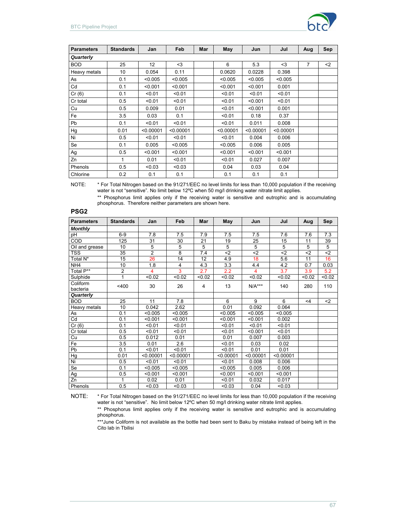

| <b>Parameters</b> | <b>Standards</b> | Jan             | Feb       | Mar | May       | Jun       | Jul       | Aug            | Sep |
|-------------------|------------------|-----------------|-----------|-----|-----------|-----------|-----------|----------------|-----|
| Quarterly         |                  |                 |           |     |           |           |           |                |     |
| <b>BOD</b>        | 25               | 12 <sup>°</sup> | $3$       |     | 6         | 5.3       | $3$       | $\overline{7}$ | $2$ |
| Heavy metals      | 10               | 0.054           | 0.11      |     | 0.0620    | 0.0228    | 0.398     |                |     |
| As                | 0.1              | < 0.005         | < 0.005   |     | < 0.005   | < 0.005   | < 0.005   |                |     |
| Cd                | 0.1              | < 0.001         | < 0.001   |     | < 0.001   | < 0.001   | 0.001     |                |     |
| Cr(6)             | 0.1              | < 0.01          | < 0.01    |     | < 0.01    | < 0.01    | < 0.01    |                |     |
| Cr total          | 0.5              | < 0.01          | < 0.01    |     | < 0.01    | < 0.001   | < 0.01    |                |     |
| Cu                | 0.5              | 0.009           | 0.01      |     | < 0.01    | < 0.001   | 0.001     |                |     |
| Fe                | 3.5              | 0.03            | 0.1       |     | < 0.01    | 0.18      | 0.37      |                |     |
| Pb                | 0.1              | < 0.01          | < 0.01    |     | < 0.01    | 0.011     | 0.008     |                |     |
| Hg                | 0.01             | < 0.00001       | < 0.00001 |     | < 0.00001 | < 0.00001 | < 0.00001 |                |     |
| Ni                | 0.5              | < 0.01          | < 0.01    |     | < 0.01    | 0.004     | 0.006     |                |     |
| Se                | 0.1              | 0.005           | < 0.005   |     | < 0.005   | 0.006     | 0.005     |                |     |
| Ag                | 0.5              | < 0.001         | < 0.001   |     | < 0.001   | < 0.001   | < 0.001   |                |     |
| Zn                | 1                | 0.01            | < 0.01    |     | < 0.01    | 0.027     | 0.007     |                |     |
| Phenols           | 0.5              | < 0.03          | < 0.03    |     | 0.04      | 0.03      | 0.04      |                |     |
| Chlorine          | 0.2              | 0.1             | 0.1       |     | 0.1       | 0.1       | 0.1       |                |     |

NOTE: \* For Total Nitrogen based on the 91/271/EEC no level limits for less than 10,000 population if the receiving water is not "sensitive". No limit below 12°C when 50 mg/l drinking water nitrate limit applies.

\*\* Phosphorus limit applies only if the receiving water is sensitive and eutrophic and is accumulating phosphorus. Therefore neither parameters are shown here.

| <b>Parameters</b> | <b>Standards</b> | Jan            | Feb       | Mar    | May       | Jun       | Jul       | Aug    | Sep              |
|-------------------|------------------|----------------|-----------|--------|-----------|-----------|-----------|--------|------------------|
| <b>Monthly</b>    |                  |                |           |        |           |           |           |        |                  |
| pH                | $6-9$            | 7.8            | 7.5       | 7.9    | 7.5       | 7.5       | 7.6       | 7.6    | $\overline{7.3}$ |
| COD               | 125              | 31             | 30        | 21     | 19        | 25        | 15        | 11     | 39               |
| Oil and grease    | 10               | 5              | 5         | 5      | 5         | 5         | 5         | 5      | 5                |
| TSS               | 35               | $\overline{2}$ | 8         | 7.4    | $2$       | $2$       | $2$       | $2$    | $2$              |
| Total N*          | 15               | 26             | 14        | 12     | 4.9       | 18        | 5.6       | 11     | 16               |
| NH <sub>4</sub>   | 10               | 1.8            | 4         | 4.3    | 3.3       | 4.4       | 4.2       | 0.7    | 0.03             |
| Total P**         | $\overline{2}$   | 4              | 3         | 2.7    | 2.2       | 4         | 3.7       | 3.9    | 5.2              |
| Sulphide          | 1                | < 0.02         | < 0.02    | < 0.02 | < 0.02    | < 0.02    | < 0.02    | < 0.02 | < 0.02           |
| Coliform          | $<$ 400          | 30             | 26        | 4      | 13        | $N/A***$  | 140       | 280    | 110              |
| bacteria          |                  |                |           |        |           |           |           |        |                  |
| Quarterly         |                  |                |           |        |           |           |           |        |                  |
| <b>BOD</b>        | 25               | 11             | 7.8       |        | 6         | 9         | 6         | <4     | $2$              |
| Heavy metals      | 10               | 0.042          | 2.62      |        | 0.01      | 0.092     | 0.064     |        |                  |
| As                | 0.1              | < 0.005        | < 0.005   |        | < 0.005   | < 0.005   | < 0.005   |        |                  |
| Cd                | 0.1              | < 0.001        | < 0.001   |        | < 0.001   | < 0.001   | 0.002     |        |                  |
| Cr(6)             | 0.1              | < 0.01         | < 0.01    |        | < 0.01    | < 0.01    | < 0.01    |        |                  |
| Cr total          | 0.5              | < 0.01         | < 0.01    |        | < 0.01    | < 0.001   | < 0.01    |        |                  |
| Cu                | 0.5              | 0.012          | 0.01      |        | 0.01      | 0.007     | 0.003     |        |                  |
| Fe                | 3.5              | 0.01           | 2.6       |        | < 0.01    | 0.03      | 0.02      |        |                  |
| Pb                | 0.1              | < 0.01         | < 0.01    |        | < 0.01    | 0.01      | 0.01      |        |                  |
| Hg                | 0.01             | < 0.00001      | < 0.00001 |        | < 0.00001 | < 0.00001 | < 0.00001 |        |                  |
| Z.                | 0.5              | < 0.01         | < 0.01    |        | < 0.01    | 0.008     | 0.006     |        |                  |
| Se                | 0.1              | < 0.005        | < 0.005   |        | < 0.005   | 0.005     | 0.006     |        |                  |
| Ag                | 0.5              | < 0.001        | < 0.001   |        | < 0.001   | < 0.001   | < 0.001   |        |                  |
| Zn                | 1                | 0.02           | 0.01      |        | < 0.01    | 0.032     | 0.017     |        |                  |
| Phenols           | 0.5              | < 0.03         | < 0.03    |        | < 0.03    | 0.04      | < 0.03    |        |                  |

NOTE: \* For Total Nitrogen based on the 91/271/EEC no level limits for less than 10,000 population if the receiving water is not "sensitive". No limit below 12°C when 50 mg/l drinking water nitrate limit applies.

\*\* Phosphorus limit applies only if the receiving water is sensitive and eutrophic and is accumulating phosphorus.

\*\*\*June Coliform is not available as the bottle had been sent to Baku by mistake instead of being left in the Cito lab in Tbilisi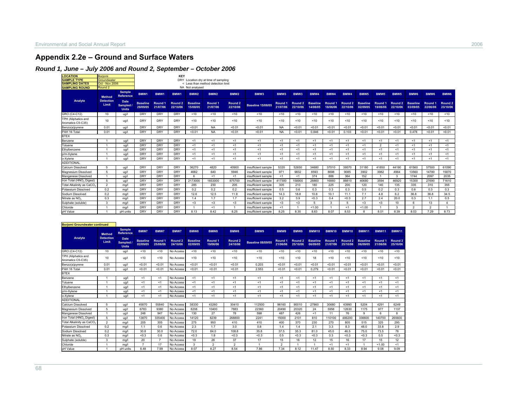## **Appendix 2.2e – Ground and Surface Waters**

### *Round 1, June – July 2006 and Round 2, September – October 2006*

| <b>LOCATION</b>                          | Boriomi                   |                                          |                             |                                | <b>KEY</b>                     |                             |                                      |                                |                          |                     |                     |                             |                     |                                |                             |                     |                     |                             |                     |                     |
|------------------------------------------|---------------------------|------------------------------------------|-----------------------------|--------------------------------|--------------------------------|-----------------------------|--------------------------------------|--------------------------------|--------------------------|---------------------|---------------------|-----------------------------|---------------------|--------------------------------|-----------------------------|---------------------|---------------------|-----------------------------|---------------------|---------------------|
| <b>SAMPLE TYPE</b>                       | Groundwater               |                                          |                             |                                |                                |                             | DRY Location dry at time of sampling |                                |                          |                     |                     |                             |                     |                                |                             |                     |                     |                             |                     |                     |
| <b>SAMPLING DATES</b>                    | <b>Oct - Nov 2006</b>     |                                          |                             |                                |                                |                             | < Less than method detection limit   |                                |                          |                     |                     |                             |                     |                                |                             |                     |                     |                             |                     |                     |
| <b>SAMPLING ROUND</b>                    | Round <sub>2</sub>        |                                          |                             |                                |                                | NA Not analysed             |                                      |                                |                          |                     |                     |                             |                     |                                |                             |                     |                     |                             |                     |                     |
|                                          | <b>Method</b>             | <b>Sample</b><br><b>Reference</b>        | BMW1                        | BMW <sub>1</sub>               | BMW <sub>1</sub>               | BMW <sub>2</sub>            | BMW <sub>2</sub>                     | BMW <sub>2</sub>               | BMW3                     | BMW3                | BMW3                | BMW4                        | BMW4                | BMW4                           | BMW <sub>5</sub>            | BMW <sub>5</sub>    | BMW <sub>5</sub>    | BMW <sub>6</sub>            | BMW <sub>6</sub>    | BMW <sub>6</sub>    |
| Analyte                                  | <b>Detection</b><br>Limit | <b>Date</b><br>Sampled /<br><b>Units</b> | <b>Baseline</b><br>29/09/05 | Round <sub>1</sub><br>21/07/06 | Round <sub>2</sub><br>22/10/06 | <b>Baseline</b><br>15/08/05 | Round <sub>1</sub><br>21/07/06       | Round <sub>2</sub><br>22/10/06 | <b>Baseline 15/08/05</b> | Round 1<br>21/07/06 | Round 2<br>22/10/06 | <b>Baseline</b><br>14/08/05 | Round 1<br>18/06/06 | Round <sub>2</sub><br>22/10/06 | <b>Baseline</b><br>02/09/05 | Round 1<br>19/06/06 | Round 2<br>22/10/06 | <b>Baseline</b><br>03/09/05 | Round 1<br>22/06/06 | Round 2<br>23/10/06 |
| GRO (C4-C12)                             | 10                        | ua/l                                     | <b>DRY</b>                  | <b>DRY</b>                     | <b>DRY</b>                     | < 10                        | < 10                                 | < 10                           | 10                       | < 10                | < 10                | < 10                        | < 10                | < 10                           | < 10                        | < 10                | < 10                | < 10                        | < 10                | < 10                |
| TPH (Aliphatics and<br>Aromatics C5-C35) | 10                        | ug/l                                     | <b>DRY</b>                  | <b>DRY</b>                     | DRY                            | < 10                        | < 10                                 | < 10                           | <10                      | < 10                | < 10                | < 10                        | < 10                | < 10                           | < 10                        | < 10                | 10                  | < 10                        | < 10                | < 10                |
| Benzo(a)pyrene                           | 0.01                      | ug/l                                     | <b>DRY</b>                  | DRY                            | DRY                            | < 0.01                      | <b>NA</b>                            | < 0.01                         | < 0.01                   | <b>NA</b>           | < 0.01              | < 0.01                      | < 0.01              | < 0.01                         | < 0.01                      | < 0.01              | < 0.01              | < 0.01                      | < 0.01              | < 0.01              |
| PAH 16 Total                             | 0.01                      | ug/l                                     | <b>DRY</b>                  | DRY                            | <b>DRY</b>                     | < 0.01                      | <b>NA</b>                            | < 0.01                         | < 0.01                   | <b>NA</b>           | < 0.01              | 0.846                       | < 0.01              | 0.103                          | < 0.01                      | < 0.01              | < 0.01              | 0.478                       | < 0.01              | < 0.01              |
| <b>BTEX</b>                              |                           |                                          |                             |                                |                                |                             |                                      |                                |                          |                     |                     |                             |                     |                                |                             |                     |                     |                             |                     |                     |
| Benzene                                  |                           | ua/l                                     | <b>DRY</b>                  | <b>DRY</b>                     | <b>DRY</b>                     | <1                          | < 1                                  | < 1                            | < 1                      | <1                  | < 1                 | <1                          | < 1                 | <1                             | < 1                         | <1                  | < 1                 | < 1                         | < 1                 | <1                  |
| Toluene                                  |                           | ua/l                                     | <b>DRY</b>                  | DRY                            | DRY                            | <1                          | < 1                                  | <1                             | < 1                      | < 1                 | < 1                 | <1                          | < 1                 | < 1                            | < 1                         | $\overline{2}$      | < 1                 | < 1                         | < 1                 | <1                  |
| Ethylbenzene                             |                           | ug/l                                     | <b>DRY</b>                  | DRY                            | <b>DRY</b>                     | <1                          | < 1                                  | < 1                            | < 1                      | < 1                 | < 1                 | <1                          | < 1                 | < 1                            | < 1                         | <1                  | < 1                 | < 1                         | < 1                 | <1                  |
| p/m-Xylene                               |                           | ug/l                                     | <b>DRY</b>                  | <b>DRY</b>                     | <b>DRY</b>                     | <1                          | < 1                                  | < 1                            | < 1                      | < 1                 | < 1                 | <1                          | < 1                 | < 1                            | < 1                         | <1                  | < 1                 | < 1                         | < 1                 | <1                  |
| o-Xylene                                 |                           | ua/l                                     | <b>DRY</b>                  | <b>DRY</b>                     | DRY                            | <1                          | < 1                                  | < 1                            | < 1                      | < 1                 | < 1                 | < 1                         | < 1                 | < 1                            | < 1                         | $<$ 1               | < 1                 | < 1                         | < 1                 | <1                  |
| <b>ADDITIONAL</b>                        |                           |                                          |                             |                                |                                |                             |                                      |                                |                          |                     |                     |                             |                     |                                |                             |                     |                     |                             |                     |                     |
| Calcium Dissolved                        |                           | ug/l                                     | <b>DRY</b>                  | DRY                            | DRY                            | 36270                       | 4820                                 | 40900                          | insufficient sample      | 5320                | 52650               | 34680                       | 37010               | 39570                          | 31180                       | 41850               | 44190               | 61560                       | 57500               | 61090               |
| Magnesium Dissolved                      | 5                         | ua/l                                     | <b>DRY</b>                  | <b>DRY</b>                     | DRY                            | 4682                        | 640                                  | 5946                           | insufficient sample      | 971                 | 9832                | 8593                        | 8698                | 9085                           | 3902                        | 3982                | 4964                | 13560                       | 14780               | 15870               |
| Manganese Dissolved                      |                           | ug/l                                     | <b>DRY</b>                  | <b>DRY</b>                     | <b>DRY</b>                     | 6                           | < 1                                  | $<$ 1                          | insufficient sample      | <1                  | < 1                 | 374                         | 888                 | 364                            | 152                         |                     | 3                   | 1744                        | 2097                | 2035                |
| Iron Total (HNO <sub>3</sub> Digest)     | 5                         | ua/l                                     | <b>DRY</b>                  | <b>DRY</b>                     | <b>DRY</b>                     | 2173000                     | 1653000                              | 875700                         | insufficient sample      | 417300              | 158900              | 26860                       | 16860               | 88810                          | 40680                       | 3594                | 46920               | 15300                       | 27690               | 71610               |
| Total Alkalinity as CaCO,                | $\mathfrak{D}$            | ma/l                                     | <b>DRY</b>                  | <b>DRY</b>                     | <b>DRY</b>                     | 285                         | 230                                  | 205                            | insufficient sample      | 305                 | 210                 | 180                         | 225                 | 200                            | 120                         | 140                 | 135                 | 335                         | 310                 | 355                 |
| Potassium Dissolved                      | 0.2                       | mg/l                                     | <b>DRY</b>                  | DRY                            | <b>DRY</b>                     | 0.2                         | 0.2                                  | 0.2                            | insufficient sample      | 0.5                 | 0.6                 | 0.3                         | 0.3                 | 0.3                            | 0.5                         | 0.2                 | 0.3                 | 0.6                         | 0.3                 | 0.3                 |
| Sodium Dissolved                         | 0.2                       | mg/l                                     | <b>DRY</b>                  | <b>DRY</b>                     | <b>DRY</b>                     | 12.6                        | 12.5                                 | 11.9                           | insufficient sample      | 14.3                | 18.8                | 10.8                        | 10.1                | 11.1                           | 7.1                         | 4.8                 | 6.2                 | 36.8                        | 36.8                | 34.5                |
| Nitrate as NO.                           | 0.3                       | ma/l                                     | <b>DRY</b>                  | <b>DRY</b>                     | DRY                            | 1.4                         | 1.7                                  | 1.7                            | insufficient sample      | 3.2                 | 3.9                 | < 0.3                       | 0.4                 | < 0.3                          | 2.7                         | 2.4                 | 20.0                | 0.3                         | 1.1                 | 0.5                 |
| Sulphate (soluble)                       | 3                         | mg/l                                     | <b>DRY</b>                  | <b>DRY</b>                     | <b>DRY</b>                     | $3$                         | <3                                   | $<$ 3                          | insufficient sample      | $3$                 | $3$                 | 5                           | 3                   | 5                              | <3                          | <3                  | 10                  | 6                           | 13                  | $\Delta$            |
| Chloride                                 |                           | mg/l                                     | <b>DRY</b>                  | <b>DRY</b>                     | <b>DRY</b>                     |                             | < 1                                  |                                | insufficient sample      | < 1                 |                     | 1.00                        |                     | < 1                            | < 1.00                      |                     | 3                   | $\overline{2}$              | $\gamma$            |                     |
| pH Value                                 |                           | pH units                                 | <b>DRY</b>                  | <b>DRY</b>                     | DRY                            | 8.13                        | 8.42                                 | 8.25                           | insufficient sample      | 8.25                | 8.35                | 8.63                        | 8.07                | 8.53                           | $\mathbf{R}$                | 8.01                | 8.39                | 8.03                        | 7.29                | 8.73                |

| <b>Boriomi Groundwater continued</b>     |                           |                                        |                             |                     |                                |                             |                     |                                |                          |                     |                                |                             |                                |                                |                             |                     |                                |
|------------------------------------------|---------------------------|----------------------------------------|-----------------------------|---------------------|--------------------------------|-----------------------------|---------------------|--------------------------------|--------------------------|---------------------|--------------------------------|-----------------------------|--------------------------------|--------------------------------|-----------------------------|---------------------|--------------------------------|
|                                          | <b>Method</b>             | <b>Sample</b><br><b>Reference</b>      | BMW7                        | BMW7                | <b>BMW7</b>                    | BMW8                        | BMW8                | BMW8                           | <b>BMW9</b>              | <b>BMW9</b>         | BMW9                           | <b>BMW10</b>                | <b>BMW10</b>                   | <b>BMW10</b>                   | <b>BMW11</b>                | <b>BMW11</b>        | <b>BMW11</b>                   |
| Analyte                                  | <b>Detection</b><br>Limit | Date<br><b>Sampled</b><br><b>Units</b> | <b>Baseline</b><br>02/09/05 | Round 1<br>25/06/06 | Round <sub>2</sub><br>24/10/06 | <b>Baseline</b><br>02/09/05 | Round 1<br>19/06/06 | Round <sub>2</sub><br>24/10/06 | <b>Baseline 08/09/05</b> | Round 1<br>21/06/06 | Round <sub>2</sub><br>25/10/06 | <b>Baseline</b><br>06/09/05 | Round <sub>1</sub><br>21/07/06 | Round <sub>2</sub><br>25/10/06 | <b>Baseline</b><br>06/09/05 | Round 1<br>21/06/06 | Round <sub>2</sub><br>25/10/06 |
| GRO (C4-C12)                             | 10                        | ua/l                                   | < 10                        | < 10                | No Access                      | < 10                        | < 10                | < 10                           | < 10                     | < 10                | < 10                           | < 10                        | < 10                           | < 10                           | < 10                        | < 10                | < 10                           |
| TPH (Aliphatics and<br>Aromatics C5-C35) | 10                        | ug/l                                   | < 10                        | < 10                | No Access                      | < 10                        | < 10                | < 10                           | < 10                     | < 10                | <10                            | 18                          | < 10                           | < 10                           | < 10                        | $10^{-1}$           | < 10                           |
| Benzo(a)pyrene                           | 0.01                      | ug/l                                   | < 0.01                      | < 0.01              | No Access                      | < 0.01                      | < 0.01              | < 0.01                         | 0.203                    | < 0.01              | < 0.01                         | < 0.01                      | < 0.01                         | < 0.01                         | < 0.01                      | < 0.01              | < 0.01                         |
| PAH 16 Total                             | 0.01                      | ug/l                                   | < 0.01                      | < 0.01              | No Access                      | < 0.01                      | < 0.01              | < 0.01                         | 2.553                    | < 0.01              | < 0.01                         | 0.279                       | < 0.01                         | < 0.01                         | < 0.01                      | < 0.01              | < 0.01                         |
| <b>BTEX</b>                              |                           |                                        |                             |                     |                                |                             |                     |                                |                          |                     |                                |                             |                                |                                |                             |                     |                                |
| Benzene                                  |                           | ug/l                                   | < 1                         | < 1                 | No Access                      | $<$ 1                       | < 1                 | < 1                            | < 1                      | ≺1                  | < 1                            | < 1                         | < 1                            | < 1                            | < 1                         | <1                  | $<$ 1                          |
| Toluene                                  |                           | ug/l                                   | < 1                         | < 1                 | No Access                      | $<$ 1                       | < 1                 | < 1                            | < 1                      | <1                  | < 1                            | < 1                         | < 1                            | < 1                            | < 1                         | < 1                 | < 1                            |
| Ethylbenzene                             |                           | ug/l                                   | < 1                         | < 1                 | No Access                      | $<$ 1                       | < 1                 | < 1                            | < 1                      | ≺1                  | < 1                            | < 1                         | < 1                            | < 1                            | < 1                         | <1                  | $<$ 1                          |
| p/m-Xylene                               |                           | ug/l                                   | < 1                         | < 1                 | No Access                      | < 1                         | < 1                 | < 1                            | <1                       | <1                  | < 1                            | < 1                         | < 1                            | < 1                            | < 1                         | < 1                 | < 1                            |
| o-Xylene                                 |                           | ua/l                                   | < 1                         | < 1                 | No Access                      | $<$ 1                       | < 1                 | < 1                            | < 1                      | <1                  | < 1                            | < 1                         | < 1                            | < 1                            | < 1                         | <1                  | < 1                            |
| <b>ADDITIONAL</b>                        |                           |                                        |                             |                     |                                |                             |                     |                                |                          |                     |                                |                             |                                |                                |                             |                     |                                |
| <b>Calcium Dissolved</b>                 | 5                         | ug/l                                   | 45870                       | 55840               | No Access                      | 38330                       | 43260               | 30410                          | 112500                   | 96160               | 90010                          | 27860                       | 30680                          | 43990                          | 5204                        | 4291                | 6249                           |
| Magnesium Dissolved                      | 5                         | ug/l                                   | 6783                        | 9380                | No Access                      | 8208                        | 10400               | 7883                           | 22360                    | 20490               | 20320                          | 24                          | 5956                           | 12630                          | 1175                        | 977                 | 1137                           |
| Manganese Dissolved                      |                           | ug/l                                   | 248                         | 947                 | No Access                      | 130                         | 27                  | 78                             | 598                      | 487                 | 426                            | < 1                         | 11                             | 76                             | 9                           | 6                   | 8                              |
| Iron Total (HNO <sub>3</sub> Digest)     | 5                         | ug/l                                   | 13870                       | 335400              | No Access                      | 14120                       | 8239                | 268800                         | 2241                     | 15000               | 2101                           | 810                         | 110100                         | 486200                         | 336600                      | 140700              | 265600                         |
| Total Alkalinity as CaCO3                | $\overline{2}$            | mg/l                                   | 205                         | 305                 | No Access                      | 275                         | 950                 | 410                            | 410                      | 400                 | 370                            | 230                         | 270                            | 805                            | 515                         | 325                 | 295                            |
| Potassium Dissolved                      | 0.2                       | mg/l                                   | 1.1                         | 0.6                 | No Access                      | 2.3                         | 1.7                 | 3.0                            | 0.8                      | 1.4                 | 1.4                            | 2.1                         | 3.3                            | 8.3                            | 48.0                        | 33.8                | 2.9                            |
| Sodium Dissolved                         | 0.2                       | mg/l                                   | 30.8                        | 30.0                | No Access                      | 72.0                        | 84.0                | 108.8                          | 35.8                     | 37.5                | 35.3                           | 81.0                        | 45.0                           | 46.5                           | 75.0                        | 73.5                | 78                             |
| Nitrate as NO.                           | 0.3                       | mg/l                                   | < 0.3                       | 0.6                 | No Access                      | <0.3                        | 1.8                 | <0.3                           | < 0.3                    | 0.5                 | < 0.3                          | < 0.3                       | 0.3                            | <0.3                           | < 0.3                       | 0.5                 | < 0.3                          |
| Sulphate (soluble)                       | 3                         | mg/l                                   | 20                          | 7                   | No Access                      | 19                          | 26                  | 37                             | 17                       | 15                  | 16                             | 12                          | 15                             | 16                             | 17                          | 15                  | 12                             |
| Chloride                                 |                           | mg/l                                   | $\mathbf{z}$                | 17                  | No Access                      | 3                           | $\overline{2}$      | $\overline{\phantom{a}}$       |                          | $\overline{2}$      |                                |                             | < 1                            | < 1                            |                             | 1.00                | < 1                            |
| pH Value                                 |                           | pH units                               | 8.48                        | 7.99                | No Access                      | 8.07                        | 8.27                | 8.54                           | 7.86                     | 7.34                | 8.12                           | 11.47                       | 8.50                           | 8.33                           | 8.94                        | 9.08                | 9.09                           |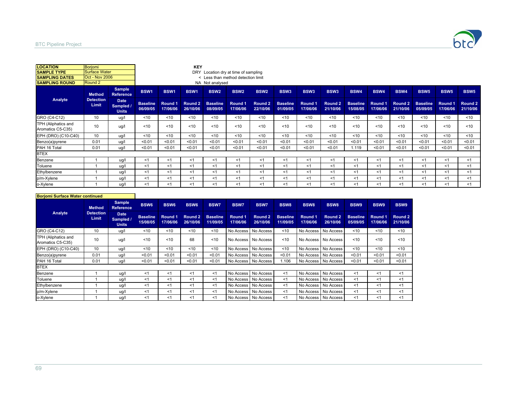

| <b>LOCATION</b>                          | Borjomi                   |                                          |                             |                     | <b>KEY</b>          |                             |                                    |                     |                             |                     |                     |                             |                     |                     |                             |                     |                     |
|------------------------------------------|---------------------------|------------------------------------------|-----------------------------|---------------------|---------------------|-----------------------------|------------------------------------|---------------------|-----------------------------|---------------------|---------------------|-----------------------------|---------------------|---------------------|-----------------------------|---------------------|---------------------|
| <b>SAMPLE TYPE</b>                       | <b>Surface Water</b>      |                                          |                             |                     | DRY                 |                             | Location dry at time of sampling   |                     |                             |                     |                     |                             |                     |                     |                             |                     |                     |
| <b>SAMPLING DATES</b>                    | <b>Oct - Nov 2006</b>     |                                          |                             |                     |                     |                             | < Less than method detection limit |                     |                             |                     |                     |                             |                     |                     |                             |                     |                     |
| <b>ISAMPLING ROUND</b>                   | Round 2                   |                                          |                             |                     |                     | NA Not analysed             |                                    |                     |                             |                     |                     |                             |                     |                     |                             |                     |                     |
|                                          | <b>Method</b>             | <b>Sample</b><br><b>Reference</b>        | <b>BSW1</b>                 | BSW1                | BSW1                | <b>BSW2</b>                 | BSW <sub>2</sub>                   | <b>BSW2</b>         | BSW <sub>3</sub>            | BSW <sub>3</sub>    | BSW <sub>3</sub>    | <b>BSW4</b>                 | <b>BSW4</b>         | BSW4                | <b>BSW5</b>                 | <b>BSW5</b>         | <b>BSW5</b>         |
| Analyte                                  | <b>Detection</b><br>Limit | <b>Date</b><br>Sampled /<br><b>Units</b> | <b>Baseline</b><br>06/09/05 | Round 1<br>17/06/06 | Round 2<br>26/10/06 | <b>Baseline</b><br>08/09/05 | Round 1<br>17/06/06                | Round 2<br>22/10/06 | <b>Baseline</b><br>01/09/05 | Round 1<br>17/06/06 | Round 2<br>21/10/06 | <b>Baseline</b><br>15/08/05 | Round 1<br>17/06/06 | Round 2<br>21/10/06 | <b>Baseline</b><br>05/09/05 | Round 1<br>17/06/06 | Round 2<br>21/10/06 |
| GRO (C4-C12)                             | 10                        | ug/l                                     | < 10                        | ~10                 | < 10                | < 10                        | < 10                               | < 10                | < 10                        | < 10                | < 10                | < 10                        | ~10                 | < 10                | < 10                        | < 10                | ~10                 |
| TPH (Aliphatics and<br>Aromatics C5-C35) | 10                        | ug/l                                     | < 10                        | < 10                | < 10                | < 10                        | < 10                               | < 10                | < 10                        | < 10                | < 10                | < 10                        | < 10                | < 10                | < 10                        | < 10                | < 10                |
| EPH (DRO) (C10-C40)                      | 10                        | ug/l                                     | 10                          | < 10                | < 10                | < 10                        | < 10                               | < 10                | < 10                        | < 10                | < 10                | < 10                        | < 10                | < 10                | < 10                        | < 10                | < 10                |
| Benzo(a)pyrene                           | 0.01                      | ug/l                                     | < 0.01                      | < 0.01              | < 0.01              | < 0.01                      | < 0.01                             | < 0.01              | < 0.01                      | < 0.01              | < 0.01              | < 0.01                      | < 0.01              | < 0.01              | < 0.01                      | < 0.01              | < 0.01              |
| PAH 16 Total                             | 0.01                      | ug/l                                     | < 0.01                      | < 0.01              | < 0.01              | < 0.01                      | < 0.01                             | < 0.01              | < 0.01                      | < 0.01              | < 0.01              | 1.119                       | < 0.01              | < 0.01              | < 0.01                      | < 0.01              | < 0.01              |
| <b>BTEX</b>                              |                           |                                          |                             |                     |                     |                             |                                    |                     |                             |                     |                     |                             |                     |                     |                             |                     |                     |
| Benzene                                  |                           | ug/l                                     | $<$ 1                       | < 1                 | $<$ 1               | $<$ 1                       | <1                                 | $<$ 1               | $<$ 1                       | $<$ 1               | <1                  | <1                          | $<$ 1               | < 1                 | < 1                         | <1                  | $<$ 1               |
| Toluene                                  |                           | ug/l                                     | $<$ 1                       | < 1                 | < 1                 | $<$ 1                       | ≺1                                 | $<$ 1               | $<$ 1                       | $<$ 1               | <1                  | $<$ 1                       | $<$ 1               | < 1                 | < 1                         | <1                  | $<$ 1               |
| Ethylbenzene                             |                           | ug/l                                     | <1                          | < 1                 | $<$ 1               | < 1                         | <1                                 | <1                  | < 1                         | <1                  | <1                  | < 1                         | <1                  | < 1                 | < 1                         | ≺1                  | < 1                 |
| p/m-Xylene                               |                           | ug/l                                     | $<$ 1                       | $<$ 1               | $<$ 1               | $<$ 1                       | <1                                 | $<$ 1               | $<$ 1                       | $<$ 1               | <1                  | <1                          | $<$ 1               | $<$ 1               | < 1                         | <1                  | <1                  |
| o-Xylene                                 |                           | ug/l                                     | $<$ 1                       | < 1                 | < 1                 | < 1                         | ≺1                                 | < 1                 | < 1                         | < 1                 | <1                  | <1                          | <1                  | <1                  | < 1                         | < 1                 | <1                  |

| <b>Boriomi Surface Water continued</b>   |                                  |                                          |                             |                     |                     |                             |                     |                       |                             |                     |                       |                             |                     |                     |
|------------------------------------------|----------------------------------|------------------------------------------|-----------------------------|---------------------|---------------------|-----------------------------|---------------------|-----------------------|-----------------------------|---------------------|-----------------------|-----------------------------|---------------------|---------------------|
|                                          | <b>Method</b>                    | <b>Sample</b><br><b>Reference</b>        | <b>BSW6</b>                 | <b>BSW6</b>         | <b>BSW6</b>         | <b>BSW7</b>                 | <b>BSW7</b>         | <b>BSW7</b>           | BSW <sub>8</sub>            | <b>BSW8</b>         | <b>BSW8</b>           | BSW9                        | BSW9                | <b>BSW9</b>         |
| Analyte                                  | <b>Detection</b><br><b>Limit</b> | <b>Date</b><br>Sampled /<br><b>Units</b> | <b>Baseline</b><br>15/08/05 | Round 1<br>17/06/06 | Round 2<br>26/10/06 | <b>Baseline</b><br>11/09/05 | Round 1<br>17/06/06 | Round 2<br>26/10/06   | <b>Baseline</b><br>11/09/05 | Round 1<br>17/06/06 | Round 2<br>26/10/06   | <b>Baseline</b><br>05/09/05 | Round 1<br>17/06/06 | Round 2<br>21/10/06 |
| GRO (C4-C12)                             | 10                               | ug/l                                     | 10                          | $10^{-1}$           | $10^{-1}$           | < 10                        |                     | No Access No Access   | < 10                        | No Access           | No Access             | < 10                        | $10^{-1}$           | < 10                |
| TPH (Aliphatics and<br>Aromatics C5-C35) | 10                               | ug/l                                     | < 10                        | 10                  | 68                  | 10<                         |                     | No Access No Access   | < 10                        |                     | No Access No Access   | < 10                        | $10^{-1}$           | 10                  |
| EPH (DRO) (C10-C40)                      | 10                               | ug/l                                     | < 10                        | ~10                 | $10^{-1}$           | ~10                         |                     | No Access   No Access | < 10                        | No Access           | No Access             | ~10                         | < 10                | < 10                |
| Benzo(a)pyrene                           | 0.01                             | ug/l                                     | < 0.01                      | < 0.01              | < 0.01              | < 0.01                      |                     | No Access   No Access | < 0.01                      |                     | No Access No Access   | < 0.01                      | < 0.01              | < 0.01              |
| PAH 16 Total                             | 0.01                             | ug/l                                     | < 0.01                      | < 0.01              | < 0.01              | < 0.01                      |                     | No Access No Access   | 1.106                       |                     | No Access No Access   | < 0.01                      | < 0.01              | < 0.01              |
| <b>BTEX</b>                              |                                  |                                          |                             |                     |                     |                             |                     |                       |                             |                     |                       |                             |                     |                     |
| Benzene                                  |                                  | ug/l                                     | < 1                         | $<$ 1               | <1                  | < 1                         |                     | No Access No Access   | <1                          |                     | No Access No Access   | < 1                         | $<$ 1               | $<$ 1               |
| Toluene                                  |                                  | ug/l                                     | < 1                         | < 1                 | <1                  | $<$ 1                       |                     | No Access   No Access | <1                          |                     | No Access   No Access | <1                          | $<$ 1               | $<$ 1               |
| Ethylbenzene                             |                                  | ug/l                                     | $<$ 1                       | $<$ 1               | $<$ 1               | < 1                         |                     | No Access No Access   | <1                          |                     | No Access No Access   | < 1                         | $<$ 1               | $<$ 1               |
| p/m-Xylene                               |                                  | ug/l                                     | $<$ 1                       | < 1                 | < 1                 | $<$ 1                       |                     | No Access No Access   | $<$ 1                       |                     | No Access No Access   | $<$ 1                       | $<$ 1               | $<$ 1               |
| o-Xylene                                 |                                  | ug/l                                     | < 1                         | < 1                 | < 1                 | $<$ 1                       |                     | No Access No Access   | $<$ 1                       |                     | No Access No Access   | < 1                         | $<$ 1               | $<$ 1               |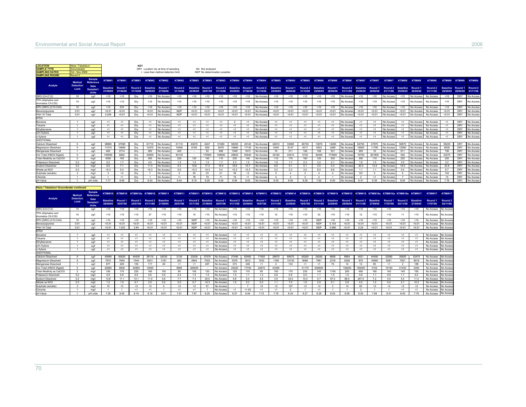| <b>LOCATION</b>                                 | .tsia / Tabatskur                   |                                |                          |              |                              |                  |                                      |                  |                 |                 |                                                   |                |                  |                              |                          |                  |                      |                          |                          |                          |                          |                         |                                              |                 |                        |                                    |                      |            |                                      |
|-------------------------------------------------|-------------------------------------|--------------------------------|--------------------------|--------------|------------------------------|------------------|--------------------------------------|------------------|-----------------|-----------------|---------------------------------------------------|----------------|------------------|------------------------------|--------------------------|------------------|----------------------|--------------------------|--------------------------|--------------------------|--------------------------|-------------------------|----------------------------------------------|-----------------|------------------------|------------------------------------|----------------------|------------|--------------------------------------|
| <b>SAMPLE TYPE</b>                              | iroundwater                         |                                |                          |              |                              |                  | DRY Location dry at time of sampling |                  |                 | NA Not analysed |                                                   |                |                  |                              |                          |                  |                      |                          |                          |                          |                          |                         |                                              |                 |                        |                                    |                      |            |                                      |
| <b>SAMPLING DATES</b>                           | Oct - Nov 2006                      |                                |                          |              |                              |                  | < Less than method detection limit   |                  |                 |                 | NDP No determination possible                     |                |                  |                              |                          |                  |                      |                          |                          |                          |                          |                         |                                              |                 |                        |                                    |                      |            |                                      |
| <b>SAMPLING ROUND</b>                           | Round <sub>2</sub>                  |                                |                          |              |                              |                  |                                      |                  |                 |                 |                                                   |                |                  |                              |                          |                  |                      |                          |                          |                          |                          |                         |                                              |                 |                        |                                    |                      |            |                                      |
| Analyte                                         | Method<br><b>Detection</b><br>Limit | Sample<br>Reference<br>Date    | KTMW1<br><b>Baseline</b> | Round 1      | KTMW1 KTMW1<br>Round 2       | <b>Baseline</b>  | KTMW2 KTMW2<br>Round 1               | KTMW2<br>Round 2 | <b>Baseline</b> | Round 1         | KTMW3 KTMW3 KTMW3<br>Round 2                      |                | Baseline Round 1 | KTMW4 KTMW4 KTMW4<br>Round 2 | KTMW5<br><b>Baseline</b> | KTMW5<br>Round 1 | KTMW5<br>Round 2     | KTMW6<br><b>Baseline</b> | KTMW6<br>Round 1         | KTMW6<br>Round 2         | KTMW7<br><b>Baseline</b> | <b>KTMW7</b><br>Round 1 | KTMW7<br>Round 2                             | <b>Baseline</b> | KTMW8 KTMW8<br>Round 1 | <b>KTMW8</b><br>Round <sub>2</sub> | <b>Baseline</b>      |            | KTMW9 KTMW9 KTMW9<br>Round 1 Round 2 |
|                                                 |                                     | <b>Sampled</b><br><b>Units</b> | 21/09/05                 | 27/06/06     | 31/10/06                     | 09/09/05         | 27/06/06                             | 31/10/06         | 22/09/05        | 20/07/06        | 31/10/06                                          | 25/09/05       | 27/06/06         | 31/10/06                     | 25/09/05                 | 28/06/06         | 31/10/06             | 25/09/05                 | 28/06/06                 | 01/11/06                 | 25/09/05                 | 28/06/06                | 01/11/06                                     | 25/09/05        | 28/06/06               | 01/11/06                           | 28/09/05 28/06/06    |            | 01/11/06                             |
| GRO (C4-C12)                                    | $10^{-1}$                           | ua/l                           | < 10                     | < 10         | Drv                          | < 10             | No Access                            | < 10             | < 10            | < 10            | < 10                                              | < 10           | < 10             | No Access                    | < 10                     | < 10             | < 10                 | < 10                     | < 10                     | No Access                | < 10                     | < 10                    | No Access                                    | < 10            | No Access              | No Access                          | < 10                 | DRY        | No Access                            |
| <b>FPH (Aliphatics and</b><br>Aromatics C5-C351 | 10                                  | ug/l                           | < 10                     | < 10         | Dry                          | < 10             | No Access                            | < 10             | < 10            | < 10            | < 10                                              | < 10           | < 10             | No Access                    | < 10                     | < 10             | < 10                 | < 10                     | < 10                     | No Access                | < 10                     | < 10                    | No Access                                    | < 10            | No Access              | No Access                          | < 10                 | <b>DRY</b> | No Access                            |
| EPH (DRO) (C10-C40)                             | 10                                  | hou                            | < 10                     | 233          | Drv                          | < 10             | No Access                            | <10              | <10             | < 10            | <10                                               | < 10           | < 10             | No Acces                     | < 10                     | < 10             | < 10                 | < 10                     | < 10                     | No Acces                 | < 10                     | <10                     | No Acces                                     | < 10            | No Acces               | No Access                          | < 10                 | DRY        | No Access                            |
| Benzo(a)pyrene                                  | 0.01                                | ug/l                           | < 0.01                   | < 0.01       | Dry                          | < 0.01           | <b>Vo Access</b>                     | <b>NDP</b>       | < 0.01          | < 0.01          | < 0.01                                            | < 0.01         | < 0.01           | No Acces:                    | < 0.01                   | < 0.01           | < 0.01               | < 0.01                   | < 0.01                   | No Acces                 | < 0.01                   | < 0.01                  | No Access                                    | < 0.01          | No Acces               | No Access                          | < 0.01               | DR)        | No Access                            |
| PAH 16 Total                                    | 0.01                                | ug/l                           | 2.248                    | < 0.01       | Dry                          | < 0.01           | No Access                            | <b>NDP</b>       | < 0.01          | < 0.01          | < 0.01                                            | < 0.01         | < 0.01           | No Access                    | < 0.01                   | < 0.01           | < 0.01               | < 0.01                   | < 0.01                   | No Access                | < 0.01                   | < 0.01                  | No Access                                    | < 0.01          | No Access              | No Access                          | < 0.01               | DRY        | No Access                            |
| <b>BTEX</b>                                     |                                     |                                |                          |              |                              |                  |                                      |                  |                 |                 |                                                   |                |                  |                              |                          |                  |                      |                          |                          |                          |                          |                         |                                              |                 |                        |                                    |                      |            |                                      |
| Renzene                                         | $\mathbf{1}$                        | $110^{17}$                     | <1                       | <1           | Drv                          | <1               | No Access                            | <1               | <1              | <1              | <1                                                | $\overline{2}$ | <1               | No Access                    | <1                       | <1               | <1                   | <1                       | <1                       | No Access                | <1                       | <1                      | No Access                                    | <1              | No Access              | No Access                          | <1                   | DRY        | No Access                            |
| oluene                                          | $\overline{1}$                      | ua/l                           | <1                       | < 1          | Drv                          | <1               | No Access                            | <1               | <1              | <1              | <1                                                | <1             | <1               | No Acces                     | <1                       | <1               | <1                   | <1                       | <1                       | No Access                | <1                       | <1                      | No Acces                                     | <1              | No Acces               | No Access                          | <1                   | DRY        | No Access                            |
| Ethylbenzene                                    | $\overline{1}$                      | ug/l                           | <1                       | <1           | Drv                          | <1               | <b>Jo Access</b>                     | <1               | <1              | <1              | <1                                                | <1             | <1               | No Acces                     | <1                       | <1               | <1                   | <1                       | <1                       | No Acces                 | <1                       | <1                      | <b>No Acces</b>                              | <1              | No Acces               | No Access                          | <1                   | DRY        | No Access                            |
| p/m-Xvlene                                      | $\overline{1}$                      | ug/l                           | <1                       | <1           | Dry                          | <1               | No Access                            | <1               | <1              | <1              | <1                                                | <1             | <1               | No Access                    | <1                       | <1               | <1                   | <1                       | <1                       | No Access                | <1                       | <1                      | No Access                                    | <1              | No Acces               | No Access                          | <1                   | DRY        | No Access                            |
| o-Xviene                                        | $\overline{1}$                      | ug/l                           | <1                       | <1           | Drv                          | <1               | No Access                            | <1               | <1              | <1              | <1                                                | <1             | <1               | No Acces                     | <1                       | <1               | <1                   | <1                       | <1                       | No Access                | <1                       | <1                      | No Access                                    | <1              | No Acces               | No Access                          | <1                   | DRY        | No Access                            |
| <b>ADDITIONAL</b>                               |                                     |                                |                          |              |                              |                  |                                      |                  |                 |                 |                                                   |                |                  |                              |                          |                  |                      |                          |                          |                          |                          |                         |                                              |                 |                        |                                    |                      |            |                                      |
| Calcium Dissolved                               | $-5$                                | ua/l                           | 38860                    | 37590        | Drv                          | 61710            | No Access                            | 61110            | 43670           | 4247            | 51580                                             | 58250          | 45140            | No Acces                     | 34810                    | 33080            | 26730                | 13870                    | 14280                    | No Access                | 84750                    | 47670                   | No Access                                    | 56870           | No Acces               | No Access                          | 55220                | DRY        | No Access                            |
| Magnesium Dissolved                             | -5                                  | ug/l                           | 11010                    | 10660        | Dry                          | 14370            | No Access                            | 10450            | 8195            | 829             | 8578                                              | 16860          | 17130            | No Access                    | 5349                     | 6147             | 4017                 | 4003                     | 3269                     | No Access                | 16900                    | 11790                   | No Access                                    | 12060           | No Acces               | No Access                          | 8636                 | DRY        | No Access                            |
| Manganese Dissolved                             | $\overline{1}$                      | ug/l                           | 462                      | 2714         | Dry                          | 282              | No Access                            | 402              |                 | 53              | 498                                               | 1049           | 1613             | No Acces:                    | 74                       | 311              | 126                  | 158                      | 331                      | No Access                | 255                      | 16                      | No Access                                    | 811             | No Access              | No Access                          | 736                  | DRY        | No Access                            |
| Iron Total (HNO3 Digest                         | -5                                  | hou                            | 109500                   | 6652         | Drv                          | 34900            | No Access                            | 84130            |                 | 179500          | 108600                                            | 29820          | 55540            | No Acces                     | 34160                    | 43510            | 6155                 | 40400                    | 774900                   | No Access                | 19750                    | 261800                  | No Access                                    | 446             | No Acces               | No Access                          | 23270                | DR)        | No Access                            |
| Total Alkalinity as CaCO3                       | $\overline{2}$                      | mg/l                           | 4000                     | 165          | Dry                          | 305              | <b>Vo Access</b>                     | 225              | 125             | 145             | 110                                               | 230            | 145              | No Acces:                    | 115                      | 175              | 100                  | 120                      | 335                      | <b>Vo Access</b>         | 300                      | 110                     | No Access                                    | 225             | No Access              | No Access                          | 220                  | DR)        | No Access                            |
| Potassium Dissolved                             | 0.2                                 | mg/l                           | 0.2                      | 1.7          | Dry                          | 4.5              | No Access                            | 1.5              | 1.5             | 1.5             | 1.7                                               | 2.3            | 1.5              | No Acces:                    | 1.8                      | 1.7              | 2.3                  | 3.2                      | 4.1                      | No Access                | 1.8                      | 1.5                     | No Access                                    | 3.0             | No Acces               | No Access                          | 3.2                  | DRY        | No Access                            |
| Sodium Dissolved                                | 0.2                                 | mg/l                           | 6.6                      | 7.1          | Dn                           | 114              | No Access                            | 93               | 15.8            | 17.3            | 19.5                                              | 18.0           | 10.7             | No Acces:                    | 6.0                      | 5.1              | 5.1                  | 4.5                      | 5.3                      | No Acces                 | 30.0                     | 13.4                    | No Acces                                     | 18.0            | No Acces               | No Access                          | 428                  | DR)        | No Access                            |
| Nitrate as NO3                                  | 0.3                                 | mg/l                           | < 0.3                    | 0.3          | Drv                          | < 0.3            | No Access                            | 0.6              | < 0.3           | < 0.3           | 0.4                                               | < 0.3          | < 0.3            | No Access                    | 3.2                      | 2.3              | 3.0                  | 8.0                      | 6.8                      | No Access                | 11                       | 1.1                     | No Access                                    | 0.4             | No Access              | No Access                          | 6.7                  | <b>DRY</b> | No Access                            |
| Sulphate (soluble)                              | $\mathbf{3}$                        | ma/l                           | $\mathbf{3}$             | < 3          | Drv                          | $\overline{7}$   | No Access                            | -5               | 20              | 23              | 21                                                | 39             | $3$              | No Acces                     | -5                       | $\overline{4}$   | $\mathbf{3}$         | $\overline{4}$           | $\overline{4}$           | No Access                | 191                      | 5                       | No Access                                    | 6               | No Acces               | No Access                          | 104                  | DR)        | No Access                            |
| Chloride                                        | $\overline{1}$                      | mg/l                           | $\overline{1}$           | <1           | Drv                          |                  | <b>Vo Access</b>                     | <1               | 78              | 70              | 71                                                | 16             | <1               | No Acces                     |                          | $\mathbf{R}$     |                      | $\overline{\phantom{a}}$ |                          | No Acces                 | $\overline{\phantom{a}}$ | <1                      | <b>No Acces</b>                              |                 | No Acces               | No Access                          | 10                   | DR)        | No Access                            |
| pH Value                                        |                                     | pH units                       | 7.77                     | 8.06         | Dry                          | 8.43             | No Access                            | 844              | 8.16            | 8.26            | 8.29                                              | 8.59           | 8.63             | No Access                    | 8.35                     | 8.00             | 8.29                 | 7.62                     | 8.05                     | No Access                | 8.41                     | 8.38                    | No Access                                    | 8.64            | No Access              | No Access                          | 7.76                 | DRY        | No Access                            |
| Ktsia / Tabatskuri Groundwater continued        |                                     |                                |                          |              |                              |                  |                                      |                  |                 |                 |                                                   |                |                  |                              |                          |                  |                      |                          |                          |                          |                          |                         |                                              |                 |                        |                                    |                      |            |                                      |
|                                                 |                                     | <b>Sample</b>                  |                          |              |                              |                  | KTMW11                               | KTMW11           |                 |                 |                                                   |                |                  |                              |                          |                  |                      |                          |                          |                          |                          |                         |                                              |                 |                        | KTMW17                             |                      |            |                                      |
|                                                 | <b>Method</b>                       | Reference                      |                          |              | KTMW10 KTMW10 KTMW10a KTMW10 |                  |                                      |                  |                 |                 | KTMW11 KTMW12 KTMW12 KTMW12 KTMW13 KTMW13         |                |                  |                              | KTMW13                   | KTMW14           | KTMW14 KTMW14 KTMW15 |                          |                          |                          |                          |                         | KTMW15 KTMW15 KTMW16a KTMW16a KTMW16a KTMW17 |                 |                        |                                    | KTMW17               |            |                                      |
| Analyte                                         | <b>Detection</b>                    | Date                           | <b>Baseline</b>          | Round 1      | Round 1                      | Round 2 Baseline |                                      | Round 1          |                 |                 | Round 2 Baseline Round 1 Round 2 Baseline Round 1 |                |                  |                              | Round 2                  | <b>Baseline</b>  |                      |                          | Round 1 Round 2 Baseline | Round 1 Round 2 Baseline |                          |                         | Round 1 Round 2 Baseline                     |                 |                        | Round 1                            | Round <sub>2</sub>   |            |                                      |
|                                                 | Limit                               | Sampled                        | 28/09/05                 | 16/07/06     | 24/07/06                     | 01/11/06         | 21/09/05                             | 20/07/06         | 01/11/06        | 21/09/05        | 20/07/06                                          | 01/11/06       | 25/09/05         | 16/07/06                     | 01/11/06                 | 22/09/05         |                      | 16/07/06 01/11/06        | 22/09/05                 | 29/06/06                 | 01/11/06                 | 27/09/05                | 17/07/06                                     | 02/11/06        | 27/09/05               | 17/07/06                           | 02/11/06             |            |                                      |
|                                                 |                                     | Units                          |                          |              |                              |                  |                                      |                  |                 |                 |                                                   |                |                  |                              |                          |                  |                      |                          |                          |                          |                          |                         | < 10                                         | < 10            |                        |                                    |                      |            |                                      |
| GRO (C4-C12)<br>TPH (Aliphatics and             | 10<br>10                            | ug/l<br>ug/l                   | < 10<br>10               | < 10<br>< 10 | < 10<br>< 10                 | < 10<br>27       | < 10<br>< 10                         | < 10             | < 10            | < 10            | No Access                                         |                |                  |                              |                          |                  |                      |                          |                          |                          |                          |                         |                                              |                 | < 10                   |                                    | No Access            |            |                                      |
| Aromatics C5-C35<br>EPH (DRO) (C10-C40)         | 10 <sup>10</sup>                    | 110A                           |                          |              |                              |                  |                                      |                  |                 |                 |                                                   | < 10           | < 10             | < 10                         | < 10                     | <10              | < 10                 | < 10                     | < 10                     | < 10                     | < 10                     | < 10                    |                                              |                 |                        | No Access                          |                      |            |                                      |
| Benzo(a)pyrene                                  |                                     |                                |                          |              |                              |                  |                                      | < 10             | 15              | 10              | No Access                                         | 10             | < 10             | <10                          | 12                       | <10              | < 10                 | 33                       | < 10                     | $<10$                    | 12                       | < 10                    | < 10                                         | 11              | < 10                   | No Access                          | No Access            |            |                                      |
|                                                 |                                     |                                | < 10                     | < 10         | < 10                         | < 10             | < 10                                 | < 10             | <b>NDP</b>      | < 10            | No Access                                         | < 10           | < 10             | < 10                         | < 10                     | < 10             | < 10                 | <b>NDP</b>               | < 10                     | < 10                     | < 10                     | < 10                    | < 10                                         | < 10            | < 10                   | No Access                          | No Acces             |            |                                      |
|                                                 | 0.01                                | Ligu                           | < 0.01                   | < 0.01       | < 0.01                       | < 0.01           | < 0.01                               | < 0.01           | <b>NDP</b>      | < 0.01          | No Access                                         | < 0.01         | < 0.01           | < 0.01                       | < 0.01                   | < 0.01           | < 0.01               | <b>NDP</b>               | 0 154                    | < 0.01                   | < 0.01                   | < 0.01                  | < 0.01                                       | < 0.01          | < 0.01                 | No Access                          | No Acces             |            |                                      |
| PAH 16 Total<br><b>BTEX</b>                     | 0.01                                | ug/l                           | < 0.01                   | 1.033        | 2.84                         | < 0.01           | < 0.01                               | < 0.01           | <b>NDP</b>      | < 0.01          | No Access                                         | < 0.01         | < 0.01           | < 0.01                       | < 0.01                   | < 0.01           | < 0.01               | <b>NDP</b>               | 2.686                    | < 0.01                   | 0.24                     | < 0.01                  | < 0.01                                       | < 0.01          | < 0.01                 | No Access                          | No Acces             |            |                                      |
| <b>Benzene</b>                                  | $\overline{1}$                      | $\ln \alpha/l$                 | <1                       | <1           | <1                           | <1               | <1                                   | <1               | <1              | <1              | No Access                                         | <1             | <1               | <1                           | <1                       | < 1              | $\leq 1$             | <1                       | <1                       | <1                       | <1                       | <1                      | <1                                           | <1              | < 1                    | No Access                          |                      |            |                                      |
| oluene                                          | $\overline{1}$                      |                                | <1                       | <1           | <1                           | <1               | <1                                   | <1               | <1              | <1              | No Access                                         | <1             | <1               | <1                           | <1                       | <1               | <1                   | <1                       | <1                       | <1                       | <1                       | <1                      | <1                                           | <1              | <1                     | No Access                          | No Acces<br>No Acces |            |                                      |
|                                                 | $\overline{1}$                      | ug/l                           | <1                       | <1           | <1                           | <1               | <1                                   | <1               | <1              | <1              |                                                   | <1             | <1               | <1                           | <1                       | <1               | <1                   | <1                       | <1                       |                          | <1                       | <1                      | <1                                           | <1              | <1                     | No Access                          |                      |            |                                      |
| Ethylbenzene<br>p/m-Xylene                      | $\overline{1}$                      | ug/l<br>ug/l                   | <1                       | <1           | <1                           | <1               | <1                                   | < 1              | <1              | <1              | No Access<br>No Access                            | <1             | <1               | <1                           | <1                       | <1               | <1                   | <1                       | <1                       | <1<br><1                 | <1                       | <1                      | <1                                           | <1              | <1                     | No Access                          | No Acces<br>No Acces |            |                                      |
| h-Xvlene                                        | $\overline{1}$                      |                                | <1                       | <1           | <1                           | <1               | <1                                   | <1               | <1              | <1              | No Access                                         | <1             | <1               | <1                           | <1                       | <1               | <1                   | <1                       | <1                       | <1                       | <1                       | <1                      | <1                                           | <1              | <1                     | No Access                          |                      |            |                                      |
| <b>ADDITIONAL</b>                               |                                     | ug/l                           |                          |              |                              |                  |                                      |                  |                 |                 |                                                   |                |                  |                              |                          |                  |                      |                          |                          |                          |                          |                         |                                              |                 |                        |                                    | No Access            |            |                                      |
| Calcium Dissolved                               | 5                                   | ug/l                           | 43680                    | 50020        | 44430                        | 38110            | 24330                                | 2135             | 23530           | 37570           | No Access                                         | 27490          | 62460            | 17400                        | 28670                    | 69570            | 65260                | 29260                    | 9608                     | 8964                     | 4521                     | 44490                   | 32580                                        | 30820           | 32470                  | No Access                          | No Acces             |            |                                      |
| Magnesium Dissolved                             | -5                                  | Ligu                           | 7672                     | 7604         | 7444                         | 5531             | 3181                                 | 262              | 2804            | 7022            | No Access                                         | 5379           | 3612             | 1033                         | 1169                     | 10130            | 9066                 | 7961                     | 2318                     | 2028                     | 870                      | 16560                   | 8281                                         | 7921            | 9018                   | No Access                          | No Acces             |            |                                      |
| Manganese Dissolved                             | $\mathbf{A}$                        | ug/l                           | 877                      | 229          | 155                          | 117              | 49                                   | <1               | <1              | 497             | No Access                                         | 373            | 246              | <1                           | $\overline{A}$           | 133              | $\leq 1$             | <1                       | 75                       | 14                       | 13                       | 85                      | <1                                           | $\overline{ }$  | 189                    | No Access                          | <b>No Acces</b>      |            |                                      |
| Iron Total (HNO3 Digest)                        | 5 <sup>1</sup>                      | ual                            | 22880                    | 8938         | 52860                        | 12550            |                                      | 9965             | 326500          |                 | No Access                                         | 25220          | 17740            | 22670                        | 43390                    |                  | 31170                | 646900                   |                          | 138200                   | 165000                   | 5102                    | 15150                                        | 41430           | 2300                   | No Access                          | No Acces             |            |                                      |
| Total Alkalinity as CaCO3                       | $\overline{2}$                      | mg/l                           | 190                      | 175          | 225                          | 160              | 105                                  | 85               | 105             | 130             | No Access                                         | 125            | 175              | 60                           | 100                      | 170              | 235                  | 145                      | 1100                     | 205                      | 495                      | 180                     | 140                                          | 140             | 195                    | No Access                          | No Acces             |            |                                      |
| Potassium Dissolved                             | 0.2                                 | mg/l                           | 0.9                      | 0.9          | 0.6                          | 0.6              | 0.5                                  | 0.5              | 1.5             | 1.5             | No Access                                         | 1.5            | 1.1              | 1.2                          | 0.6                      | 0.9              | 0.5                  | 1.1                      | 1.5                      | 1.4                      | 5.6                      | 1.1                     | 0.9                                          | 1.1             | 0.2                    | No Access                          | <b>Vo Acces</b>      |            |                                      |
| Sodium Dissolved                                | 0.2                                 | ma/l                           | 13.8                     | 11.1         | 13.1                         | 11.0             | 5.6                                  | 77               | 7.4             | 30.0            | No Access                                         | 9.8            | 5.4              | 3.5                          | 3.9                      | 33.0             | 15.0                 | 5.7                      | 97.5                     | 88.5                     | 247.5                    | 7.2                     | 4.5                                          | 5.4             | 11.4                   | No Access                          | No Acces             |            |                                      |
| Nitrate as NO3                                  | 0.3                                 | mg/l                           | 1.2                      | 1.0          | 0.7                          | 2.0              | 5.2                                  | 5.0              | 5.7             | < 0.3           | No Access                                         | 1.5            | 0.3              | 0.3                          | 11                       | 7.0              | 1.9                  | 2.0                      | 5.1                      | 5.9                      | 4.2                      | 1.2                     | 5.4                                          | 2.1             | < 0.3                  | No Access                          | <b>No Acces</b>      |            |                                      |
| Sulphate (soluble)                              | $\overline{\mathbf{3}}$             | ma/l                           | 10 <sup>10</sup>         | $3$          | $3$                          | $3$              | $\overline{4}$                       | $\leq$           | $\triangleleft$ | 91              | No Access                                         |                |                  | $\leq$                       | $3$                      | 127              | $3$                  | $3$                      | $\mathbf{3}$             | 14                       | 83                       | $\leq$                  | $3$                                          | $<$ 3           | $\triangleleft$        | No Access                          | No Acces             |            |                                      |
| Chloride                                        | $\overline{1}$                      | mg/l                           | $\overline{1}$           |              | <1                           | <1               |                                      | <1               | <1              |                 | No Access                                         | <1             | 1.00             | <1                           | <1                       | $\overline{2}$   | $\overline{1}$       | <1                       | $\overline{1}$           |                          | $\mathbf{3}$             |                         |                                              | <1              | <1                     | No Access                          | <b>No Acces</b>      |            |                                      |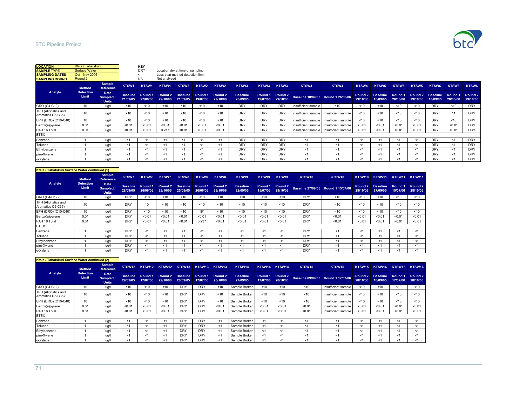

| <b>LOCATION</b>                          | Ktsia / Tabatskuri        |                                          |                             | KEY                 |                     |                                  |                     |                     |                             |                     |                     |                     |                                         |          |                              |                     |                     |                             |                     |                     |
|------------------------------------------|---------------------------|------------------------------------------|-----------------------------|---------------------|---------------------|----------------------------------|---------------------|---------------------|-----------------------------|---------------------|---------------------|---------------------|-----------------------------------------|----------|------------------------------|---------------------|---------------------|-----------------------------|---------------------|---------------------|
| <b>SAMPLE TYPE</b>                       | <b>Surface Water</b>      |                                          |                             | <b>DRY</b>          |                     | Location dry at time of sampling |                     |                     |                             |                     |                     |                     |                                         |          |                              |                     |                     |                             |                     |                     |
| <b>SAMPLING DATES</b>                    | <b>Oct - Nov 2006</b>     |                                          |                             |                     |                     | Less than method detection limit |                     |                     |                             |                     |                     |                     |                                         |          |                              |                     |                     |                             |                     |                     |
| <b>SAMPLING ROUND</b>                    | Round 2                   |                                          |                             | <b>NA</b>           | Not analysed        |                                  |                     |                     |                             |                     |                     |                     |                                         |          |                              |                     |                     |                             |                     |                     |
|                                          | <b>Method</b>             | <b>Sample</b><br><b>Reference</b>        | KTSW1                       | KTSW1               | KTSW1               | KTSW2                            | KTSW <sub>2</sub>   | KTSW <sub>2</sub>   | KTSW3                       | KTSW3               | KTSW3               | KTSW4               | KTSW4                                   | KTSW4    | KTSW <sub>5</sub>            | KTSW <sub>5</sub>   | KTSW5               | KTSW6                       | KTSW6               | KTSW6               |
| Analyte                                  | <b>Detection</b><br>Limit | <b>Date</b><br>Sampled /<br><b>Units</b> | <b>Baseline</b><br>21/09/05 | Round 1<br>27/06/06 | Round 2<br>29/10/06 | <b>Baseline</b><br>21/09/05      | Round 1<br>19/07/06 | Round 2<br>29/10/06 | <b>Baseline</b><br>28/09/05 | Round 1<br>19/07/06 | Round 2<br>29/10/06 |                     | Baseline 10/09/05 Round 1 26/06/06      | 29/10/06 | Round 2 Baseline<br>10/09/05 | Round 1<br>26/06/06 | Round 2<br>29/10/06 | <b>Baseline</b><br>10/09/05 | Round 1<br>26/06/06 | Round 2<br>29/10/06 |
| GRO (C4-C12)                             | 10                        | ua/l                                     | ~10                         | < 10                | < 10                | < 10                             | < 10                | ~10                 | <b>DRY</b>                  | <b>DRY</b>          | DRY                 | insufficient sample | < 10                                    | < 10     | < 10                         | ~10                 | < 10                | <b>DRY</b>                  | < 10                | <b>DRY</b>          |
| TPH (Aliphatics and<br>Aromatics C5-C35) | 10                        | ug/l                                     | < 10                        | < 10                | < 10                | < 10                             | < 10                | < 10                | <b>DRY</b>                  | DRY                 | DRY                 |                     | insufficient sample insufficient sample | < 10     | < 10                         | < 10                | < 10                | <b>DRY</b>                  | 11                  | <b>DRY</b>          |
| EPH (DRO) (C10-C40)                      | 10                        | ug/l                                     | < 10                        | < 10                | < 10                | < 10                             | < 10                | < 10                | <b>DRY</b>                  | DRY                 | DRY                 |                     | insufficient sample insufficient sample | < 10     | < 10                         | < 10                | < 10                | <b>DRY</b>                  | < 10                | <b>DRY</b>          |
| Benzo(a)pyrene                           | 0.01                      | ug/l                                     | < 0.01                      | < 0.01              | < 0.01              | < 0.01                           | < 0.01              | < 0.01              | <b>DRY</b>                  | DRY                 | DRY                 | insufficient sample | insufficient sample                     | < 0.01   | < 0.01                       | < 0.01              | < 0.01              | <b>DRY</b>                  | < 0.01              | <b>DRY</b>          |
| PAH 16 Total                             | 0.01                      | ua/l                                     | < 0.01                      | < 0.01              | 0.217               | < 0.01                           | < 0.01              | < 0.01              | <b>DRY</b>                  | DRY                 | <b>DRY</b>          |                     | insufficient sample insufficient sample | < 0.01   | < 0.01                       | < 0.01              | < 0.01              | <b>DRY</b>                  | < 0.01              | <b>DRY</b>          |
| <b>BTEX</b>                              |                           |                                          |                             |                     |                     |                                  |                     |                     |                             |                     |                     |                     |                                         |          |                              |                     |                     |                             |                     |                     |
| Benzene                                  |                           | ug/l                                     | < 1                         | $<$ 1               | <1                  | <1                               | < 1                 | $<$ 1               | <b>DRY</b>                  | DRY                 | DRY                 | < 1                 | <1                                      | < 1      | < 1                          | $<$ 1               | <1                  | <b>DRY</b>                  | < 1                 | <b>DRY</b>          |
| Toluene                                  |                           | ug/l                                     | $<$ 1                       | ≺1                  | <1                  | ≺1                               | <1                  | $<$ 1               | <b>DRY</b>                  | DRY                 | <b>DRY</b>          | < 1                 | ≺1                                      | < 1      | < 1                          | <1                  | <1                  | <b>DRY</b>                  | $<$ 1               | <b>DRY</b>          |
| Ethylbenzene                             |                           | ug/l                                     | < 1                         | < 1                 | <1                  | <1                               | < 1                 | $<$ 1               | <b>DRY</b>                  | <b>DRY</b>          | <b>DRY</b>          | <1                  | < 1                                     | <1       | < 1                          | $<$ 1               | <1                  | <b>DRY</b>                  | < 1                 | <b>DRY</b>          |
| p/m-Xylene                               |                           | ua/l                                     | $<$ 1                       | $<$ 1               | ≺1                  | <1                               | $<$ 1               | $<$ 1               | <b>DRY</b>                  | DRY                 | <b>DRY</b>          | < 1                 | < 1                                     | $<$ 1    | < 1                          | < 1                 | < 1                 | <b>DRY</b>                  | < 1                 | <b>DRY</b>          |
| o-Xylene                                 |                           | ua/l                                     | -1                          |                     | ≺1                  |                                  | <'                  |                     | <b>DRY</b>                  | <b>DRY</b>          | <b>DRY</b>          | < 1                 | < 1                                     | $<$ 1    | < 1                          |                     | < 1                 | <b>DRY</b>                  | $<$ 1               | <b>DRY</b>          |

| Ktsia / Tabatskuri Surface Water continued (1) |                           |                                          |                             |                     |                     |                             |                     |                     |                             |                     |                     |            |                                    |                     |                             |                     |                     |
|------------------------------------------------|---------------------------|------------------------------------------|-----------------------------|---------------------|---------------------|-----------------------------|---------------------|---------------------|-----------------------------|---------------------|---------------------|------------|------------------------------------|---------------------|-----------------------------|---------------------|---------------------|
|                                                | <b>Method</b>             | Sample<br><b>Reference</b>               | KTSW7                       | KTSW7               | <b>KTSW7</b>        | KTSW8                       | KTSW8               | KTSW8               | KTSW9                       | KTSW9               | KTSW9               | KTSW10     | KTSW10                             | KTSW10              | KTSW11                      | KTSW11              | KTSW11              |
| Analyte                                        | <b>Detection</b><br>Limit | <b>Date</b><br>Sampled /<br><b>Units</b> | <b>Baseline</b><br>28/09/05 | Round 1<br>26/06/06 | Round 2<br>29/10/06 | <b>Baseline</b><br>25/09/05 | Round 1<br>26/06/06 | Round 2<br>29/10/06 | <b>Baseline</b><br>22/09/05 | Round 1<br>15/07/06 | Round 2<br>29/10/06 |            | Baseline 27/09/05 Round 1 15/07/06 | Round 2<br>28/10/06 | <b>Baseline</b><br>27/09/05 | Round 1<br>15/07/06 | Round 2<br>28/10/06 |
| GRO (C4-C12)                                   | 10                        | ug/l                                     | <b>DRY</b>                  | < 10                | < 10                | < 10                        | < 10                | < 10                | < 10                        | < 10                | < 10                | <b>DRY</b> | < 10                               | < 10                | < 10                        | < 10                | < 10                |
| TPH (Aliphatics and<br>Aromatics C5-C35)       | 10                        | ug/                                      | DRY                         | 10                  | < 10                | < 10                        | < 10                | < 10                | < 10                        | ~10                 | < 10                | <b>DRY</b> | < 10                               | < 10                | < 10                        | < 10                | < 10                |
| EPH (DRO) (C10-C40)                            | 10                        | ug/l                                     | DRY                         | < 10                | < 10                | < 10                        | 161                 | < 10                | < 10                        | < 10                | < 10                | <b>DRY</b> | < 10                               | < 10                | < 10                        | < 10                | < 10                |
| Benzo(a)pyrene                                 | 0.01                      | ug/l                                     | DRY                         | < 0.01              | < 0.01              | < 0.01                      | < 0.01              | < 0.01              | < 0.01                      | < 0.01              | < 0.01              | <b>DRY</b> | < 0.01                             | < 0.01              | < 0.01                      | < 0.01              | < 0.01              |
| PAH 16 Total                                   | 0.01                      | ug/l                                     | <b>DRY</b>                  | < 0.01              | < 0.01              | < 0.01                      | 0.237               | < 0.01              | < 0.01                      | < 0.01              | < 0.01              | <b>DRY</b> | < 0.01                             | < 0.01              | < 0.01                      | < 0.01              | < 0.01              |
| <b>BTEX</b>                                    |                           |                                          |                             |                     |                     |                             |                     |                     |                             |                     |                     |            |                                    |                     |                             |                     |                     |
| Benzene                                        |                           | ug/l                                     | <b>DRY</b>                  | < 1                 | < 1                 | -1                          | <1                  | -1                  | <1                          | -1                  | <1                  | <b>DRY</b> | <1                                 | $<$ 1               | < 1                         | < 1                 | <1                  |
| Toluene                                        |                           | ug/l                                     | DRY                         | $<$ 1               | < 1                 | <1                          | <1                  | $<$ 1               | <1                          | < 1                 | $<$ 1               | <b>DRY</b> | < 1                                | $<$ 1               | ≺1                          | <1                  | $<$ 1               |
| Ethylbenzene                                   |                           | ug/l                                     | DRY                         | < 1                 | < 1                 | < 1                         | <1                  | <1                  | <1                          | < 1                 | $<$ 1               | <b>DRY</b> | $\leq$ 1                           | < 1                 | <1                          | < 1                 | <1                  |
| p/m-Xylene                                     |                           | ug/l                                     | <b>DRY</b>                  | < 1                 | < 1                 | <1                          | <1                  | < 1                 | <1                          | < 1                 | $<$ 1               | <b>DRY</b> | $\leq$ 1                           | < 1                 | < 1                         | < 1                 | $<$ 1               |
| o-Xylene                                       |                           | ua/l                                     | DRY                         | $<$ 1               | <1                  | -1                          | -1                  | -1                  | <1                          | - 1                 | -1                  | <b>DRY</b> | <1                                 | $<$ 1               | ≺1                          | -1                  | $<$ 1               |

|                                          | Ktsia / Tabatskuri Surface Water continued (2) |                                          |                             |                     |                     |                             |                     |                     |                             |                     |                     |                                    |                     |                     |                             |                     |                     |
|------------------------------------------|------------------------------------------------|------------------------------------------|-----------------------------|---------------------|---------------------|-----------------------------|---------------------|---------------------|-----------------------------|---------------------|---------------------|------------------------------------|---------------------|---------------------|-----------------------------|---------------------|---------------------|
|                                          | <b>Method</b>                                  | <b>Sample</b><br><b>Reference</b>        | KTSW12                      | KTSW12              |                     | KTSW12 KTSW13               |                     | KTSW13 KTSW13       | KTSW14                      | KTSW14              | KTSW14              | KTSW15                             | KTSW15              | KTSW15              | KTSW16                      | KTSW16              | KTSW16              |
| Analyte                                  | <b>Detection</b><br><b>Limit</b>               | <b>Date</b><br>Sampled /<br><b>Units</b> | <b>Baseline</b><br>29/09/05 | Round 1<br>17/07/06 | Round 2<br>29/10/06 | <b>Baseline</b><br>28/09/05 | Round 1<br>17/07/06 | Round 2<br>28/10/06 | <b>Baseline</b><br>27/09/05 | Round 1<br>17/07/06 | Round 2<br>28/10/06 | Baseline 09/09/05 Round 1 17/07/06 |                     | Round 2<br>28/10/06 | <b>Baseline</b><br>10/09/05 | Round 1<br>17/07/06 | Round 2<br>28/10/06 |
| GRO (C4-C12)                             | 10                                             | ug/l                                     | ~10                         | < 10                | < 10                | <b>DRY</b>                  | <b>DRY</b>          | ~10                 | Sample Broken               | < 10                | < 10                | < 10                               | insufficient sample | < 10                | < 10                        | < 10                | < 10                |
| TPH (Aliphatics and<br>Aromatics C5-C35) | 10                                             | ug/l                                     | < 10                        | < 10                | < 10                | <b>DRY</b>                  | <b>DRY</b>          | ~10                 | Sample Broken               | 10                  | < 10                | ~10                                | insufficient sample | 10                  | < 10                        | < 10                | < 10                |
| EPH (DRO) (C10-C40)                      | 10 <sup>1</sup>                                | ug/l                                     | < 10                        | < 10                | < 10                | <b>DRY</b>                  | <b>DRY</b>          | < 10                | Sample Broken               | < 10                | $10^{-1}$           | < 10                               | insufficient sample | < 10                | < 10                        | < 10                | < 10                |
| Benzo(a)pyrene                           | 0.01                                           | ug/l                                     | < 0.01                      | < 0.01              | < 0.01              | <b>DRY</b>                  | <b>DRY</b>          | < 0.01              | Sample Broken               | < 0.01              | < 0.01              | < 0.01                             | insufficient sample | < 0.01              | < 0.01                      | < 0.01              | < 0.01              |
| PAH 16 Total                             | 0.01                                           | ug/l                                     | < 0.01                      | < 0.01              | < 0.01              | <b>DRY</b>                  | <b>DRY</b>          | < 0.01              | Sample Broken               | < 0.01              | < 0.01              | < 0.01                             | insufficient sample | < 0.01              | < 0.01                      | < 0.01              | < 0.01              |
| <b>BTEX</b>                              |                                                |                                          |                             |                     |                     |                             |                     |                     |                             |                     |                     |                                    |                     |                     |                             |                     |                     |
| Benzene                                  |                                                | uq/l                                     |                             | <1                  |                     | <b>DRY</b>                  | <b>DRY</b>          | <1                  | Sample Broken               | <1                  | <1                  | <1                                 | < 1                 | <1                  | <1                          | <1                  | <1                  |
| Toluene                                  |                                                | ug/l                                     | < 1                         | < 1                 | < 1                 | <b>DRY</b>                  | <b>DRY</b>          | ≺1                  | Sample Broken               | < 1                 | <1                  | <1                                 | <1                  | <1                  | <1                          | < 1                 | <1                  |
| Ethylbenzene                             |                                                | ug/l                                     | < 1                         | < 1                 | < 1                 | <b>DRY</b>                  | <b>DRY</b>          | $<$ 1               | Sample Broken               | < 1                 | <1                  | < 1                                | <1                  | < 1                 | < 1                         | < 1                 | < 1                 |
| p/m-Xylene                               |                                                | ug/l                                     | < 1                         | $<$ 1               | < 1                 | <b>DRY</b>                  | <b>DRY</b>          | <1                  | Sample Broken               | <1                  | <1                  | $<$ 1                              | <1                  | < 1                 | ≺1                          | < 1                 | $<$ 1               |
| o-Xylene                                 |                                                | uq/l                                     |                             |                     |                     | <b>DRY</b>                  | <b>DRY</b>          | < 1                 | Sample Broken               | <1                  | <1                  | < 1                                | <1                  | < 1                 | < 1                         | <1                  | <1                  |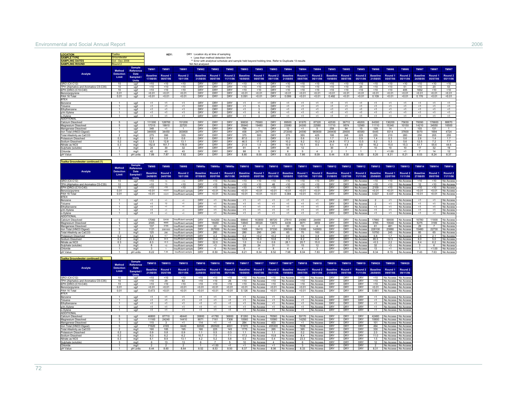#### Environmental and Social Annual Report 2006

| <b>LOCATION</b><br><b>SAMPLE TYPI</b><br><b>SAMPLING DATES</b><br><b>SAMPLING ROUND</b> | salka<br>roundwate<br>od - Dec 2006<br>$2$ nund 2 |                                 |                             | KEY:                           |                                          | NA Not analysed             | DRY Location dry at time of sampling<br>< Less than method detection limit<br>** Error with analytical schedule and sample held beyond holding time. Refer to Duplicate 13 results |                                |                             |                               |                                |                               |                                |                                |                             |                                |                                |                             |                                          |                                |                             |                                |                                |
|-----------------------------------------------------------------------------------------|---------------------------------------------------|---------------------------------|-----------------------------|--------------------------------|------------------------------------------|-----------------------------|------------------------------------------------------------------------------------------------------------------------------------------------------------------------------------|--------------------------------|-----------------------------|-------------------------------|--------------------------------|-------------------------------|--------------------------------|--------------------------------|-----------------------------|--------------------------------|--------------------------------|-----------------------------|------------------------------------------|--------------------------------|-----------------------------|--------------------------------|--------------------------------|
|                                                                                         | Method                                            | <b>Sample</b><br>Reference      | TMW <sub>1</sub>            | TMW1                           | TMW <sub>1</sub>                         | TMW <sub>2</sub>            | TMW2                                                                                                                                                                               | TMW <sub>2</sub>               | TMW3                        | TMW3                          | TMW3                           | TMW4                          | TMW4                           | TMW4                           | TMW5                        | TMW5                           | TMW <sub>5</sub>               | TMW6                        | TMW6                                     | TMW6                           | TMW7                        | TMW7                           | TMW7                           |
| Analyte                                                                                 | <b>Detection</b><br>Limit                         | Date<br><b>Sampled</b><br>Units | <b>Baseline</b><br>17/08/05 | Round <sub>1</sub><br>08/07/06 | Round <sub>2</sub><br>10/11/06           | <b>Baseline</b><br>31/08/05 | Round 1<br>08/07/06                                                                                                                                                                | Round <sub>2</sub><br>11/11/06 | <b>Baseline</b><br>16/08/05 | Round 1<br>08/07/06           | Round 2<br>09/11/06            | <b>Baseline</b><br>21/08/05   | Round <sub>1</sub><br>08/07/06 | Round <sub>2</sub><br>06/11/06 | <b>Baseline</b><br>19/08/05 | Round 1<br>08/07/06            | Round <sub>2</sub><br>05/11/06 | <b>Baseline</b><br>21/08/05 | Round 1<br>05/07/06                      | Round <sub>2</sub><br>05/11/06 | <b>Baseline</b><br>24/08/05 | Round <sub>1</sub><br>05/07/06 | Round <sub>2</sub><br>05/11/06 |
| GRO (C4-C12)                                                                            | 10                                                | a                               | < 10                        | < 10                           | < 10                                     | DRY                         | DRY                                                                                                                                                                                | DRY                            | < 10                        | < 10                          | DRY                            | < 10                          | < 10                           | < 10                           | < 10                        | < 10                           | < 10                           | <10                         | < 10                                     | < 10                           | 10                          | < 10                           | < 10                           |
| TPH (Alinhatics and Aromatics C5-C35)<br>FPH (DRO) (C10-C40)                            | 10<br>10                                          | $\mu$ a/l                       | < 10<br>< 10                | <10<br>< 10                    | < 10<br>210                              | DRY<br><b>DRY</b>           | <b>DRY</b><br><b>DRY</b>                                                                                                                                                           | DRY<br><b>DRY</b>              | <10<br>510                  | <10<br>210                    | <b>DRY</b><br><b>DRY</b>       | 510<br>< 10                   | $<$ 10<br>210                  | $10^{-1}$<br>210               | < 10<br>210                 | $10^{-1}$<br>210               | 26<br><10                      | <10<br>210                  | < 10<br>210                              | 51<br>405                      | < 10<br>1652                | 20<br>210                      | 53<br>< 10                     |
| Benzo(a)pyrene                                                                          | 0.01                                              | ug/l<br>ug/l                    | < 0.0                       | < 0.01                         | < 0.0                                    | <b>DRY</b>                  | <b>DRY</b>                                                                                                                                                                         | DRY                            | < 0.01                      | < 0.01                        | <b>DRY</b>                     | 50.01                         | 50.01                          | < 0.01                         | < 0.01                      | < 0.01                         | < 0.01                         | 50.01                       | < 0.0                                    | < 0.01                         | < 0.01                      | < 0.01                         | < 0.01                         |
| PAH 16 Total                                                                            | 0.01                                              | ua/l                            | 5001                        | < 0.01                         | 5001                                     | DRY                         | DRY                                                                                                                                                                                | <b>DRY</b>                     | 0.091                       | < 0.01                        | <b>DRY</b>                     | 0.099                         | < 0.01                         | 5001                           | 0.492                       | < 0.01                         | 5001                           | 0.109                       | 5001                                     | < 0.01                         | 0.176                       | < 0.01                         | 50.01                          |
| <b>BTFX</b><br>Benzene                                                                  | $\overline{1}$                                    | ug/l                            | <1                          | <1                             | $\leq 1$                                 | DRY                         | <b>DRY</b>                                                                                                                                                                         | <b>DRY</b>                     | <1                          | < 1                           | <b>DRY</b>                     | <1                            | <1                             | <1                             | $\leq 1$                    | <1                             | <1                             | <1                          | <1                                       | <1                             | <1                          | <1                             | <1                             |
| <b>Toluene</b>                                                                          | $\overline{1}$                                    | ug/l                            | <1                          | $\leq 1$                       | <1                                       | <b>DRY</b>                  | <b>DRY</b>                                                                                                                                                                         | <b>DRY</b>                     | <1                          | 5                             | <b>DRY</b>                     | <1                            | <1                             | $\leq 1$                       | <1                          | <1                             | <1                             | <1                          | <1                                       | <1                             | <1                          | <1                             | $\leq 1$                       |
| Ethylbenzene                                                                            |                                                   | ua/l                            | < 1<br>$\leq 1$             | $\leq 1$<br>$\overline{5}$     | <1<br>$\leq 1$                           | <b>DRY</b><br><b>DRY</b>    | <b>DRY</b><br><b>DRY</b>                                                                                                                                                           | <b>DRY</b><br><b>DRY</b>       | $\leq 1$<br>$\leq 1$        | 6 <sup>2</sup>                | <b>DRY</b><br>DRY              | $\leq 1$<br>$\leq$ 1          | $\leq 1$<br>$\overline{5}$     | $\leq$<br>$\leq$               | 41<br>$\leq 1$              | $\leq$<br>$\leq$               | $\leq$<br>ব                    | 4<br>$\overline{5}$         | 4<br>ব                                   | $\leq$<br>$\overline{5}$       | $\leq 1$<br>$\overline{5}$  | <1<br>$\leq 1$                 | $\leq 1$<br>$\overline{5}$     |
| n/m-Xylene<br>o-Xylene                                                                  | $\overline{1}$                                    | $\mathsf{H}\Omega$<br>ug/l      | $\leq 1$                    | $\leq$                         | $\leq 1$                                 | DRY                         | DRY                                                                                                                                                                                | <b>DRY</b>                     | <1                          | 3                             | <b>DRY</b>                     | $\leq 1$                      | $\leq 1$                       | $\leq$                         | $\leq$                      | $\leq$                         | $\leq 1$                       | $\leq 1$                    | $\leq 1$                                 | $\leq 1$                       | $\leq 1$                    | $\leq 1$                       | $\leq 1$                       |
| <b>ADDITIONAL</b>                                                                       |                                                   |                                 |                             |                                |                                          |                             |                                                                                                                                                                                    |                                |                             |                               |                                |                               |                                |                                |                             |                                |                                |                             |                                          |                                |                             |                                |                                |
| Calcium Dissolved<br>Magnesium Dissolved                                                | -5                                                | ua/l<br>ua/l                    | 111300<br>17310             | 128700<br>19910                | 151200<br>22720                          | <b>DRY</b><br>DRY           | DRY<br>DRY                                                                                                                                                                         | DRY<br><b>DRY</b>              | 90630<br>35940              | 75560<br>19480                | <b>DRY</b><br><b>DRY</b>       | 89500<br>23080                | 91970<br>24300                 | 87320<br>22580                 | 42530<br>11710              | 36710<br>9574                  | 49200<br>12560                 | 64300<br>11110              | 136200<br>15340                          | 75630<br>10150                 | 76090<br>14210              | 176600<br>34550                | 88870<br>16500                 |
| Manganese Dissolved                                                                     | $\overline{1}$                                    | ug/l                            | 348                         | < 1                            | $\mathbf{1}$                             | DRY                         | DRY                                                                                                                                                                                | <b>DRY</b>                     | 799                         | $-1$                          | <b>DRY</b>                     | 12                            | <1                             | -5                             | 259                         | 94                             | 15                             | 129                         | 14                                       | $\overline{1}$                 | 103                         | 131                            | $\overline{1}$                 |
| Iron Total (HNO3 Digest                                                                 | 5 <sub>5</sub>                                    | ug/l                            | 346500                      | 34450                          | 30380                                    | <b>DRY</b>                  | <b>DRY</b>                                                                                                                                                                         | <b>DRY</b>                     | 458                         | 24770                         | <b>DRY</b>                     | 272000                        | 24590                          | 960600                         | 249400                      | 29000                          | 45580                          | 6445                        | 8314                                     | 37600                          | 5070                        | 1694                           | 4724                           |
| Total Alkalinity as CaCO3<br>Potassium Dissolved                                        | 0.2                                               | ma/<br>ma/l                     | 275<br>0.6                  | 390<br>0.8                     | 335<br>0.6                               | <b>DRY</b><br><b>DRY</b>    | <b>DRY</b><br><b>DRY</b>                                                                                                                                                           | <b>DRY</b><br><b>DRY</b>       | 375<br>87.0                 | 500<br>2.0                    | DRY<br><b>DRY</b>              | 275<br>0.8                    | 355<br>0.6                     | 425<br>0.9                     | 195<br>1.7                  | 245<br>2.4                     | 225<br>0.9                     | 235<br>1.4                  | 210<br>0.3                               | 280<br>0.6                     | 250<br>2.6                  | 205<br>1.4                     | 255<br>1.7                     |
| Sodium Dissolved                                                                        | 02                                                | ma/l                            | 12.5                        | 128                            | 131                                      | DRY                         | DRY                                                                                                                                                                                | <b>DRY</b>                     | 46.5                        | 173                           | <b>DRY</b>                     | 10.2                          | 92                             | 102                            | 24.8                        | 17.3                           | 13.5                           | 92                          | 53                                       | 56                             | 12.5                        | 72                             | 77                             |
| Nitrate as NO3<br>Sulphate (soluble)                                                    | 0.3<br>$\overline{3}$                             | mg/<br>mg/l                     | 152.8<br>24                 | 161.7<br>30                    | 1789<br>32                               | <b>DRY</b><br><b>DRY</b>    | <b>DRY</b><br><b>DRY</b>                                                                                                                                                           | <b>DRY</b><br><b>DRY</b>       | 21.9<br>91                  | 1.9<br>8                      | <b>DRY</b><br><b>DRY</b>       | 10.9<br>36                    | 10.1<br>12                     | 8.5                            | 6.4<br>30                   | 4.9<br>$\overline{7}$          | 9.8<br>$\overline{7}$          | 16.2<br>10                  | 15.0<br>10                               | 15.3<br>10                     | 51.7<br>17                  | 55.6<br>32                     | 44.6<br>19                     |
| Chloride                                                                                |                                                   | ma/l                            | 42                          | 40                             | 43                                       | <b>DRY</b>                  | <b>DRY</b>                                                                                                                                                                         | <b>DRY</b>                     | 88                          | 5                             | <b>DRY</b>                     | 6                             | 5                              | 4                              | $\mathcal{P}$               | 1                              | $\mathbf{1}$                   |                             | 1.00                                     | <1                             | $\overline{7}$              | 14                             | 12                             |
| pH Value                                                                                | $\overline{1}$                                    | pH units                        | 7.89                        | 7.87                           | 7.92                                     | DRY                         | <b>DRY</b>                                                                                                                                                                         | DRY                            | 8.80                        | 8.00                          | <b>DRY</b>                     | 8.33                          | 7.86                           | 8.09                           | 8.44                        | 8.30                           | 8.50                           | 8.26                        | 8.31                                     | 8.21                           | 8.03                        | 8.24                           | 8.37                           |
| Tsalka Groundwater continued (1)                                                        |                                                   | <b>Sample</b>                   |                             |                                |                                          |                             |                                                                                                                                                                                    |                                |                             | <b>TMW10</b>                  |                                |                               |                                |                                |                             |                                |                                |                             |                                          |                                | <b>TMW14</b>                |                                |                                |
| Analyte                                                                                 | Method<br><b>Detection</b>                        | Reference<br>Date               | TMW8                        | TMW8                           | TMW8                                     | TMW9a                       | TMW9a                                                                                                                                                                              | TMW9a                          | <b>TMW10</b>                |                               | <b>TMW10</b>                   | <b>TMW11</b>                  | <b>TMW11</b>                   | <b>TMW11</b>                   | <b>TMW12</b>                | <b>TMW12</b>                   | <b>TMW12</b>                   | <b>TMW13</b>                | <b>TMW13</b>                             | <b>TMW13</b>                   |                             | <b>TMW14</b>                   | <b>TMW14</b>                   |
|                                                                                         | Limit                                             | <b>Sampled</b><br><b>Units</b>  | <b>Baseline</b><br>24/08/05 | Round 1<br>24/07/06            | Round <sub>2</sub><br>10/11/06           | <b>Baseline</b><br>07/09/05 | Round 1<br>05/07/06                                                                                                                                                                | Round 2<br>09/11/06            | <b>Baseline</b><br>24/08/05 | Round 1<br>05/07/06           | Round <sub>2</sub><br>05/11/06 | <b>Baseline</b><br>18/08/05   | Round 1<br>13/07/06            | Round <sub>2</sub><br>10/11/06 | <b>Baseline</b><br>31/08/05 | Round 1<br>13/07/06            | Round <sub>2</sub><br>11/11/06 | <b>Baseline</b><br>25/08/05 | Round 1<br>22/07/06                      | Round 2<br>11/11/06            | <b>Baseline</b><br>27/08/05 | Round 1<br>09/07/06            | Round <sub>2</sub><br>11/11/06 |
| GRO (C4-C12)<br>TPH (Aliphatics and Aromatics C5-C35)                                   | 10<br>10                                          | ua/l<br>  a                     | < 10<br>< 10                | 13<br>13                       | <10<br>10                                | <b>DRY</b><br>DRY           | 10<br><10                                                                                                                                                                          | No Access<br>No Acces          | 10<br>$10^{-1}$             | 10<br>< 10                    | 310<br>48                      | 10<br>< 10                    | <10<br>< 10                    | 10<br>10                       | <b>DRY</b><br><b>DRY</b>    | <b>DRY</b><br><b>DRY</b>       | No Access<br>No Access         | 10<br><10                   | <10<br>< 10                              | No Access<br>No Acces          | < 10<br>12                  | 10<br>< 10                     | No Access<br>No Access         |
| EPH (DRO) (C10-C40)                                                                     | 10                                                | ug/l                            | < 10                        | $10^{-1}$                      | <10                                      | DRY                         | <10                                                                                                                                                                                | No Acces                       | < 10                        | < 10                          | < 10                           | <10                           | <10                            | < 10                           | <b>DRY</b>                  | <b>DRY</b>                     | No Access                      | 2109                        | < 10                                     | No Acces                       | < 10                        | < 10                           | No Access                      |
| Benzo(a)pyrene<br>PAH 16 Total                                                          | 0.01                                              | ug/l                            | 50.01                       | < 0.01                         | fficient sam<br>Insufficient samp        | <b>DRY</b>                  | 50.01                                                                                                                                                                              | No Acces                       | < 0.01<br>< 0.01            | < 0.01<br>< 0.01              | < 0.01                         | 50.01                         | 50.01<br>< 0.01                | < 0.01<br>< 0.01               | <b>DRY</b><br><b>DRY</b>    | <b>DRY</b><br><b>DRY</b>       | No Acces                       | < 0.01                      | 50.01<br>0.437                           | No Acce:                       | < 0.01<br>< 0.01            | < 0.01<br>< 0.01               | No Access                      |
| <b>BTEX</b>                                                                             | 0.01                                              | ug/l                            | < 0.01                      | < 0.01                         |                                          | DRY                         | < 0.01                                                                                                                                                                             | No Acces                       |                             |                               | < 0.01                         | 0.384                         |                                |                                |                             |                                | No Access                      | 0.627                       |                                          | No Access                      |                             |                                | No Access                      |
| Benzene                                                                                 | $\mathbf{1}$                                      | ug/l                            | $_{c1}$                     | 41                             | $^{\prime}$                              | DRY                         | <1                                                                                                                                                                                 | No Acces                       | < 1                         | < 1                           | <1                             | < 1                           | $\leq 1$                       | < 1                            | <b>DRY</b>                  | <b>DRY</b>                     | No Access                      |                             | <1                                       | No Access                      | < 1                         | $_{c1}$                        | No Access                      |
| Toluene<br>Ethylbenzene                                                                 | 7                                                 | ua/l<br>ua/l                    | $\leq 1$<br>$\leq$          | 12<br>-1                       | ব<br>ব                                   | <b>DRY</b><br><b>DRY</b>    | $\leq$<br>$\leq$                                                                                                                                                                   | No Acces<br>No Acces           | $\leq 1$<br>$\leq 1$        | $\leq$ 1<br>$\leq$ 1          | $\leq 1$<br>$\leq$ 1           | $\leq$ 1<br>$\leq$ 1          | $\leq 1$<br>$\leq 1$           | $\leq$<br>$\leq$ 1             | <b>DRY</b><br>DRY           | <b>DRY</b><br><b>DRY</b>       | No Acces<br>No Access          | $\leq 1$                    | $\leq$ 1<br>$\leq$                       | No Acce:<br>No Access          | $\leq 1$<br>$\leq 1$        | $\epsilon$ 1<br>$\leq$         | No Access<br>No Access         |
| n/m-Xylene                                                                              |                                                   | a                               | $\leq$                      | $\overline{a}$                 | ব                                        | DRY                         | $\leq$                                                                                                                                                                             | No Acces                       | $\leq$                      | $\leq$ 1                      | $\leq$                         | $\leq$ 1                      | $\leq 1$                       | < 1                            | DRY                         | DRY                            | No Access                      | $\leq$ 1                    | $\leq$ 1                                 | No Acces                       | $\leq 1$                    | $_{c1}$                        | No Access                      |
| o-Xvlene<br><b>ADDITIONAL</b>                                                           | $\overline{1}$                                    | ug/l                            | <1                          | ব                              | <1                                       | <b>DRY</b>                  | < 1                                                                                                                                                                                | No Acces                       | < 1                         | $\leq 1$                      | < 1                            | $\overline{c_1}$              | $\leq 1$                       | < 1                            | DRY                         | DRY                            | No Access                      | <1                          | $\overline{c}$                           | No Acces                       | $\epsilon$ <sup>1</sup>     | <1                             | No Access                      |
| Calcium Dissolved                                                                       |                                                   | $\mu$ a/l                       | 17060                       | 32430                          | sufficient samo                          | DRY                         | 144200                                                                                                                                                                             | No Acces                       | 68840                       | 163800                        | 68720                          | 27810                         | 24060                          | 24490                          | <b>DRY</b>                  | <b>DRY</b>                     | No Access                      | 17960                       | 59000                                    | No Acces                       | 16780                       | 11000                          | No Access                      |
| Magnesium Dissolved                                                                     | 5                                                 | $\ln \alpha / l$                | 2045                        | 4665                           | nsufficient samp                         | DRY                         | 18460                                                                                                                                                                              | No Access                      | 14840                       | 39320                         | 13670                          | 4439                          | 3971                           | 3859                           | DRY                         | DRY                            | No Access                      | 3785                        | 10640                                    | No Acces                       | 5275                        | 3169                           | No Access                      |
| Manganese Dissolved<br>Iron Total (HNO3 Digest)                                         | $\overline{1}$<br>$\overline{5}$                  | ua/l<br>ug/l                    | 137<br>1121                 | 3165<br>2081000                | nsufficient samni<br>Insufficient samp   | DRY<br>DRY                  | 22<br>357600                                                                                                                                                                       | No Access<br>No Acces          | 41<br>1065                  | $\mathbf{A}$<br>16410         | <1<br>37330                    | 30 <sup>2</sup><br>206500     | 10<br>13000                    | $\mathbf{A}$<br>142600         | <b>DRY</b><br><b>DRY</b>    | <b>DRY</b><br><b>DRY</b>       | No Access<br>No Access         | 61<br>228100                | 481<br>23880                             | No Acces<br>No Acces           | 29<br>15480                 | $\overline{7}$<br>22730        | No Access<br>No Access         |
| Total Alkalinity as CaCO3                                                               | $\overline{\phantom{a}}$                          | mg/l                            | 125                         | 290                            | sufficient sam                           | <b>DRY</b>                  | 260                                                                                                                                                                                | No Acces                       | 280                         | 290                           | 240                            | 85                            | 70                             | 160                            | <b>DRY</b>                  | <b>DRY</b>                     | No Acces                       | 10750                       | 245                                      | No Acce                        | 85                          | 65                             | No Access                      |
| Potassium Dissolved                                                                     | 0.2                                               | ma/                             | 56<br>233                   | 47                             | nsufficient sam                          | DRY<br>DRY                  | 42<br>134                                                                                                                                                                          | No Acces                       | 02                          | <በ 2<br>150                   | < 0.2<br>10.8                  | 0.8<br>75                     | 06                             | 08<br>68                       | DRY<br><b>DRY</b>           | DRY<br><b>DRY</b>              | No Acces<br>No Access          | 68                          | 17<br>123                                | No Acce                        | 26<br>80                    | 21                             | No Access                      |
| Sodium Dissolved<br>Nitrate as NO3                                                      | 02<br>0.3                                         | mall<br>mg/                     | 6.3                         | 34.5<br>< 0.3                  | Insufficient samni<br>nsufficient samp   | <b>DRY</b>                  | 32.0                                                                                                                                                                               | No Acces<br>No Acces           | 126<br>1.0                  | 0.4                           | 0.9                            | 26.1                          | 62<br>20.7                     | 15.0                           | <b>DRY</b>                  | <b>DRY</b>                     | No Access                      | 85.5<br>< 0.3               | 2.2                                      | No Acces<br>No Acces           | 6.4                         | 50<br>6.2                      | No Access<br>No Access         |
| Sulphate (soluble)                                                                      | $\mathbf{3}$                                      | mg/l                            | 8                           | $3$                            | nsufficient samp                         | <b>DRY</b>                  | $<$ 3                                                                                                                                                                              | No Acces                       | 28                          | 24                            | 31                             | 11                            | 15                             | 12                             | <b>DRY</b>                  | <b>DRY</b>                     | No Access                      | 32                          | <3                                       | No Acces                       | 3                           | 6                              | No Access                      |
| Chloride<br>nH Value                                                                    | $\overline{1}$                                    | ma/l<br>nH units                | 822                         | $\mathbf{1}$<br>744            | nsufficient sampl<br>Ineufficiant earnol | <b>DRY</b><br>DRY           | $\overline{4}$<br>8.50                                                                                                                                                             | No Acces<br>No Access          | 6<br>8.21                   | $\overline{4}$<br>8.34        | $\mathbf{a}$<br>8.52           | $\overline{4}$<br>7.98        | $\overline{4}$<br>8.04         | 7.83                           | DRY<br>DRY                  | <b>DRY</b><br>DRY              | No Access<br>No Access         | 13<br>8.34                  | 4<br>8 1 5                               | No Acces<br>No Acces           | 1<br>743                    | 1.00<br>763                    | No Access<br>No Access         |
|                                                                                         |                                                   |                                 |                             |                                |                                          |                             |                                                                                                                                                                                    |                                |                             |                               |                                |                               |                                |                                |                             |                                |                                |                             |                                          |                                |                             |                                |                                |
| <b>Tsalka Groundwater continued (2)</b>                                                 | Method                                            | <b>Sample</b><br>Reference      | <b>TMW15</b>                | <b>TMW15</b>                   | <b>TMW15</b>                             | <b>TMW16</b>                | <b>TMW16</b>                                                                                                                                                                       | <b>TMW16</b>                   | <b>TMW17</b>                | <b>TMW17</b>                  | <b>TMW17</b>                   | <b>TMW18**</b>                | <b>TMW18</b>                   | <b>TMW18</b>                   | <b>TMW19</b>                | <b>TMW19</b>                   | <b>TMW19</b>                   | <b>TMW20</b>                | <b>TMW20</b>                             | <b>TMW20</b>                   |                             |                                |                                |
| Analyte                                                                                 | <b>Detection</b><br>Limit                         | Date<br><b>Sampled</b><br>Units | <b>Baseline</b><br>21/08/05 | Round <sub>1</sub><br>05/07/06 | Round <sub>2</sub><br>05/11/06           | <b>Baseline</b><br>22/08/05 | Round 1<br>05/07/06                                                                                                                                                                | Round <sub>2</sub><br>05/11/06 | <b>Baseline</b><br>19/08/05 | Round 1<br>05/07/06           | Round <sub>2</sub><br>06/11/06 | <b>Baseline</b><br>19/08/05   | Round <sub>1</sub><br>09/07/06 | Round <sub>2</sub><br>06/11/06 | <b>Baseline</b><br>31/08/05 | Round <sub>1</sub><br>09/07/06 | Round <sub>2</sub><br>11/11/06 | <b>Baseline</b><br>26/08/05 | Round 1<br>09/07/06                      | Round <sub>2</sub><br>09/11/06 |                             |                                |                                |
| GRO (C4-C12)                                                                            | 10                                                | ua/l                            | <10                         | <10                            | <10                                      | < 10                        | <10                                                                                                                                                                                | <10                            | 510                         | No Access                     | 510                            | No Access                     | < 10                           | No Access                      | <b>DRY</b>                  | <b>DRY</b>                     | <b>DRY</b>                     | < 10                        | No Access                                | No Access                      |                             |                                |                                |
| TPH (Alinhatics and Aromatics C5-C35)<br>EPH (DRO) (C10-C40)                            | 10<br>10                                          | $\ln \alpha$<br>ug/l            | < 10<br><10                 | 29<br>< 10                     | 82<br>< 10                               | < 10<br>310                 | < 10<br><10                                                                                                                                                                        | 26<br>< 10                     | < 10<br>10<                 | No Access<br>No Access        | < 10<br>10<                    | No Access<br>No Access        | $<$ 10<br><10                  | No Access<br>No Acces          | <b>DRY</b><br><b>DRY</b>    | <b>DRY</b><br><b>DRY</b>       | <b>DRY</b><br><b>DRY</b>       | <10<br><10                  | No Access No Access<br>No Access         | No Acces                       |                             |                                |                                |
| Benzo(a)pyrene                                                                          | 0.01                                              | ua/l                            | < 0.01                      | < 0.01                         | <0.0                                     | < 0.01                      | 50.01                                                                                                                                                                              | < 0.01                         | < 0.01                      | No Access                     | < 0.01                         | No Access                     | < 0.01                         | No Access                      | <b>DRY</b>                  | <b>DRY</b>                     | <b>DRY</b>                     | < 0.01                      | No Access                                | No Acces                       |                             |                                |                                |
| PAH 16 Total                                                                            | 0.01                                              | ug/l                            | 0.473                       | < 0.01                         | < 0.01                                   | < 0.01                      | < 0.01                                                                                                                                                                             | < 0.01                         | 0.126                       | No Access                     | < 0.01                         | No Access                     | < 0.01                         | No Access                      | <b>DRY</b>                  | <b>DRY</b>                     | <b>DRY</b>                     |                             | 0.661 No Access No Acces                 |                                |                             |                                |                                |
| <b>BTEX</b><br>Benzene                                                                  |                                                   | ug/l                            | <1                          | <1                             | <1                                       | <1                          | <1                                                                                                                                                                                 | <1                             | < 1                         | No Access                     | <1                             | No Access                     | <1                             | No Acces                       | <b>DRY</b>                  | <b>DRY</b>                     | <b>DRY</b>                     | $_{c1}$                     | No Access                                | No Acces                       |                             |                                |                                |
| <b>Toluene</b>                                                                          |                                                   | ug/l                            | <1                          | <1                             | <1                                       | <1                          | <1                                                                                                                                                                                 | <1                             | <1                          | No Access                     | <1                             | No Access                     | <1                             | No Acces                       | DRY                         | <b>DRY</b>                     | <b>DRY</b>                     | <1                          | No Access                                | No Acces                       |                             |                                |                                |
| Ethylbenzene<br>p/m-Xvlene                                                              | $\mathbf{1}$                                      | ua/l                            | < 1<br><1                   | $\leq 1$<br><1                 | <1<br><1                                 | $\leq$<br><1                | <1<br><1                                                                                                                                                                           | <1<br><1                       | <1<br><1                    | No Access<br>No Access        | <1<br><1                       | No Access<br>No Access        | < 1<br><1                      | No Acces<br>No Access          | DRY<br><b>DRY</b>           | <b>DRY</b><br><b>DRY</b>       | <b>DRY</b><br><b>DRY</b>       | < 1<br><1                   | No Access<br>No Access No Access         | No Acces                       |                             |                                |                                |
| o-Xylene                                                                                | $\mathbf{1}$                                      | ug/l<br>ug/l                    | <1                          | $\leq$ 1                       | <1                                       | $\leq 1$                    | $\leq 1$                                                                                                                                                                           | $\leq 1$                       | $\leq 1$                    | No Acces                      | $\overline{5}$                 | No Access                     | $\leq 1$                       | No Acc                         | <b>DRY</b>                  | DRY                            | <b>DRY</b>                     | <1                          | No Access No Acce                        |                                |                             |                                |                                |
| <b>ADDITIONAL</b>                                                                       |                                                   |                                 |                             |                                |                                          |                             |                                                                                                                                                                                    |                                |                             |                               |                                |                               |                                |                                |                             |                                |                                |                             |                                          |                                |                             |                                |                                |
| Calcium Dissolved<br>Magnesium Dissolved                                                |                                                   | ua/l<br>ua/l                    | 46800<br>11160              | 87710<br>24240                 | 48440<br>14410                           | 35800<br>9071               | 41780<br>7161                                                                                                                                                                      | 36800<br>7308                  | 81260<br>10560              | No Access<br>No Access        | 76560<br>10580                 | No Access<br>No Access        | 59170<br>14250                 | No Access<br>No Access         | DRY<br>DRY                  | <b>DRY</b><br><b>DRY</b>       | <b>DRY</b><br>DRY              | 42480<br>10600              | No Access No Acces<br>No Access No Acces |                                |                             |                                |                                |
| Manganese Dissolved                                                                     | $\overline{1}$                                    | ug/l                            | 115                         | 3                              | <1                                       | 114                         | <1                                                                                                                                                                                 | <1                             | 284                         | No Access                     | 403                            | No Access                     | $\leq 1$                       | No Acces                       | <b>DRY</b>                  | <b>DRY</b>                     | <b>DRY</b>                     | 101                         | No Access                                | No Acces                       |                             |                                |                                |
| Iron Total (HNO3 Digest                                                                 | -5                                                | ug/l                            | 71920<br>190                | 4165                           | 6449<br>195                              | 82500                       | 260500                                                                                                                                                                             | 4831                           | 51970                       | <b>Vo Access</b>              | 455300                         | No Acces                      | 7638<br>365                    | No Acces                       | <b>DRY</b><br><b>DRY</b>    | DRY<br><b>DRY</b>              | <b>DRY</b><br><b>DRY</b>       | 494                         | No Access                                | No Acces                       |                             |                                |                                |
| Total Alkalinity as CaCO3<br>Potassium Dissolved                                        | $\overline{2}$<br>0.2                             | mg/l<br>mg/                     | 0.9                         | 185<br>0.8                     | 0.9                                      | 160<br>1.1                  | 225<br>0.5                                                                                                                                                                         | 145<br>0.3                     | 1775<br>1.1                 | No Access<br><b>Vo Access</b> | 265<br>1.1                     | No Access<br><b>Vo Access</b> | 0.2                            | No Access<br>No Acces          | <b>DRY</b>                  | DRY                            | <b>DRY</b>                     | 330<br>2.0                  | No Access<br>No Access                   | No Acces<br>No Acces           |                             |                                |                                |
| Sodium Dissolved                                                                        | 0.2                                               | mg/l                            | 63                          | 6.2                            | 62                                       | 10.7                        | 75                                                                                                                                                                                 | 71                             | 173                         | No Access                     | 158                            | <b>Vo Access</b>              | 84                             | No Acces                       | <b>DRY</b>                  | DRY                            | <b>DRY</b>                     | 110                         | No Access                                | No Acces                       |                             |                                |                                |
| Nitrate as NO3<br>Sulphate (soluble)                                                    | 0.3                                               | mg/l<br>mg/                     | 6.1<br>6                    | 8.9<br>13                      | 13.1<br>13                               | 4.2<br>6                    | 5.2                                                                                                                                                                                | 5.8<br>5                       | 0.3<br>10                   | No Access<br><b>Vo Access</b> | 0.4<br>$\overline{4}$          | No Acces<br><b>Vo Access</b>  | 23.3<br>6                      | No Acces<br>No Acces           | DRY<br>DRY                  | DRY<br><b>DRY</b>              | <b>DRY</b><br><b>DRY</b>       | 1.5<br>12                   | No Access<br>No Access                   | No Acces<br>No Acces           |                             |                                |                                |
| Chloride                                                                                | $\mathbf{1}$                                      | ma/l                            | $\mathfrak{p}$              | $\overline{2}$                 | $\mathfrak{p}$                           | $\ddot{\phantom{1}}$        | 1.00                                                                                                                                                                               | <1                             | <1                          | No Access                     | <1                             | No Access                     | $\mathbf{3}$                   | No Access                      | <b>DRY</b>                  | <b>DRY</b>                     | <b>DRY</b>                     | $\mathcal{P}$               | No Access                                | No Acces                       |                             |                                |                                |
| pH Value                                                                                |                                                   | pH units                        | 8.44                        | 8.60                           | 8.64                                     | 8.52                        | 8.53                                                                                                                                                                               | 8.50                           | 8.37                        | No Access                     | 8.06                           | No Access                     | 8.33                           | No Access                      | <b>DRY</b>                  | <b>DRY</b>                     | <b>DRY</b>                     | 8.31                        | No Access No Access                      |                                |                             |                                |                                |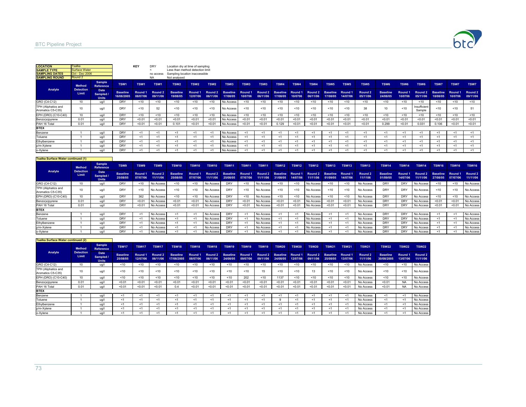

| Sample<br>TSW <sub>1</sub><br>TSW <sub>1</sub><br>TSW <sub>1</sub><br>TSW <sub>2</sub><br>TSW <sub>3</sub><br>TSW <sub>3</sub><br>TSW <sub>3</sub><br>TSW4<br>TSW4<br>TSW <sub>5</sub><br>TSW <sub>6</sub><br>TSW <sub>6</sub><br>TSW <sub>2</sub><br>TSW <sub>2</sub><br>TSW4<br><b>TSW5</b><br>TSW <sub>5</sub><br><b>Method</b><br><b>Reference</b><br>Analyte<br><b>Detection</b><br>Date<br>Round 2<br><b>Baseline</b><br>Round 1<br><b>Baseline</b><br>Round 2<br><b>Baseline</b><br>Round 2<br>Round 2<br><b>Baseline</b><br>Round 1<br><b>Baseline</b><br>Round 1<br><b>Baseline</b><br>Round 1<br>Round 2<br>Round 1<br>Round <sub>1</sub><br>Limit<br>Sampled /<br>16/08/2005<br>08/07/06<br>09/11/06<br>06/11/06<br>10/0706<br>06/11/06<br>14/07/06<br>24/08/05<br>10/0706<br>19/08/05<br>12/07/06<br>17/08/05<br>06/11/06<br>10/0706<br>17/08/05<br>05/11/06<br>17/08/05<br><b>Units</b><br><b>DRY</b><br>10<br>< 10<br>< 10<br>< 10<br>< 10<br>< 10<br>< 10<br>< 10<br>< 10<br>No Access<br>< 10<br>< 10<br>< 10<br>< 10<br>< 10<br>< 10<br>< 10<br>ug/l<br>TPH (Aliphatics and<br>DRY<br>52<br>38<br>< 10<br>< 10<br>10<br>10<br>< 10<br>< 10<br>< 10<br>< 10<br>ug/l<br>~10<br>No Access<br>< 10<br>< 10<br>< 10<br>< 10<br>< 10<br>DRY<br>10<br>$10^{-1}$<br>< 10<br>< 10<br>< 10<br>< 10<br>< 10<br>< 10<br>< 10<br>< 10<br>< 10<br>< 10<br>< 10<br>No Access<br>< 10<br>10<br>< 10<br>ua/l<br>DRY<br>< 0.01<br>< 0.01<br>< 0.01<br>< 0.01<br>< 0.01<br>< 0.01<br>< 0.01<br>< 0.01<br>< 0.01<br>< 0.01<br>< 0.01<br>< 0.01<br>0.01<br>< 0.01<br>< 0.01<br>No Access<br>< 0.01<br>ua/l<br><b>DRY</b><br>0.129<br>0.299<br>< 0.01<br>< 0.01<br>0.101<br>< 0.01<br>< 0.01<br>< 0.01<br>< 0.01<br>< 0.01<br>< 0.01<br>< 0.01<br>< 0.01<br>0.01<br>< 0.01<br>< 0.01<br>lla/l<br>No Access<br>DRY<br>No Access<br>ua/l<br>$\epsilon$<br>< 1<br>< 1<br><1<br>$\leq$ 1<br>< 1<br>$<$ 1<br>< 1<br><1<br>k.<br><1<br>≺1<br><1<br><1 | Round 2 | <b>Oct - Dec 2006</b> |            | no access<br><b>NA</b> | Sampling location inaccessible<br>Not analysed | Less than method detection limit |            |           |     |    |     |    |     |     |     |     |                        |                             |                    |                     |
|--------------------------------------------------------------------------------------------------------------------------------------------------------------------------------------------------------------------------------------------------------------------------------------------------------------------------------------------------------------------------------------------------------------------------------------------------------------------------------------------------------------------------------------------------------------------------------------------------------------------------------------------------------------------------------------------------------------------------------------------------------------------------------------------------------------------------------------------------------------------------------------------------------------------------------------------------------------------------------------------------------------------------------------------------------------------------------------------------------------------------------------------------------------------------------------------------------------------------------------------------------------------------------------------------------------------------------------------------------------------------------------------------------------------------------------------------------------------------------------------------------------------------------------------------------------------------------------------------------------------------------------------------------------------------------------------------------------------------------------------------------------------------------------------------------------------------------------------------------------------------------------------------------------------------------------------|---------|-----------------------|------------|------------------------|------------------------------------------------|----------------------------------|------------|-----------|-----|----|-----|----|-----|-----|-----|-----|------------------------|-----------------------------|--------------------|---------------------|
| GRO (C4-C12)<br>Aromatics C5-C35)<br>Benzo(a)pyrene<br><b>BTEX</b><br>Benzene                                                                                                                                                                                                                                                                                                                                                                                                                                                                                                                                                                                                                                                                                                                                                                                                                                                                                                                                                                                                                                                                                                                                                                                                                                                                                                                                                                                                                                                                                                                                                                                                                                                                                                                                                                                                                                                              |         |                       |            |                        |                                                |                                  |            |           |     |    |     |    |     |     |     |     | TSW <sub>6</sub>       | <b>TSW7</b>                 | <b>TSW7</b>        | <b>TSW7</b>         |
|                                                                                                                                                                                                                                                                                                                                                                                                                                                                                                                                                                                                                                                                                                                                                                                                                                                                                                                                                                                                                                                                                                                                                                                                                                                                                                                                                                                                                                                                                                                                                                                                                                                                                                                                                                                                                                                                                                                                            |         |                       |            |                        |                                                |                                  |            |           |     |    |     |    |     |     |     |     | Round 2<br>05/11/06    | <b>Baseline</b><br>18/08/05 | Round 1<br>10/0706 | Round 2<br>09/11/06 |
|                                                                                                                                                                                                                                                                                                                                                                                                                                                                                                                                                                                                                                                                                                                                                                                                                                                                                                                                                                                                                                                                                                                                                                                                                                                                                                                                                                                                                                                                                                                                                                                                                                                                                                                                                                                                                                                                                                                                            |         |                       |            |                        |                                                |                                  |            |           |     |    |     |    |     |     |     |     | < 10                   | < 10                        | < 10               | < 10                |
| EPH (DRO) (C10-C40)                                                                                                                                                                                                                                                                                                                                                                                                                                                                                                                                                                                                                                                                                                                                                                                                                                                                                                                                                                                                                                                                                                                                                                                                                                                                                                                                                                                                                                                                                                                                                                                                                                                                                                                                                                                                                                                                                                                        |         |                       |            |                        |                                                |                                  |            |           |     |    |     |    |     |     |     |     | Insufficient<br>Sample | < 10                        | < 10               | 51                  |
| PAH 16 Total                                                                                                                                                                                                                                                                                                                                                                                                                                                                                                                                                                                                                                                                                                                                                                                                                                                                                                                                                                                                                                                                                                                                                                                                                                                                                                                                                                                                                                                                                                                                                                                                                                                                                                                                                                                                                                                                                                                               |         |                       |            |                        |                                                |                                  |            |           |     |    |     |    |     |     |     |     | < 10                   | $10^{-1}$                   | < 10               | < 10                |
|                                                                                                                                                                                                                                                                                                                                                                                                                                                                                                                                                                                                                                                                                                                                                                                                                                                                                                                                                                                                                                                                                                                                                                                                                                                                                                                                                                                                                                                                                                                                                                                                                                                                                                                                                                                                                                                                                                                                            |         |                       |            |                        |                                                |                                  |            |           |     |    |     |    |     |     |     |     | < 0.01                 | < 0.01                      | < 0.01             | < 0.01              |
|                                                                                                                                                                                                                                                                                                                                                                                                                                                                                                                                                                                                                                                                                                                                                                                                                                                                                                                                                                                                                                                                                                                                                                                                                                                                                                                                                                                                                                                                                                                                                                                                                                                                                                                                                                                                                                                                                                                                            |         |                       |            |                        |                                                |                                  |            |           |     |    |     |    |     |     |     |     | 0.031                  | 0.106                       | < 0.01             | < 0.01              |
|                                                                                                                                                                                                                                                                                                                                                                                                                                                                                                                                                                                                                                                                                                                                                                                                                                                                                                                                                                                                                                                                                                                                                                                                                                                                                                                                                                                                                                                                                                                                                                                                                                                                                                                                                                                                                                                                                                                                            |         |                       |            |                        |                                                |                                  |            |           |     |    |     |    |     |     |     |     |                        |                             |                    |                     |
|                                                                                                                                                                                                                                                                                                                                                                                                                                                                                                                                                                                                                                                                                                                                                                                                                                                                                                                                                                                                                                                                                                                                                                                                                                                                                                                                                                                                                                                                                                                                                                                                                                                                                                                                                                                                                                                                                                                                            |         |                       |            |                        |                                                |                                  |            |           |     |    |     |    |     |     |     |     | $<$ 1                  | <'                          | < 1                | <1                  |
| Toluene<br>< 1<br>k.<br><1<br>≺1                                                                                                                                                                                                                                                                                                                                                                                                                                                                                                                                                                                                                                                                                                                                                                                                                                                                                                                                                                                                                                                                                                                                                                                                                                                                                                                                                                                                                                                                                                                                                                                                                                                                                                                                                                                                                                                                                                           |         | ua/l                  | <b>DRY</b> |                        |                                                |                                  | $\epsilon$ | No Access | < 1 | <1 | < 1 | <1 | < 1 | < 1 | < 1 | < 1 | - <1                   | k.                          | < 1                | <1                  |
| Ethylbenzene<br>DRY<br>No Access<br>< 1<br>< 1<br>ua/l<br><1<br>< 1<br>≺1<br>≺1<br><1<br>- < 1<br>≺1<br>< 1<br>< 1<br><1<br>≺1<br><1<br>≺1                                                                                                                                                                                                                                                                                                                                                                                                                                                                                                                                                                                                                                                                                                                                                                                                                                                                                                                                                                                                                                                                                                                                                                                                                                                                                                                                                                                                                                                                                                                                                                                                                                                                                                                                                                                                 |         |                       |            |                        |                                                |                                  |            |           |     |    |     |    |     |     |     |     | < 1                    | -Sî                         | < 1                | <1                  |
| p/m-Xylene<br>DRY<br>No Access<br>ua/l<br>$\leq$ 1<br><1<br>< 1<br>$\leq$ 1<br>< 1<br>< 1<br>< 1<br>k.<br><1<br>$\epsilon$<br><1<br><1                                                                                                                                                                                                                                                                                                                                                                                                                                                                                                                                                                                                                                                                                                                                                                                                                                                                                                                                                                                                                                                                                                                                                                                                                                                                                                                                                                                                                                                                                                                                                                                                                                                                                                                                                                                                     |         |                       |            |                        |                                                |                                  |            |           |     |    |     |    |     |     |     |     | - <1                   | <'                          | $<$ 1              | <1                  |
| o-Xylene<br>DRY<br>No Access<br>ug/l<br><1<br>- < 1<br><1<br><1<br>$\epsilon$<br>≺1<br>-41<br>≺1<br><1<br>$\tilde{\phantom{0}}$                                                                                                                                                                                                                                                                                                                                                                                                                                                                                                                                                                                                                                                                                                                                                                                                                                                                                                                                                                                                                                                                                                                                                                                                                                                                                                                                                                                                                                                                                                                                                                                                                                                                                                                                                                                                            |         |                       |            |                        |                                                |                                  |            |           |     |    |     |    |     |     |     |     | 51                     |                             | $<$ 1              | <1                  |

| <b>ITsalka Surface Water continued (1)</b> |                           |                                   |                             |                     |                     |                             |                     |                     |                             |                     |              |                              |                     |                     |                             |                     |                    |                             |                     |                     |                             |                     |                     |
|--------------------------------------------|---------------------------|-----------------------------------|-----------------------------|---------------------|---------------------|-----------------------------|---------------------|---------------------|-----------------------------|---------------------|--------------|------------------------------|---------------------|---------------------|-----------------------------|---------------------|--------------------|-----------------------------|---------------------|---------------------|-----------------------------|---------------------|---------------------|
|                                            | <b>Method</b>             | <b>Sample</b><br><b>Reference</b> | TSW9                        | TSW9                | TSW9                | <b>TSW10</b>                | <b>TSW10</b>        | <b>TSW10</b>        | <b>TSW11</b>                | <b>TSW11</b>        | <b>TSW11</b> | <b>TSW12</b>                 | <b>TSW12</b>        | <b>TSW12</b>        | TSW <sub>13</sub>           | TSW <sub>13</sub>   | <b>TSW13</b>       | <b>TSW14</b>                | <b>TSW14</b>        | <b>TSW14</b>        | TSW <sub>16</sub>           | <b>TSW16</b>        | <b>TSW16</b>        |
| Analyte                                    | <b>Detection</b><br>Limit | Date<br>Sampled /<br><b>Units</b> | <b>Baseline</b><br>25/08/05 | Round 1<br>07/07/06 | Round 2<br>11/11/06 | <b>Baseline</b><br>25/08/05 | Round 1<br>07/07/06 | Round 2<br>11/11/06 | <b>Baseline</b><br>25/08/05 | Round 1<br>07/07/06 | 11/11/06     | Round 2 Baseline<br>31/08/05 | Round 1<br>14/07/06 | Round 2<br>11/11/06 | <b>Baseline</b><br>01/09/05 | Round 1<br>14/07/06 | Round 2<br>11/1106 | <b>Baseline</b><br>01/09/05 | Round 1<br>14/07/06 | Round 2<br>11/11/06 | <b>Baseline</b><br>27/08/05 | Round 1<br>07/07/06 | Round 2<br>11/11/06 |
| GRO (C4-C12)                               |                           | ua/l                              | <b>DRY</b>                  | < 10                | No Access           | < 10                        |                     | No Access           | DRY                         | < 10                | No Access    | < 10                         | < 10                | No Access           | 10                          | < 10                | No Access          | <b>DRY</b>                  | DRY                 | No Access           | < 10                        | < 10                | No Access           |
| TPH (Aliphatics and<br>Aromatics C5-C35)   |                           | ug/                               | DRY                         | < 10                | No Access           | $10^{-1}$                   | < 10                | No Access           | DRY                         | 10                  | No Access    | <10                          | < 10                | No Access           | 10                          | < 10                | No Access          | DRY                         | <b>DRY</b>          | No Access           | 10                          | < 10                | No Access           |
| EPH (DRO) (C10-C40)                        |                           | ua/l                              | <b>DRY</b>                  | 362                 | No Access           | < 10                        | < 10                | No Access           | DRY                         | < 10                | No Access    | < 10                         | < 10                | No Access           | < 10                        | 10                  | No Access          | <b>DRY</b>                  | <b>DRY</b>          | No Access           | <10                         | < 10                | No Access           |
| Benzo(a)pyrene                             | 0.01                      | ua/l                              | <b>DRY</b>                  | < 0.0               | No Access           | < 0.01                      | < 0.01              | No Access           | DRY                         | < 0.01              | No Access    | < 0.01                       | < 0.01              | No Access           | < 0.01                      | < 0.01              | No Access          | <b>DRY</b>                  | DRY                 | No Access           | < 0.01                      | < 0.01              | No Access           |
| PAH 16 Total                               | 0.01                      | ua/l                              | <b>DRY</b>                  | < 0.0               | No Access           | < 0.01                      | < 0.01              | No Access           | DRY                         | < 0.01              | No Access    | < 0.01                       | < 0.01              | No Access           | < 0.01                      | < 0.01              | No Access          | <b>DRY</b>                  | DRY                 | No Access           | < 0.01                      | < 0.01              | No Access           |
| <b>BTEX</b>                                |                           |                                   |                             |                     |                     |                             |                     |                     |                             |                     |              |                              |                     |                     |                             |                     |                    |                             |                     |                     |                             |                     |                     |
| Benzene                                    |                           | ua/l                              | <b>DRY</b>                  |                     | No Access           | $<$ 1                       |                     | No Access           | <b>DRY</b>                  | $\epsilon$          | No Access    |                              | < 1                 | No Access           |                             | <1                  | No Access          | <b>DRY</b>                  | DRY                 | No Access           |                             | - < 1               | No Access           |
| Toluene                                    |                           | ua/l                              | <b>DRY</b>                  | <1                  | No Access           | <1                          |                     | No Access           | DRY                         | < 1                 | No Access    | <1                           | - 1                 | No Access           | - 1                         | <1                  | No Access          | <b>DRY</b>                  | DRY                 | No Access           |                             | - < 1               | No Access           |
| Ethylbenzene                               |                           | ua/l                              | <b>DRY</b>                  |                     | No Access           | -1                          |                     | No Access           | <b>DRY</b>                  | - 1                 | No Access    |                              |                     | No Access           |                             | <1                  | No Access          | <b>DRY</b>                  | DRY                 | No Access           |                             | - < 1               | No Access           |
| p/m-Xylene                                 |                           | ua/l                              | <b>DRY</b>                  |                     | No Access           |                             |                     | No Access           | DRY                         | <'                  | No Access    |                              |                     | No Access           |                             | <1                  | No Access          | <b>DRY</b>                  | DRY                 | No Access           |                             | ≺1                  | No Access           |
| o-Xylene                                   |                           | ua/l                              | <b>DRY</b>                  |                     | No Access           |                             |                     | No Access           | <b>DRY</b>                  | <1                  | No Access    |                              |                     | No Access           |                             | $<$ 1               | No Access          | <b>DRY</b>                  | DRY                 | No Access           |                             | ≺1                  | No Access           |

| <b>Tsalka Surface Water continued (2)</b> |                           |                                   |                             |                     |                                |                               |                     |                     |                             |                     |                     |                             |                     |                                |                             |                     |                     |                               |                     |                     |
|-------------------------------------------|---------------------------|-----------------------------------|-----------------------------|---------------------|--------------------------------|-------------------------------|---------------------|---------------------|-----------------------------|---------------------|---------------------|-----------------------------|---------------------|--------------------------------|-----------------------------|---------------------|---------------------|-------------------------------|---------------------|---------------------|
|                                           | <b>Method</b>             | <b>Sample</b><br><b>Reference</b> | <b>TSW17</b>                | <b>TSW17</b>        | <b>TSW17</b>                   | <b>TSW18</b>                  | <b>TSW18</b>        | <b>TSW18</b>        | <b>TSW19</b>                | <b>TSW19</b>        | <b>TSW19</b>        | <b>TSW20</b>                | <b>TSW20</b>        | <b>TSW20</b>                   | <b>TSW21</b>                | <b>TSW21</b>        | <b>TSW21</b>        | <b>TSW22</b>                  | <b>TSW22</b>        | <b>TSW22</b>        |
| Analyte                                   | <b>Detection</b><br>Limit | Date<br>Sampled /<br><b>Units</b> | <b>Baseline</b><br>25/08/05 | Round 1<br>12/07/06 | Round <sub>2</sub><br>06/11/06 | <b>Baseline</b><br>17/08/2005 | Round 1<br>08/07/06 | Round 2<br>06/11/06 | <b>Baseline</b><br>24/08/05 | Round 1<br>09/07/06 | Round 2<br>09/11/06 | <b>Baseline</b><br>24/08/05 | Round 1<br>12/07/06 | Round <sub>2</sub><br>09/11/06 | <b>Baseline</b><br>25/08/05 | Round 1<br>13/07/06 | Round 2<br>11/11/06 | <b>Baseline</b><br>30/08/2005 | Round 1<br>13/07/06 | Round 2<br>11/11/06 |
| GRO (C4-C12)                              | 10                        | ug/l                              | < 10                        | < 10                | < 10                           | ~10                           | < 10                | < 10                | < 10                        | < 10                | < 10                | < 10                        | < 10                | < 10                           | < 10                        | < 10                | No Access           | < 10                          | < 10                | No Access           |
| TPH (Aliphatics and<br>Aromatics C5-C35)  | 10                        | ug/l                              | < 10                        | < 10                | < 10                           | < 10                          | < 10                | 10                  | < 10                        | $10^{-1}$           |                     | < 10                        | < 10                | 13                             | < 10                        | <10                 | No Access           | < 10                          | 10                  | No Access           |
| EPH (DRO) (C10-C40)                       | 10                        | ug/l                              | 10                          | < 10                | < 10                           | < 10                          | < 10                | < 10                | 10                          | 202                 | < 10                | 1137                        | < 10                | < 10                           | < 10                        | < 10                | No Access           | < 10                          | 10                  | No Access           |
| Benzo(a)pyrene                            | 0.01                      | ua/l                              | < 0.01                      | < 0.01              | < 0.01                         | < 0.01                        | < 0.01              | < 0.01              | < 0.01                      | < 0.01              | < 0.01              | < 0.01                      | < 0.01              | < 0.01                         | < 0.01                      | < 0.01              | No Access           | < 0.01                        | <b>NA</b>           | No Access           |
| PAH 16 Total                              | 0.01                      | ua/l                              | < 0.01                      | < 0.01              | < 0.01                         | 0.4                           | < 0.01              | < 0.01              | < 0.01                      | < 0.01              | < 0.01              | < 0.01                      | < 0.0               | < 0.01                         | < 0.01                      | < 0.01              | No Access           | < 0.01                        | <b>NA</b>           | No Access           |
| <b>BTEX</b>                               |                           |                                   |                             |                     |                                |                               |                     |                     |                             |                     |                     |                             |                     |                                |                             |                     |                     |                               |                     |                     |
| Benzene                                   |                           | ua/l                              | ≺1                          | ≺1                  | <1                             | <1                            | -1                  | <'                  | <.                          |                     |                     | -1                          |                     |                                | <'                          | - 1                 | No Access           | ≺1                            | ≺1                  | No Access           |
| Toluene                                   |                           | ua/l                              | ≺1                          | ≺1                  | - 1                            | - 1                           | <1                  | - 1                 |                             |                     |                     |                             | - 1                 | <'                             | <                           | -41                 | No Access           | ≺1                            | <1                  | No Access           |
| Ethylbenzene                              |                           | ug/l                              | < 1                         | < 1                 | <1                             | <1                            | <1                  | < 1                 | $\epsilon$                  | < 1                 |                     | < 1                         | < 1                 | < 1                            | <1                          | < 1                 | No Access           | < 1                           | < 1                 | No Access           |
| p/m-Xylene                                |                           | ua/l                              | < 1                         | <1                  | <1                             | <1                            | < 1                 | < 1                 | < 1                         | <1                  | < 1                 | < 1                         | - 1                 | < 1                            | $\prec$                     | < 1                 | No Access           | < 1                           | < 1                 | No Access           |
| o-Xylene                                  |                           | ua/l                              | ≺1                          | ≺1                  | -1                             | $\leq$ 1                      | -41                 | -1                  | -1                          |                     | ≺1                  | -31                         |                     |                                | <.                          | -41                 | No Access           | ≺1                            | ≺1                  | No Access           |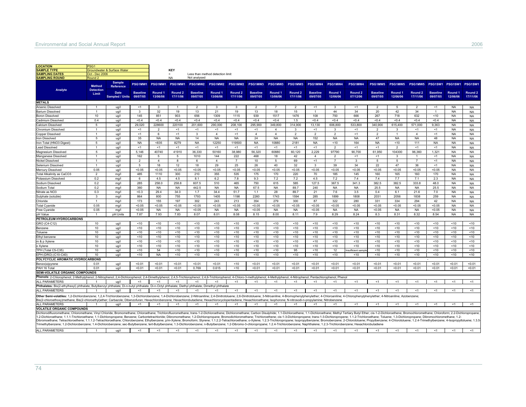| <b>LOCATION</b>                                                                                                                                                                                                                                                                                                                                                                                                                                                                                                                                                                                                                                                                                                                                                                                                                                                                                                                      |                                   |                                   |                 |                     |                                |                                  |                     |                                |                             |                     |                                |                             |                                |                                |                             |                     |                                 |                             |                     |                                |
|--------------------------------------------------------------------------------------------------------------------------------------------------------------------------------------------------------------------------------------------------------------------------------------------------------------------------------------------------------------------------------------------------------------------------------------------------------------------------------------------------------------------------------------------------------------------------------------------------------------------------------------------------------------------------------------------------------------------------------------------------------------------------------------------------------------------------------------------------------------------------------------------------------------------------------------|-----------------------------------|-----------------------------------|-----------------|---------------------|--------------------------------|----------------------------------|---------------------|--------------------------------|-----------------------------|---------------------|--------------------------------|-----------------------------|--------------------------------|--------------------------------|-----------------------------|---------------------|---------------------------------|-----------------------------|---------------------|--------------------------------|
| <b>SAMPLE TYPE</b>                                                                                                                                                                                                                                                                                                                                                                                                                                                                                                                                                                                                                                                                                                                                                                                                                                                                                                                   |                                   | Groundwater & Surface Water       |                 |                     | KEY                            |                                  |                     |                                |                             |                     |                                |                             |                                |                                |                             |                     |                                 |                             |                     |                                |
| <b>SAMPLING DATES</b>                                                                                                                                                                                                                                                                                                                                                                                                                                                                                                                                                                                                                                                                                                                                                                                                                                                                                                                | Oct - Dec 2006                    |                                   |                 |                     | $\prec$                        | Less than method detection limit |                     |                                |                             |                     |                                |                             |                                |                                |                             |                     |                                 |                             |                     |                                |
| <b>SAMPLING ROUND</b>                                                                                                                                                                                                                                                                                                                                                                                                                                                                                                                                                                                                                                                                                                                                                                                                                                                                                                                | Round <sub>2</sub>                |                                   |                 |                     | <b>NA</b>                      | Not analysed                     |                     |                                |                             |                     |                                |                             |                                |                                |                             |                     |                                 |                             |                     |                                |
|                                                                                                                                                                                                                                                                                                                                                                                                                                                                                                                                                                                                                                                                                                                                                                                                                                                                                                                                      | <b>Method</b><br><b>Detection</b> | <b>Sample</b><br><b>Reference</b> |                 | PSG1MW1 PSG1MW1     | PSG1MW1                        | PSG1MW2                          | PSG1MW2             | <b>PSG1MW2</b>                 | PSG1MW3                     | PSG1MW3             | PSG1MW3                        |                             | PSG1MW4 PSG1MW4                | PSG1MW4                        | PSG1MW5                     |                     | PSG1MW5 PSG1MW5 PSG1SW1 PSG1SW1 |                             |                     | PSG1SW1                        |
| Analyte                                                                                                                                                                                                                                                                                                                                                                                                                                                                                                                                                                                                                                                                                                                                                                                                                                                                                                                              | Limit                             | Date<br>Sampled / Units 09/07/05  | <b>Baseline</b> | Round 1<br>13/06/06 | Round <sub>2</sub><br>17/11/06 | <b>Baseline</b><br>09/07/05      | Round 1<br>13/06/06 | Round <sub>2</sub><br>17/11/06 | <b>Baseline</b><br>09/07/05 | Round 1<br>13/06/06 | Round <sub>2</sub><br>17/11/06 | <b>Baseline</b><br>09/07/05 | Round <sub>1</sub><br>12/06/06 | Round <sub>2</sub><br>07/12/06 | <b>Baseline</b><br>09/07/05 | Round 1<br>12/06/06 | Round <sub>2</sub><br>17/11/06  | <b>Baseline</b><br>09/07/05 | Round 1<br>12/06/06 | Round <sub>2</sub><br>17/11/06 |
| <b>METALS</b>                                                                                                                                                                                                                                                                                                                                                                                                                                                                                                                                                                                                                                                                                                                                                                                                                                                                                                                        |                                   |                                   |                 |                     |                                |                                  |                     |                                |                             |                     |                                |                             |                                |                                |                             |                     |                                 |                             |                     |                                |
| Arsenic Dissolved                                                                                                                                                                                                                                                                                                                                                                                                                                                                                                                                                                                                                                                                                                                                                                                                                                                                                                                    |                                   | ug/l                              | <1              | 3                   |                                | $\overline{2}$                   | $\mathbf{3}$        | 3                              | $\overline{2}$              | - 7                 | $\overline{2}$                 | $<$ 1                       | 3                              | <1                             | $\overline{2}$              | 5                   | $\overline{2}$                  | <1                          | NA.                 | <b>NA</b>                      |
| <b>Barium Dissolved</b>                                                                                                                                                                                                                                                                                                                                                                                                                                                                                                                                                                                                                                                                                                                                                                                                                                                                                                              |                                   | ug/l                              | 3               | 32                  | 19                             | 13                               | 21                  | 19                             | 13                          | 18                  | 15                             |                             | 44                             | 34                             | 20                          | 42                  | 34                              | $\overline{1}$              | <b>NA</b>           | <b>NA</b>                      |
| <b>Boron Dissolved</b>                                                                                                                                                                                                                                                                                                                                                                                                                                                                                                                                                                                                                                                                                                                                                                                                                                                                                                               | 10                                | ug/l                              | 145             | 851                 | 903                            | 656                              | 1309                | 1115                           | 939                         | 1517                | 1476                           | 108                         | 750                            | 666                            | 267                         | 718                 | 632                             | <10                         | <b>NA</b>           | <b>NA</b>                      |
| Cadmium Dissolved                                                                                                                                                                                                                                                                                                                                                                                                                                                                                                                                                                                                                                                                                                                                                                                                                                                                                                                    | 0.4                               | ug/l                              | < 0.4           | < 0.4               | < 0.4                          | <0.4                             | < 0.4               | < 0.4                          | < 0.4                       | < 0.4               | 1.5                            | < 0.4                       | < 0.4                          | < 0.4                          | < 0.4                       | < 0.4               | < 0.4                           | < 0.4                       | <b>NA</b>           | <b>NA</b>                      |
| Calcium Dissolved                                                                                                                                                                                                                                                                                                                                                                                                                                                                                                                                                                                                                                                                                                                                                                                                                                                                                                                    | 5                                 | ug/l                              | 29,020          | 228600              | 220100                         | 201,600                          | 290,000             | 208,100                        | 295,900                     | 349,800             | 314,900                        | 13,130                      | 606,800                        | 533,800                        | 340,900                     | 615,400             | 571,000                         | 9,363                       | <b>NA</b>           | <b>NA</b>                      |
| hromium Dissolved                                                                                                                                                                                                                                                                                                                                                                                                                                                                                                                                                                                                                                                                                                                                                                                                                                                                                                                    |                                   | ug/l                              | <1              | $\overline{2}$      | <1                             | <1                               | <1                  | <1                             | <1                          | $\overline{4}$      | -3                             | <1                          | 3                              | <1                             | $\overline{2}$              | -3                  | <1                              | <1                          | <b>NA</b>           | <b>NA</b>                      |
| Copper Dissolved                                                                                                                                                                                                                                                                                                                                                                                                                                                                                                                                                                                                                                                                                                                                                                                                                                                                                                                     |                                   | ug/l                              | <1              | 6                   | <1                             | 3                                | $\overline{4}$      | <1                             | $\overline{4}$              | $\overline{4}$      | 2                              | 2                           | 2                              | <1                             | 2                           | $\overline{1}$      | $\overline{4}$                  | <1                          | <b>NA</b>           | <b>NA</b>                      |
| ron Dissolved                                                                                                                                                                                                                                                                                                                                                                                                                                                                                                                                                                                                                                                                                                                                                                                                                                                                                                                        | $\sqrt{5}$                        | ug/l                              | 35              | <b>NA</b>           | <b>NA</b>                      | 14                               | <b>NA</b>           | <b>NA</b>                      | 24                          | <b>NA</b>           | <b>NA</b>                      | 152                         | <b>NA</b>                      | <b>NA</b>                      | 47                          | <b>NA</b>           | <b>NA</b>                       | 48                          | <b>NA</b>           | <b>NA</b>                      |
| Iron Total (HNO3 Digest)                                                                                                                                                                                                                                                                                                                                                                                                                                                                                                                                                                                                                                                                                                                                                                                                                                                                                                             | 5                                 | ug/l                              | <b>NA</b>       | < 835               | 8279                           | <b>NA</b>                        | 12250               | 119500                         | <b>NA</b>                   | 10880               | 2181                           | <b>NA</b>                   | < 10                           | 164                            | <b>NA</b>                   | <10                 | 111                             | <b>NA</b>                   | <b>NA</b>           | <b>NA</b>                      |
| ead Dissolved                                                                                                                                                                                                                                                                                                                                                                                                                                                                                                                                                                                                                                                                                                                                                                                                                                                                                                                        |                                   |                                   | < 1             | <1                  | <1                             | <1                               | <1                  | <1                             | < 1                         | <1                  | <1                             | <1                          | $\overline{2}$                 | <1                             | <1                          | $\overline{2}$      | < 1                             | <1                          | <b>NA</b>           |                                |
|                                                                                                                                                                                                                                                                                                                                                                                                                                                                                                                                                                                                                                                                                                                                                                                                                                                                                                                                      |                                   | ug/l                              | 5.146           | 40740               | 41910                          | 36.330                           | 50160               | 38.980                         | 56.320                      | 60880               | 60.120                         | 2.229                       | 97790                          | 90.700                         |                             | 104300              | 96.360                          | 1.321                       | <b>NA</b>           | <b>NA</b>                      |
| Magnesium Dissolved                                                                                                                                                                                                                                                                                                                                                                                                                                                                                                                                                                                                                                                                                                                                                                                                                                                                                                                  | 5                                 | ug/l                              |                 |                     |                                |                                  |                     |                                |                             |                     |                                |                             |                                |                                | 61,950                      |                     |                                 |                             |                     | <b>NA</b>                      |
| Manganese Dissolved                                                                                                                                                                                                                                                                                                                                                                                                                                                                                                                                                                                                                                                                                                                                                                                                                                                                                                                  |                                   | ug/l                              | 162             | 5                   | 5                              | 1010                             | 144                 | 222                            | 468                         | 18                  | 42                             | $\overline{4}$              | $\overline{2}$                 | <1                             | <1                          | 3                   |                                 | <1                          | <b>NA</b>           | <b>NA</b>                      |
| Nickel Dissolved                                                                                                                                                                                                                                                                                                                                                                                                                                                                                                                                                                                                                                                                                                                                                                                                                                                                                                                     |                                   | ug/l                              | 2               | $\overline{4}$      | 8                              | 6                                | $\overline{4}$      | $\overline{7}$                 | 10                          | 5                   | 69                             | <1                          | $\overline{7}$                 | 3                              | 5                           | 5                   | $\overline{7}$                  | <1                          | <b>NA</b>           | <b>NA</b>                      |
| Selenium Dissolved                                                                                                                                                                                                                                                                                                                                                                                                                                                                                                                                                                                                                                                                                                                                                                                                                                                                                                                   |                                   | ug/l                              | 5               | 18                  | 12                             | 18                               | 29                  | 25                             | 26                          | 40                  | 32                             | 3                           | 39                             | 34                             | 22                          | 47                  | 36                              | <1                          | <b>NA</b>           | <b>NA</b>                      |
| Mercury Dissolved                                                                                                                                                                                                                                                                                                                                                                                                                                                                                                                                                                                                                                                                                                                                                                                                                                                                                                                    | 0.05                              | ug/l                              | < 0.05          | < 0.05              | < 0.05                         | < 0.05                           | < 0.05              | < 0.05                         | < 0.05                      | < 0.05              | < 0.05                         | < 0.05                      | < 0.05                         | < 0.05                         | < 0.05                      | < 0.05              | < 0.05                          | < 0.05                      | <b>NA</b>           | <b>NA</b>                      |
| otal Alkalinity as CaCO3                                                                                                                                                                                                                                                                                                                                                                                                                                                                                                                                                                                                                                                                                                                                                                                                                                                                                                             | $\overline{2}$                    | mq/1                              | 485             | 1110                | 300                            | 210                              | 355                 | 535                            | 175                         | 170                 | 220                            | 70                          | 185                            | 145                            | 160                         | 165                 | 160                             | 170                         | <b>NA</b>           | <b>NA</b>                      |
| Potassium Dissolved                                                                                                                                                                                                                                                                                                                                                                                                                                                                                                                                                                                                                                                                                                                                                                                                                                                                                                                  | 0.2                               | mg/l                              | 6               | 4.5                 | 4.5                            | 8.1                              | 6.2                 | 7.8                            | 9.3                         | 7.2                 | 7.2                            | 4.5                         | 7.2                            | 7.4                            | 7.4                         | 7.7                 | 7.1                             | 2.3                         | <b>NA</b>           | <b>NA</b>                      |
| Sodium Dissolved                                                                                                                                                                                                                                                                                                                                                                                                                                                                                                                                                                                                                                                                                                                                                                                                                                                                                                                     | 0.2                               | mq/1                              | 285             | 258.0               | 258.8                          | 607.5                            | 510                 | 465                            | 750                         | 615                 | 585                            | 127.5                       | 367.5                          | 341.3                          | 382.5                       | 382.5               | 333.8                           | 48.0                        | <b>NA</b>           | <b>NA</b>                      |
| Sodium Total                                                                                                                                                                                                                                                                                                                                                                                                                                                                                                                                                                                                                                                                                                                                                                                                                                                                                                                         | 0.2                               | mg/l                              | 360             | <b>NA</b>           | <b>NA</b>                      | 442.5                            | <b>NA</b>           | NA                             | 67.5                        | NA                  | 89.7                           | 240                         | <b>NA</b>                      | <b>NA</b>                      | 25.5                        | <b>NA</b>           | <b>NA</b>                       | 25.5                        | <b>NA</b>           | <b>NA</b>                      |
| Nitrate as NO3                                                                                                                                                                                                                                                                                                                                                                                                                                                                                                                                                                                                                                                                                                                                                                                                                                                                                                                       | 0.3                               | mq/1                              | < 0.3           | 29.4                | 34.0                           | 1.7                              | 34.4                | 51.7                           | 1.1                         | 28                  | 89.7                           | 21                          | 7.6                            | 3.5                            | 0.4                         | 6.1                 | 21.6                            | 7.0                         | <b>NA</b>           | <b>NA</b>                      |
| Sulphate (soluble)                                                                                                                                                                                                                                                                                                                                                                                                                                                                                                                                                                                                                                                                                                                                                                                                                                                                                                                   | $\mathbf{3}$                      | mq/1                              | 864             | 800                 | 755                            | 1793                             | 1405                | 1198                           | 2260                        | 1743                | 1594                           | 285                         | 1899                           | 1808                           | 2031                        | 2056                | 1838                            | 259                         | <b>NA</b>           | <b>NA</b>                      |
| hloride:                                                                                                                                                                                                                                                                                                                                                                                                                                                                                                                                                                                                                                                                                                                                                                                                                                                                                                                             |                                   | mg/l                              | 173             | 155                 | 197                            | 302                              | 243                 | 213                            | 354                         | 279                 | 300                            | 87                          | 322                            | 280                            | 331                         | 334                 | 294                             | 42                          | <b>NA</b>           | <b>NA</b>                      |
| <b>Total Cyanide</b>                                                                                                                                                                                                                                                                                                                                                                                                                                                                                                                                                                                                                                                                                                                                                                                                                                                                                                                 | 0.05                              | mg/l                              | < 0.05          | < 0.05              | < 0.05                         | < 0.05                           | < 0.05              | < 0.05                         | < 0.05                      | < 0.05              | < 0.05                         | < 0.05                      | < 0.05                         | < 0.05                         | < 0.05                      | < 0.05              | < 0.05                          | < 0.05                      | <b>NA</b>           | <b>NA</b>                      |
| ree Cvanide                                                                                                                                                                                                                                                                                                                                                                                                                                                                                                                                                                                                                                                                                                                                                                                                                                                                                                                          | 0.05                              | ma/l                              | < 0.05          | <b>NA</b>           | <b>NA</b>                      | < 0.05                           | <b>NA</b>           | <b>NA</b>                      | < 0.05                      | <b>NA</b>           | <b>NA</b>                      | < 0.05                      | <b>NA</b>                      | <b>NA</b>                      | < 0.05                      | <b>NA</b>           | <b>NA</b>                       | < 0.05                      | <b>NA</b>           | <b>NA</b>                      |
| pH Value                                                                                                                                                                                                                                                                                                                                                                                                                                                                                                                                                                                                                                                                                                                                                                                                                                                                                                                             | $\overline{1}$                    | pH Units                          | 7.87            | 7.93                | 7.83                           | 8.07                             | 8.01                | 8.08                           | 8.15                        | 8.00                | 8.11                           | 7.9                         | 8.29                           | 8.24                           | 8.3                         | 8.31                | 8.32                            | 8.54                        | <b>NA</b>           | <b>NA</b>                      |
| PETROLEUM HYDROCARBONS                                                                                                                                                                                                                                                                                                                                                                                                                                                                                                                                                                                                                                                                                                                                                                                                                                                                                                               |                                   |                                   |                 |                     |                                |                                  |                     |                                |                             |                     |                                |                             |                                |                                |                             |                     |                                 |                             |                     |                                |
| GRO (C4-C12)                                                                                                                                                                                                                                                                                                                                                                                                                                                                                                                                                                                                                                                                                                                                                                                                                                                                                                                         | 10                                | ug/l                              | ~10             | ~10                 | < 10                           | ~10                              | ~10                 | < 10                           | < 10                        | < 10                | ~10                            | < 10                        | < 10                           | < 10                           | ~10                         | $<$ 10              | <10                             | ~10                         | ~10                 | < 10                           |
| Benzene                                                                                                                                                                                                                                                                                                                                                                                                                                                                                                                                                                                                                                                                                                                                                                                                                                                                                                                              | 10                                | ug/l                              | < 10            | <10                 | <10                            | <10                              | <10                 | <10                            | 10                          | < 10                | <10                            | < 10                        | < 10                           | <10                            | <10                         | <10                 | <10                             | <10                         | <10                 | < 10                           |
| Toluene                                                                                                                                                                                                                                                                                                                                                                                                                                                                                                                                                                                                                                                                                                                                                                                                                                                                                                                              | 10                                | ug/l                              | < 10            | <10                 | <10                            | <10                              | $<10$               | < 10                           | $<10$                       | < 10                | < 10                           | < 10                        | < 10                           | < 10                           | <10                         | <10                 | $<10$                           | < 10                        | < 10                | <10                            |
| thyl benzene                                                                                                                                                                                                                                                                                                                                                                                                                                                                                                                                                                                                                                                                                                                                                                                                                                                                                                                         | 10                                | ug/l                              | < 10            | <10                 | <10                            | <10                              | <10                 | <10                            | < 10                        | < 10                | <10                            | < 10                        | < 10                           | < 10                           | <10                         | <10                 | < 10                            | < 10                        | <10                 | < 10                           |
| m & p Xylene                                                                                                                                                                                                                                                                                                                                                                                                                                                                                                                                                                                                                                                                                                                                                                                                                                                                                                                         | 10                                | ug/l                              | $<10$           | < 10                | <10                            | <10                              | $<10$               | < 10                           | < 10                        | < 10                | $<10$                          | < 10                        | < 10                           | <10                            | <10                         | <10                 | $<10$                           | < 10                        | < 10                | <10                            |
| Xylene                                                                                                                                                                                                                                                                                                                                                                                                                                                                                                                                                                                                                                                                                                                                                                                                                                                                                                                               | 10                                | ug/l                              | < 10            | <10                 | <10                            | <10                              | <10                 | <10                            | < 10                        | < 10                | <10                            | < 10                        | < 10                           | < 10                           | <10                         | <10                 | $<10$                           | <10                         | $<10$               | < 10                           |
| TPH (Total C5-C35)                                                                                                                                                                                                                                                                                                                                                                                                                                                                                                                                                                                                                                                                                                                                                                                                                                                                                                                   | 10                                | ug/l                              | $<10$           | 54                  | <10                            | <10                              | $<10$               | <10                            | < 10                        | <10                 | 95                             | <10                         | 12                             | nsufficient samp               | <10                         | <10                 | <10                             | <10                         | < 10                | <10                            |
| EPH (DRO) (C10-C40)                                                                                                                                                                                                                                                                                                                                                                                                                                                                                                                                                                                                                                                                                                                                                                                                                                                                                                                  | 10                                | ug/l                              | $<10$           | <b>NA</b>           | $<10$                          | <10                              | $<10$               | < 10                           | <10                         | < 10                | ~10                            | < 10                        | $<10$                          | < 10                           | <10                         | < 10                | <10                             | $<10$                       | $<10$               | <10                            |
| POLYCYCLIC AROMATIC HYDROCARBONS                                                                                                                                                                                                                                                                                                                                                                                                                                                                                                                                                                                                                                                                                                                                                                                                                                                                                                     |                                   |                                   |                 |                     |                                |                                  |                     |                                |                             |                     |                                |                             |                                |                                |                             |                     |                                 |                             |                     |                                |
| Benzo(a)pyrene                                                                                                                                                                                                                                                                                                                                                                                                                                                                                                                                                                                                                                                                                                                                                                                                                                                                                                                       | 0.01                              | ug/l                              | < 0.01          | < 0.01              | < 0.01                         | < 0.01                           | < 0.01              | < 10                           | < 0.01                      | < 0.01              | < 0.01                         | < 0.01                      | < 0.01                         | < 0.01                         | < 0.01                      | < 0.01              | < 0.01                          | < 0.01                      | < 0.01              | < 0.01                         |
| PAH 16 Total                                                                                                                                                                                                                                                                                                                                                                                                                                                                                                                                                                                                                                                                                                                                                                                                                                                                                                                         | 0.01                              | ug/l                              | < 0.01          | < 0.01              | < 0.01                         | 0.769                            | 0.615               | $<10$                          | < 0.01                      | < 0.01              | < 0.01                         | < 0.01                      | < 0.01                         | < 0.01                         | < 0.01                      | < 0.01              | < 0.01                          | < 0.01                      | < 0.01              | < 0.01                         |
| <b>SEMI-VOLATILE ORGANIC COMPOUNDS</b>                                                                                                                                                                                                                                                                                                                                                                                                                                                                                                                                                                                                                                                                                                                                                                                                                                                                                               |                                   |                                   |                 |                     |                                |                                  |                     |                                |                             |                     |                                |                             |                                |                                |                             |                     |                                 |                             |                     |                                |
| Phenols: 2-Chlorophenol; 2-Methylphenol; 2-Nitrophenol; 2.4-Dichlorophenol; 2.4-Dimethylphenol; 2.4.5-Trichlorophenol; 2.4.6-Trichlorophenol; 4-Chloro-3-methylphenol; 4-Chloro-3-methylphenol; 4-Methylphenol; Phenol: Phenol                                                                                                                                                                                                                                                                                                                                                                                                                                                                                                                                                                                                                                                                                                       |                                   |                                   |                 |                     |                                |                                  |                     |                                |                             |                     |                                |                             |                                |                                |                             |                     |                                 |                             |                     |                                |
| ALL PARAMETERS                                                                                                                                                                                                                                                                                                                                                                                                                                                                                                                                                                                                                                                                                                                                                                                                                                                                                                                       |                                   | ug/l                              | < 1             | < 1                 | < 1                            | < 1                              |                     | < 1                            | <1                          | <1                  | < 1                            | <1                          | <1                             | <1                             | <1                          | <1                  | <1                              | <1                          | <1                  | <1                             |
| Phthalates: Bis(2-ethylhexyl) phthalate; Butylbenzyl phthalate; Di-n-butyl phthalate; Di-n-Octyl phthalate; Diethyl phthalate; Dimethyl phthalate                                                                                                                                                                                                                                                                                                                                                                                                                                                                                                                                                                                                                                                                                                                                                                                    |                                   |                                   |                 |                     |                                |                                  |                     |                                |                             |                     |                                |                             |                                |                                |                             |                     |                                 |                             |                     |                                |
| ALL PARAMETERS                                                                                                                                                                                                                                                                                                                                                                                                                                                                                                                                                                                                                                                                                                                                                                                                                                                                                                                       |                                   | ua/l                              | <1              | <1                  | <1                             | <1                               | < 1                 | <1                             | <1                          | <1                  | <1                             | <1                          | <1                             | <1                             | <1                          | <1                  | <1                              | <1                          | <1                  | <1                             |
| Other Semi-volatiles: 1,2-Dichlorobenzene; 1,2,4-Trichlorobenzene; 1,3-Dichlorobenzene; 1,4-Dichlorobenzene; 1,4-Dichlorobenzene; 1,4-Dichlorobenzene; 2,4-Dinitrotoluene; 2,4-Dinitrotoluene; 2,6-Dinitrotoluene; 3-Nitroanil                                                                                                                                                                                                                                                                                                                                                                                                                                                                                                                                                                                                                                                                                                       |                                   |                                   |                 |                     |                                |                                  |                     |                                |                             |                     |                                |                             |                                |                                |                             |                     |                                 |                             |                     |                                |
| Bis(2-chloroethoxy)methane; Bis(2-chloroethyl)ether; Carbazole; Dibenzofuran; Hexachlorobenzene; Hexachlorobutadiene; Hexachlorocyclopentadiene; Hexachlorocethane; lsophorone; N-nitrosodi-n-propylamine; Nitrobenzene<br><b>ALL PARAMETERS</b>                                                                                                                                                                                                                                                                                                                                                                                                                                                                                                                                                                                                                                                                                     |                                   |                                   | <1              | <1                  | <1                             | <1                               | <1                  | <1                             | <1                          | <1                  | <1                             | <1                          | <1                             | <1                             | <1                          | <1                  | <1                              | <1                          | <1                  | <1                             |
| <b>VOLATILE ORGANIC COMPOUNDS</b>                                                                                                                                                                                                                                                                                                                                                                                                                                                                                                                                                                                                                                                                                                                                                                                                                                                                                                    |                                   | ug/l                              |                 |                     |                                |                                  |                     |                                |                             |                     |                                |                             |                                |                                |                             |                     |                                 |                             |                     |                                |
| Dichlorodifluoromethane; Chloromethane; Vinyl Chloride; Bromomethane; Chloroethane; Trichlorofluoromethane; tans-1-2-Dichloroethene; Dichloromethane; Carbon Disulphide; 1.1-Dichloroethene; 1.1-Dichloroethane; Methyl Tertia<br>.2-Dichloroethane; 1.1.1-Trichloroethane; 1.1-Dichloropropene; Benzene; Carbontetrachloride; Dibromomethane; 1.2-Dichloropropane; Bromodichloromethane; Trichloroethene; cis-1-3-Dichloropropene; trans-1-3-Dichloropropene; 1<br>Dibromoethane; Tetrachloroethene; 1.1.1.2-Tetrachloroethane; Chlorobenzene; Ethylbenzene; p/m-Xylene; Bromoform; Styrene; 1.1.2.2-Tetrachloroethane; o-Xylene; 1.2.2-Trichloroethane; o-Xylene; 1.2.2-Trichloropropane; Isopro<br>Trimethylbenzene; 1.2-Dichlorobenzene; 1.4-Dichlorobenzene; sec-Butylbenzene; tert-Butylbenzene; 1.3-Dichlorobenzene; n-Butylbenzene; 1.2-Dibromo-3-chloropropane; 1.2-4-Trichlorobenzene; Naphthalene; 1.2.3-Trichlorobenzene |                                   |                                   |                 |                     |                                |                                  |                     |                                |                             |                     |                                |                             |                                |                                |                             |                     |                                 |                             |                     |                                |
| <b>ALL PARAMETERS</b>                                                                                                                                                                                                                                                                                                                                                                                                                                                                                                                                                                                                                                                                                                                                                                                                                                                                                                                |                                   | ug/l                              | < 1             | <1                  | <1                             | <1                               | < 1                 | < 1                            | < 1                         | <1                  | < 1                            | < 1                         | <1                             | < 1                            | <1                          | <1                  | <1                              | <1                          | <1                  | <1                             |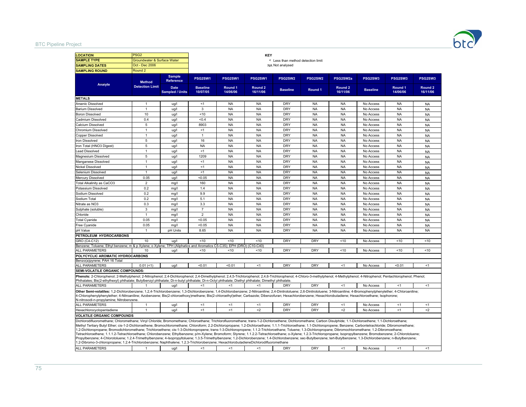#### BTC Pipeline Project



| <b>LOCATION</b>                                                                                                                                                                                                                                                                                                                                                                                                                                                                                                                                                                                                                                                                                                                                                                                                                                                                                                                                                                                                                                                                                                                                                                                                                                             | PSG <sub>2</sub>            |                                       |                             |                     | <b>KEY</b>                     |                                    |            |                                |                 |                     |                                |
|-------------------------------------------------------------------------------------------------------------------------------------------------------------------------------------------------------------------------------------------------------------------------------------------------------------------------------------------------------------------------------------------------------------------------------------------------------------------------------------------------------------------------------------------------------------------------------------------------------------------------------------------------------------------------------------------------------------------------------------------------------------------------------------------------------------------------------------------------------------------------------------------------------------------------------------------------------------------------------------------------------------------------------------------------------------------------------------------------------------------------------------------------------------------------------------------------------------------------------------------------------------|-----------------------------|---------------------------------------|-----------------------------|---------------------|--------------------------------|------------------------------------|------------|--------------------------------|-----------------|---------------------|--------------------------------|
| <b>SAMPLE TYPE</b>                                                                                                                                                                                                                                                                                                                                                                                                                                                                                                                                                                                                                                                                                                                                                                                                                                                                                                                                                                                                                                                                                                                                                                                                                                          | Groundwater & Surface Water |                                       |                             |                     |                                | < Less than method detection limit |            |                                |                 |                     |                                |
| <b>SAMPLING DATES</b>                                                                                                                                                                                                                                                                                                                                                                                                                                                                                                                                                                                                                                                                                                                                                                                                                                                                                                                                                                                                                                                                                                                                                                                                                                       | Oct - Dec 2006              |                                       |                             |                     |                                | NA Not analysed                    |            |                                |                 |                     |                                |
| <b>SAMPLING ROUND</b>                                                                                                                                                                                                                                                                                                                                                                                                                                                                                                                                                                                                                                                                                                                                                                                                                                                                                                                                                                                                                                                                                                                                                                                                                                       | Round <sub>2</sub>          |                                       |                             |                     |                                |                                    |            |                                |                 |                     |                                |
|                                                                                                                                                                                                                                                                                                                                                                                                                                                                                                                                                                                                                                                                                                                                                                                                                                                                                                                                                                                                                                                                                                                                                                                                                                                             | <b>Method</b>               | <b>Sample</b><br><b>Reference</b>     | PSG2SW1                     | PSG2SW1             | PSG2SW1                        | PSG2SW2                            | PSG2SW2    | PSG2SW2a                       | PSG2SW3         | PSG2SW3             | PSG2SW3                        |
| Analyte                                                                                                                                                                                                                                                                                                                                                                                                                                                                                                                                                                                                                                                                                                                                                                                                                                                                                                                                                                                                                                                                                                                                                                                                                                                     | <b>Detection Limit</b>      | <b>Date</b><br><b>Sampled / Units</b> | <b>Baseline</b><br>10/07/05 | Round 1<br>14/06/06 | Round <sub>2</sub><br>16/11/06 | <b>Baseline</b>                    | Round 1    | Round <sub>2</sub><br>16/11/06 | <b>Baseline</b> | Round 1<br>14/06/06 | Round <sub>2</sub><br>16/11/06 |
| <b>METALS</b>                                                                                                                                                                                                                                                                                                                                                                                                                                                                                                                                                                                                                                                                                                                                                                                                                                                                                                                                                                                                                                                                                                                                                                                                                                               |                             |                                       |                             |                     |                                |                                    |            |                                |                 |                     |                                |
| Arsenic Dissolved                                                                                                                                                                                                                                                                                                                                                                                                                                                                                                                                                                                                                                                                                                                                                                                                                                                                                                                                                                                                                                                                                                                                                                                                                                           | -1                          | ug/l                                  | <1                          | <b>NA</b>           | <b>NA</b>                      | DRY                                | <b>NA</b>  | <b>NA</b>                      | No Access       | <b>NA</b>           | <b>NA</b>                      |
| <b>Barium Dissolved</b>                                                                                                                                                                                                                                                                                                                                                                                                                                                                                                                                                                                                                                                                                                                                                                                                                                                                                                                                                                                                                                                                                                                                                                                                                                     | $\overline{1}$              | ug/l                                  | $\overline{3}$              | <b>NA</b>           | <b>NA</b>                      | <b>DRY</b>                         | <b>NA</b>  | <b>NA</b>                      | No Access       | <b>NA</b>           | <b>NA</b>                      |
| <b>Boron Dissolved</b>                                                                                                                                                                                                                                                                                                                                                                                                                                                                                                                                                                                                                                                                                                                                                                                                                                                                                                                                                                                                                                                                                                                                                                                                                                      | 10                          | ug/l                                  | ~10                         | <b>NA</b>           | <b>NA</b>                      | <b>DRY</b>                         | <b>NA</b>  | <b>NA</b>                      | No Access       | <b>NA</b>           | <b>NA</b>                      |
| Cadmium Dissolved                                                                                                                                                                                                                                                                                                                                                                                                                                                                                                                                                                                                                                                                                                                                                                                                                                                                                                                                                                                                                                                                                                                                                                                                                                           | 0.4                         | ug/l                                  | <0.4                        | <b>NA</b>           | <b>NA</b>                      | DRY                                | <b>NA</b>  | <b>NA</b>                      | No Access       | <b>NA</b>           | <b>NA</b>                      |
| Calcium Dissolved                                                                                                                                                                                                                                                                                                                                                                                                                                                                                                                                                                                                                                                                                                                                                                                                                                                                                                                                                                                                                                                                                                                                                                                                                                           | 5                           | ug/l                                  | 8903                        | <b>NA</b>           | <b>NA</b>                      | <b>DRY</b>                         | <b>NA</b>  | <b>NA</b>                      | No Access       | <b>NA</b>           | <b>NA</b>                      |
| Chromium Dissolved                                                                                                                                                                                                                                                                                                                                                                                                                                                                                                                                                                                                                                                                                                                                                                                                                                                                                                                                                                                                                                                                                                                                                                                                                                          | $\mathbf{1}$                | ug/l                                  | <1                          | <b>NA</b>           | <b>NA</b>                      | <b>DRY</b>                         | <b>NA</b>  | <b>NA</b>                      | No Access       | <b>NA</b>           | <b>NA</b>                      |
| Copper Dissolved                                                                                                                                                                                                                                                                                                                                                                                                                                                                                                                                                                                                                                                                                                                                                                                                                                                                                                                                                                                                                                                                                                                                                                                                                                            | $\mathbf{1}$                | ug/l                                  | $\overline{1}$              | <b>NA</b>           | <b>NA</b>                      | <b>DRY</b>                         | <b>NA</b>  | <b>NA</b>                      | No Access       | <b>NA</b>           | <b>NA</b>                      |
| Iron Dissolved                                                                                                                                                                                                                                                                                                                                                                                                                                                                                                                                                                                                                                                                                                                                                                                                                                                                                                                                                                                                                                                                                                                                                                                                                                              | 5                           | ug/l                                  | 16                          | <b>NA</b>           | <b>NA</b>                      | <b>DRY</b>                         | <b>NA</b>  | <b>NA</b>                      | No Access       | <b>NA</b>           | <b>NA</b>                      |
| Iron Total (HNO3 Digest)                                                                                                                                                                                                                                                                                                                                                                                                                                                                                                                                                                                                                                                                                                                                                                                                                                                                                                                                                                                                                                                                                                                                                                                                                                    | $\sqrt{5}$                  | ug/l                                  | <b>NA</b>                   | <b>NA</b>           | <b>NA</b>                      | <b>DRY</b>                         | <b>NA</b>  | <b>NA</b>                      | No Access       | <b>NA</b>           | <b>NA</b>                      |
| Lead Dissolved                                                                                                                                                                                                                                                                                                                                                                                                                                                                                                                                                                                                                                                                                                                                                                                                                                                                                                                                                                                                                                                                                                                                                                                                                                              | $\mathbf{1}$                | ug/l                                  | <1                          | <b>NA</b>           | <b>NA</b>                      | <b>DRY</b>                         | <b>NA</b>  | <b>NA</b>                      | No Access       | <b>NA</b>           | <b>NA</b>                      |
| Magnesium Dissolved                                                                                                                                                                                                                                                                                                                                                                                                                                                                                                                                                                                                                                                                                                                                                                                                                                                                                                                                                                                                                                                                                                                                                                                                                                         | 5                           | ug/l                                  | 1209                        | <b>NA</b>           | <b>NA</b>                      | <b>DRY</b>                         | <b>NA</b>  | <b>NA</b>                      | No Access       | <b>NA</b>           | <b>NA</b>                      |
| Manganese Dissolved                                                                                                                                                                                                                                                                                                                                                                                                                                                                                                                                                                                                                                                                                                                                                                                                                                                                                                                                                                                                                                                                                                                                                                                                                                         | $\mathbf{1}$                | ug/l                                  | <1                          | <b>NA</b>           | <b>NA</b>                      | <b>DRY</b>                         | <b>NA</b>  | <b>NA</b>                      | No Access       | <b>NA</b>           | <b>NA</b>                      |
| Nickel Dissolved                                                                                                                                                                                                                                                                                                                                                                                                                                                                                                                                                                                                                                                                                                                                                                                                                                                                                                                                                                                                                                                                                                                                                                                                                                            | $\overline{1}$              | ug/l                                  | <1                          | <b>NA</b>           | <b>NA</b>                      | <b>DRY</b>                         | <b>NA</b>  | <b>NA</b>                      | No Access       | <b>NA</b>           | <b>NA</b>                      |
| Selenium Dissolved                                                                                                                                                                                                                                                                                                                                                                                                                                                                                                                                                                                                                                                                                                                                                                                                                                                                                                                                                                                                                                                                                                                                                                                                                                          | $\overline{1}$              | ug/l                                  | $\leq$ 1                    | <b>NA</b>           | <b>NA</b>                      | <b>DRY</b>                         | <b>NA</b>  | <b>NA</b>                      | No Access       | <b>NA</b>           | <b>NA</b>                      |
| Mercury Dissolved                                                                                                                                                                                                                                                                                                                                                                                                                                                                                                                                                                                                                                                                                                                                                                                                                                                                                                                                                                                                                                                                                                                                                                                                                                           | 0.05                        | ug/l                                  | < 0.05                      | <b>NA</b>           | <b>NA</b>                      | <b>DRY</b>                         | <b>NA</b>  | <b>NA</b>                      | No Access       | <b>NA</b>           | <b>NA</b>                      |
| Total Alkalinity as CaCO3                                                                                                                                                                                                                                                                                                                                                                                                                                                                                                                                                                                                                                                                                                                                                                                                                                                                                                                                                                                                                                                                                                                                                                                                                                   | $\overline{2}$              | mq/                                   | 160                         | <b>NA</b>           | <b>NA</b>                      | <b>DRY</b>                         | <b>NA</b>  | <b>NA</b>                      | No Access       | <b>NA</b>           | <b>NA</b>                      |
| Potassium Dissolved                                                                                                                                                                                                                                                                                                                                                                                                                                                                                                                                                                                                                                                                                                                                                                                                                                                                                                                                                                                                                                                                                                                                                                                                                                         | 0.2                         | mg/l                                  | 1.4                         | <b>NA</b>           | <b>NA</b>                      | <b>DRY</b>                         | <b>NA</b>  | <b>NA</b>                      | No Access       | <b>NA</b>           | <b>NA</b>                      |
| Sodium Dissolved                                                                                                                                                                                                                                                                                                                                                                                                                                                                                                                                                                                                                                                                                                                                                                                                                                                                                                                                                                                                                                                                                                                                                                                                                                            | 0.2                         | mg/l                                  | 9.9                         | <b>NA</b>           | <b>NA</b>                      | <b>DRY</b>                         | <b>NA</b>  | <b>NA</b>                      | No Access       | <b>NA</b>           | <b>NA</b>                      |
| Sodium Total                                                                                                                                                                                                                                                                                                                                                                                                                                                                                                                                                                                                                                                                                                                                                                                                                                                                                                                                                                                                                                                                                                                                                                                                                                                | 0.2                         | mq/l                                  | 5.1                         | <b>NA</b>           | <b>NA</b>                      | <b>DRY</b>                         | <b>NA</b>  | <b>NA</b>                      | No Access       | <b>NA</b>           | <b>NA</b>                      |
| Nitrate as NO3                                                                                                                                                                                                                                                                                                                                                                                                                                                                                                                                                                                                                                                                                                                                                                                                                                                                                                                                                                                                                                                                                                                                                                                                                                              | 0.3                         | mg/l                                  | 3.3                         | <b>NA</b>           | <b>NA</b>                      | <b>DRY</b>                         | <b>NA</b>  | <b>NA</b>                      | No Access       | <b>NA</b>           | <b>NA</b>                      |
| Sulphate (soluble)                                                                                                                                                                                                                                                                                                                                                                                                                                                                                                                                                                                                                                                                                                                                                                                                                                                                                                                                                                                                                                                                                                                                                                                                                                          | 3                           | mg/l                                  | $\overline{7}$              | <b>NA</b>           | <b>NA</b>                      | <b>DRY</b>                         | <b>NA</b>  | <b>NA</b>                      | No Access       | <b>NA</b>           | <b>NA</b>                      |
| Chloride                                                                                                                                                                                                                                                                                                                                                                                                                                                                                                                                                                                                                                                                                                                                                                                                                                                                                                                                                                                                                                                                                                                                                                                                                                                    | $\overline{1}$              | mg/l                                  | $\overline{2}$              | <b>NA</b>           | <b>NA</b>                      | <b>DRY</b>                         | <b>NA</b>  | <b>NA</b>                      | No Access       | <b>NA</b>           | <b>NA</b>                      |
| <b>Total Cyanide</b>                                                                                                                                                                                                                                                                                                                                                                                                                                                                                                                                                                                                                                                                                                                                                                                                                                                                                                                                                                                                                                                                                                                                                                                                                                        | 0.05                        | mg/l                                  | < 0.05                      | <b>NA</b>           | <b>NA</b>                      | <b>DRY</b>                         | <b>NA</b>  | <b>NA</b>                      | No Access       | <b>NA</b>           | <b>NA</b>                      |
| Free Cyanide                                                                                                                                                                                                                                                                                                                                                                                                                                                                                                                                                                                                                                                                                                                                                                                                                                                                                                                                                                                                                                                                                                                                                                                                                                                | 0.05                        | mg/l                                  | < 0.05                      | <b>NA</b>           | <b>NA</b>                      | <b>DRY</b>                         | <b>NA</b>  | <b>NA</b>                      | No Access       | <b>NA</b>           | <b>NA</b>                      |
| pH Value                                                                                                                                                                                                                                                                                                                                                                                                                                                                                                                                                                                                                                                                                                                                                                                                                                                                                                                                                                                                                                                                                                                                                                                                                                                    | $\overline{1}$              | pH Units                              | 8.65                        | <b>NA</b>           | <b>NA</b>                      | <b>DRY</b>                         | <b>NA</b>  | <b>NA</b>                      | No Access       | <b>NA</b>           | <b>NA</b>                      |
| PETROLEUM HYDROCARBONS                                                                                                                                                                                                                                                                                                                                                                                                                                                                                                                                                                                                                                                                                                                                                                                                                                                                                                                                                                                                                                                                                                                                                                                                                                      |                             |                                       |                             |                     |                                |                                    |            |                                |                 |                     |                                |
| GRO (C4-C12)                                                                                                                                                                                                                                                                                                                                                                                                                                                                                                                                                                                                                                                                                                                                                                                                                                                                                                                                                                                                                                                                                                                                                                                                                                                | 10                          | ug/l                                  | 10                          | 10                  | < 10                           | <b>DRY</b>                         | <b>DRY</b> | ~10                            | No Access       | 10                  | <10                            |
| Benzene; Toluene; Ethyl benzene; m & p Xylene; o Xylene; TPH (Aliphatics and Aromatics C5-C35); EPH (DRO) (C10-C40)                                                                                                                                                                                                                                                                                                                                                                                                                                                                                                                                                                                                                                                                                                                                                                                                                                                                                                                                                                                                                                                                                                                                         |                             |                                       |                             |                     |                                |                                    |            |                                |                 |                     |                                |
| ALL PARAMETERS                                                                                                                                                                                                                                                                                                                                                                                                                                                                                                                                                                                                                                                                                                                                                                                                                                                                                                                                                                                                                                                                                                                                                                                                                                              | 10                          | ug/l                                  | < 10                        | ~10                 | < 10                           | <b>DRY</b>                         | <b>DRY</b> | ~10                            | No Access       | < 10                | ~10                            |
| POLYCYCLIC AROMATIC HYDROCARBONS                                                                                                                                                                                                                                                                                                                                                                                                                                                                                                                                                                                                                                                                                                                                                                                                                                                                                                                                                                                                                                                                                                                                                                                                                            |                             |                                       |                             |                     |                                |                                    |            |                                |                 |                     |                                |
| Benzo(a)pyrene; PAH 16 Total                                                                                                                                                                                                                                                                                                                                                                                                                                                                                                                                                                                                                                                                                                                                                                                                                                                                                                                                                                                                                                                                                                                                                                                                                                |                             |                                       |                             |                     |                                |                                    |            |                                |                 |                     |                                |
| ALL PARAMETERS                                                                                                                                                                                                                                                                                                                                                                                                                                                                                                                                                                                                                                                                                                                                                                                                                                                                                                                                                                                                                                                                                                                                                                                                                                              | $0.01$ (<1)                 | ug/l                                  | < 0.01                      | < 0.01              | <1                             | <b>DRY</b>                         | <b>DRY</b> | <1                             | No Access       | < 0.01              | <1                             |
| SEMI-VOLATILE ORGANIC COMPOUNDS:                                                                                                                                                                                                                                                                                                                                                                                                                                                                                                                                                                                                                                                                                                                                                                                                                                                                                                                                                                                                                                                                                                                                                                                                                            |                             |                                       |                             |                     |                                |                                    |            |                                |                 |                     |                                |
| Phenols: 2-Chlorophenol; 2-Methylphenol; 2-Nitrophenol; 2,4-Dichlorophenol; 2,4-Dimethylphenol; 2,45-Trichlorophenol; 2,4,6-Trichlorophenol; 4-Chloro-3-methylphenol; 4-Methylphenol; 4-Nitrophenol; Pentachlorophenol; Phenol                                                                                                                                                                                                                                                                                                                                                                                                                                                                                                                                                                                                                                                                                                                                                                                                                                                                                                                                                                                                                              |                             |                                       |                             |                     |                                |                                    |            |                                |                 |                     |                                |
| Phthalates; Bis(2-ethylhexyl) phthalate; Butylbenzyl phthalate; Di-n-butyl phthalate; Di-n-Octyl phthalate; Diethyl phthalate; Dimethyl phthalate                                                                                                                                                                                                                                                                                                                                                                                                                                                                                                                                                                                                                                                                                                                                                                                                                                                                                                                                                                                                                                                                                                           |                             |                                       |                             |                     |                                |                                    |            |                                |                 |                     |                                |
| ALL PARAMETERS                                                                                                                                                                                                                                                                                                                                                                                                                                                                                                                                                                                                                                                                                                                                                                                                                                                                                                                                                                                                                                                                                                                                                                                                                                              | $\overline{1}$              | ug/l                                  | <1                          | <1                  | <1                             | <b>DRY</b>                         | <b>DRY</b> | <1                             | No Access       | <1                  | $<$ 1                          |
| Other Semi-volatiles: 1,2-Dichlorobenzene; 1,2,4-Trichlorobenzene; 1,3-Dichlorobenzene; 1,4-Dichlorobenzene; 1,4-Dichlorobenzene; 2,4-Dinitrotoluene; 2,4-Dinitrotoluene; 2,6-Dinitrotoluene; 3-Nitroaniline; 4-Bromophenylphe<br>4-Chlorophenylphenylether; 4-Nitroaniline; Azobenzene; Bis(2-chloroethoxy)methane; Bis(2-chloroethyl)ether; Carbazole; Dibenzofuran; Hexachlorobenzene; Hexachlorobutadiene; Hexachloroethane; lexachloroethane; lsophorone;<br>N-nitrosodi-n-propylamine; Nitrobenzene.                                                                                                                                                                                                                                                                                                                                                                                                                                                                                                                                                                                                                                                                                                                                                  |                             |                                       |                             |                     |                                |                                    |            |                                |                 |                     |                                |
| ALL PARAMETERS                                                                                                                                                                                                                                                                                                                                                                                                                                                                                                                                                                                                                                                                                                                                                                                                                                                                                                                                                                                                                                                                                                                                                                                                                                              | $\overline{1}$              | ug/l                                  | <1                          | <1                  | <1                             | <b>DRY</b>                         | <b>DRY</b> | <1                             | No Access       | <1                  | $\leq$ 1                       |
| Hexachlorocyclopentadiene                                                                                                                                                                                                                                                                                                                                                                                                                                                                                                                                                                                                                                                                                                                                                                                                                                                                                                                                                                                                                                                                                                                                                                                                                                   |                             | ug/l                                  | $\leq$ 1                    | <1                  | $\mathbf{<}2$                  | <b>DRY</b>                         | <b>DRY</b> | $2$                            | No Access       | <1                  | $\leq$                         |
| <b>VOLATILE ORGANIC COMPOUNDS</b>                                                                                                                                                                                                                                                                                                                                                                                                                                                                                                                                                                                                                                                                                                                                                                                                                                                                                                                                                                                                                                                                                                                                                                                                                           |                             |                                       |                             |                     |                                |                                    |            |                                |                 |                     |                                |
| Dichlorodifluoromethane; Chloromethane; Vinyl Chloride; Bromomethane; Chloroethane; Trichlorofluoromethane; tans-1-2-Dichloroethene; Dichloromethane; Carbon Disulphide; 1.1-Dichloroethene; 1.1-Dichloroethane;<br>Methyl Tertiary Butyl Ether; cis-1-2-Dichloroethene; Bromochloromethane; Chloroform; 2.2-Dichloropropane; 1.2-Dichloroethane; 1.1.1-Trichloroethane; 1.1-Dichloropropene; Benzene; Carbontetrachloride; Dibromomethane;<br>1.2-Dichloropropane; Bromodichloromethane; Trichloroethene; cis-1-3-Dichloropropene; trans-1-3-Dichloropropene; 1.1.2-Trichloroethane; Toluene; 1.3-Dichloropropane; Dibromochloromethane; 1.2-Dibromoethane;<br>Tetrachloroethene; 1.1.1.2-Tetrachloroethane; Chlorobenzene; Ethylbenzene; p/m-Xylene; Bromoform; Styrene; 1.1.2.2-Tetrachloroethane; o-Xylene; 1.2.3-Trichloropropane; Isopropylbenzene; Bromobenzene; 2-Chlorotoluene;<br>Propylbenzene; 4-Chlorotoluene; 1.2.4-Trimethylbenzene; 4-Isopropyltoluene; 1.3.5-Trimethylbenzene; 1.2-Dichlorobenzene; 1.4-Dichlorobenzene; sec-Butylbenzene; tert-Butylbenzene; 1.3-Dichlorobenzene; n-Butylbenzene;<br>1.2-Dibromo-3-chloropropane; 1.2.4-Trichlorobenzene; Naphthalene; 1.2.3-Trichlorobenzene; HexachlorobutadieneDichlorodifluoromethane |                             |                                       |                             |                     |                                |                                    |            |                                |                 |                     |                                |
| <b>ALL PARAMETERS</b>                                                                                                                                                                                                                                                                                                                                                                                                                                                                                                                                                                                                                                                                                                                                                                                                                                                                                                                                                                                                                                                                                                                                                                                                                                       |                             | ug/l                                  | <1                          | <1                  |                                | DRY                                | <b>DRY</b> | <1                             | No Access       | < 1                 | $<$ 1                          |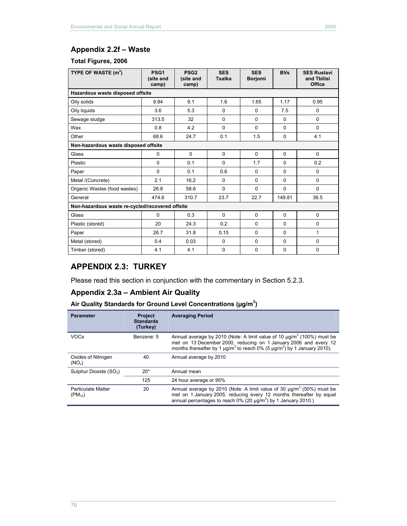# **Appendix 2.2f – Waste**

### **Total Figures, 2006**

| TYPE OF WASTE $(m3)$                            | PSG <sub>1</sub><br>(site and<br>camp) | PSG <sub>2</sub><br>(site and<br>camp) | <b>SES</b><br><b>Tsalka</b> | <b>SES</b><br><b>Borjomi</b> | <b>BVs</b> | <b>SES Rustavi</b><br>and Tbilisi<br><b>Office</b> |
|-------------------------------------------------|----------------------------------------|----------------------------------------|-----------------------------|------------------------------|------------|----------------------------------------------------|
| Hazardous waste disposed offsite                |                                        |                                        |                             |                              |            |                                                    |
| Oily solids                                     | 9.84                                   | 9.1                                    | 1.6                         | 1.65                         | 1.17       | 0.95                                               |
| Oily liquids                                    | 3.6                                    | 5.3                                    | $\Omega$                    | $\Omega$                     | 7.5        | 0                                                  |
| Sewage sludge                                   | 313.5                                  | 32                                     | $\Omega$                    | 0                            | $\Omega$   | 0                                                  |
| Wax                                             | 0.8                                    | 4.2                                    | $\Omega$                    | $\Omega$                     | $\Omega$   | $\Omega$                                           |
| Other                                           | 68.6                                   | 24.7                                   | 0.1                         | 1.5                          | 0          | 4.1                                                |
| Non-hazardous waste disposed offsite            |                                        |                                        |                             |                              |            |                                                    |
| Glass                                           | $\mathbf 0$                            | $\Omega$                               | $\Omega$                    | $\Omega$                     | $\Omega$   | $\Omega$                                           |
| Plastic                                         | $\mathbf 0$                            | 0.1                                    | $\Omega$                    | 1.7                          | $\Omega$   | 0.2                                                |
| Paper                                           | $\Omega$                               | 0.1                                    | 0.6                         | $\Omega$                     | $\Omega$   | $\mathbf 0$                                        |
| Metal /(Concrete)                               | 2.1                                    | 16.2                                   | 0                           | $\Omega$                     | $\Omega$   | 0                                                  |
| Organic Wastes (food wastes)                    | 26.8                                   | 58.6                                   | $\Omega$                    | $\Omega$                     | 0          | $\Omega$                                           |
| General                                         | 474.6                                  | 310.7                                  | 23.7                        | 22.7                         | 149.81     | 36.5                                               |
| Non-hazardous waste re-cycled/recovered offsite |                                        |                                        |                             |                              |            |                                                    |
| Glass                                           | $\Omega$                               | 0.3                                    | $\Omega$                    | $\Omega$                     | $\Omega$   | $\Omega$                                           |
| Plastic (stored)                                | 20                                     | 24.3                                   | 0.2                         | $\Omega$                     | 0          | $\Omega$                                           |
| Paper                                           | 26.7                                   | 31.8                                   | 0.15                        | $\Omega$                     | $\Omega$   | 1                                                  |
| Metal (stored)                                  | 0.4                                    | 0.03                                   | 0                           | $\Omega$                     | $\Omega$   | 0                                                  |
| Timber (stored)                                 | 4.1                                    | 4.1                                    | 0                           | 0                            | 0          | 0                                                  |

# **APPENDIX 2.3: TURKEY**

Please read this section in conjunction with the commentary in Section 5.2.3.

## **Appendix 2.3a – Ambient Air Quality**

#### Air Quality Standards for Ground Level Concentrations (µg/m<sup>3</sup>)

| <b>Parameter</b>                         | <b>Project</b><br><b>Standards</b><br>(Turkey) | <b>Averaging Period</b>                                                                                                                                                                                                                 |
|------------------------------------------|------------------------------------------------|-----------------------------------------------------------------------------------------------------------------------------------------------------------------------------------------------------------------------------------------|
| <b>VOCs</b>                              | Benzene: 5                                     | Annual average by 2010 (Note: A limit value of 10 $\mu q/m^3$ (100%) must be<br>met on 13 December 2000, reducing on 1 January 2006 and every 12<br>months thereafter by 1 $\mu q/m^3$ to reach 0% (5 $\mu q/m^3$ ) by 1 January 2010). |
| Oxides of Nitrogen<br>$(NO_x)$           | 40                                             | Annual average by 2010                                                                                                                                                                                                                  |
| Sulphur Dioxide (SO <sub>2</sub> )       | $20*$                                          | Annual mean                                                                                                                                                                                                                             |
|                                          | 125                                            | 24 hour average or 95%                                                                                                                                                                                                                  |
| <b>Particulate Matter</b><br>$(PM_{10})$ | 20                                             | Annual average by 2010 (Note: A limit value of 30 $\mu q/m^3$ (50%) must be<br>met on 1 January 2005, reducing every 12 months thereafter by equal<br>annual percentages to reach $0\%$ (20 µg/m <sup>3</sup> ) by 1 January 2010.)     |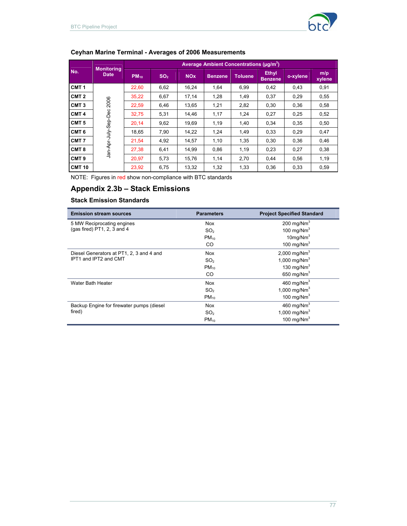

# **Ceyhan Marine Terminal - Averages of 2006 Measurements**

|                  |                                  |           |                 |                       | Average Ambient Concentrations (µg/m <sup>3</sup> ) |                |                                |          |               |
|------------------|----------------------------------|-----------|-----------------|-----------------------|-----------------------------------------------------|----------------|--------------------------------|----------|---------------|
| No.              | <b>Monitoring</b><br><b>Date</b> | $PM_{10}$ | SO <sub>2</sub> | <b>NO<sub>x</sub></b> | <b>Benzene</b>                                      | <b>Toluene</b> | <b>Ethyl</b><br><b>Benzene</b> | o-xylene | m/p<br>xylene |
| CMT <sub>1</sub> |                                  | 22.60     | 6,62            | 16.24                 | 1,64                                                | 6,99           | 0.42                           | 0,43     | 0,91          |
| CMT <sub>2</sub> |                                  | 35,22     | 6,67            | 17,14                 | 1,28                                                | 1,49           | 0,37                           | 0,29     | 0,55          |
| CMT <sub>3</sub> | 2006                             | 22.59     | 6,46            | 13.65                 | 1,21                                                | 2,82           | 0,30                           | 0,36     | 0.58          |
| CMT <sub>4</sub> | Jan-Apr-July-Sep-Dec             | 32,75     | 5,31            | 14,46                 | 1,17                                                | 1,24           | 0,27                           | 0,25     | 0,52          |
| CMT <sub>5</sub> |                                  | 20.14     | 9,62            | 19,69                 | 1,19                                                | 1,40           | 0,34                           | 0,35     | 0,50          |
| CMT <sub>6</sub> |                                  | 18,65     | 7,90            | 14,22                 | 1,24                                                | 1,49           | 0,33                           | 0,29     | 0,47          |
| CMT <sub>7</sub> |                                  | 21,54     | 4,92            | 14,57                 | 1,10                                                | 1,35           | 0,30                           | 0,36     | 0,46          |
| CMT <sub>8</sub> |                                  | 27,38     | 6,41            | 14,99                 | 0,86                                                | 1,19           | 0,23                           | 0,27     | 0,38          |
| CMT <sub>9</sub> |                                  | 20,97     | 5,73            | 15,76                 | 1,14                                                | 2,70           | 0,44                           | 0,56     | 1,19          |
| <b>CMT 10</b>    |                                  | 23,92     | 6,75            | 13,32                 | 1,32                                                | 1,33           | 0,36                           | 0,33     | 0,59          |

NOTE: Figures in red show non-compliance with BTC standards

# **Appendix 2.3b – Stack Emissions**

#### **Stack Emission Standards**

| <b>Emission stream sources</b>            | <b>Parameters</b> | <b>Project Specified Standard</b> |
|-------------------------------------------|-------------------|-----------------------------------|
| 5 MW Reciprocating engines                | <b>Nox</b>        | 200 mg/Nm $3$                     |
| (gas fired) $PT1$ , 2, 3 and 4            | SO <sub>2</sub>   | 100 mg/ $Nm3$                     |
|                                           | $PM_{10}$         | $10$ mg/Nm <sup>3</sup>           |
|                                           | CO.               | 100 mg/ $Nm3$                     |
| Diesel Generators at PT1, 2, 3 and 4 and  | <b>Nox</b>        | 2,000 mg/Nm <sup>3</sup>          |
| IPT1 and IPT2 and CMT                     | SO <sub>2</sub>   | 1,000 mg/ $Nm^3$                  |
|                                           | $PM_{10}$         | 130 mg/ $Nm3$                     |
|                                           | CO                | 650 mg/Nm $3$                     |
| Water Bath Heater                         | <b>Nox</b>        | 460 mg/Nm <sup>3</sup>            |
|                                           | SO <sub>2</sub>   | 1,000 mg/ $Nm^3$                  |
|                                           | $PM_{10}$         | 100 mg/ $Nm^3$                    |
| Backup Engine for firewater pumps (diesel | <b>Nox</b>        | 460 mg/N $m3$                     |
| fired)                                    | SO <sub>2</sub>   | 1,000 mg/Nm <sup>3</sup>          |
|                                           | $PM_{10}$         | 100 mg/ $Nm3$                     |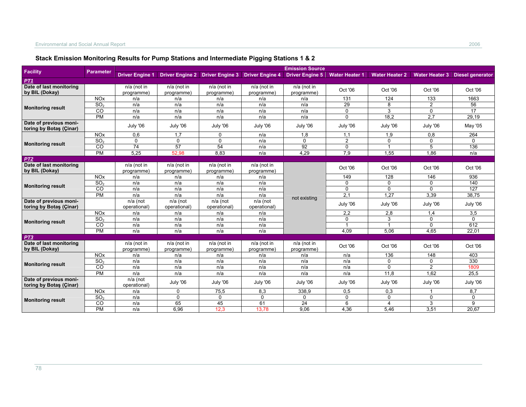|                                                   |                       |                           |                                 |                             |                           | <b>Emission Source</b>    |                       |                       |                  |                                        |
|---------------------------------------------------|-----------------------|---------------------------|---------------------------------|-----------------------------|---------------------------|---------------------------|-----------------------|-----------------------|------------------|----------------------------------------|
| <b>Facility</b>                                   | <b>Parameter</b>      | <b>Driver Engine 1</b>    | Driver Engine 2 Driver Engine 3 |                             | <b>Driver Engine 4</b>    | <b>Driver Engine 5</b>    | <b>Water Heater 1</b> | <b>Water Heater 2</b> |                  | <b>Water Heater 3</b> Diesel generator |
| PT1                                               |                       |                           |                                 |                             |                           |                           |                       |                       |                  |                                        |
| Date of last monitoring<br>by BIL (Dokay)         |                       | n/a (not in<br>programme) | $n/a$ (not in<br>programme)     | $n/a$ (not in<br>programme) | n/a (not in<br>programme) | n/a (not in<br>programme) | Oct '06               | Oct '06               | Oct '06          | Oct '06                                |
|                                                   | <b>NO<sub>x</sub></b> | n/a                       | n/a                             | n/a                         | n/a                       | n/a                       | 131                   | 124                   | 133              | 1663                                   |
|                                                   | SO <sub>2</sub>       | n/a                       | n/a                             | n/a                         | n/a                       | n/a                       | 29                    | 8                     | $\overline{2}$   | 56                                     |
| <b>Monitoring result</b>                          | $\overline{c}$        | n/a                       | n/a                             | n/a                         | n/a                       | n/a                       | 0                     | 3                     | 0                | $\overline{17}$                        |
|                                                   | <b>PM</b>             | n/a                       | n/a                             | n/a                         | n/a                       | n/a                       | $\Omega$              | 18,2                  | $\overline{2,7}$ | 29,19                                  |
| Date of previous moni-<br>toring by Botas (Çinar) |                       | July '06                  | July '06                        | July '06                    | July '06                  | July '06                  | July '06              | July '06              | July '06         | May '05                                |
|                                                   | <b>NO<sub>x</sub></b> | 0,6                       | 1,7                             | 0                           | n/a                       | 1,8                       | 1,1                   | 1,9                   | 0,8              | 264                                    |
| <b>Monitoring result</b>                          | SO <sub>2</sub>       | $\Omega$                  | $\mathbf{0}$                    | $\Omega$                    | n/a                       | $\Omega$                  | $\overline{2}$        | $\Omega$              | $\Omega$         | $\Omega$                               |
|                                                   | CO                    | 74                        | 57                              | 54                          | n/a                       | 92                        | 0                     |                       | 5                | 136                                    |
|                                                   | PM                    | 5,25                      | 52,98                           | 8,83                        | n/a                       | 4,29                      | 7,9                   | 1,55                  | 1,86             | n/a                                    |
| PT2                                               |                       |                           |                                 |                             |                           |                           |                       |                       |                  |                                        |
| Date of last monitoring<br>by BIL (Dokay)         |                       | n/a (not in<br>programme) | n/a (not in<br>programme)       | n/a (not in<br>programme)   | n/a (not in<br>programme) |                           | Oct '06               | Oct '06               | Oct '06          | Oct '06                                |
|                                                   | <b>NO<sub>x</sub></b> | n/a                       | n/a                             | n/a                         | n/a                       |                           | 149                   | 128                   | 146              | 936                                    |
|                                                   | SO <sub>2</sub>       | n/a                       | n/a                             | n/a                         | n/a                       |                           | $\Omega$              | 0                     | $\Omega$         | 140                                    |
| <b>Monitoring result</b>                          | CO                    | n/a                       | n/a                             | n/a                         | n/a                       |                           | $\Omega$              | $\Omega$              | $\Omega$         | $\overline{127}$                       |
|                                                   | PM                    | n/a                       | n/a                             | n/a                         | n/a                       |                           | 2,1                   | 1,27                  | 3,39             | 38,75                                  |
| Date of previous moni-                            |                       | n/a (not                  | $n/a$ (not                      | n/a (not                    | n/a (not                  | not existing              |                       |                       |                  |                                        |
| toring by Botas (Çinar)                           |                       | operational)              | operational)                    | operational)                | operational)              |                           | July '06              | July '06              | July '06         | July '06                               |
|                                                   | <b>NO<sub>x</sub></b> | n/a                       | n/a                             | n/a                         | n/a                       |                           | 2,2                   | 2,8                   | 1,4              | 3,5                                    |
| <b>Monitoring result</b>                          | SO <sub>2</sub>       | n/a                       | n/a                             | n/a                         | n/a                       |                           | 0                     | 3                     | $\Omega$         | $\mathbf 0$                            |
|                                                   | $\overline{c}$        | n/a                       | n/a                             | n/a                         | n/a                       |                           |                       |                       | $\Omega$         | 612                                    |
|                                                   | PM                    | n/a                       | n/a                             | n/a                         | n/a                       |                           | 4,09                  | 5,06                  | 4,65             | 22,01                                  |
| PT <sub>3</sub>                                   |                       |                           |                                 |                             |                           |                           |                       |                       |                  |                                        |
| Date of last monitoring<br>by BIL (Dokay)         |                       | n/a (not in<br>programme) | n/a (not in<br>programme)       | n/a (not in<br>programme)   | n/a (not in<br>programme) | n/a (not in<br>programme) | Oct '06               | Oct '06               | Oct '06          | Oct '06                                |
|                                                   | <b>NO<sub>x</sub></b> | n/a                       | n/a                             | n/a                         | n/a                       | n/a                       | n/a                   | 136                   | 148              | 403                                    |
| <b>Monitoring result</b>                          | SO <sub>2</sub>       | n/a                       | n/a                             | n/a                         | n/a                       | n/a                       | n/a                   | 0                     | 0                | 330                                    |
|                                                   | CO                    | n/a                       | n/a                             | n/a                         | n/a                       | n/a                       | n/a                   | $\Omega$              | $\overline{2}$   | 1809                                   |
|                                                   | PM                    | n/a                       | n/a                             | n/a                         | n/a                       | n/a                       | n/a                   | 11,8                  | 1.62             | 25,5                                   |
| Date of previous moni-<br>toring by Botas (Çinar) |                       | n/a (not<br>operational)  | July '06                        | July '06                    | July '06                  | July '06                  | July '06              | July '06              | July '06         | July '06                               |
|                                                   | <b>NO<sub>x</sub></b> | n/a                       | 0                               | 75,5                        | 8,3                       | 338,9                     | 0,5                   | 0,3                   |                  | 8,7                                    |
|                                                   | SO <sub>2</sub>       | n/a                       | $\mathbf 0$                     | 0                           | 0                         | 0                         | 0                     | 0                     | 0                | $\mathbf 0$                            |
| <b>Monitoring result</b>                          | $\overline{c}$        | n/a                       | 65                              | 45                          | 61                        | 24                        | 6                     | 4                     | 3                | 9                                      |

PM | n/a | 6,96 | 12,3 | 13,78 | 9,06 | 4,36 | 5,46 | 3,51 | 20,67

## **Stack Emission Monitoring Results for Pump Stations and Intermediate Pigging Stations 1 & 2**

 $\frac{6}{20,67}$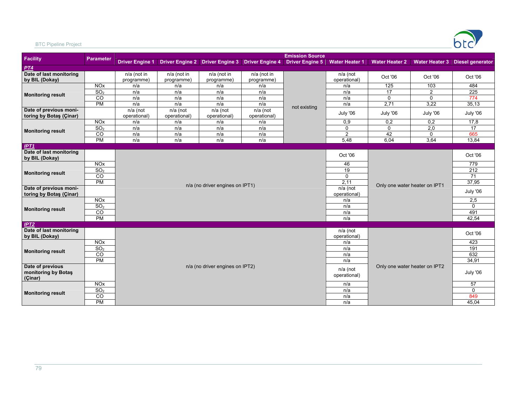

#### BTC Pipeline Project

|                                           |                       |                           |                           |                                 |                                                 | <b>Emission Source</b> |                          |                       |                               |                                 |
|-------------------------------------------|-----------------------|---------------------------|---------------------------|---------------------------------|-------------------------------------------------|------------------------|--------------------------|-----------------------|-------------------------------|---------------------------------|
| Facility                                  | <b>Parameter</b>      | <b>Driver Engine 1</b>    |                           |                                 | Driver Engine 2 Driver Engine 3 Driver Engine 4 | <b>Driver Engine 5</b> | <b>Water Heater 1</b>    | <b>Water Heater 2</b> |                               | Water Heater 3 Diesel generator |
| PT4                                       |                       |                           |                           |                                 |                                                 |                        |                          |                       |                               |                                 |
| Date of last monitoring<br>by BIL (Dokay) |                       | n/a (not in<br>programme) | n/a (not in<br>programme) | n/a (not in<br>programme)       | n/a (not in<br>programme)                       |                        | n/a (not<br>operational) | Oct '06               | Oct '06                       | Oct '06                         |
|                                           | NOX                   | n/a                       | n/a                       | n/a                             | n/a                                             |                        | n/a                      | 125                   | 103                           | 484                             |
|                                           | SO <sub>2</sub>       | n/a                       | n/a                       | n/a                             | n/a                                             |                        | n/a                      | $\overline{17}$       | $\overline{2}$                | 225                             |
| <b>Monitoring result</b>                  | CO                    | n/a                       | n/a                       | n/a                             | n/a                                             |                        | n/a                      | $\mathbf 0$           | $\mathbf{0}$                  | 774                             |
|                                           | <b>PM</b>             | n/a                       | n/a                       | n/a                             | n/a                                             | not existing           | n/a                      | 2,71                  | 3,22                          | 35,13                           |
| Date of previous moni-                    |                       | n/a (not                  | n/a (not                  | n/a (not                        | n/a (not                                        |                        | July '06                 | July '06              | July '06                      | July '06                        |
| toring by Botas (Çinar)                   |                       | operational)              | operational)              | operational)                    | operational)                                    |                        |                          |                       |                               |                                 |
|                                           | <b>NO<sub>x</sub></b> | n/a                       | n/a                       | n/a                             | n/a                                             |                        | 0,9<br>$\mathbf 0$       | 0,2<br>$\mathbf 0$    | 0,2                           | 17,8<br>$\overline{17}$         |
| <b>Monitoring result</b>                  | SO <sub>2</sub><br>CO | n/a<br>n/a                | n/a<br>n/a                | n/a<br>n/a                      | n/a<br>n/a                                      |                        | $\overline{2}$           | 42                    | 2,0<br>0                      | 665                             |
|                                           | PM                    | n/a                       | n/a                       | n/a                             | n/a                                             |                        | 5,48                     | 6,04                  | 3,64                          | 13,84                           |
|                                           |                       |                           |                           |                                 |                                                 |                        |                          |                       |                               |                                 |
| IPT1<br>Date of last monitoring           |                       |                           |                           |                                 |                                                 |                        |                          |                       |                               |                                 |
| by BIL (Dokay)                            |                       |                           |                           |                                 |                                                 |                        | Oct '06                  |                       |                               | Oct '06                         |
|                                           | <b>NO<sub>x</sub></b> |                           |                           |                                 |                                                 |                        | 46                       |                       |                               | 779                             |
|                                           | SO <sub>2</sub>       |                           |                           |                                 |                                                 |                        | 19                       |                       |                               | 212                             |
| <b>Monitoring result</b>                  | $\overline{c}$        |                           |                           |                                 |                                                 |                        | $\Omega$                 |                       |                               | $\overline{71}$                 |
|                                           | PM                    |                           |                           |                                 |                                                 |                        | 2,11                     |                       |                               | 37,95                           |
| Date of previous moni-                    |                       |                           |                           | n/a (no driver engines on IPT1) |                                                 |                        | n/a (not                 |                       | Only one water heater on IPT1 |                                 |
| toring by Botas (Çinar)                   |                       |                           |                           |                                 |                                                 |                        | operational)             |                       |                               | July '06                        |
|                                           | <b>NO<sub>x</sub></b> |                           |                           |                                 |                                                 |                        | n/a                      |                       |                               | 2,5                             |
| <b>Monitoring result</b>                  | SO <sub>2</sub>       |                           |                           |                                 |                                                 |                        | n/a                      |                       |                               | $\Omega$                        |
|                                           | $\overline{c}$        |                           |                           |                                 |                                                 |                        | n/a                      |                       |                               | 491                             |
|                                           | PM                    |                           |                           |                                 |                                                 |                        | n/a                      |                       |                               | 42,54                           |
| IPT2                                      |                       |                           |                           |                                 |                                                 |                        |                          |                       |                               |                                 |
| Date of last monitoring<br>by BIL (Dokay) |                       |                           |                           |                                 |                                                 |                        | n/a (not<br>operational) |                       |                               | Oct '06                         |
|                                           | <b>NO<sub>x</sub></b> |                           |                           |                                 |                                                 |                        | n/a                      |                       |                               | 423                             |
|                                           | SO <sub>2</sub>       |                           |                           |                                 |                                                 |                        | n/a                      |                       |                               | 191                             |
| <b>Monitoring result</b>                  | CO                    |                           |                           |                                 |                                                 |                        | n/a                      |                       |                               | 632                             |
|                                           | <b>PM</b>             |                           |                           |                                 |                                                 |                        | n/a                      |                       |                               | 34,91                           |
| Date of previous                          |                       |                           |                           | n/a (no driver engines on IPT2) |                                                 |                        |                          |                       | Only one water heater on IPT2 |                                 |
| monitoring by Botas                       |                       |                           |                           |                                 |                                                 |                        | n/a (not<br>operational) |                       |                               | July '06                        |
| (Çinar)                                   |                       |                           |                           |                                 |                                                 |                        |                          |                       |                               |                                 |
|                                           | NQX                   |                           |                           |                                 |                                                 |                        | n/a                      |                       |                               | 57                              |
| <b>Monitoring result</b>                  | SO <sub>2</sub>       |                           |                           |                                 |                                                 |                        | n/a                      |                       |                               | $\Omega$                        |
|                                           | $\overline{c}$        |                           |                           |                                 |                                                 |                        | n/a                      |                       |                               | 849                             |
|                                           | <b>PM</b>             |                           |                           |                                 |                                                 |                        | n/a                      |                       |                               | 45,04                           |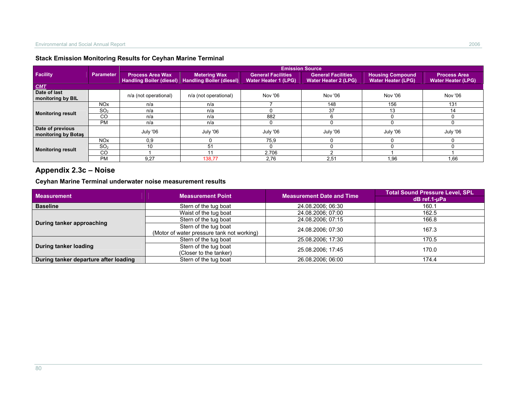### **Stack Emission Monitoring Results for Ceyhan Marine Terminal**

|                                         |                       |                                                            |                                                        | <b>Emission Source</b>                                   |                                                          |                                                      |                                                  |
|-----------------------------------------|-----------------------|------------------------------------------------------------|--------------------------------------------------------|----------------------------------------------------------|----------------------------------------------------------|------------------------------------------------------|--------------------------------------------------|
| <b>Facility</b>                         | Parameter             | <b>Process Area Wax</b><br><b>Handling Boiler (diesel)</b> | <b>Metering Wax</b><br><b>Handling Boiler (diesel)</b> | <b>General Facilities</b><br><b>Water Heater 1 (LPG)</b> | <b>General Facilities</b><br><b>Water Heater 2 (LPG)</b> | <b>Housing Compound</b><br><b>Water Heater (LPG)</b> | <b>Process Area</b><br><b>Water Heater (LPG)</b> |
| <b>CMT</b>                              |                       |                                                            |                                                        |                                                          |                                                          |                                                      |                                                  |
| Date of last<br>monitoring by BIL       |                       | n/a (not operational)                                      | n/a (not operational)                                  | Nov '06                                                  | Nov '06                                                  | Nov '06                                              | Nov '06                                          |
|                                         | <b>NO<sub>x</sub></b> | n/a                                                        | n/a                                                    |                                                          | 148                                                      | 156                                                  | 131                                              |
| <b>Monitoring result</b>                | SO <sub>2</sub>       | n/a                                                        | n/a                                                    |                                                          | 37                                                       |                                                      | 14                                               |
|                                         | <b>CO</b>             | n/a                                                        | n/a                                                    | 882                                                      |                                                          |                                                      |                                                  |
|                                         | <b>PM</b>             | n/a                                                        | n/a                                                    |                                                          |                                                          |                                                      |                                                  |
| Date of previous<br>monitoring by Botas |                       | July '06                                                   | July '06                                               | July '06                                                 | July '06                                                 | July '06                                             | July '06                                         |
|                                         | <b>NO<sub>x</sub></b> | 0.9                                                        |                                                        | 75,9                                                     |                                                          |                                                      |                                                  |
| <b>Monitoring result</b>                | SO <sub>2</sub>       | 10                                                         | 51                                                     |                                                          |                                                          |                                                      |                                                  |
|                                         | CO                    |                                                            |                                                        | 2.706                                                    |                                                          |                                                      |                                                  |
|                                         | <b>PM</b>             | 9.27                                                       | 138,77                                                 | 2,76                                                     | 2,51                                                     | 1,96                                                 | 1,66                                             |

# **Appendix 2.3c – Noise**

#### **Ceyhan Marine Terminal underwater noise measurement results**

| <b>Measurement</b>                    | <b>Measurement Point</b>                   | <b>Measurement Date and Time</b> | <b>Total Sound Pressure Level, SPL</b> |
|---------------------------------------|--------------------------------------------|----------------------------------|----------------------------------------|
|                                       |                                            |                                  | dB ref.1-uPa                           |
| <b>Baseline</b>                       | Stern of the tug boat                      | 24.08.2006; 06:30                | 160.1                                  |
|                                       | Waist of the tug boat                      | 24.08.2006; 07:00                | 162.5                                  |
| During tanker approaching             | Stern of the tug boat                      | 24.08.2006; 07:15                | 166.8                                  |
|                                       | Stern of the tug boat                      | 24.08.2006; 07:30                | 167.3                                  |
|                                       | (Motor of water pressure tank not working) |                                  |                                        |
|                                       | Stern of the tug boat                      | 25.08.2006; 17:30                | 170.5                                  |
| During tanker loading                 | Stern of the tug boat                      | 25.08.2006; 17:45                | 170.0                                  |
|                                       | (Closer to the tanker)                     |                                  |                                        |
| During tanker departure after loading | Stern of the tug boat                      | 26.08.2006; 06:00                | 174.4                                  |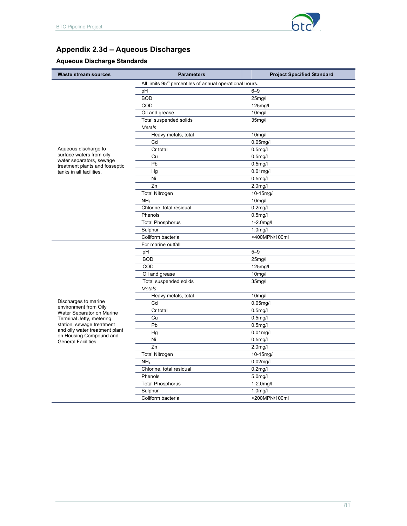

# **Appendix 2.3d – Aqueous Discharges**

# **Aqueous Discharge Standards**

| <b>Waste stream sources</b>                                | <b>Parameters</b>                                                    | <b>Project Specified Standard</b> |
|------------------------------------------------------------|----------------------------------------------------------------------|-----------------------------------|
|                                                            | All limits 95 <sup>th</sup> percentiles of annual operational hours. |                                   |
|                                                            | pH                                                                   | $6 - 9$                           |
|                                                            | <b>BOD</b>                                                           | 25mg/l                            |
|                                                            | COD                                                                  | 125mg/l                           |
|                                                            | Oil and grease                                                       | 10 <sub>mg</sub> /l               |
|                                                            | Total suspended solids                                               | 35 <sub>mg</sub> /l               |
|                                                            | <b>Metals</b>                                                        |                                   |
|                                                            | Heavy metals, total                                                  | 10 <sub>mg</sub> /l               |
|                                                            | Cd                                                                   | $0.05$ mg/l                       |
| Aqueous discharge to                                       | Cr total                                                             | $0.5$ mg/l                        |
| surface waters from oily                                   | Cu                                                                   | $0.5$ mg/l                        |
| water separators, sewage<br>treatment plants and fosseptic | Pb                                                                   | $0.5$ mg/l                        |
| tanks in all facilities.                                   | Hg                                                                   | $0.01$ mg/l                       |
|                                                            | Ni                                                                   | $0.5$ mg/l                        |
|                                                            | Zn                                                                   | 2.0mg/l                           |
|                                                            | <b>Total Nitrogen</b>                                                | 10-15mg/l                         |
|                                                            | NH <sub>4</sub>                                                      | 10 <sub>mg</sub> /l               |
|                                                            | Chlorine, total residual                                             | $0.2$ mg/l                        |
|                                                            | Phenols                                                              | $0.5$ mg/l                        |
|                                                            | <b>Total Phosphorus</b>                                              | $1-2.0$ mg/l                      |
|                                                            | Sulphur                                                              | $1.0$ mg/l                        |
|                                                            | Coliform bacteria                                                    | <400MPN/100ml                     |
|                                                            | For marine outfall                                                   |                                   |
|                                                            | pH                                                                   | $5 - 9$                           |
|                                                            | <b>BOD</b>                                                           | 25mg/l                            |
|                                                            | COD                                                                  | 125mg/l                           |
|                                                            | Oil and grease                                                       | 10mg/l                            |
|                                                            | Total suspended solids                                               | 35 <sub>mg</sub> /l               |
|                                                            | Metals                                                               |                                   |
|                                                            | Heavy metals, total                                                  | 10 <sub>mg</sub> /l               |
| Discharges to marine<br>environment from Oily              | Cd                                                                   | $0.05$ mg/l                       |
| Water Separator on Marine                                  | Cr total                                                             | $0.5$ mg/l                        |
| Terminal Jetty, metering                                   | Cu                                                                   | $0.5$ mg/l                        |
| station, sewage treatment                                  | Pb                                                                   | $0.5$ mg/l                        |
| and oily water treatment plant<br>on Housing Compound and  | Hg                                                                   | $0.01$ mg/l                       |
| <b>General Facilities.</b>                                 | Ni                                                                   | $0.5$ mg/l                        |
|                                                            | Zn                                                                   | 2.0 <sub>m</sub> g/l              |
|                                                            | <b>Total Nitrogen</b>                                                | 10-15mg/l                         |
|                                                            | NH <sub>4</sub>                                                      | $0.02$ mg/l                       |
|                                                            | Chlorine, total residual                                             | $0.2$ mg/l                        |
|                                                            | Phenols                                                              | 5.0mg/l                           |
|                                                            | <b>Total Phosphorus</b>                                              | $1-2.0$ mg/l                      |
|                                                            | Sulphur                                                              | $1.0$ mg/l                        |
|                                                            | Coliform bacteria                                                    | <200MPN/100ml                     |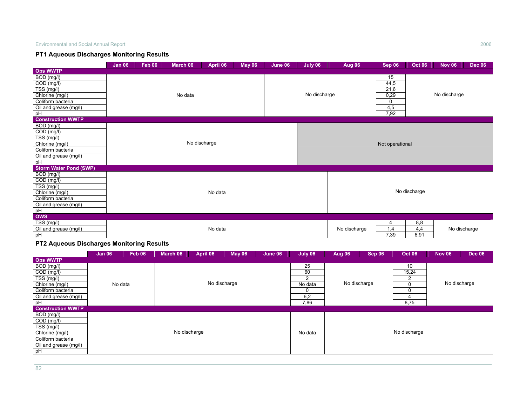### **PT1 Aqueous Discharges Monitoring Results**

|                               | <b>Jan 06</b> | Feb 06                             | March 06 | April 06 | <b>May 06</b> | June 06 | July 06      | Aug 06       | Sep 06          | <b>Oct 06</b> | <b>Nov 06</b> | <b>Dec 06</b> |
|-------------------------------|---------------|------------------------------------|----------|----------|---------------|---------|--------------|--------------|-----------------|---------------|---------------|---------------|
| <b>Ops WWTP</b>               |               |                                    |          |          |               |         |              |              |                 |               |               |               |
| BOD (mg/l)                    |               |                                    |          |          |               |         |              |              | 15              |               |               |               |
| $\overline{COD}$ (mg/l)       |               | No data<br>No discharge<br>No data |          |          |               |         |              |              | 44,5            |               |               |               |
| TSS (mg/l)                    |               |                                    |          |          |               |         |              |              | 21,6            |               |               |               |
| Chlorine (mg/l)               |               |                                    |          |          |               |         | No discharge |              | 0,29            |               | No discharge  |               |
| Coliform bacteria             |               |                                    |          |          |               |         |              |              | $\mathbf 0$     |               |               |               |
| Oil and grease (mg/l)         |               |                                    |          |          |               |         |              |              | 4,5             |               |               |               |
| pH                            |               |                                    |          |          |               |         |              |              | 7,92            |               |               |               |
| <b>Construction WWTP</b>      |               |                                    |          |          |               |         |              |              |                 |               |               |               |
| BOD (mg/l)                    |               |                                    |          |          |               |         |              |              |                 |               |               |               |
| $\overline{COD}$ (mg/l)       |               |                                    |          |          |               |         |              |              |                 |               |               |               |
| TSS (mg/l)                    |               |                                    |          |          |               |         |              |              |                 |               |               |               |
| Chlorine (mg/l)               |               |                                    |          |          |               |         |              |              | Not operational |               |               |               |
| Coliform bacteria             |               |                                    |          |          |               |         |              |              |                 |               |               |               |
| Oil and grease (mg/l)         |               |                                    |          |          |               |         |              |              |                 |               |               |               |
| pH                            |               |                                    |          |          |               |         |              |              |                 |               |               |               |
| <b>Storm Water Pond (SWP)</b> |               |                                    |          |          |               |         |              |              |                 |               |               |               |
| BOD (mg/l)                    |               |                                    |          |          |               |         |              |              |                 |               |               |               |
| COD (mg/l)                    |               |                                    |          |          |               |         |              |              |                 |               |               |               |
| TSS (mg/l)                    |               |                                    |          |          |               |         |              |              |                 |               |               |               |
| Chlorine (mg/l)               |               |                                    |          |          |               |         |              |              |                 | No discharge  |               |               |
| Coliform bacteria             |               |                                    |          |          |               |         |              |              |                 |               |               |               |
| Oil and grease (mg/l)         |               |                                    |          |          |               |         |              |              |                 |               |               |               |
| pH                            |               |                                    |          |          |               |         |              |              |                 |               |               |               |
| <b>OWS</b>                    |               |                                    |          |          |               |         |              |              |                 |               |               |               |
| TSS (mg/l)                    |               |                                    |          |          |               |         |              |              | 4               | 8,8           |               |               |
| Oil and grease (mg/l)         |               | No data                            |          |          |               |         |              | No discharge | 1,4             | 4,4           | No discharge  |               |
| pH                            |               |                                    |          |          |               |         |              |              | 7,39            | 6,91          |               |               |

## **PT2 Aqueous Discharges Monitoring Results**

|                          | <b>Jan 06</b> | Feb 06  | March 06 | April 06 | <b>May 06</b> | June 06 | July 06 | <b>Aug 06</b> | Sep 06 | <b>Oct 06</b> | <b>Nov 06</b> | <b>Dec 06</b> |
|--------------------------|---------------|---------|----------|----------|---------------|---------|---------|---------------|--------|---------------|---------------|---------------|
| <b>Ops WWTP</b>          |               |         |          |          |               |         |         |               |        |               |               |               |
| BOD (mg/l)               |               |         |          |          |               |         | 25      |               |        | 10            |               |               |
| COD (mg/l)               |               |         |          |          |               |         | 60      |               |        | 15,24         |               |               |
| TSS (mg/l)               |               |         |          |          |               |         | 2       |               |        | າ             |               |               |
| Chlorine (mg/l)          |               | No data |          |          | No discharge  |         | No data | No discharge  |        | 0             |               | No discharge  |
| Coliform bacteria        |               |         |          |          |               |         | 0       |               |        | 0             |               |               |
| Oil and grease (mg/l)    |               |         |          |          |               |         | 6,2     |               |        | 4             |               |               |
| pH                       |               |         |          |          |               |         |         |               |        | 8,75          |               |               |
| <b>Construction WWTP</b> |               |         |          |          |               |         |         |               |        |               |               |               |
| BOD (mg/l)               |               |         |          |          |               |         |         |               |        |               |               |               |
| $COD$ (mg/l)             |               |         |          |          |               |         |         |               |        |               |               |               |
| TSS (mg/l)               |               |         |          |          |               |         |         |               |        |               |               |               |
| Chlorine (mg/l)          | No discharge  |         |          |          |               |         | No data |               |        | No discharge  |               |               |
| Coliform bacteria        |               |         |          |          |               |         |         |               |        |               |               |               |
| Oil and grease (mg/l)    |               |         |          |          |               |         |         |               |        |               |               |               |
| pH                       |               |         |          |          |               |         |         |               |        |               |               |               |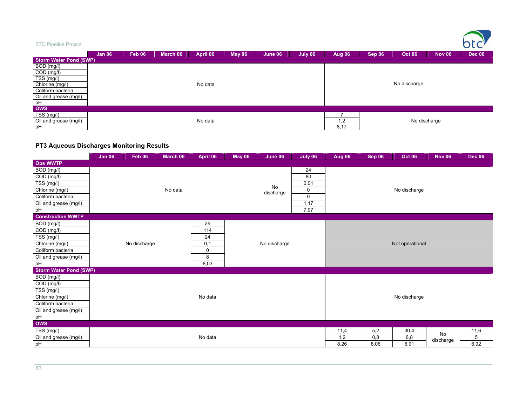| <b>BTC Pipeline Project</b>   |               |        |          |          |               |         |         |        |        |               |               | h<br>$\sqrt{ }$ |
|-------------------------------|---------------|--------|----------|----------|---------------|---------|---------|--------|--------|---------------|---------------|-----------------|
|                               | <b>Jan 06</b> | Feb 06 | March 06 | April 06 | <b>May 06</b> | June 06 | July 06 | Aug 06 | Sep 06 | <b>Oct 06</b> | <b>Nov 06</b> | <b>Dec 06</b>   |
| <b>Storm Water Pond (SWP)</b> |               |        |          |          |               |         |         |        |        |               |               |                 |
| BOD (mg/l)                    |               |        |          |          |               |         |         |        |        |               |               |                 |
| COD (mg/l)                    |               |        |          |          |               |         |         |        |        |               |               |                 |
| TSS (mg/l)                    |               |        |          |          |               |         |         |        |        |               |               |                 |
| Chlorine (mg/l)               |               |        |          | No data  |               |         |         |        |        | No discharge  |               |                 |
| Coliform bacteria             |               |        |          |          |               |         |         |        |        |               |               |                 |
| Oil and grease (mg/l)         |               |        |          |          |               |         |         |        |        |               |               |                 |
| pH                            |               |        |          |          |               |         |         |        |        |               |               |                 |
| <b>OWS</b>                    |               |        |          |          |               |         |         |        |        |               |               |                 |
| TSS (mg/l)                    |               |        |          |          |               |         |         |        |        |               |               |                 |
| Oil and grease (mg/l)         |               |        |          | No data  |               |         |         | 1,2    |        | No discharge  |               |                 |
| pH                            |               |        |          |          |               |         |         | 8,17   |        |               |               |                 |

### **PT3 Aqueous Discharges Monitoring Results**

|                               | <b>Jan 06</b> | Feb 06       | March 06 | April 06 | <b>May 06</b> | June 06         | July 06  | <b>Aug 06</b> | Sep 06          | <b>Oct 06</b> | <b>Nov 06</b> | <b>Dec 06</b> |
|-------------------------------|---------------|--------------|----------|----------|---------------|-----------------|----------|---------------|-----------------|---------------|---------------|---------------|
| <b>Ops WWTP</b>               |               |              |          |          |               |                 |          |               |                 |               |               |               |
| $\overline{BOD}$ (mg/l)       |               |              |          |          |               |                 | 24       |               |                 |               |               |               |
| $\overline{COD}$ (mg/l)       |               |              |          |          |               |                 | 80       |               |                 |               |               |               |
| TSS (mg/l)                    |               |              |          |          |               |                 | 0,01     |               |                 |               |               |               |
| Chlorine (mg/l)               |               |              | No data  |          |               | No<br>discharge | 0        |               |                 | No discharge  |               |               |
| Coliform bacteria             |               |              |          |          |               |                 | $\Omega$ |               |                 |               |               |               |
| Oil and grease (mg/l)         |               |              |          |          |               |                 | 1,17     |               |                 |               |               |               |
| pH                            |               |              |          |          |               |                 | 7,97     |               |                 |               |               |               |
| <b>Construction WWTP</b>      |               |              |          |          |               |                 |          |               |                 |               |               |               |
| BOD (mg/l)                    |               |              |          | 25       |               |                 |          |               |                 |               |               |               |
| $\overline{COD}$ (mg/l)       |               |              |          | 114      |               |                 |          |               |                 |               |               |               |
| TSS (mg/l)                    |               |              |          | 24       |               |                 |          |               |                 |               |               |               |
| Chlorine (mg/l)               |               | No discharge | 0,1      |          | No discharge  |                 |          |               | Not operational |               |               |               |
| Coliform bacteria             |               | 0<br>8       |          |          |               |                 |          |               |                 |               |               |               |
| Oil and grease (mg/l)         |               |              |          |          |               |                 |          |               |                 |               |               |               |
| pH                            |               |              |          | 8,03     |               |                 |          |               |                 |               |               |               |
| <b>Storm Water Pond (SWP)</b> |               |              |          |          |               |                 |          |               |                 |               |               |               |
| BOD (mg/l)                    |               |              |          |          |               |                 |          |               |                 |               |               |               |
| COD (mg/l)                    |               |              |          |          |               |                 |          |               |                 |               |               |               |
| $TSS$ (mg/l)                  |               |              |          |          |               |                 |          |               |                 |               |               |               |
| Chlorine (mg/l)               |               |              |          | No data  |               |                 |          |               |                 | No discharge  |               |               |
| Coliform bacteria             |               |              |          |          |               |                 |          |               |                 |               |               |               |
| Oil and grease (mg/l)         |               |              |          |          |               |                 |          |               |                 |               |               |               |
| pH                            |               |              |          |          |               |                 |          |               |                 |               |               |               |
| <b>OWS</b>                    |               |              |          |          |               |                 |          |               |                 |               |               |               |
| TSS (mg/l)                    |               |              |          |          |               |                 |          | 11,4          | 5,2             | 30,4          | No            | 11,6          |
| Oil and grease (mg/l)         | No data       |              |          |          |               |                 |          | 1,2           | 0,8             | 6,8           | discharge     | 5             |
| pH                            |               |              |          |          |               |                 |          | 8,26          | 8,06            | 6,91          |               | 6,92          |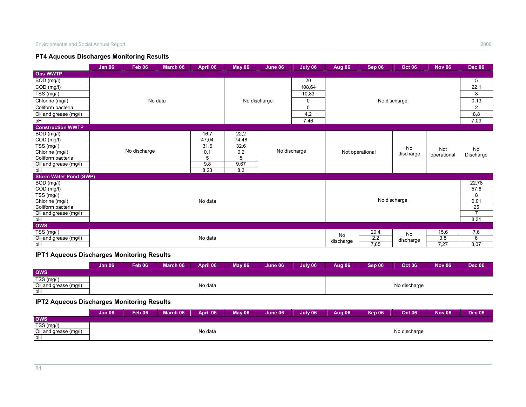#### **PT4 Aqueous Discharges Monitoring Results**

|                                | <b>Jan 06</b> | <b>Feb 06</b> | March 06 | April 06 | <b>May 06</b> | June 06      | July 06      | Aug 06    | Sep 06          | <b>Oct 06</b> | <b>Nov 06</b> | <b>Dec 06</b>   |
|--------------------------------|---------------|---------------|----------|----------|---------------|--------------|--------------|-----------|-----------------|---------------|---------------|-----------------|
| <b>Ops WWTP</b>                |               |               |          |          |               |              |              |           |                 |               |               |                 |
| BOD (mg/l)                     |               |               |          |          |               |              | 20           |           |                 |               |               | 5               |
| $\overline{COD}$ (mg/l)        |               |               |          |          |               |              | 108,64       |           |                 |               |               | 22,1            |
| $\overline{\text{TS}}S$ (mg/l) |               |               |          |          |               |              | 10,83        |           |                 |               |               | 8               |
| Chlorine (mg/l)                |               |               | No data  |          |               | No discharge | 0            |           | No discharge    |               |               | 0, 13           |
| Coliform bacteria              |               |               |          |          |               |              | 0            |           |                 |               |               | $\overline{2}$  |
| Oil and grease (mg/l)          |               |               |          |          |               |              | 4,2          |           |                 |               |               | 8,8             |
| pH                             |               |               |          |          |               |              | 7,46         |           |                 |               |               | 7,09            |
| <b>Construction WWTP</b>       |               |               |          |          |               |              |              |           |                 |               |               |                 |
| BOD (mg/l)                     |               |               |          | 16,7     | 22,2          |              |              |           |                 |               |               |                 |
| $\overline{COD}$ (mg/l)        |               |               |          | 47,04    | 74,48         |              |              |           |                 |               |               |                 |
| TSS (mg/l)                     |               |               |          | 31,6     | 32,6          |              |              |           |                 | No            | Not           |                 |
| Chlorine (mg/l)                |               | No discharge  |          | 0,1      | 0,2           |              | No discharge |           | Not operational | discharge     | operational   | No<br>Discharge |
| Coliform bacteria              |               |               |          | 5        | 5             |              |              |           |                 |               |               |                 |
| Oil and grease (mg/l)          |               |               |          | 9,8      | 9,67          |              |              |           |                 |               |               |                 |
| pH                             |               |               |          | 8,23     | 8,3           |              |              |           |                 |               |               |                 |
| <b>Storm Water Pond (SWP)</b>  |               |               |          |          |               |              |              |           |                 |               |               |                 |
| BOD (mg/l)                     |               |               |          |          |               |              |              |           |                 |               |               | 22,78           |
| $\overline{COD}$ (mg/l)        |               |               |          |          |               |              |              |           |                 |               |               | 57,6            |
| TSS (mg/l)                     |               |               |          |          |               |              |              |           |                 |               |               | 8               |
| Chlorine (mg/l)                |               |               |          | No data  |               |              |              |           | No discharge    |               |               | 0,01            |
| Coliform bacteria              |               |               |          |          |               |              |              |           |                 |               |               | 25              |
| Oil and grease (mg/l)          |               |               |          |          |               |              |              |           |                 |               |               | 7               |
| pH                             |               |               |          |          |               |              |              |           |                 |               |               | 8,31            |
| <b>OWS</b>                     |               |               |          |          |               |              |              |           |                 |               |               |                 |
| TSS (mg/l)                     |               |               |          |          |               |              |              | No        | 20,4            | No            | 15,6          | 7,6             |
| Oil and grease (mg/l)          |               |               |          | No data  |               |              |              | discharge | 2,2             | discharge     | 3,8           | 6               |
| pH                             |               |               |          |          |               |              |              |           | 7,85            |               | 7,27          | 8,07            |

# **IPT1 Aqueous Discharges Monitoring Results**

|                       | <b>Jan 06</b> | Feb 06 | March 06 | April 06 | May 06 | June 06 | July 06 | <b>Aug 06</b> | <b>Sep 06</b> | <b>Oct 06</b> | <b>Nov 06</b> | <b>Dec 06</b> |
|-----------------------|---------------|--------|----------|----------|--------|---------|---------|---------------|---------------|---------------|---------------|---------------|
| <b>OWS</b>            |               |        |          |          |        |         |         |               |               |               |               |               |
| TSS (mg/l)            |               |        |          |          |        |         |         |               |               |               |               |               |
| Oil and grease (mg/l) |               |        |          | No data  |        |         |         |               |               | No discharge  |               |               |
| pH                    |               |        |          |          |        |         |         |               |               |               |               |               |

## **IPT2 Aqueous Discharges Monitoring Results**

|                       | <b>Jan 06</b> | Feb 06 | March 06 | April 06 | $M$ av 06 | June 06 | July 06 | Aug 06 | Sep 06 | <b>Oct 06</b> | <b>Nov 06</b> | <b>Dec 06</b> |
|-----------------------|---------------|--------|----------|----------|-----------|---------|---------|--------|--------|---------------|---------------|---------------|
| <b>OWS</b>            |               |        |          |          |           |         |         |        |        |               |               |               |
| TSS (mg/l)            |               |        |          |          |           |         |         |        |        |               |               |               |
| Oil and grease (mg/l) |               |        |          | No data  |           |         |         |        |        | No discharge  |               |               |
| l pH                  |               |        |          |          |           |         |         |        |        |               |               |               |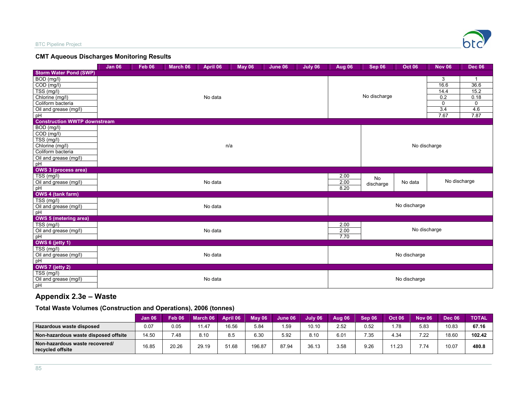

#### **CMT Aqueous Discharges Monitoring Results**

|                                     | <b>Jan 06</b> | <b>Feb 06</b> | March 06 | April 06 | <b>May 06</b> | June 06 | July 06 | Aug 06 | Sep 06       | <b>Oct 06</b> | <b>Nov 06</b> | <b>Dec 06</b> |
|-------------------------------------|---------------|---------------|----------|----------|---------------|---------|---------|--------|--------------|---------------|---------------|---------------|
| <b>Storm Water Pond (SWP)</b>       |               |               |          |          |               |         |         |        |              |               |               |               |
| BOD (mg/l)                          |               |               |          |          |               |         |         |        |              |               | 3             |               |
| $\overline{COD}$ (mg/l)             |               |               |          |          |               |         |         |        |              |               | 16.6          | 36.6          |
| TSS (mg/l)                          |               |               |          |          |               |         |         |        |              |               | 14.4          | 15.2          |
| Chlorine (mg/l)                     |               |               |          | No data  |               |         |         |        | No discharge |               | 0.2           | 0.18          |
| Coliform bacteria                   |               |               |          |          |               |         |         |        |              |               | $\mathbf 0$   | 0             |
| Oil and grease (mg/l)               |               |               |          |          |               |         |         |        |              |               | 3.4           | 4.6           |
| pH                                  |               |               |          |          |               |         |         |        |              |               | 7.67          | 7.87          |
| <b>Construction WWTP downstream</b> |               |               |          |          |               |         |         |        |              |               |               |               |
| BOD (mg/l)                          |               |               |          |          |               |         |         |        |              |               |               |               |
| $COD$ (mg/l)                        |               |               |          |          |               |         |         |        |              |               |               |               |
| TSS (mg/l)                          |               |               |          |          |               |         |         |        |              |               |               |               |
| Chlorine (mg/l)                     |               |               |          | n/a      |               |         |         |        |              |               | No discharge  |               |
| Coliform bacteria                   |               |               |          |          |               |         |         |        |              |               |               |               |
| Oil and grease (mg/l)               |               |               |          |          |               |         |         |        |              |               |               |               |
| pH                                  |               |               |          |          |               |         |         |        |              |               |               |               |
| <b>OWS 3 (process area)</b>         |               |               |          |          |               |         |         |        |              |               |               |               |
| TSS (mg/l)                          |               |               |          |          |               |         |         | 2.00   | No           |               |               |               |
| Oil and grease (mg/l)               |               |               |          | No data  |               |         |         | 2.00   | discharge    | No data       | No discharge  |               |
| pH                                  |               |               |          |          |               |         |         | 8.20   |              |               |               |               |
| <b>OWS 4 (tank farm)</b>            |               |               |          |          |               |         |         |        |              |               |               |               |
| TSS (mg/l)                          |               |               |          |          |               |         |         |        |              |               |               |               |
| Oil and grease (mg/l)               |               |               |          | No data  |               |         |         |        |              | No discharge  |               |               |
| pH                                  |               |               |          |          |               |         |         |        |              |               |               |               |
| <b>OWS 5 (metering area)</b>        |               |               |          |          |               |         |         |        |              |               |               |               |
| TSS (mg/l)                          |               |               |          |          |               |         |         | 2.00   |              |               |               |               |
| Oil and grease (mg/l)               |               |               |          | No data  |               |         |         | 2.00   |              |               | No discharge  |               |
| pH                                  |               |               |          |          |               |         |         | 7.70   |              |               |               |               |
| OWS 6 (jetty 1)                     |               |               |          |          |               |         |         |        |              |               |               |               |
| $\overline{\text{TSS}}$ (mg/l)      |               |               |          |          |               |         |         |        |              |               |               |               |
| Oil and grease (mg/l)               |               |               |          | No data  |               |         |         |        |              | No discharge  |               |               |
| pH                                  |               |               |          |          |               |         |         |        |              |               |               |               |
| OWS 7 (jetty 2)                     |               |               |          |          |               |         |         |        |              |               |               |               |
| TSS (mg/l)                          |               |               |          |          |               |         |         |        |              |               |               |               |
| Oil and grease (mg/l)               |               |               |          | No data  |               |         |         |        |              | No discharge  |               |               |
| pH                                  |               |               |          |          |               |         |         |        |              |               |               |               |

# **Appendix 2.3e – Waste**

## **Total Waste Volumes (Construction and Operations), 2006 (tonnes)**

|                                                    | Jan 06 | Feb 06 | March 06 | April 06 | <b>Mav 06</b> | June 06 | July 06 | Aug 06           | Sep 06 | <b>Oct 06</b> | <b>Nov 06</b> | <b>Dec 06</b> | <b>TOTAL</b> |
|----------------------------------------------------|--------|--------|----------|----------|---------------|---------|---------|------------------|--------|---------------|---------------|---------------|--------------|
| Hazardous waste disposed                           | 0.07   | 0.05   | 11.47    | 16.56    | 5.84          | .59     | 10.10   | 2.52             | 0.52   | 1.78          | 5.83          | 10.83         | 67.16        |
| Non-hazardous waste disposed offsite               | 14.50  | 7.48   | 8.10     | 8.5      | 6.3C          | 5.92    | 8.10    | 6.0 <sup>4</sup> | 7.35   | 4.34          | 7.22          | 18.60         | 102.42       |
| Non-hazardous waste recovered/<br>recvcled offsite | 16.85  | 20.26  | 29.19    | 51.68    | 196.87        | 87.94   | 36.13   | 3.58             | 9.26   | 1.23          | 7.74          | 10.07         | 480.8        |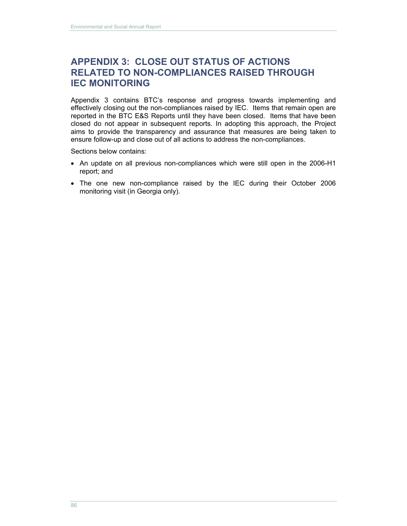# **APPENDIX 3: CLOSE OUT STATUS OF ACTIONS RELATED TO NON-COMPLIANCES RAISED THROUGH IEC MONITORING**

Appendix 3 contains BTC's response and progress towards implementing and effectively closing out the non-compliances raised by IEC. Items that remain open are reported in the BTC E&S Reports until they have been closed. Items that have been closed do not appear in subsequent reports. In adopting this approach, the Project aims to provide the transparency and assurance that measures are being taken to ensure follow-up and close out of all actions to address the non-compliances.

Sections below contains:

- An update on all previous non-compliances which were still open in the 2006-H1 report; and
- The one new non-compliance raised by the IEC during their October 2006 monitoring visit (in Georgia only).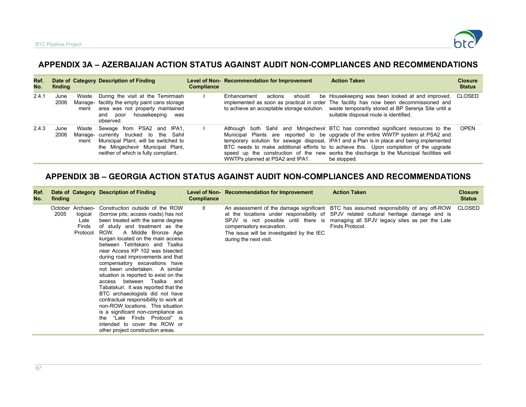

# **APPENDIX 3A – AZERBAIJAN ACTION STATUS AGAINST AUDIT NON-COMPLIANCES AND RECOMMENDATIONS**

| Ref.<br>No. | finding      |               | Date of Category Description of Finding                                                                                                                                                  | <b>Compliance</b> | Level of Non-Recommendation for Improvement | <b>Action Taken</b>                                                                                                                                                                                                                                                                                                                                                                                                                                                         | <b>Closure</b><br><b>Status</b> |
|-------------|--------------|---------------|------------------------------------------------------------------------------------------------------------------------------------------------------------------------------------------|-------------------|---------------------------------------------|-----------------------------------------------------------------------------------------------------------------------------------------------------------------------------------------------------------------------------------------------------------------------------------------------------------------------------------------------------------------------------------------------------------------------------------------------------------------------------|---------------------------------|
| 2.4.1       | June<br>2006 | Waste<br>ment | During the visit at the Temirmash<br>Manage- facility the empty paint cans storage<br>area was not properly maintained<br>housekeeping<br>poor<br>and<br>was<br>observed.                |                   | Enhancement<br>actions<br>should            | be Housekeeping was been looked at and improved.<br>implemented as soon as practical in order. The facility has now been decommissioned and<br>to achieve an acceptable storage solution. waste temporarily stored at BP Serenja Site until a<br>suitable disposal route is identified.                                                                                                                                                                                     | CLOSED                          |
| 2.4.3       | June<br>2006 | Waste<br>ment | Sewage from PSA2 and IPA1,<br>Manage- currently trucked to the Sahil<br>Municipal Plant, will be switched to<br>the Mingechevir Municipal Plant,<br>neither of which is fully compliant. |                   | WWTPs planned at PSA2 and IPA1.             | Although both Sahil and Mingechevir BTC has committed significant resources to the<br>Municipal Plants are reported to be upgrade of the entire WWTP system at PSA2 and<br>temporary solution for sewage disposal, IPA1 and a Plan is in place and being implemented<br>BTC needs to make additional efforts to to achieve this. Upon completion of the upgrade<br>speed up the construction of the new works the discharge to the Municipal facilities will<br>be stopped. | <b>OPEN</b>                     |

#### **APPENDIX 3B – GEORGIA ACTION STATUS AGAINST AUDIT NON-COMPLIANCES AND RECOMMENDATIONS**

| Ref.<br>No. | finding         |                                                  | Date of Category Description of Finding                                                                                                                                                                                                                                                                                                                                                                                                                                                                                                                                                                                                                                                                                                                                 | <b>Compliance</b> | Level of Non-Recommendation for Improvement                                                     | <b>Action Taken</b>                                                                                                                                                                                                                                                                     | <b>Closure</b><br><b>Status</b> |
|-------------|-----------------|--------------------------------------------------|-------------------------------------------------------------------------------------------------------------------------------------------------------------------------------------------------------------------------------------------------------------------------------------------------------------------------------------------------------------------------------------------------------------------------------------------------------------------------------------------------------------------------------------------------------------------------------------------------------------------------------------------------------------------------------------------------------------------------------------------------------------------------|-------------------|-------------------------------------------------------------------------------------------------|-----------------------------------------------------------------------------------------------------------------------------------------------------------------------------------------------------------------------------------------------------------------------------------------|---------------------------------|
|             | October<br>2005 | Archaeo-<br>logical<br>Late<br>Finds<br>Protocol | Construction outside of the ROW<br>(borrow pits; access roads) has not<br>been treated with the same degree<br>of study and treatment as the<br>ROW.<br>A Middle Bronze Age<br>kurgan located on the main access<br>between Tetritskaro and Tsalka<br>near Access KP 102 was bisected<br>during road improvements and that<br>compensatory excavations have<br>not been undertaken. A similar<br>situation is reported to exist on the<br>access between Tsalka and<br>Tabatskuri. It was reported that the<br>BTC archaeologists did not have<br>contractual responsibility to work at<br>non-ROW locations. This situation<br>is a significant non-compliance as<br>the "Late Finds Protocol" is<br>intended to cover the ROW or<br>other project construction areas. | $\mathbf{H}$      | compensatory excavation.<br>The issue will be investigated by the IEC<br>during the next visit. | An assessment of the damage significant BTC has assumed responsibility of any off-ROW<br>at the locations under responsibility of SPJV related cultural heritage damage and is<br>SPJV is not possible until there is managing all SPJV legacy sites as per the Late<br>Finds Protocol. | <b>CLOSED</b>                   |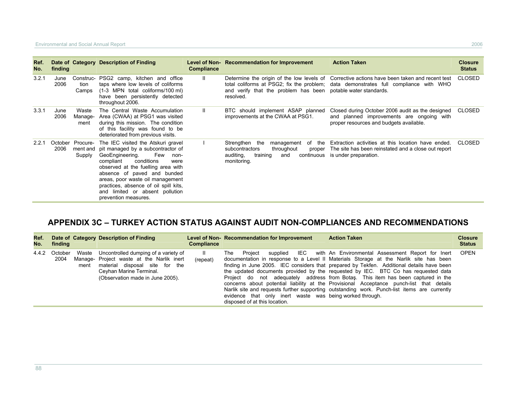| Ref.<br>No. | finding      |                            | Date of Category Description of Finding                                                                                                                                                                                                                                                                                                                            | <b>Compliance</b> | Level of Non-Recommendation for Improvement                                                                                                      | <b>Action Taken</b>                                                                                                                                                                  | <b>Closure</b><br><b>Status</b> |
|-------------|--------------|----------------------------|--------------------------------------------------------------------------------------------------------------------------------------------------------------------------------------------------------------------------------------------------------------------------------------------------------------------------------------------------------------------|-------------------|--------------------------------------------------------------------------------------------------------------------------------------------------|--------------------------------------------------------------------------------------------------------------------------------------------------------------------------------------|---------------------------------|
| 3.2.1       | June<br>2006 | Construc-<br>tion<br>Camps | PSG2 camp, kitchen and office<br>taps where low levels of coliforms<br>(1-3 MPN total coliforms/100 ml)<br>have been persistently detected<br>throughout 2006.                                                                                                                                                                                                     |                   | and verify that the problem has been potable water standards.<br>resolved.                                                                       | Determine the origin of the low levels of Corrective actions have been taken and recent test<br>total coliforms at PSG2; fix the problem; data demonstrates full compliance with WHO | CLOSED                          |
| 3.3.1       | June<br>2006 | Waste<br>Manage-<br>ment   | The Central Waste Accumulation<br>Area (CWAA) at PSG1 was visited<br>during this mission. The condition<br>of this facility was found to be<br>deteriorated from previous visits.                                                                                                                                                                                  |                   | BTC should implement ASAP planned<br>improvements at the CWAA at PSG1.                                                                           | Closed during October 2006 audit as the designed<br>and planned improvements are ongoing with<br>proper resources and budgets available.                                             | CLOSED                          |
| 2.2.1       | 2006         | October Procure-<br>Supply | The IEC visited the Atskuri gravel<br>ment and pit managed by a subcontractor of<br>GeoEngineering.<br>Few<br>non-<br>conditions<br>compliant<br>were<br>observed at the fuelling area with<br>absence of paved and bunded<br>areas, poor waste oil management<br>practices, absence of oil spill kits,<br>and limited or absent pollution<br>prevention measures. |                   | Strengthen the<br>the<br>management<br>of<br>subcontractors<br>throughout<br>proper<br>auditing,<br>continuous<br>training<br>and<br>monitoring. | Extraction activities at this location have ended.<br>The site has been reinstated and a close out report<br>is under preparation.                                                   | CLOSED                          |

# **APPENDIX 3C – TURKEY ACTION STATUS AGAINST AUDIT NON-COMPLIANCES AND RECOMMENDATIONS**

| Ref.<br>No. | finding         |               | Date of Category Description of Finding                                                                                                                                            | <b>Compliance</b>        | Level of Non-Recommendation for Improvement                                                              | <b>Action Taken</b>                                                                                                                                                                                                                                                                                                                                                                                                                                                                                                                                                                                                       | <b>Closure</b><br><b>Status</b> |
|-------------|-----------------|---------------|------------------------------------------------------------------------------------------------------------------------------------------------------------------------------------|--------------------------|----------------------------------------------------------------------------------------------------------|---------------------------------------------------------------------------------------------------------------------------------------------------------------------------------------------------------------------------------------------------------------------------------------------------------------------------------------------------------------------------------------------------------------------------------------------------------------------------------------------------------------------------------------------------------------------------------------------------------------------------|---------------------------------|
| 4.4.2       | October<br>2004 | Waste<br>ment | Uncontrolled dumping of a variety of<br>Manage- Project waste at the Narlik inert<br>material disposal site for the<br>Ceyhan Marine Terminal.<br>(Observation made in June 2005). | $\mathbf{H}$<br>(repeat) | The Project<br>evidence that only inert waste was being worked through.<br>disposed of at this location. | supplied IEC with An Environmental Assessment Report for Inert<br>documentation in response to a Level II Materials Storage at the Narlik site has been<br>finding in June 2005. IEC considers that prepared by Tekfen. Additional details have been<br>the updated documents provided by the requested by IEC. BTC Co has requested data<br>Project do not adequately address from Botas. This item has been captured in the<br>concerns about potential liability at the Provisional Acceptance punch-list that details<br>Narlik site and requests further supporting outstanding work. Punch-list items are currently | OPEN                            |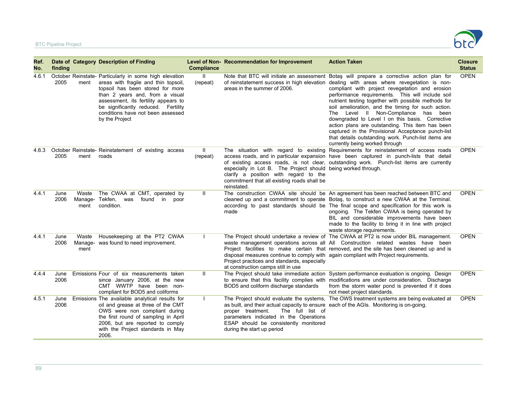

| Ref.<br>No. | finding      |               | Date of Category Description of Finding                                                                                                                                                                                                                                                                     | <b>Compliance</b>        | Level of Non-Recommendation for Improvement                                                                                                                                                                                                       | <b>Action Taken</b>                                                                                                                                                                                                                                                                                                                                                                                                                                                                                                                                                                                                                                                                                    | <b>Closure</b><br><b>Status</b> |
|-------------|--------------|---------------|-------------------------------------------------------------------------------------------------------------------------------------------------------------------------------------------------------------------------------------------------------------------------------------------------------------|--------------------------|---------------------------------------------------------------------------------------------------------------------------------------------------------------------------------------------------------------------------------------------------|--------------------------------------------------------------------------------------------------------------------------------------------------------------------------------------------------------------------------------------------------------------------------------------------------------------------------------------------------------------------------------------------------------------------------------------------------------------------------------------------------------------------------------------------------------------------------------------------------------------------------------------------------------------------------------------------------------|---------------------------------|
| 4.6.1       | 2005         | ment          | October Reinstate- Particularly in some high elevation<br>areas with fragile and thin topsoil,<br>topsoil has been stored for more<br>than 2 years and, from a visual<br>assessment, its fertility appears to<br>be significantly reduced. Fertility<br>conditions have not been assessed<br>by the Project | $\mathbf{H}$<br>(repeat) | areas in the summer of 2006.                                                                                                                                                                                                                      | Note that BTC will initiate an assessment Botaş will prepare a corrective action plan for<br>of reinstatement success in high elevation dealing with areas where revegetation is non-<br>compliant with project revegetation and erosion<br>performance requirements. This will include soil<br>nutrient testing together with possible methods for<br>soil amelioration, and the timing for such action.<br>The Level II Non-Compliance has been<br>downgraded to Level I on this basis. Corrective<br>action plans are outstanding. This item has been<br>captured in the Provisional Acceptance punch-list<br>that details outstanding work. Punch-list items are<br>currently being worked through | <b>OPEN</b>                     |
| 4.6.3       | 2005         | ment          | October Reinstate- Reinstatement of existing access<br>roads                                                                                                                                                                                                                                                | Ш.<br>(repeat)           | especially in Lot B. The Project should being worked through.<br>clarify a position with regard to the<br>commitment that all existing roads shall be<br>reinstated.                                                                              | The situation with regard to existing Requirements for reinstatement of access roads<br>access roads, and in particular expansion have been captured in punch-lists that detail<br>of existing access roads, is not clear, outstanding work. Punch-list items are currently                                                                                                                                                                                                                                                                                                                                                                                                                            | <b>OPEN</b>                     |
| 4.4.1       | June<br>2006 | Waste<br>ment | The CWAA at CMT, operated by<br>Manage- Tekfen, was found in poor<br>condition.                                                                                                                                                                                                                             | $\mathbf{H}$             | made                                                                                                                                                                                                                                              | The construction CWAA site should be An agreement has been reached between BTC and<br>cleaned up and a commitment to operate Botaş, to construct a new CWAA at the Terminal.<br>according to past standards should be The final scope and specification for this work is<br>ongoing. The Tekfen CWAA is being operated by<br>BIL and considerable improvements have been<br>made to the facility to bring it in line with project<br>waste storage requirements.                                                                                                                                                                                                                                       | <b>OPEN</b>                     |
| 4.4.1       | June<br>2006 | Waste<br>ment | Housekeeping at the PT2 CWAA<br>Manage- was found to need improvement.                                                                                                                                                                                                                                      | $\mathbf{I}$             | disposal measures continue to comply with again compliant with Project requirements.<br>Project practices and standards, especially<br>at construction camps still in use                                                                         | The Project should undertake a review of The CWAA at PT2 is now under BIL management.<br>waste management operations across all All Construction related wastes have been<br>Project facilities to make certain that removed, and the site has been cleaned up and is                                                                                                                                                                                                                                                                                                                                                                                                                                  | <b>OPEN</b>                     |
| 4.4.4       | June<br>2006 |               | Emissions Four of six measurements taken<br>since January 2006, at the new<br>CMT WWTP have been non-<br>compliant for BOD5 and coliforms                                                                                                                                                                   | Ш                        | BOD5 and coliform discharge standards                                                                                                                                                                                                             | The Project should take immediate action System performance evaluation is ongoing. Design<br>to ensure that this facility complies with modifications are under consideration. Discharge<br>from the storm water pond is prevented if it does<br>not meet project standards.                                                                                                                                                                                                                                                                                                                                                                                                                           | <b>OPEN</b>                     |
| 4.5.1       | June<br>2006 |               | Emissions The available analytical results for<br>oil and grease at three of the CMT<br>OWS were non compliant during<br>the first round of sampling in April<br>2006, but are reported to comply<br>with the Project standards in May<br>2006.                                                             | $\mathbf{I}$             | as built, and their actual capacity to ensure each of the AGIs. Monitoring is on-going.<br>The full list of<br>proper treatment.<br>parameters indicated in the Operations<br>ESAP should be consistently monitored<br>during the start up period | The Project should evaluate the systems. The OWS treatment systems are being evaluated at                                                                                                                                                                                                                                                                                                                                                                                                                                                                                                                                                                                                              | <b>OPEN</b>                     |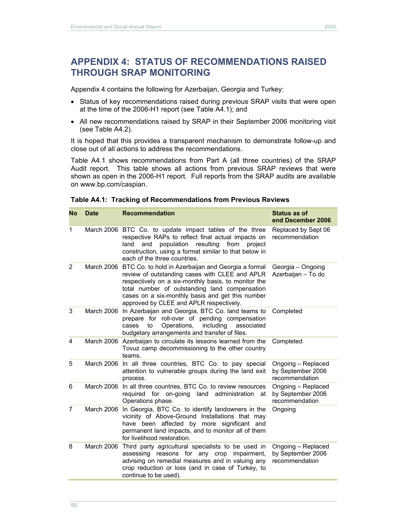Appendix 4 contains the following for Azerbaijan, Georgia and Turkey:

- Status of key recommendations raised during previous SRAP visits that were open at the time of the 2006-H1 report (see Table A4.1); and
- All new recommendations raised by SRAP in their September 2006 monitoring visit (see Table A4.2).

It is hoped that this provides a transparent mechanism to demonstrate follow-up and close out of all actions to address the recommendations.

Table A4.1 shows recommendations from Part A (all three countries) of the SRAP Audit report. This table shows all actions from previous SRAP reviews that were shown as open in the 2006-H1 report. Full reports from the SRAP audits are available on www.bp.com/caspian.

| No             | <b>Date</b> | <b>Recommendation</b>                                                                                                                                                                                                                                                                                                  | <b>Status as of</b><br>end December 2006                  |
|----------------|-------------|------------------------------------------------------------------------------------------------------------------------------------------------------------------------------------------------------------------------------------------------------------------------------------------------------------------------|-----------------------------------------------------------|
| 1              |             | March 2006 BTC Co. to update impact tables of the three<br>respective RAPs to reflect final actual impacts on<br>population resulting<br>from<br>land<br>project<br>and<br>construction, using a format similar to that below in<br>each of the three countries.                                                       | Replaced by Sept 06<br>recommendation                     |
| $\overline{2}$ |             | March 2006 BTC Co. to hold in Azerbaijan and Georgia a formal<br>review of outstanding cases with CLEE and APLR<br>respectively on a six-monthly basis, to monitor the<br>total number of outstanding land compensation<br>cases on a six-monthly basis and get this number<br>approved by CLEE and APLR respectively. | Georgia - Ongoing<br>Azerbaijan - To do                   |
| 3              |             | March 2006 In Azerbaijan and Georgia, BTC Co. land teams to<br>prepare for roll-over of pending compensation<br>Operations,<br>including<br>to<br>associated<br>cases<br>budgetary arrangements and transfer of files.                                                                                                 | Completed                                                 |
| 4              |             | March 2006 Azerbaijan to circulate its lessons learned from the<br>Tovuz camp decommissioning to the other country<br>teams.                                                                                                                                                                                           | Completed                                                 |
| 5              |             | March 2006 In all three countries, BTC Co. to pay special<br>attention to vulnerable groups during the land exit<br>process.                                                                                                                                                                                           | Ongoing - Replaced<br>by September 2006<br>recommendation |
| 6              |             | March 2006 In all three countries, BTC Co. to review resources<br>required for on-going<br>land administration<br>at<br>Operations phase.                                                                                                                                                                              | Ongoing - Replaced<br>by September 2006<br>recommendation |
| $\overline{7}$ | March 2006  | In Georgia, BTC Co. to identify landowners in the<br>vicinity of Above-Ground Installations that may<br>have been affected by more significant and<br>permanent land impacts, and to monitor all of them<br>for livelihood restoration.                                                                                | Ongoing                                                   |
| 8              | March 2006  | Third party agricultural specialists to be used in<br>assessing reasons for any crop<br>impairment,<br>advising on remedial measures and in valuing any<br>crop reduction or loss (and in case of Turkey, to<br>continue to be used).                                                                                  | Ongoing - Replaced<br>by September 2006<br>recommendation |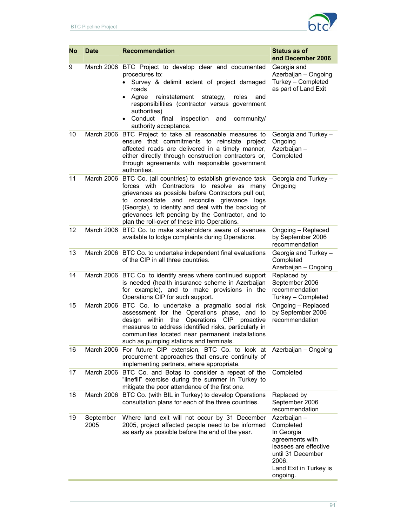

| No | <b>Date</b>       | <b>Recommendation</b>                                                                                                                                                                                                                                                                                                                                                             | Status as of<br>end December 2006                                                                                                                       |
|----|-------------------|-----------------------------------------------------------------------------------------------------------------------------------------------------------------------------------------------------------------------------------------------------------------------------------------------------------------------------------------------------------------------------------|---------------------------------------------------------------------------------------------------------------------------------------------------------|
| 9  |                   | March 2006 BTC Project to develop clear and documented<br>procedures to:<br>Survey & delimit extent of project damaged<br>$\bullet$<br>roads<br>Agree<br>reinstatement<br>roles<br>strategy,<br>and<br>$\bullet$<br>responsibilities (contractor versus government<br>authorities)<br>Conduct final<br>inspection<br>and<br>community/<br>authority acceptance.                   | Georgia and<br>Azerbaijan - Ongoing<br>Turkey - Completed<br>as part of Land Exit                                                                       |
| 10 |                   | March 2006 BTC Project to take all reasonable measures to<br>ensure that commitments to reinstate project<br>affected roads are delivered in a timely manner,<br>either directly through construction contractors or,<br>through agreements with responsible government<br>authorities.                                                                                           | Georgia and Turkey -<br>Ongoing<br>Azerbaijan -<br>Completed                                                                                            |
| 11 |                   | March 2006 BTC Co. (all countries) to establish grievance task<br>forces with Contractors to resolve as<br>many<br>grievances as possible before Contractors pull out,<br>to consolidate and reconcile grievance logs<br>(Georgia), to identify and deal with the backlog of<br>grievances left pending by the Contractor, and to<br>plan the roll-over of these into Operations. | Georgia and Turkey -<br>Ongoing                                                                                                                         |
| 12 |                   | March 2006 BTC Co. to make stakeholders aware of avenues<br>available to lodge complaints during Operations.                                                                                                                                                                                                                                                                      | Ongoing - Replaced<br>by September 2006<br>recommendation                                                                                               |
| 13 |                   | March 2006 BTC Co. to undertake independent final evaluations<br>of the CIP in all three countries.                                                                                                                                                                                                                                                                               | Georgia and Turkey -<br>Completed<br>Azerbaijan - Ongoing                                                                                               |
| 14 |                   | March 2006 BTC Co. to identify areas where continued support<br>is needed (health insurance scheme in Azerbaijan<br>for example), and to make provisions in the<br>Operations CIP for such support.                                                                                                                                                                               | Replaced by<br>September 2006<br>recommendation<br>Turkey - Completed                                                                                   |
| 15 |                   | March 2006 BTC Co. to undertake a pragmatic social risk<br>assessment for the Operations phase, and to<br>design within the Operations CIP proactive<br>measures to address identified risks, particularly in<br>communities located near permanent installations<br>such as pumping stations and terminals.                                                                      | Ongoing - Replaced<br>by September 2006<br>recommendation                                                                                               |
| 16 |                   | March 2006 For future CIP extension, BTC Co. to look at<br>procurement approaches that ensure continuity of<br>implementing partners, where appropriate.                                                                                                                                                                                                                          | Azerbaijan - Ongoing                                                                                                                                    |
| 17 |                   | March 2006 BTC Co. and Botas to consider a repeat of the<br>"linefill" exercise during the summer in Turkey to<br>mitigate the poor attendance of the first one.                                                                                                                                                                                                                  | Completed                                                                                                                                               |
| 18 |                   | March 2006 BTC Co. (with BIL in Turkey) to develop Operations<br>consultation plans for each of the three countries.                                                                                                                                                                                                                                                              | Replaced by<br>September 2006<br>recommendation                                                                                                         |
| 19 | September<br>2005 | Where land exit will not occur by 31 December<br>2005, project affected people need to be informed<br>as early as possible before the end of the year.                                                                                                                                                                                                                            | Azerbaijan -<br>Completed<br>In Georgia<br>agreements with<br>leasees are effective<br>until 31 December<br>2006.<br>Land Exit in Turkey is<br>ongoing. |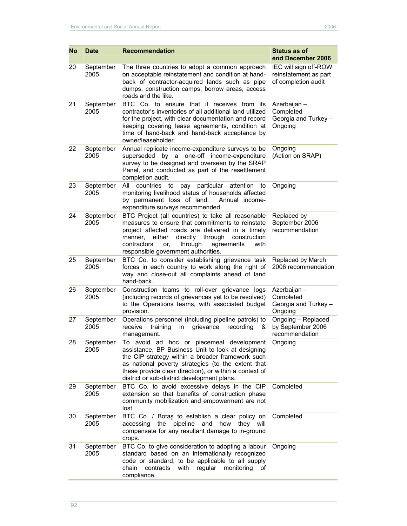| No | <b>Date</b>       | <b>Recommendation</b>                                                                                                                                                                                                                                                                                                | Status as of<br>end December 2006                                     |
|----|-------------------|----------------------------------------------------------------------------------------------------------------------------------------------------------------------------------------------------------------------------------------------------------------------------------------------------------------------|-----------------------------------------------------------------------|
| 20 | September<br>2005 | The three countries to adopt a common approach<br>on acceptable reinstatement and condition at hand-<br>back of contractor-acquired lands such as pipe<br>dumps, construction camps, borrow areas, access<br>roads and the like.                                                                                     | IEC will sign off-ROW<br>reinstatement as part<br>of completion audit |
| 21 | September<br>2005 | BTC Co. to ensure that it receives from its<br>contractor's inventories of all additional land utilized<br>for the project, with clear documentation and record<br>keeping covering lease agreements, condition at<br>time of hand-back and hand-back acceptance by<br>owner/leaseholder.                            | Azerbaijan -<br>Completed<br>Georgia and Turkey -<br>Ongoing          |
| 22 | September<br>2005 | Annual replicate income-expenditure surveys to be<br>by a one-off income-expenditure<br>superseded<br>survey to be designed and overseen by the SRAP<br>Panel, and conducted as part of the resettlement<br>completion audit.                                                                                        | Ongoing<br>(Action on SRAP)                                           |
| 23 | September<br>2005 | All<br>countries to<br>pay particular attention<br>to<br>monitoring livelihood status of households affected<br>by permanent loss of land.<br>Annual income-<br>expenditure surveys recommended.                                                                                                                     | Ongoing                                                               |
| 24 | September<br>2005 | BTC Project (all countries) to take all reasonable<br>measures to ensure that commitments to reinstate<br>project affected roads are delivered in a timely<br>either<br>through<br>directly<br>construction<br>manner,<br>through<br>contractors<br>agreements<br>or.<br>with<br>responsible government authorities. | Replaced by<br>September 2006<br>recommendation                       |
| 25 | September<br>2005 | BTC Co. to consider establishing grievance task<br>forces in each country to work along the right of<br>way and close-out all complaints ahead of land<br>hand-back.                                                                                                                                                 | Replaced by March<br>2006 recommendation                              |
| 26 | September<br>2005 | Construction teams to roll-over grievance logs<br>(including records of grievances yet to be resolved)<br>to the Operations teams, with associated budget<br>provision.                                                                                                                                              | Azerbaijan -<br>Completed<br>Georgia and Turkey -<br>Ongoing          |
| 27 | September<br>2005 | Operations personnel (including pipeline patrols) to<br>grievance<br>recording<br>receive<br>training<br>in<br>&<br>management.                                                                                                                                                                                      | Ongoing - Replaced<br>by September 2006<br>recommendation             |
| 28 | September<br>2005 | To avoid ad hoc or piecemeal development<br>assistance, BP Business Unit to look at designing<br>the CIP strategy within a broader framework such<br>as national poverty strategies (to the extent that<br>these provide clear direction), or within a context of<br>district or sub-district development plans.     | Ongoing                                                               |
| 29 | September<br>2005 | BTC Co. to avoid excessive delays in the CIP<br>extension so that benefits of construction phase<br>community mobilization and empowerment are not<br>lost.                                                                                                                                                          | Completed                                                             |
| 30 | September<br>2005 | BTC Co. / Botaş to establish a clear policy on<br>pipeline<br>accessing<br>the<br>and<br>how<br>they will<br>compensate for any resultant damage to in-ground<br>crops.                                                                                                                                              | Completed                                                             |
| 31 | September<br>2005 | BTC Co. to give consideration to adopting a labour<br>standard based on an internationally recognized<br>code or standard, to be applicable to all supply<br>chain<br>contracts<br>with<br>regular<br>monitoring<br>of<br>compliance.                                                                                | Ongoing                                                               |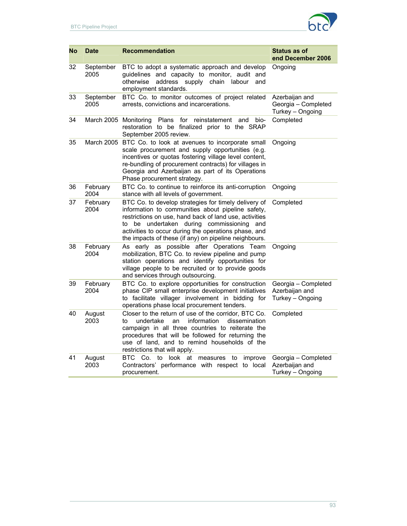

| No | <b>Date</b>           | <b>Recommendation</b>                                                                                                                                                                                                                                                                                                                   | Status as of<br>end December 2006                         |
|----|-----------------------|-----------------------------------------------------------------------------------------------------------------------------------------------------------------------------------------------------------------------------------------------------------------------------------------------------------------------------------------|-----------------------------------------------------------|
| 32 | September<br>2005     | BTC to adopt a systematic approach and develop<br>guidelines and capacity to monitor, audit and<br>otherwise<br>address<br>supply<br>chain<br>labour<br>and<br>employment standards.                                                                                                                                                    | Ongoing                                                   |
| 33 | September<br>2005     | BTC Co. to monitor outcomes of project related<br>arrests, convictions and incarcerations.                                                                                                                                                                                                                                              | Azerbaijan and<br>Georgia - Completed<br>Turkey - Ongoing |
| 34 | March 2005 Monitoring | Plans<br>reinstatement<br>for<br>bio-<br>and<br>restoration to be finalized prior to the SRAP<br>September 2005 review.                                                                                                                                                                                                                 | Completed                                                 |
| 35 |                       | March 2005 BTC Co. to look at avenues to incorporate small<br>scale procurement and supply opportunities (e.g.<br>incentives or quotas fostering village level content,<br>re-bundling of procurement contracts) for villages in<br>Georgia and Azerbaijan as part of its Operations<br>Phase procurement strategy.                     | Ongoing                                                   |
| 36 | February<br>2004      | BTC Co. to continue to reinforce its anti-corruption<br>stance with all levels of government.                                                                                                                                                                                                                                           | Ongoing                                                   |
| 37 | February<br>2004      | BTC Co. to develop strategies for timely delivery of<br>information to communities about pipeline safety,<br>restrictions on use, hand back of land use, activities<br>be undertaken during commissioning<br>to<br>and<br>activities to occur during the operations phase, and<br>the impacts of these (if any) on pipeline neighbours. | Completed                                                 |
| 38 | February<br>2004      | As early as possible after Operations Team<br>mobilization, BTC Co. to review pipeline and pump<br>station operations and identify opportunities for<br>village people to be recruited or to provide goods<br>and services through outsourcing.                                                                                         | Ongoing                                                   |
| 39 | February<br>2004      | BTC Co. to explore opportunities for construction<br>phase CIP small enterprise development initiatives<br>to facilitate villager involvement in bidding for<br>operations phase local procurement tenders.                                                                                                                             | Georgia - Completed<br>Azerbaijan and<br>Turkey - Ongoing |
| 40 | August<br>2003        | Closer to the return of use of the corridor. BTC Co.<br>information<br>dissemination<br>to<br>undertake<br>an<br>campaign in all three countries to reiterate the<br>procedures that will be followed for returning the<br>use of land, and to remind households of the<br>restrictions that will apply.                                | Completed                                                 |
| 41 | August<br>2003        | BTC Co.<br>to look at measures<br>to<br>improve<br>Contractors' performance with respect to local<br>procurement.                                                                                                                                                                                                                       | Georgia - Completed<br>Azerbaijan and<br>Turkey - Ongoing |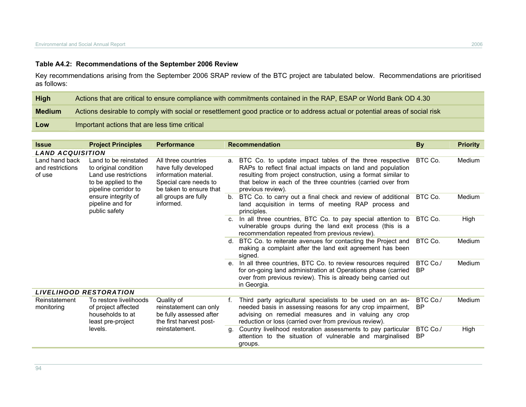## **Table A4.2: Recommendations of the September 2006 Review**

Key recommendations arising from the September 2006 SRAP review of the BTC project are tabulated below. Recommendations are prioritised as follows:

| High          | Actions that are critical to ensure compliance with commitments contained in the RAP, ESAP or World Bank OD 4.30             |
|---------------|------------------------------------------------------------------------------------------------------------------------------|
| <b>Medium</b> | Actions desirable to comply with social or resettlement good practice or to address actual or potential areas of social risk |
| Low           | Important actions that are less time critical                                                                                |

| <b>Issue</b>                                 | <b>Project Principles</b>                                                                       | <b>Performance</b>                                                                                                                                                                    |                                                                                                                                      | <b>Recommendation</b>                                                                                                                                                                                                                                                            | <b>By</b>                                                                                                                              | <b>Priority</b> |        |
|----------------------------------------------|-------------------------------------------------------------------------------------------------|---------------------------------------------------------------------------------------------------------------------------------------------------------------------------------------|--------------------------------------------------------------------------------------------------------------------------------------|----------------------------------------------------------------------------------------------------------------------------------------------------------------------------------------------------------------------------------------------------------------------------------|----------------------------------------------------------------------------------------------------------------------------------------|-----------------|--------|
| <b>LAND ACQUISITION</b>                      |                                                                                                 |                                                                                                                                                                                       |                                                                                                                                      |                                                                                                                                                                                                                                                                                  |                                                                                                                                        |                 |        |
| Land hand back<br>and restrictions<br>of use | Land to be reinstated<br>to original condition<br>Land use restrictions<br>to be applied to the | All three countries<br>have fully developed<br>information material.<br>Special care needs to<br>be taken to ensure that<br>pipeline corridor to<br>all groups are fully<br>informed. |                                                                                                                                      | a. BTC Co. to update impact tables of the three respective<br>RAPs to reflect final actual impacts on land and population<br>resulting from project construction, using a format similar to<br>that below in each of the three countries (carried over from<br>previous review). | BTC Co.                                                                                                                                | Medium          |        |
|                                              | ensure integrity of<br>pipeline and for<br>public safety                                        |                                                                                                                                                                                       | $b_{1}$                                                                                                                              | BTC Co. to carry out a final check and review of additional<br>land acquisition in terms of meeting RAP process and<br>principles.                                                                                                                                               | BTC Co.                                                                                                                                | Medium          |        |
|                                              |                                                                                                 |                                                                                                                                                                                       |                                                                                                                                      | c. In all three countries, BTC Co. to pay special attention to<br>vulnerable groups during the land exit process (this is a<br>recommendation repeated from previous review).                                                                                                    | BTC Co.                                                                                                                                | High            |        |
|                                              |                                                                                                 |                                                                                                                                                                                       |                                                                                                                                      |                                                                                                                                                                                                                                                                                  | d. BTC Co. to reiterate avenues for contacting the Project and<br>making a complaint after the land exit agreement has been<br>signed. | BTC Co.         | Medium |
|                                              |                                                                                                 |                                                                                                                                                                                       |                                                                                                                                      | e. In all three countries, BTC Co. to review resources required<br>for on-going land administration at Operations phase (carried<br>over from previous review). This is already being carried out<br>in Georgia.                                                                 | BTC Co./<br>ΒP                                                                                                                         | Medium          |        |
| LIVELIHOOD RESTORATION                       |                                                                                                 |                                                                                                                                                                                       |                                                                                                                                      |                                                                                                                                                                                                                                                                                  |                                                                                                                                        |                 |        |
| Reinstatement<br>monitoring                  | To restore livelihoods<br>of project affected<br>households to at<br>least pre-project          | Quality of<br>reinstatement can only<br>be fully assessed after<br>the first harvest post-                                                                                            |                                                                                                                                      | Third party agricultural specialists to be used on an as-<br>needed basis in assessing reasons for any crop impairment,<br>advising on remedial measures and in valuing any crop<br>reduction or loss (carried over from previous review).                                       | BTC Co./<br>ΒP                                                                                                                         | Medium          |        |
|                                              | levels.                                                                                         | reinstatement.<br>q.                                                                                                                                                                  | Country livelihood restoration assessments to pay particular<br>attention to the situation of vulnerable and marginalised<br>groups. | BTC Co./<br>ΒP                                                                                                                                                                                                                                                                   | High                                                                                                                                   |                 |        |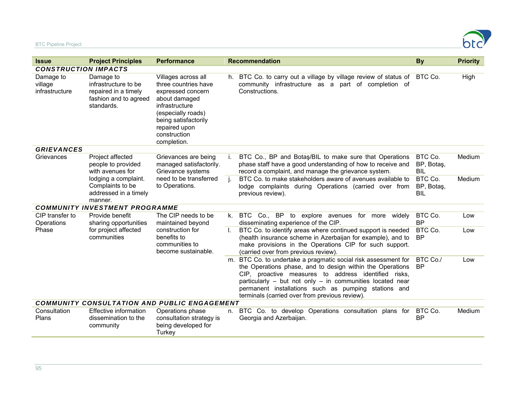

| <b>Issue</b>                                        | <b>Project Principles</b>                                                                                                                  | <b>Performance</b>                                                                                                                                                                                |    | <b>Recommendation</b>                                                                                                                                                                                                                                                                                                                                          | <b>By</b>                           | <b>Priority</b> |  |  |  |
|-----------------------------------------------------|--------------------------------------------------------------------------------------------------------------------------------------------|---------------------------------------------------------------------------------------------------------------------------------------------------------------------------------------------------|----|----------------------------------------------------------------------------------------------------------------------------------------------------------------------------------------------------------------------------------------------------------------------------------------------------------------------------------------------------------------|-------------------------------------|-----------------|--|--|--|
| <b>CONSTRUCTION IMPACTS</b>                         |                                                                                                                                            |                                                                                                                                                                                                   |    |                                                                                                                                                                                                                                                                                                                                                                |                                     |                 |  |  |  |
| Damage to<br>village<br>infrastructure              | Damage to<br>infrastructure to be<br>repaired in a timely<br>fashion and to agreed<br>standards.                                           | Villages across all<br>three countries have<br>expressed concern<br>about damaged<br>infrastructure<br>(especially roads)<br>being satisfactorily<br>repaired upon<br>construction<br>completion. |    | h. BTC Co. to carry out a village by village review of status of BTC Co.<br>community infrastructure as a part of completion of<br>Constructions.                                                                                                                                                                                                              |                                     | High            |  |  |  |
| <b>GRIEVANCES</b>                                   |                                                                                                                                            |                                                                                                                                                                                                   |    |                                                                                                                                                                                                                                                                                                                                                                |                                     |                 |  |  |  |
| Grievances                                          | Project affected<br>people to provided<br>with avenues for<br>lodging a complaint.<br>Complaints to be<br>addressed in a timely<br>manner. | Grievances are being<br>managed satisfactorily.<br>Grievance systems<br>need to be transferred<br>to Operations.                                                                                  | j. | BTC Co., BP and Botas/BIL to make sure that Operations<br>phase staff have a good understanding of how to receive and<br>record a complaint, and manage the grievance system.                                                                                                                                                                                  | BTC Co.<br>BP, Botaş,<br><b>BIL</b> | Medium          |  |  |  |
|                                                     |                                                                                                                                            |                                                                                                                                                                                                   | j. | BTC Co. to make stakeholders aware of avenues available to<br>lodge complaints during Operations (carried over from<br>previous review).                                                                                                                                                                                                                       | BTC Co.<br>BP, Botaş,<br><b>BIL</b> | Medium          |  |  |  |
|                                                     | <b>COMMUNITY INVESTMENT PROGRAMME</b>                                                                                                      |                                                                                                                                                                                                   |    |                                                                                                                                                                                                                                                                                                                                                                |                                     |                 |  |  |  |
| CIP transfer to<br>Operations<br>Phase              | Provide benefit<br>sharing opportunities<br>for project affected<br>communities                                                            | The CIP needs to be<br>maintained beyond<br>construction for<br>benefits to<br>communities to<br>become sustainable.                                                                              |    | k. BTC Co., BP to explore avenues<br>for more<br>widely<br>disseminating experience of the CIP.                                                                                                                                                                                                                                                                | BTC Co.<br><b>BP</b>                | Low             |  |  |  |
|                                                     |                                                                                                                                            |                                                                                                                                                                                                   | Ι. | BTC Co. to identify areas where continued support is needed<br>(health insurance scheme in Azerbaijan for example), and to<br>make provisions in the Operations CIP for such support.<br>(carried over from previous review).                                                                                                                                  | BTC Co.<br><b>BP</b>                | Low             |  |  |  |
|                                                     |                                                                                                                                            |                                                                                                                                                                                                   |    | m. BTC Co. to undertake a pragmatic social risk assessment for<br>the Operations phase, and to design within the Operations<br>CIP, proactive measures to address identified risks,<br>particularly $-$ but not only $-$ in communities located near<br>permanent installations such as pumping stations and<br>terminals (carried over from previous review). | BTC Co./<br><b>BP</b>               | Low             |  |  |  |
| <b>COMMUNITY CONSULTATION AND PUBLIC ENGAGEMENT</b> |                                                                                                                                            |                                                                                                                                                                                                   |    |                                                                                                                                                                                                                                                                                                                                                                |                                     |                 |  |  |  |
| Consultation<br>Plans                               | Effective information<br>dissemination to the<br>community                                                                                 | Operations phase<br>consultation strategy is<br>being developed for<br>Turkey                                                                                                                     | n. | BTC Co. to develop Operations consultation plans for<br>Georgia and Azerbaijan.                                                                                                                                                                                                                                                                                | BTC Co.<br><b>BP</b>                | Medium          |  |  |  |